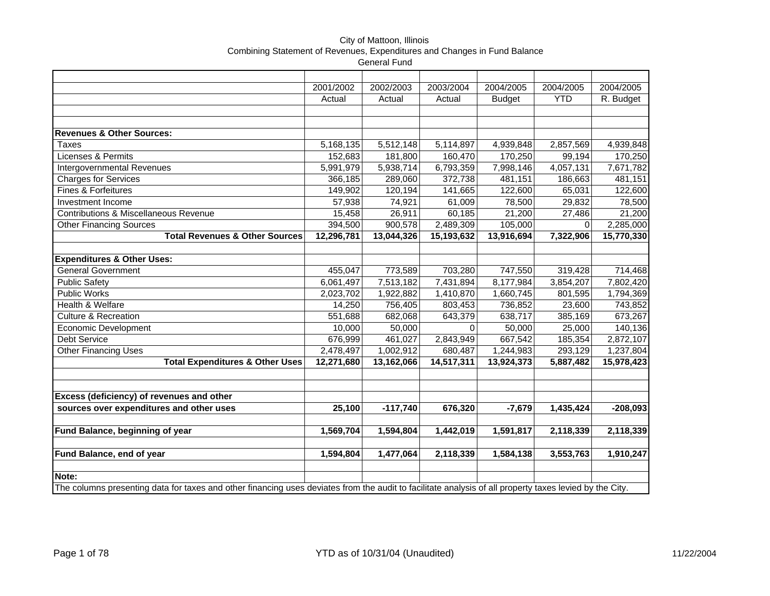### City of Mattoon, Illinois Combining Statement of Revenues, Expenditures and Changes in Fund Balance General Fund

|                                                                                                                                                         | 2001/2002  | 2002/2003  | 2003/2004  | 2004/2005     | 2004/2005  | 2004/2005  |
|---------------------------------------------------------------------------------------------------------------------------------------------------------|------------|------------|------------|---------------|------------|------------|
|                                                                                                                                                         | Actual     | Actual     | Actual     | <b>Budget</b> | <b>YTD</b> | R. Budget  |
|                                                                                                                                                         |            |            |            |               |            |            |
|                                                                                                                                                         |            |            |            |               |            |            |
| <b>Revenues &amp; Other Sources:</b>                                                                                                                    |            |            |            |               |            |            |
| <b>Taxes</b>                                                                                                                                            | 5,168,135  | 5,512,148  | 5,114,897  | 4,939,848     | 2,857,569  | 4,939,848  |
| <b>Licenses &amp; Permits</b>                                                                                                                           | 152,683    | 181,800    | 160,470    | 170,250       | 99,194     | 170,250    |
| Intergovernmental Revenues                                                                                                                              | 5,991,979  | 5,938,714  | 6,793,359  | 7,998,146     | 4,057,131  | 7,671,782  |
| Charges for Services                                                                                                                                    | 366,185    | 289,060    | 372,738    | 481,151       | 186,663    | 481,151    |
| Fines & Forfeitures                                                                                                                                     | 149,902    | 120,194    | 141,665    | 122,600       | 65,031     | 122,600    |
| Investment Income                                                                                                                                       | 57,938     | 74,921     | 61,009     | 78,500        | 29,832     | 78,500     |
| <b>Contributions &amp; Miscellaneous Revenue</b>                                                                                                        | 15,458     | 26,911     | 60,185     | 21,200        | 27,486     | 21,200     |
| <b>Other Financing Sources</b>                                                                                                                          | 394,500    | 900,578    | 2,489,309  | 105,000       | 0          | 2,285,000  |
| <b>Total Revenues &amp; Other Sources</b>                                                                                                               | 12,296,781 | 13,044,326 | 15,193,632 | 13,916,694    | 7,322,906  | 15,770,330 |
|                                                                                                                                                         |            |            |            |               |            |            |
| <b>Expenditures &amp; Other Uses:</b>                                                                                                                   |            |            |            |               |            |            |
| <b>General Government</b>                                                                                                                               | 455,047    | 773,589    | 703,280    | 747,550       | 319,428    | 714,468    |
| <b>Public Safety</b>                                                                                                                                    | 6,061,497  | 7,513,182  | 7,431,894  | 8,177,984     | 3,854,207  | 7,802,420  |
| <b>Public Works</b>                                                                                                                                     | 2,023,702  | 1,922,882  | 1,410,870  | 1,660,745     | 801,595    | 1,794,369  |
| Health & Welfare                                                                                                                                        | 14,250     | 756,405    | 803,453    | 736,852       | 23,600     | 743,852    |
| <b>Culture &amp; Recreation</b>                                                                                                                         | 551,688    | 682,068    | 643,379    | 638,717       | 385,169    | 673,267    |
| Economic Development                                                                                                                                    | 10,000     | 50,000     | $\Omega$   | 50,000        | 25,000     | 140,136    |
| Debt Service                                                                                                                                            | 676,999    | 461,027    | 2,843,949  | 667,542       | 185,354    | 2,872,107  |
| <b>Other Financing Uses</b>                                                                                                                             | 2,478,497  | 1,002,912  | 680,487    | 1,244,983     | 293,129    | 1,237,804  |
| <b>Total Expenditures &amp; Other Uses</b>                                                                                                              | 12,271,680 | 13,162,066 | 14,517,311 | 13,924,373    | 5,887,482  | 15,978,423 |
|                                                                                                                                                         |            |            |            |               |            |            |
|                                                                                                                                                         |            |            |            |               |            |            |
| Excess (deficiency) of revenues and other                                                                                                               |            |            |            |               |            |            |
| sources over expenditures and other uses                                                                                                                | 25,100     | $-117,740$ | 676,320    | $-7,679$      | 1,435,424  | $-208,093$ |
|                                                                                                                                                         |            |            |            |               |            |            |
| Fund Balance, beginning of year                                                                                                                         | 1,569,704  | 1,594,804  | 1,442,019  | 1,591,817     | 2,118,339  | 2,118,339  |
|                                                                                                                                                         |            |            |            |               |            |            |
| Fund Balance, end of year                                                                                                                               | 1,594,804  | 1,477,064  | 2,118,339  | 1,584,138     | 3,553,763  | 1,910,247  |
|                                                                                                                                                         |            |            |            |               |            |            |
| Note:                                                                                                                                                   |            |            |            |               |            |            |
| The columns presenting data for taxes and other financing uses deviates from the audit to facilitate analysis of all property taxes levied by the City. |            |            |            |               |            |            |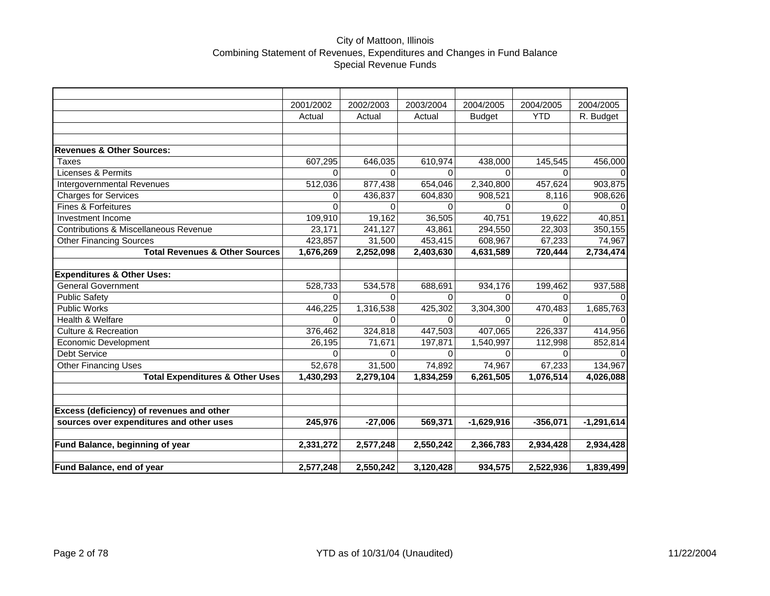## City of Mattoon, Illinois Combining Statement of Revenues, Expenditures and Changes in Fund Balance Special Revenue Funds

|                                            | 2001/2002    | 2002/2003 | 2003/2004 | 2004/2005     | 2004/2005  | 2004/2005    |
|--------------------------------------------|--------------|-----------|-----------|---------------|------------|--------------|
|                                            | Actual       | Actual    | Actual    | <b>Budget</b> | <b>YTD</b> | R. Budget    |
|                                            |              |           |           |               |            |              |
|                                            |              |           |           |               |            |              |
| <b>Revenues &amp; Other Sources:</b>       |              |           |           |               |            |              |
| Taxes                                      | 607,295      | 646,035   | 610,974   | 438,000       | 145,545    | 456,000      |
| <b>Licenses &amp; Permits</b>              | 0            | 0         | 0         | $\Omega$      | 0          |              |
| Intergovernmental Revenues                 | 512,036      | 877,438   | 654,046   | 2,340,800     | 457,624    | 903,875      |
| <b>Charges for Services</b>                | 0            | 436,837   | 604,830   | 908,521       | 8,116      | 908,626      |
| <b>Fines &amp; Forfeitures</b>             | 0            | $\Omega$  | $\Omega$  | 0             | $\Omega$   |              |
| <b>Investment Income</b>                   | 109,910      | 19,162    | 36,505    | 40,751        | 19,622     | 40,851       |
| Contributions & Miscellaneous Revenue      | 23,171       | 241,127   | 43,861    | 294,550       | 22,303     | 350,155      |
| <b>Other Financing Sources</b>             | 423,857      | 31,500    | 453,415   | 608,967       | 67,233     | 74,967       |
| <b>Total Revenues &amp; Other Sources</b>  | 1,676,269    | 2,252,098 | 2,403,630 | 4,631,589     | 720,444    | 2,734,474    |
|                                            |              |           |           |               |            |              |
| <b>Expenditures &amp; Other Uses:</b>      |              |           |           |               |            |              |
| <b>General Government</b>                  | 528,733      | 534,578   | 688,691   | 934,176       | 199,462    | 937,588      |
| <b>Public Safety</b>                       | $\Omega$     | 0         | $\Omega$  | $\Omega$      | $\Omega$   |              |
| <b>Public Works</b>                        | 446,225      | 1,316,538 | 425,302   | 3,304,300     | 470,483    | 1,685,763    |
| Health & Welfare                           | <sup>0</sup> | 0         | 0         | 0             | $\Omega$   |              |
| <b>Culture &amp; Recreation</b>            | 376,462      | 324,818   | 447,503   | 407,065       | 226,337    | 414,956      |
| Economic Development                       | 26,195       | 71,671    | 197,871   | 1,540,997     | 112,998    | 852,814      |
| <b>Debt Service</b>                        | $\Omega$     | 0         | $\Omega$  | $\Omega$      | $\Omega$   |              |
| <b>Other Financing Uses</b>                | 52,678       | 31,500    | 74,892    | 74,967        | 67,233     | 134,967      |
| <b>Total Expenditures &amp; Other Uses</b> | 1,430,293    | 2,279,104 | 1,834,259 | 6,261,505     | 1,076,514  | 4,026,088    |
|                                            |              |           |           |               |            |              |
|                                            |              |           |           |               |            |              |
| Excess (deficiency) of revenues and other  |              |           |           |               |            |              |
| sources over expenditures and other uses   | 245,976      | $-27,006$ | 569,371   | $-1,629,916$  | $-356,071$ | $-1,291,614$ |
|                                            |              |           |           |               |            |              |
| Fund Balance, beginning of year            | 2,331,272    | 2,577,248 | 2,550,242 | 2,366,783     | 2,934,428  | 2,934,428    |
|                                            |              |           |           |               |            |              |
| Fund Balance, end of year                  | 2,577,248    | 2,550,242 | 3,120,428 | 934,575       | 2,522,936  | 1,839,499    |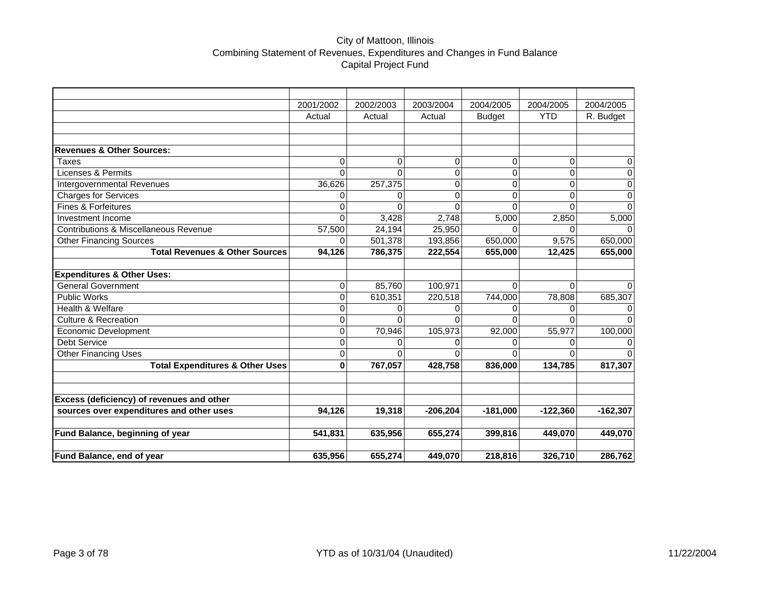# City of Mattoon, Illinois Combining Statement of Revenues, Expenditures and Changes in Fund Balance Capital Project Fund

|                                            | 2001/2002 | 2002/2003 | 2003/2004  | 2004/2005     | 2004/2005  | 2004/2005  |
|--------------------------------------------|-----------|-----------|------------|---------------|------------|------------|
|                                            | Actual    | Actual    | Actual     | <b>Budget</b> | <b>YTD</b> | R. Budget  |
|                                            |           |           |            |               |            |            |
|                                            |           |           |            |               |            |            |
| <b>Revenues &amp; Other Sources:</b>       |           |           |            |               |            |            |
| Taxes                                      | 0         | 0         | 0          | 0             | 0          | 0          |
| Licenses & Permits                         | $\Omega$  | $\Omega$  | $\Omega$   | 0             | $\Omega$   | 0          |
| Intergovernmental Revenues                 | 36,626    | 257,375   | 0          | 0             | $\Omega$   | 0          |
| Charges for Services                       | 0         | $\Omega$  | $\Omega$   | 0             | $\Omega$   | 0          |
| Fines & Forfeitures                        | 0         | $\Omega$  | $\Omega$   | 0             | $\Omega$   | $\Omega$   |
| Investment Income                          | $\Omega$  | 3,428     | 2,748      | 5,000         | 2,850      | 5,000      |
| Contributions & Miscellaneous Revenue      | 57,500    | 24,194    | 25,950     | 0             | 0          | 0          |
| <b>Other Financing Sources</b>             | 0         | 501,378   | 193,856    | 650,000       | 9,575      | 650,000    |
| <b>Total Revenues &amp; Other Sources</b>  | 94,126    | 786,375   | 222,554    | 655,000       | 12,425     | 655,000    |
|                                            |           |           |            |               |            |            |
| <b>Expenditures &amp; Other Uses:</b>      |           |           |            |               |            |            |
| <b>General Government</b>                  | 0         | 85,760    | 100,971    | 0             | $\Omega$   | U          |
| <b>Public Works</b>                        | 0         | 610,351   | 220,518    | 744,000       | 78,808     | 685,307    |
| Health & Welfare                           | 0         | $\Omega$  |            | 0             | 0          | 0          |
| <b>Culture &amp; Recreation</b>            | 0         | $\Omega$  | 0          | $\Omega$      | $\Omega$   | $\Omega$   |
| <b>Economic Development</b>                | 0         | 70,946    | 105,973    | 92,000        | 55,977     | 100,000    |
| <b>Debt Service</b>                        | 0         | 0         | 0          | 0             | 0          | 0          |
| Other Financing Uses                       | 0         | $\Omega$  | $\Omega$   | 0             | $\Omega$   | $\Omega$   |
| <b>Total Expenditures &amp; Other Uses</b> | 0         | 767,057   | 428,758    | 836,000       | 134,785    | 817,307    |
|                                            |           |           |            |               |            |            |
|                                            |           |           |            |               |            |            |
| Excess (deficiency) of revenues and other  |           |           |            |               |            |            |
| sources over expenditures and other uses   | 94,126    | 19,318    | $-206,204$ | $-181,000$    | $-122,360$ | $-162,307$ |
|                                            |           |           |            |               |            |            |
| Fund Balance, beginning of year            | 541,831   | 635,956   | 655,274    | 399,816       | 449,070    | 449,070    |
|                                            |           |           |            |               |            |            |
| Fund Balance, end of year                  | 635,956   | 655,274   | 449,070    | 218,816       | 326,710    | 286,762    |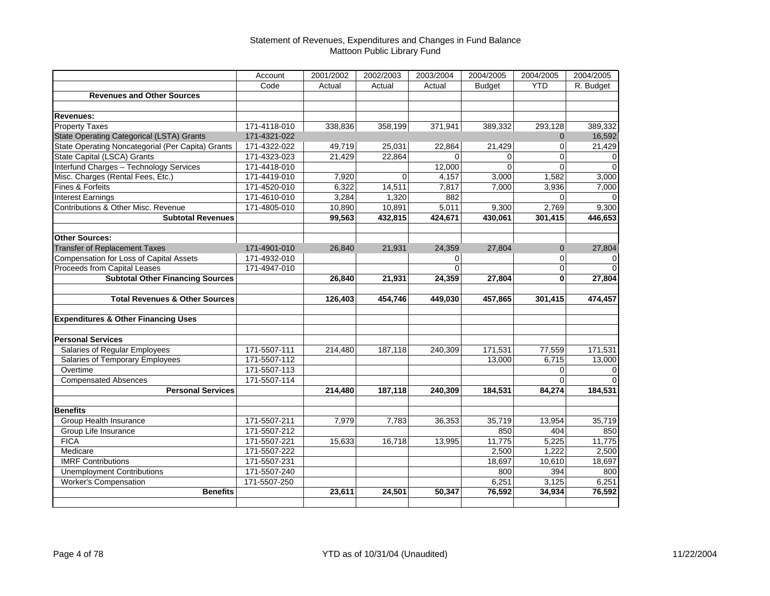#### Statement of Revenues, Expenditures and Changes in Fund Balance Mattoon Public Library Fund

|                                                   | Account      | 2001/2002 | 2002/2003   | 2003/2004 | 2004/2005     | 2004/2005      | 2004/2005      |
|---------------------------------------------------|--------------|-----------|-------------|-----------|---------------|----------------|----------------|
|                                                   | Code         | Actual    | Actual      | Actual    | <b>Budget</b> | <b>YTD</b>     | R. Budget      |
| <b>Revenues and Other Sources</b>                 |              |           |             |           |               |                |                |
|                                                   |              |           |             |           |               |                |                |
| <b>Revenues:</b>                                  |              |           |             |           |               |                |                |
| <b>Property Taxes</b>                             | 171-4118-010 | 338,836   | 358,199     | 371,941   | 389,332       | 293,128        | 389,332        |
| <b>State Operating Categorical (LSTA) Grants</b>  | 171-4321-022 |           |             |           |               | $\mathbf{0}$   | 16,592         |
| State Operating Noncategorial (Per Capita) Grants | 171-4322-022 | 49,719    | 25,031      | 22,864    | 21,429        | 0              | 21,429         |
| State Capital (LSCA) Grants                       | 171-4323-023 | 21,429    | 22,864      | $\Omega$  | $\Omega$      | $\Omega$       | 0              |
| Interfund Charges - Technology Services           | 171-4418-010 |           |             | 12,000    | $\Omega$      | $\Omega$       | $\Omega$       |
| Misc. Charges (Rental Fees, Etc.)                 | 171-4419-010 | 7,920     | $\mathbf 0$ | 4,157     | 3,000         | 1,582          | 3,000          |
| Fines & Forfeits                                  | 171-4520-010 | 6,322     | 14,511      | 7,817     | 7,000         | 3,936          | 7,000          |
| <b>Interest Earnings</b>                          | 171-4610-010 | 3,284     | 1,320       | 882       |               | $\Omega$       | <sup>0</sup>   |
| Contributions & Other Misc. Revenue               | 171-4805-010 | 10,890    | 10,891      | 5,011     | 9,300         | 2,769          | 9,300          |
| <b>Subtotal Revenues</b>                          |              | 99,563    | 432,815     | 424,671   | 430,061       | 301,415        | 446,653        |
|                                                   |              |           |             |           |               |                |                |
| <b>Other Sources:</b>                             |              |           |             |           |               |                |                |
| <b>Transfer of Replacement Taxes</b>              | 171-4901-010 | 26,840    | 21,931      | 24,359    | 27,804        | $\overline{0}$ | 27,804         |
| Compensation for Loss of Capital Assets           | 171-4932-010 |           |             | 0         |               | 0              | 0              |
| Proceeds from Capital Leases                      | 171-4947-010 |           |             | $\Omega$  |               | $\Omega$       | $\Omega$       |
| <b>Subtotal Other Financing Sources</b>           |              | 26,840    | 21,931      | 24,359    | 27,804        | 0              | 27,804         |
|                                                   |              |           |             |           |               |                |                |
| <b>Total Revenues &amp; Other Sources</b>         |              | 126,403   | 454,746     | 449,030   | 457,865       | 301,415        | 474,457        |
|                                                   |              |           |             |           |               |                |                |
| <b>Expenditures &amp; Other Financing Uses</b>    |              |           |             |           |               |                |                |
|                                                   |              |           |             |           |               |                |                |
| <b>Personal Services</b>                          |              |           |             |           |               |                |                |
| Salaries of Regular Employees                     | 171-5507-111 | 214,480   | 187,118     | 240,309   | 171,531       | 77,559         | 171,531        |
| Salaries of Temporary Employees                   | 171-5507-112 |           |             |           | 13,000        | 6,715          | 13,000         |
| Overtime                                          | 171-5507-113 |           |             |           |               | 0              | $\overline{0}$ |
| <b>Compensated Absences</b>                       | 171-5507-114 |           |             |           |               | $\Omega$       | $\overline{0}$ |
| <b>Personal Services</b>                          |              | 214,480   | 187,118     | 240,309   | 184,531       | 84,274         | 184,531        |
|                                                   |              |           |             |           |               |                |                |
| <b>Benefits</b>                                   |              |           |             |           |               |                |                |
| Group Health Insurance                            | 171-5507-211 | 7,979     | 7,783       | 36,353    | 35,719        | 13,954         | 35,719         |
| Group Life Insurance                              | 171-5507-212 |           |             |           | 850           | 404            | 850            |
| <b>FICA</b>                                       | 171-5507-221 | 15,633    | 16,718      | 13,995    | 11,775        | 5,225          | 11,775         |
| Medicare                                          | 171-5507-222 |           |             |           | 2,500         | 1,222          | 2,500          |
| <b>IMRF Contributions</b>                         | 171-5507-231 |           |             |           | 18,697        | 10,610         | 18,697         |
| <b>Unemployment Contributions</b>                 | 171-5507-240 |           |             |           | 800           | 394            | 800            |
| <b>Worker's Compensation</b>                      | 171-5507-250 |           |             |           | 6,251         | 3,125          | 6,251          |
| <b>Benefits</b>                                   |              | 23,611    | 24,501      | 50,347    | 76,592        | 34,934         | 76,592         |
|                                                   |              |           |             |           |               |                |                |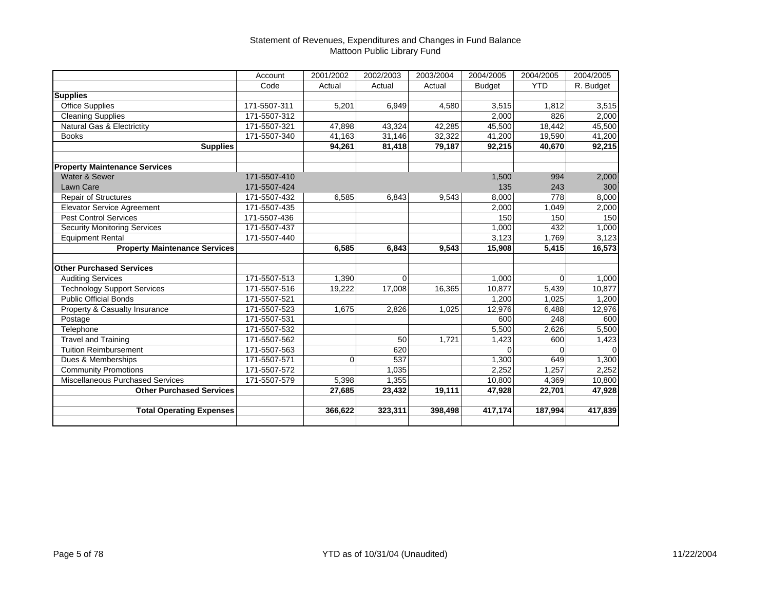#### Statement of Revenues, Expenditures and Changes in Fund Balance Mattoon Public Library Fund

|                                      | Account      | 2001/2002 | 2002/2003 | 2003/2004 | 2004/2005     | 2004/2005  | 2004/2005 |
|--------------------------------------|--------------|-----------|-----------|-----------|---------------|------------|-----------|
|                                      | Code         | Actual    | Actual    | Actual    | <b>Budget</b> | <b>YTD</b> | R. Budget |
| <b>Supplies</b>                      |              |           |           |           |               |            |           |
| <b>Office Supplies</b>               | 171-5507-311 | 5,201     | 6,949     | 4,580     | 3,515         | 1,812      | 3,515     |
| <b>Cleaning Supplies</b>             | 171-5507-312 |           |           |           | 2,000         | 826        | 2,000     |
| Natural Gas & Electrictity           | 171-5507-321 | 47,898    | 43,324    | 42,285    | 45,500        | 18,442     | 45,500    |
| <b>Books</b>                         | 171-5507-340 | 41,163    | 31,146    | 32,322    | 41,200        | 19,590     | 41,200    |
| <b>Supplies</b>                      |              | 94,261    | 81,418    | 79,187    | 92,215        | 40,670     | 92,215    |
|                                      |              |           |           |           |               |            |           |
| <b>Property Maintenance Services</b> |              |           |           |           |               |            |           |
| Water & Sewer                        | 171-5507-410 |           |           |           | 1,500         | 994        | 2,000     |
| Lawn Care                            | 171-5507-424 |           |           |           | 135           | 243        | 300       |
| <b>Repair of Structures</b>          | 171-5507-432 | 6,585     | 6,843     | 9,543     | 8,000         | 778        | 8,000     |
| <b>Elevator Service Agreement</b>    | 171-5507-435 |           |           |           | 2,000         | 1,049      | 2,000     |
| <b>Pest Control Services</b>         | 171-5507-436 |           |           |           | 150           | 150        | 150       |
| <b>Security Monitoring Services</b>  | 171-5507-437 |           |           |           | 1,000         | 432        | 1,000     |
| <b>Equipment Rental</b>              | 171-5507-440 |           |           |           | 3,123         | 1,769      | 3,123     |
| <b>Property Maintenance Services</b> |              | 6,585     | 6,843     | 9,543     | 15,908        | 5,415      | 16,573    |
|                                      |              |           |           |           |               |            |           |
| <b>Other Purchased Services</b>      |              |           |           |           |               |            |           |
| <b>Auditing Services</b>             | 171-5507-513 | 1,390     | $\Omega$  |           | 1,000         | $\Omega$   | 1,000     |
| <b>Technology Support Services</b>   | 171-5507-516 | 19,222    | 17,008    | 16,365    | 10,877        | 5,439      | 10,877    |
| <b>Public Official Bonds</b>         | 171-5507-521 |           |           |           | 1,200         | 1,025      | 1,200     |
| Property & Casualty Insurance        | 171-5507-523 | 1,675     | 2,826     | 1,025     | 12,976        | 6,488      | 12,976    |
| Postage                              | 171-5507-531 |           |           |           | 600           | 248        | 600       |
| Telephone                            | 171-5507-532 |           |           |           | 5,500         | 2,626      | 5,500     |
| <b>Travel and Training</b>           | 171-5507-562 |           | 50        | 1,721     | 1,423         | 600        | 1,423     |
| <b>Tuition Reimbursement</b>         | 171-5507-563 |           | 620       |           | $\Omega$      | $\Omega$   | $\Omega$  |
| Dues & Memberships                   | 171-5507-571 | $\Omega$  | 537       |           | 1,300         | 649        | 1,300     |
| <b>Community Promotions</b>          | 171-5507-572 |           | 1,035     |           | 2,252         | 1,257      | 2,252     |
| Miscellaneous Purchased Services     | 171-5507-579 | 5,398     | 1,355     |           | 10,800        | 4,369      | 10,800    |
| <b>Other Purchased Services</b>      |              | 27,685    | 23,432    | 19,111    | 47,928        | 22,701     | 47,928    |
|                                      |              |           |           |           |               |            |           |
| <b>Total Operating Expenses</b>      |              | 366,622   | 323,311   | 398,498   | 417,174       | 187,994    | 417,839   |
|                                      |              |           |           |           |               |            |           |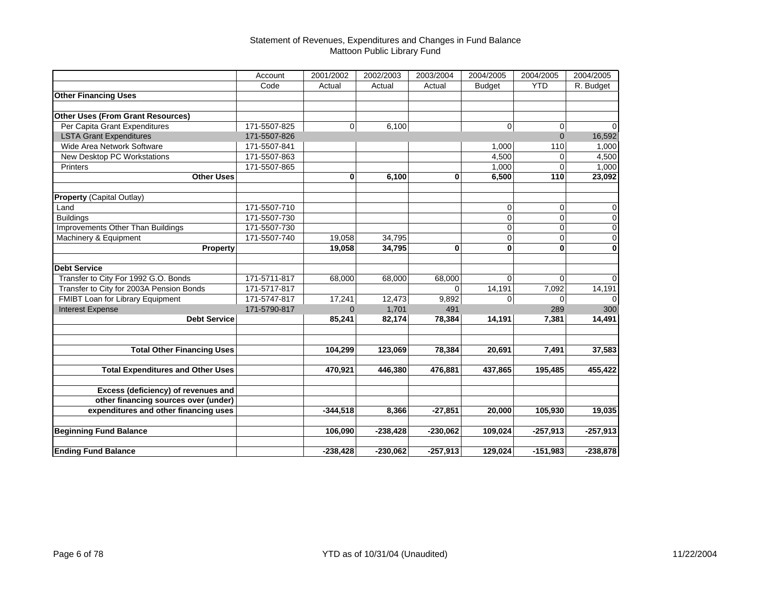#### Statement of Revenues, Expenditures and Changes in Fund Balance Mattoon Public Library Fund

|                                          | Account      | 2001/2002   | 2002/2003  | 2003/2004    | 2004/2005     | 2004/2005   | 2004/2005   |
|------------------------------------------|--------------|-------------|------------|--------------|---------------|-------------|-------------|
|                                          | Code         | Actual      | Actual     | Actual       | <b>Budget</b> | <b>YTD</b>  | R. Budget   |
| <b>Other Financing Uses</b>              |              |             |            |              |               |             |             |
|                                          |              |             |            |              |               |             |             |
| <b>Other Uses (From Grant Resources)</b> |              |             |            |              |               |             |             |
| Per Capita Grant Expenditures            | 171-5507-825 | $\mathbf 0$ | 6,100      |              | 0             | 0           | $\Omega$    |
| <b>LSTA Grant Expenditures</b>           | 171-5507-826 |             |            |              |               | $\Omega$    | 16,592      |
| Wide Area Network Software               | 171-5507-841 |             |            |              | 1,000         | 110         | 1,000       |
| New Desktop PC Workstations              | 171-5507-863 |             |            |              | 4,500         | $\Omega$    | 4,500       |
| Printers                                 | 171-5507-865 |             |            |              | 1,000         | $\Omega$    | 1,000       |
| <b>Other Uses</b>                        |              | $\bf{0}$    | 6,100      | $\mathbf{0}$ | 6,500         | 110         | 23,092      |
| <b>Property (Capital Outlay)</b>         |              |             |            |              |               |             |             |
| Land                                     | 171-5507-710 |             |            |              | 0             | $\Omega$    | $\mathbf 0$ |
| <b>Buildings</b>                         | 171-5507-730 |             |            |              | 0             | $\Omega$    | $\pmb{0}$   |
| <b>Improvements Other Than Buildings</b> | 171-5507-730 |             |            |              | 0             | $\Omega$    | 0           |
| Machinery & Equipment                    | 171-5507-740 | 19.058      | 34,795     |              | $\mathbf 0$   | $\Omega$    | $\pmb{0}$   |
| <b>Property</b>                          |              | 19,058      | 34,795     | 0            | $\bf{0}$      | 0           | $\mathbf 0$ |
| <b>Debt Service</b>                      |              |             |            |              |               |             |             |
| Transfer to City For 1992 G.O. Bonds     | 171-5711-817 | 68,000      | 68,000     | 68,000       | $\Omega$      | $\Omega$    | $\Omega$    |
| Transfer to City for 2003A Pension Bonds | 171-5717-817 |             |            | $\Omega$     | 14,191        | 7,092       | 14,191      |
| FMIBT Loan for Library Equipment         | 171-5747-817 | 17,241      | 12,473     | 9,892        | $\mathbf 0$   | $\mathbf 0$ | 0           |
| <b>Interest Expense</b>                  | 171-5790-817 | $\Omega$    | 1,701      | 491          |               | 289         | 300         |
| <b>Debt Service</b>                      |              | 85,241      | 82,174     | 78,384       | 14,191        | 7,381       | 14,491      |
|                                          |              |             |            |              |               |             |             |
| <b>Total Other Financing Uses</b>        |              | 104,299     | 123,069    | 78,384       | 20,691        | 7,491       | 37,583      |
|                                          |              |             |            |              |               |             |             |
| <b>Total Expenditures and Other Uses</b> |              | 470,921     | 446,380    | 476,881      | 437,865       | 195,485     | 455,422     |
| Excess (deficiency) of revenues and      |              |             |            |              |               |             |             |
| other financing sources over (under)     |              |             |            |              |               |             |             |
| expenditures and other financing uses    |              | $-344,518$  | 8,366      | $-27,851$    | 20,000        | 105,930     | 19,035      |
| <b>Beginning Fund Balance</b>            |              | 106,090     | $-238,428$ | $-230,062$   | 109,024       | $-257,913$  | $-257,913$  |
|                                          |              |             |            |              |               |             |             |
| <b>Ending Fund Balance</b>               |              | $-238,428$  | $-230,062$ | $-257,913$   | 129,024       | $-151,983$  | $-238,878$  |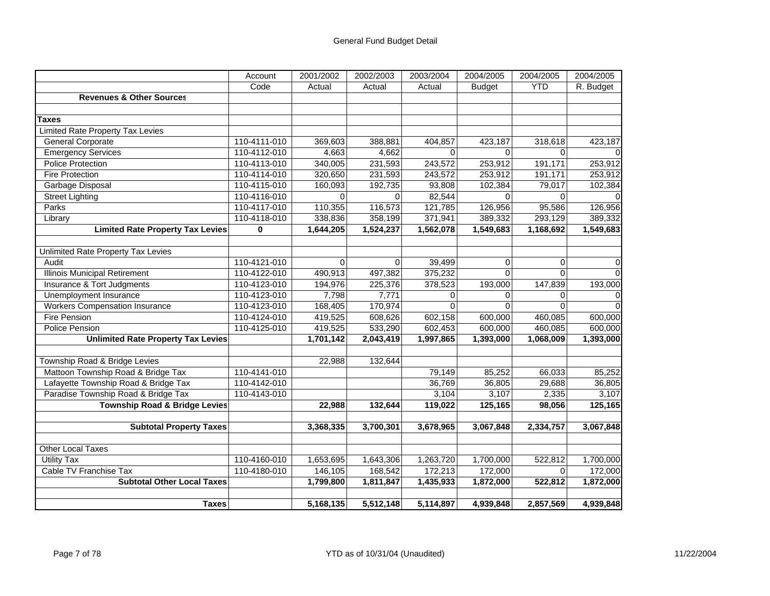|                                           | Account      | 2001/2002      | 2002/2003 | 2003/2004   | 2004/2005     | 2004/2005   | 2004/2005 |
|-------------------------------------------|--------------|----------------|-----------|-------------|---------------|-------------|-----------|
|                                           | Code         | Actual         | Actual    | Actual      | <b>Budget</b> | <b>YTD</b>  | R. Budget |
| <b>Revenues &amp; Other Sources</b>       |              |                |           |             |               |             |           |
|                                           |              |                |           |             |               |             |           |
| <b>Taxes</b>                              |              |                |           |             |               |             |           |
| <b>Limited Rate Property Tax Levies</b>   |              |                |           |             |               |             |           |
| <b>General Corporate</b>                  | 110-4111-010 | 369,603        | 388,881   | 404,857     | 423,187       | 318,618     | 423,187   |
| <b>Emergency Services</b>                 | 110-4112-010 | 4,663          | 4,662     | $\mathbf 0$ | $\Omega$      | $\mathbf 0$ |           |
| <b>Police Protection</b>                  | 110-4113-010 | 340,005        | 231,593   | 243,572     | 253,912       | 191,171     | 253,912   |
| <b>Fire Protection</b>                    | 110-4114-010 | 320,650        | 231,593   | 243,572     | 253,912       | 191,171     | 253,912   |
| Garbage Disposal                          | 110-4115-010 | 160,093        | 192,735   | 93,808      | 102,384       | 79,017      | 102,384   |
| <b>Street Lighting</b>                    | 110-4116-010 | $\overline{0}$ | $\Omega$  | 82,544      | $\Omega$      | $\Omega$    |           |
| Parks                                     | 110-4117-010 | 110,355        | 116,573   | 121,785     | 126,956       | 95,586      | 126,956   |
| Library                                   | 110-4118-010 | 338,836        | 358,199   | 371,941     | 389,332       | 293,129     | 389,332   |
| <b>Limited Rate Property Tax Levies</b>   | $\mathbf 0$  | 1,644,205      | 1,524,237 | 1,562,078   | 1,549,683     | 1,168,692   | 1,549,683 |
|                                           |              |                |           |             |               |             |           |
| Unlimited Rate Property Tax Levies        |              |                |           |             |               |             |           |
| Audit                                     | 110-4121-010 | $\Omega$       | $\Omega$  | 39,499      | $\mathbf 0$   | $\mathbf 0$ | 0         |
| <b>Illinois Municipal Retirement</b>      | 110-4122-010 | 490,913        | 497,382   | 375,232     | $\Omega$      | $\Omega$    |           |
| Insurance & Tort Judgments                | 110-4123-010 | 194,976        | 225,376   | 378,523     | 193,000       | 147,839     | 193,000   |
| Unemployment Insurance                    | 110-4123-010 | 7,798          | 7,771     | 0           | 0             | 0           | 0         |
| <b>Workers Compensation Insurance</b>     | 110-4123-010 | 168,405        | 170,974   | $\Omega$    | $\Omega$      | $\Omega$    |           |
| <b>Fire Pension</b>                       | 110-4124-010 | 419,525        | 608,626   | 602,158     | 600,000       | 460,085     | 600,000   |
| Police Pension                            | 110-4125-010 | 419,525        | 533,290   | 602,453     | 600,000       | 460,085     | 600,000   |
| <b>Unlimited Rate Property Tax Levies</b> |              | 1,701,142      | 2,043,419 | 1,997,865   | 1,393,000     | 1,068,009   | 1,393,000 |
|                                           |              |                |           |             |               |             |           |
| Township Road & Bridge Levies             |              | 22,988         | 132,644   |             |               |             |           |
| Mattoon Township Road & Bridge Tax        | 110-4141-010 |                |           | 79,149      | 85,252        | 66,033      | 85,252    |
| Lafayette Township Road & Bridge Tax      | 110-4142-010 |                |           | 36,769      | 36,805        | 29,688      | 36,805    |
| Paradise Township Road & Bridge Tax       | 110-4143-010 |                |           | 3,104       | 3,107         | 2,335       | 3,107     |
| <b>Township Road &amp; Bridge Levies</b>  |              | 22,988         | 132,644   | 119,022     | 125,165       | 98,056      | 125,165   |
|                                           |              |                |           |             |               |             |           |
| <b>Subtotal Property Taxes</b>            |              | 3,368,335      | 3,700,301 | 3,678,965   | 3,067,848     | 2,334,757   | 3,067,848 |
| <b>Other Local Taxes</b>                  |              |                |           |             |               |             |           |
| <b>Utility Tax</b>                        | 110-4160-010 | 1,653,695      | 1,643,306 | 1,263,720   | 1,700,000     | 522,812     | 1,700,000 |
| Cable TV Franchise Tax                    | 110-4180-010 | 146,105        | 168,542   | 172,213     | 172,000       | $\mathbf 0$ | 172,000   |
| <b>Subtotal Other Local Taxes</b>         |              | 1,799,800      | 1,811,847 | 1,435,933   | 1,872,000     | 522,812     | 1,872,000 |
|                                           |              |                |           |             |               |             |           |
| <b>Taxes</b>                              |              | 5,168,135      | 5,512,148 | 5,114,897   | 4,939,848     | 2,857,569   | 4,939,848 |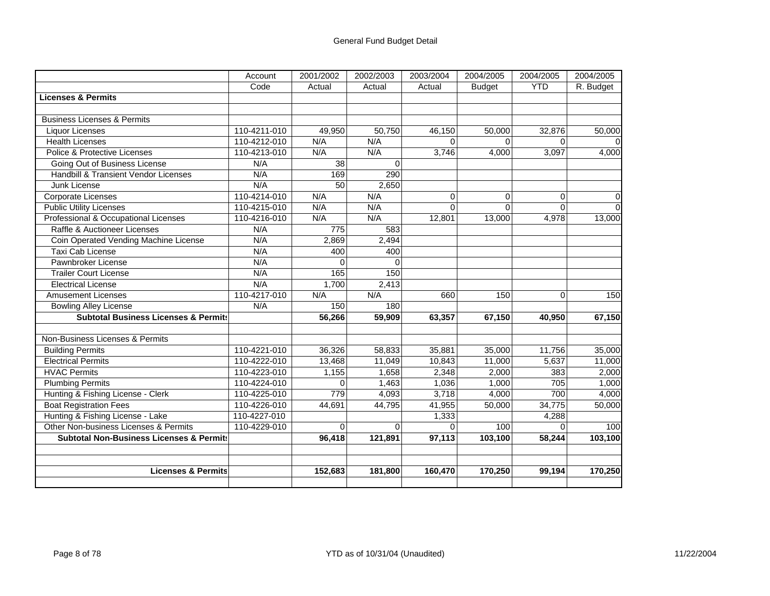|                                                     | Account      | 2001/2002       | 2002/2003 | 2003/2004   | 2004/2005     | 2004/2005   | 2004/2005 |
|-----------------------------------------------------|--------------|-----------------|-----------|-------------|---------------|-------------|-----------|
|                                                     | Code         | Actual          | Actual    | Actual      | <b>Budget</b> | <b>YTD</b>  | R. Budget |
| <b>Licenses &amp; Permits</b>                       |              |                 |           |             |               |             |           |
|                                                     |              |                 |           |             |               |             |           |
| <b>Business Licenses &amp; Permits</b>              |              |                 |           |             |               |             |           |
| <b>Liquor Licenses</b>                              | 110-4211-010 | 49,950          | 50,750    | 46,150      | 50,000        | 32,876      | 50,000    |
| <b>Health Licenses</b>                              | 110-4212-010 | N/A             | N/A       | $\Omega$    | $\Omega$      | $\Omega$    |           |
| Police & Protective Licenses                        | 110-4213-010 | N/A             | N/A       | 3,746       | 4,000         | 3,097       | 4,000     |
| Going Out of Business License                       | N/A          | $\overline{38}$ | $\Omega$  |             |               |             |           |
| <b>Handbill &amp; Transient Vendor Licenses</b>     | N/A          | 169             | 290       |             |               |             |           |
| Junk License                                        | N/A          | 50              | 2,650     |             |               |             |           |
| Corporate Licenses                                  | 110-4214-010 | N/A             | N/A       | $\mathbf 0$ | $\mathbf 0$   | $\mathbf 0$ | $\Omega$  |
| <b>Public Utility Licenses</b>                      | 110-4215-010 | N/A             | N/A       | $\Omega$    | $\Omega$      | $\Omega$    | $\Omega$  |
| Professional & Occupational Licenses                | 110-4216-010 | N/A             | N/A       | 12,801      | 13,000        | 4,978       | 13,000    |
| Raffle & Auctioneer Licenses                        | N/A          | 775             | 583       |             |               |             |           |
| Coin Operated Vending Machine License               | N/A          | 2,869           | 2,494     |             |               |             |           |
| Taxi Cab License                                    | N/A          | 400             | 400       |             |               |             |           |
| Pawnbroker License                                  | N/A          | $\Omega$        | $\Omega$  |             |               |             |           |
| <b>Trailer Court License</b>                        | N/A          | 165             | 150       |             |               |             |           |
| <b>Electrical License</b>                           | N/A          | 1,700           | 2,413     |             |               |             |           |
| <b>Amusement Licenses</b>                           | 110-4217-010 | N/A             | N/A       | 660         | 150           | $\mathbf 0$ | 150       |
| <b>Bowling Alley License</b>                        | N/A          | 150             | 180       |             |               |             |           |
| <b>Subtotal Business Licenses &amp; Permits</b>     |              | 56,266          | 59,909    | 63,357      | 67,150        | 40,950      | 67,150    |
|                                                     |              |                 |           |             |               |             |           |
| Non-Business Licenses & Permits                     |              |                 |           |             |               |             |           |
| <b>Building Permits</b>                             | 110-4221-010 | 36,326          | 58,833    | 35,881      | 35,000        | 11,756      | 35,000    |
| <b>Electrical Permits</b>                           | 110-4222-010 | 13,468          | 11,049    | 10,843      | 11,000        | 5,637       | 11,000    |
| <b>HVAC Permits</b>                                 | 110-4223-010 | 1,155           | 1,658     | 2,348       | 2,000         | 383         | 2,000     |
| <b>Plumbing Permits</b>                             | 110-4224-010 | $\Omega$        | 1,463     | 1,036       | 1,000         | 705         | 1,000     |
| Hunting & Fishing License - Clerk                   | 110-4225-010 | 779             | 4,093     | 3,718       | 4,000         | 700         | 4,000     |
| <b>Boat Registration Fees</b>                       | 110-4226-010 | 44,691          | 44,795    | 41,955      | 50,000        | 34,775      | 50,000    |
| Hunting & Fishing License - Lake                    | 110-4227-010 |                 |           | 1,333       |               | 4,288       |           |
| Other Non-business Licenses & Permits               | 110-4229-010 | $\Omega$        | $\Omega$  | $\Omega$    | 100           | $\Omega$    | 100       |
| <b>Subtotal Non-Business Licenses &amp; Permits</b> |              | 96,418          | 121,891   | 97,113      | 103,100       | 58,244      | 103,100   |
|                                                     |              |                 |           |             |               |             |           |
|                                                     |              |                 |           |             |               |             |           |
| <b>Licenses &amp; Permits</b>                       |              | 152,683         | 181,800   | 160,470     | 170,250       | 99,194      | 170,250   |
|                                                     |              |                 |           |             |               |             |           |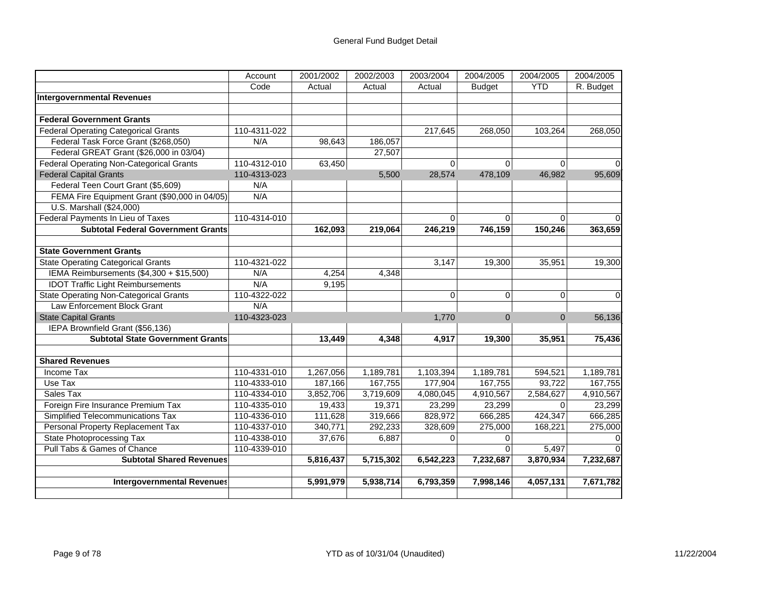|                                               | Account      | 2001/2002 | 2002/2003 | 2003/2004   | 2004/2005     | 2004/2005      | 2004/2005 |
|-----------------------------------------------|--------------|-----------|-----------|-------------|---------------|----------------|-----------|
|                                               | Code         | Actual    | Actual    | Actual      | <b>Budget</b> | <b>YTD</b>     | R. Budget |
| <b>Intergovernmental Revenues</b>             |              |           |           |             |               |                |           |
|                                               |              |           |           |             |               |                |           |
| <b>Federal Government Grants</b>              |              |           |           |             |               |                |           |
| <b>Federal Operating Categorical Grants</b>   | 110-4311-022 |           |           | 217,645     | 268,050       | 103,264        | 268,050   |
| Federal Task Force Grant (\$268,050)          | N/A          | 98,643    | 186,057   |             |               |                |           |
| Federal GREAT Grant (\$26,000 in 03/04)       |              |           | 27,507    |             |               |                |           |
| Federal Operating Non-Categorical Grants      | 110-4312-010 | 63,450    |           | 0           | 0             | 0              |           |
| <b>Federal Capital Grants</b>                 | 110-4313-023 |           | 5,500     | 28,574      | 478,109       | 46,982         | 95,609    |
| Federal Teen Court Grant (\$5,609)            | N/A          |           |           |             |               |                |           |
| FEMA Fire Equipment Grant (\$90,000 in 04/05) | N/A          |           |           |             |               |                |           |
| U.S. Marshall (\$24,000)                      |              |           |           |             |               |                |           |
| Federal Payments In Lieu of Taxes             | 110-4314-010 |           |           | 0           | 0             | $\Omega$       |           |
| <b>Subtotal Federal Government Grants</b>     |              | 162,093   | 219,064   | 246,219     | 746,159       | 150,246        | 363,659   |
|                                               |              |           |           |             |               |                |           |
| <b>State Government Grants</b>                |              |           |           |             |               |                |           |
| <b>State Operating Categorical Grants</b>     | 110-4321-022 |           |           | 3,147       | 19,300        | 35,951         | 19,300    |
| IEMA Reimbursements (\$4,300 + \$15,500)      | N/A          | 4,254     | 4,348     |             |               |                |           |
| <b>IDOT Traffic Light Reimbursements</b>      | N/A          | 9,195     |           |             |               |                |           |
| <b>State Operating Non-Categorical Grants</b> | 110-4322-022 |           |           | 0           | $\Omega$      | $\Omega$       | $\Omega$  |
| Law Enforcement Block Grant                   | N/A          |           |           |             |               |                |           |
| <b>State Capital Grants</b>                   | 110-4323-023 |           |           | 1,770       | $\Omega$      | $\overline{0}$ | 56,136    |
| IEPA Brownfield Grant (\$56,136)              |              |           |           |             |               |                |           |
| <b>Subtotal State Government Grants</b>       |              | 13,449    | 4,348     | 4,917       | 19,300        | 35,951         | 75,436    |
|                                               |              |           |           |             |               |                |           |
| <b>Shared Revenues</b>                        |              |           |           |             |               |                |           |
| Income Tax                                    | 110-4331-010 | 1,267,056 | 1,189,781 | 1,103,394   | 1,189,781     | 594,521        | 1,189,781 |
| Use Tax                                       | 110-4333-010 | 187,166   | 167,755   | 177,904     | 167,755       | 93,722         | 167,755   |
| Sales Tax                                     | 110-4334-010 | 3,852,706 | 3,719,609 | 4,080,045   | 4,910,567     | 2,584,627      | 4,910,567 |
| Foreign Fire Insurance Premium Tax            | 110-4335-010 | 19,433    | 19,371    | 23,299      | 23,299        | $\Omega$       | 23,299    |
| Simplified Telecommunications Tax             | 110-4336-010 | 111,628   | 319,666   | 828,972     | 666,285       | 424,347        | 666,285   |
| Personal Property Replacement Tax             | 110-4337-010 | 340,771   | 292,233   | 328,609     | 275,000       | 168,221        | 275,000   |
| <b>State Photoprocessing Tax</b>              | 110-4338-010 | 37,676    | 6,887     | $\mathbf 0$ | $\Omega$      |                |           |
| Pull Tabs & Games of Chance                   | 110-4339-010 |           |           |             | $\Omega$      | 5,497          |           |
| <b>Subtotal Shared Revenues</b>               |              | 5,816,437 | 5,715,302 | 6,542,223   | 7,232,687     | 3,870,934      | 7,232,687 |
|                                               |              |           |           |             |               |                |           |
| <b>Intergovernmental Revenues</b>             |              | 5,991,979 | 5,938,714 | 6,793,359   | 7,998,146     | 4,057,131      | 7,671,782 |
|                                               |              |           |           |             |               |                |           |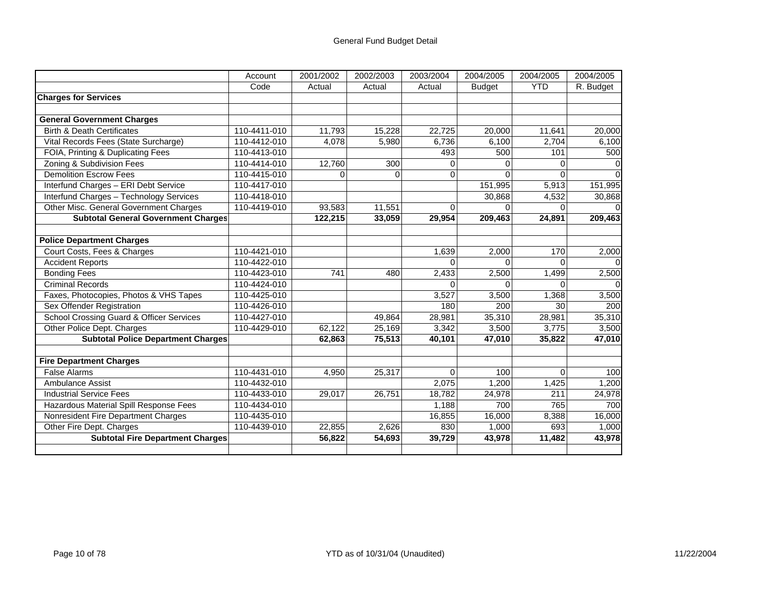|                                            | Account      | 2001/2002 | 2002/2003 | 2003/2004    | 2004/2005     | 2004/2005  | 2004/2005 |
|--------------------------------------------|--------------|-----------|-----------|--------------|---------------|------------|-----------|
|                                            | Code         | Actual    | Actual    | Actual       | <b>Budget</b> | <b>YTD</b> | R. Budget |
| <b>Charges for Services</b>                |              |           |           |              |               |            |           |
|                                            |              |           |           |              |               |            |           |
| <b>General Government Charges</b>          |              |           |           |              |               |            |           |
| <b>Birth &amp; Death Certificates</b>      | 110-4411-010 | 11,793    | 15,228    | 22,725       | 20,000        | 11,641     | 20,000    |
| Vital Records Fees (State Surcharge)       | 110-4412-010 | 4,078     | 5,980     | 6,736        | 6,100         | 2,704      | 6,100     |
| FOIA, Printing & Duplicating Fees          | 110-4413-010 |           |           | 493          | 500           | 101        | 500       |
| Zoning & Subdivision Fees                  | 110-4414-010 | 12,760    | 300       | 0            |               | 0          |           |
| <b>Demolition Escrow Fees</b>              | 110-4415-010 | $\Omega$  | $\Omega$  | $\Omega$     | $\Omega$      | 0          |           |
| Interfund Charges - ERI Debt Service       | 110-4417-010 |           |           |              | 151,995       | 5,913      | 151,995   |
| Interfund Charges - Technology Services    | 110-4418-010 |           |           |              | 30,868        | 4,532      | 30,868    |
| Other Misc. General Government Charges     | 110-4419-010 | 93,583    | 11,551    | $\Omega$     | $\Omega$      | $\Omega$   |           |
| <b>Subtotal General Government Charges</b> |              | 122,215   | 33,059    | 29,954       | 209,463       | 24,891     | 209,463   |
|                                            |              |           |           |              |               |            |           |
| <b>Police Department Charges</b>           |              |           |           |              |               |            |           |
| Court Costs, Fees & Charges                | 110-4421-010 |           |           | 1,639        | 2,000         | 170        | 2,000     |
| <b>Accident Reports</b>                    | 110-4422-010 |           |           | $\Omega$     | $\Omega$      | $\Omega$   |           |
| <b>Bonding Fees</b>                        | 110-4423-010 | 741       | 480       | 2,433        | 2,500         | 1,499      | 2,500     |
| <b>Criminal Records</b>                    | 110-4424-010 |           |           | <sup>0</sup> | $\Omega$      | $\Omega$   |           |
| Faxes, Photocopies, Photos & VHS Tapes     | 110-4425-010 |           |           | 3,527        | 3,500         | 1,368      | 3,500     |
| Sex Offender Registration                  | 110-4426-010 |           |           | 180          | 200           | 30         | 200       |
| School Crossing Guard & Officer Services   | 110-4427-010 |           | 49,864    | 28,981       | 35,310        | 28,981     | 35,310    |
| Other Police Dept. Charges                 | 110-4429-010 | 62,122    | 25,169    | 3,342        | 3,500         | 3,775      | 3,500     |
| <b>Subtotal Police Department Charges</b>  |              | 62,863    | 75,513    | 40,101       | 47,010        | 35,822     | 47,010    |
|                                            |              |           |           |              |               |            |           |
| <b>Fire Department Charges</b>             |              |           |           |              |               |            |           |
| <b>False Alarms</b>                        | 110-4431-010 | 4.950     | 25,317    | $\Omega$     | 100           | $\Omega$   | 100       |
| Ambulance Assist                           | 110-4432-010 |           |           | 2,075        | 1,200         | 1,425      | 1.200     |
| <b>Industrial Service Fees</b>             | 110-4433-010 | 29,017    | 26,751    | 18,782       | 24,978        | 211        | 24,978    |
| Hazardous Material Spill Response Fees     | 110-4434-010 |           |           | 1,188        | 700           | 765        | 700       |
| Nonresident Fire Department Charges        | 110-4435-010 |           |           | 16,855       | 16,000        | 8,388      | 16,000    |
| Other Fire Dept. Charges                   | 110-4439-010 | 22,855    | 2,626     | 830          | 1,000         | 693        | 1,000     |
| <b>Subtotal Fire Department Charges</b>    |              | 56,822    | 54,693    | 39,729       | 43,978        | 11,482     | 43,978    |
|                                            |              |           |           |              |               |            |           |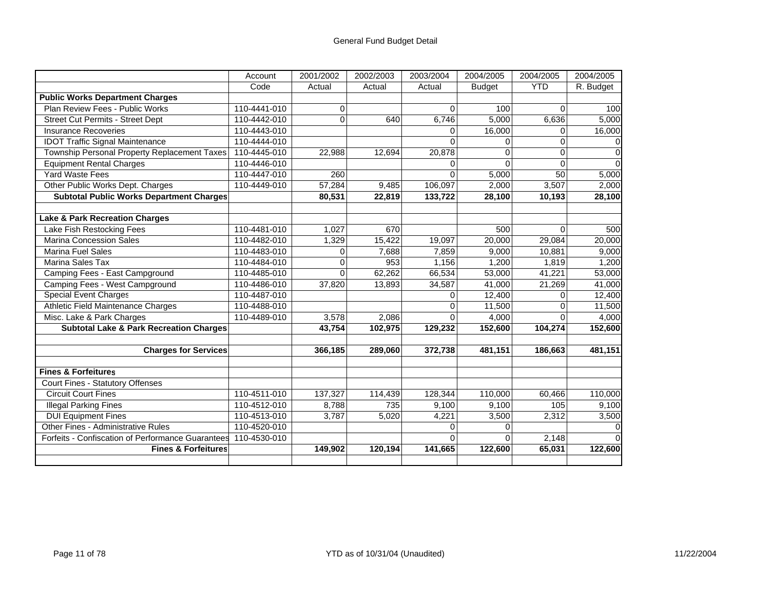|                                                    | Account      | 2001/2002 | 2002/2003 | 2003/2004 | 2004/2005      | 2004/2005  | 2004/2005 |
|----------------------------------------------------|--------------|-----------|-----------|-----------|----------------|------------|-----------|
|                                                    | Code         | Actual    | Actual    | Actual    | <b>Budget</b>  | <b>YTD</b> | R. Budget |
| <b>Public Works Department Charges</b>             |              |           |           |           |                |            |           |
| Plan Review Fees - Public Works                    | 110-4441-010 | 0         |           | $\Omega$  | 100            | $\Omega$   | 100       |
| <b>Street Cut Permits - Street Dept</b>            | 110-4442-010 | $\Omega$  | 640       | 6,746     | 5,000          | 6,636      | 5,000     |
| <b>Insurance Recoveries</b>                        | 110-4443-010 |           |           | $\Omega$  | 16,000         | $\Omega$   | 16,000    |
| <b>IDOT Traffic Signal Maintenance</b>             | 110-4444-010 |           |           | $\Omega$  | $\Omega$       | $\Omega$   |           |
| Township Personal Property Replacement Taxes       | 110-4445-010 | 22,988    | 12,694    | 20,878    | $\overline{0}$ | $\Omega$   | $\Omega$  |
| <b>Equipment Rental Charges</b>                    | 110-4446-010 |           |           | $\Omega$  | $\Omega$       | $\Omega$   |           |
| <b>Yard Waste Fees</b>                             | 110-4447-010 | 260       |           | $\Omega$  | 5,000          | 50         | 5,000     |
| Other Public Works Dept. Charges                   | 110-4449-010 | 57,284    | 9,485     | 106,097   | 2,000          | 3,507      | 2,000     |
| <b>Subtotal Public Works Department Charges</b>    |              | 80,531    | 22,819    | 133,722   | 28,100         | 10,193     | 28,100    |
|                                                    |              |           |           |           |                |            |           |
| <b>Lake &amp; Park Recreation Charges</b>          |              |           |           |           |                |            |           |
| Lake Fish Restocking Fees                          | 110-4481-010 | 1,027     | 670       |           | 500            | 0          | 500       |
| Marina Concession Sales                            | 110-4482-010 | 1,329     | 15,422    | 19,097    | 20,000         | 29,084     | 20,000    |
| <b>Marina Fuel Sales</b>                           | 110-4483-010 | $\Omega$  | 7,688     | 7,859     | 9,000          | 10,881     | 9,000     |
| Marina Sales Tax                                   | 110-4484-010 | $\Omega$  | 953       | 1,156     | 1,200          | 1,819      | 1,200     |
| Camping Fees - East Campground                     | 110-4485-010 | $\Omega$  | 62,262    | 66,534    | 53,000         | 41,221     | 53,000    |
| Camping Fees - West Campground                     | 110-4486-010 | 37,820    | 13,893    | 34,587    | 41,000         | 21,269     | 41,000    |
| <b>Special Event Charges</b>                       | 110-4487-010 |           |           | $\Omega$  | 12,400         | $\Omega$   | 12,400    |
| Athletic Field Maintenance Charges                 | 110-4488-010 |           |           | 0         | 11,500         | $\Omega$   | 11,500    |
| Misc. Lake & Park Charges                          | 110-4489-010 | 3,578     | 2,086     | 0         | 4,000          | $\Omega$   | 4,000     |
| <b>Subtotal Lake &amp; Park Recreation Charges</b> |              | 43,754    | 102,975   | 129,232   | 152,600        | 104,274    | 152,600   |
| <b>Charges for Services</b>                        |              | 366,185   | 289,060   | 372,738   | 481,151        | 186,663    | 481,151   |
|                                                    |              |           |           |           |                |            |           |
| <b>Fines &amp; Forfeitures</b>                     |              |           |           |           |                |            |           |
| Court Fines - Statutory Offenses                   |              |           |           |           |                |            |           |
| <b>Circuit Court Fines</b>                         | 110-4511-010 | 137,327   | 114,439   | 128,344   | 110,000        | 60,466     | 110,000   |
| <b>Illegal Parking Fines</b>                       | 110-4512-010 | 8,788     | 735       | 9,100     | 9,100          | 105        | 9,100     |
| <b>DUI Equipment Fines</b>                         | 110-4513-010 | 3,787     | 5,020     | 4,221     | 3,500          | 2,312      | 3,500     |
| <b>Other Fines - Administrative Rules</b>          | 110-4520-010 |           |           | 0         | $\Omega$       |            |           |
| Forfeits - Confiscation of Performance Guarantees  | 110-4530-010 |           |           | $\Omega$  | $\Omega$       | 2,148      |           |
| <b>Fines &amp; Forfeitures</b>                     |              | 149,902   | 120,194   | 141,665   | 122,600        | 65,031     | 122,600   |
|                                                    |              |           |           |           |                |            |           |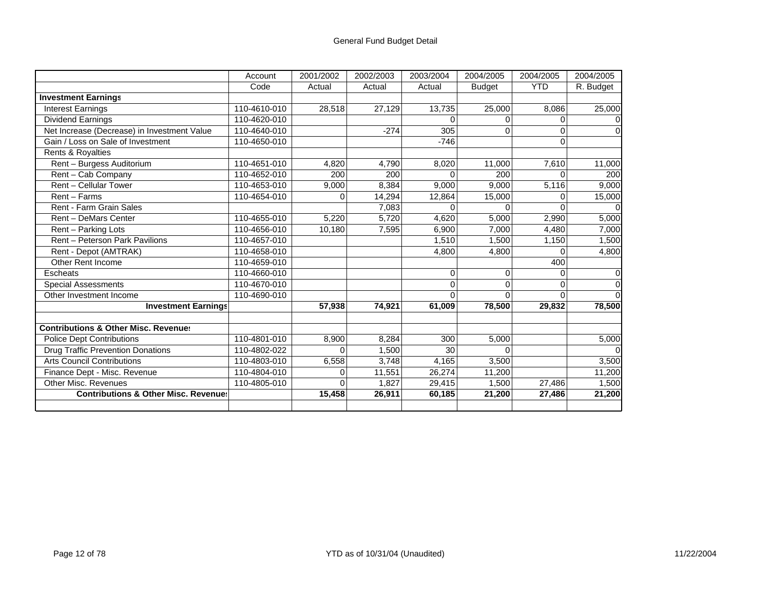|                                                 | Account      | 2001/2002 | 2002/2003 | 2003/2004 | 2004/2005     | 2004/2005  | 2004/2005 |
|-------------------------------------------------|--------------|-----------|-----------|-----------|---------------|------------|-----------|
|                                                 | Code         | Actual    | Actual    | Actual    | <b>Budget</b> | <b>YTD</b> | R. Budget |
| <b>Investment Earnings</b>                      |              |           |           |           |               |            |           |
| <b>Interest Earnings</b>                        | 110-4610-010 | 28,518    | 27,129    | 13,735    | 25,000        | 8.086      | 25,000    |
| <b>Dividend Earnings</b>                        | 110-4620-010 |           |           |           |               | U          |           |
| Net Increase (Decrease) in Investment Value     | 110-4640-010 |           | $-274$    | 305       | 0             | $\Omega$   |           |
| Gain / Loss on Sale of Investment               | 110-4650-010 |           |           | $-746$    |               | $\Omega$   |           |
| Rents & Royalties                               |              |           |           |           |               |            |           |
| Rent - Burgess Auditorium                       | 110-4651-010 | 4,820     | 4,790     | 8,020     | 11,000        | 7,610      | 11,000    |
| Rent - Cab Company                              | 110-4652-010 | 200       | 200       |           | 200           | $\Omega$   | 200       |
| Rent - Cellular Tower                           | 110-4653-010 | 9,000     | 8,384     | 9,000     | 9,000         | 5,116      | 9,000     |
| Rent - Farms                                    | 110-4654-010 | 0         | 14,294    | 12,864    | 15,000        | O.         | 15,000    |
| <b>Rent - Farm Grain Sales</b>                  |              |           | 7,083     |           |               | ∩          |           |
| <b>Rent - DeMars Center</b>                     | 110-4655-010 | 5,220     | 5,720     | 4,620     | 5,000         | 2,990      | 5,000     |
| Rent - Parking Lots                             | 110-4656-010 | 10,180    | 7,595     | 6,900     | 7,000         | 4,480      | 7,000     |
| Rent - Peterson Park Pavilions                  | 110-4657-010 |           |           | 1,510     | 1,500         | 1,150      | 1,500     |
| Rent - Depot (AMTRAK)                           | 110-4658-010 |           |           | 4,800     | 4,800         | $\Omega$   | 4,800     |
| Other Rent Income                               | 110-4659-010 |           |           |           |               | 400        |           |
| Escheats                                        | 110-4660-010 |           |           | $\Omega$  | 0             | $\Omega$   | $\Omega$  |
| <b>Special Assessments</b>                      | 110-4670-010 |           |           |           | $\Omega$      | $\Omega$   |           |
| Other Investment Income                         | 110-4690-010 |           |           |           | O             | $\Omega$   |           |
| <b>Investment Earnings</b>                      |              | 57,938    | 74,921    | 61,009    | 78,500        | 29,832     | 78,500    |
|                                                 |              |           |           |           |               |            |           |
| <b>Contributions &amp; Other Misc. Revenues</b> |              |           |           |           |               |            |           |
| Police Dept Contributions                       | 110-4801-010 | 8,900     | 8,284     | 300       | 5,000         |            | 5,000     |
| <b>Drug Traffic Prevention Donations</b>        | 110-4802-022 | $\Omega$  | 1,500     | 30        | $\Omega$      |            |           |
| <b>Arts Council Contributions</b>               | 110-4803-010 | 6,558     | 3,748     | 4,165     | 3,500         |            | 3,500     |
| Finance Dept - Misc. Revenue                    | 110-4804-010 | $\Omega$  | 11,551    | 26,274    | 11,200        |            | 11,200    |
| <b>Other Misc. Revenues</b>                     | 110-4805-010 | 0         | 1,827     | 29,415    | 1,500         | 27,486     | 1,500     |
| <b>Contributions &amp; Other Misc. Revenues</b> |              | 15,458    | 26,911    | 60,185    | 21,200        | 27,486     | 21,200    |
|                                                 |              |           |           |           |               |            |           |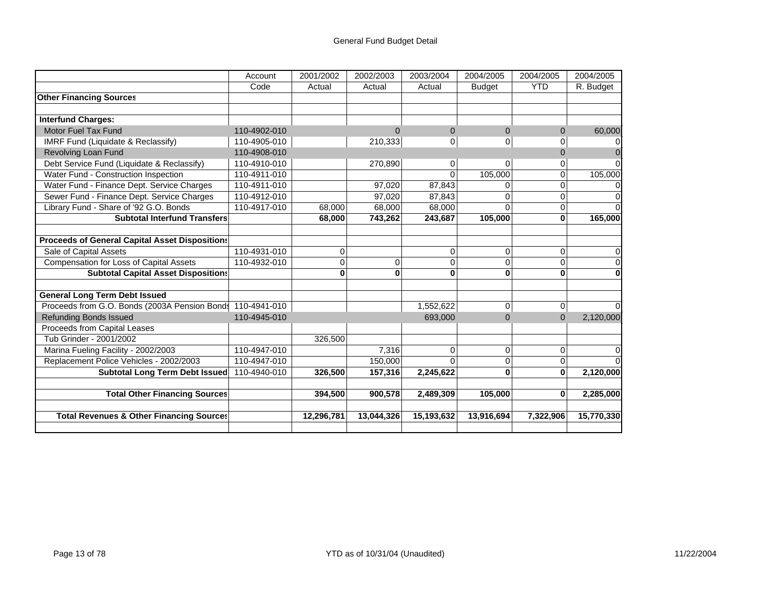|                                                            | Account      | 2001/2002  | 2002/2003  | 2003/2004  | 2004/2005     | 2004/2005  | 2004/2005  |
|------------------------------------------------------------|--------------|------------|------------|------------|---------------|------------|------------|
|                                                            | Code         | Actual     | Actual     | Actual     | <b>Budget</b> | <b>YTD</b> | R. Budget  |
| <b>Other Financing Sources</b>                             |              |            |            |            |               |            |            |
|                                                            |              |            |            |            |               |            |            |
| <b>Interfund Charges:</b>                                  |              |            |            |            |               |            |            |
| Motor Fuel Tax Fund                                        | 110-4902-010 |            | $\Omega$   | $\Omega$   | $\Omega$      | $\Omega$   | 60,000     |
| IMRF Fund (Liquidate & Reclassify)                         | 110-4905-010 |            | 210,333    | 0          | 0             | 0          |            |
| <b>Revolving Loan Fund</b>                                 | 110-4908-010 |            |            |            |               | $\Omega$   |            |
| Debt Service Fund (Liquidate & Reclassify)                 | 110-4910-010 |            | 270,890    | 0          | $\Omega$      | 0          |            |
| Water Fund - Construction Inspection                       | 110-4911-010 |            |            | $\Omega$   | 105,000       | 0          | 105,000    |
| Water Fund - Finance Dept. Service Charges                 | 110-4911-010 |            | 97,020     | 87,843     | $\Omega$      | 0          |            |
| Sewer Fund - Finance Dept. Service Charges                 | 110-4912-010 |            | 97,020     | 87,843     | $\Omega$      | 0          |            |
| Library Fund - Share of '92 G.O. Bonds                     | 110-4917-010 | 68,000     | 68,000     | 68,000     | $\Omega$      | 0          |            |
| <b>Subtotal Interfund Transfers</b>                        |              | 68,000     | 743,262    | 243,687    | 105,000       | $\bf{0}$   | 165,000    |
|                                                            |              |            |            |            |               |            |            |
| <b>Proceeds of General Capital Asset Dispositions</b>      |              |            |            |            |               |            |            |
| Sale of Capital Assets                                     | 110-4931-010 | 0          |            | $\Omega$   | 0             | $\Omega$   |            |
| <b>Compensation for Loss of Capital Assets</b>             | 110-4932-010 | 0          | 0          | $\Omega$   | 0             | $\Omega$   |            |
| <b>Subtotal Capital Asset Dispositions</b>                 |              | ი          | 0          | 0          | 0             | 0          |            |
|                                                            |              |            |            |            |               |            |            |
| <b>General Long Term Debt Issued</b>                       |              |            |            |            |               |            |            |
| Proceeds from G.O. Bonds (2003A Pension Bonds 110-4941-010 |              |            |            | 1,552,622  | $\mathbf 0$   | $\Omega$   |            |
| <b>Refunding Bonds Issued</b>                              | 110-4945-010 |            |            | 693,000    | $\Omega$      | $\Omega$   | 2,120,000  |
| Proceeds from Capital Leases                               |              |            |            |            |               |            |            |
| Tub Grinder - 2001/2002                                    |              | 326,500    |            |            |               |            |            |
| Marina Fueling Facility - 2002/2003                        | 110-4947-010 |            | 7,316      | $\Omega$   | $\mathbf 0$   | $\Omega$   |            |
| Replacement Police Vehicles - 2002/2003                    | 110-4947-010 |            | 150,000    |            | 0             | 0          |            |
| <b>Subtotal Long Term Debt Issued</b>                      | 110-4940-010 | 326,500    | 157,316    | 2,245,622  | $\bf{0}$      | $\bf{0}$   | 2,120,000  |
|                                                            |              |            |            |            |               |            |            |
| <b>Total Other Financing Sources</b>                       |              | 394,500    | 900,578    | 2,489,309  | 105,000       | $\bf{0}$   | 2,285,000  |
| <b>Total Revenues &amp; Other Financing Sources</b>        |              | 12,296,781 | 13,044,326 | 15,193,632 | 13,916,694    | 7,322,906  | 15,770,330 |
|                                                            |              |            |            |            |               |            |            |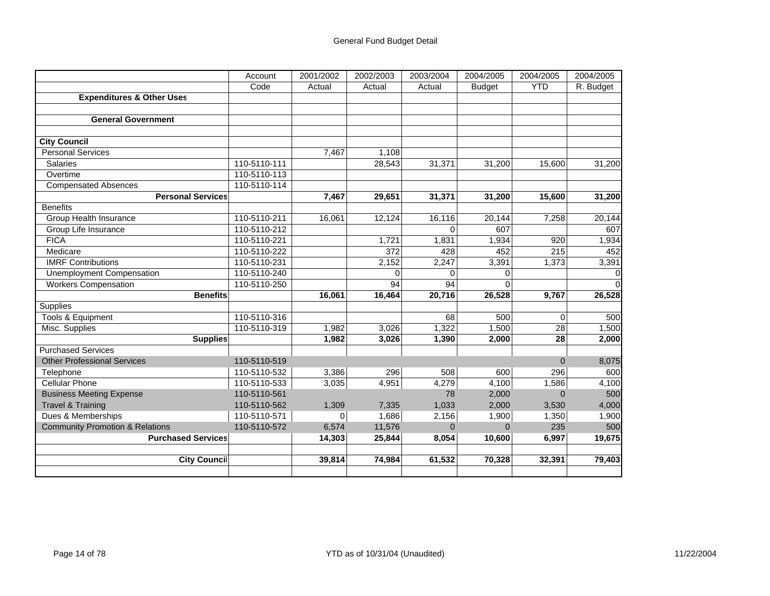|                                            | Account      | 2001/2002 | 2002/2003 | 2003/2004 | 2004/2005     | 2004/2005  | 2004/2005   |
|--------------------------------------------|--------------|-----------|-----------|-----------|---------------|------------|-------------|
|                                            | Code         | Actual    | Actual    | Actual    | <b>Budget</b> | <b>YTD</b> | R. Budget   |
| <b>Expenditures &amp; Other Uses</b>       |              |           |           |           |               |            |             |
|                                            |              |           |           |           |               |            |             |
| <b>General Government</b>                  |              |           |           |           |               |            |             |
|                                            |              |           |           |           |               |            |             |
| <b>City Council</b>                        |              |           |           |           |               |            |             |
| <b>Personal Services</b>                   |              | 7,467     | 1,108     |           |               |            |             |
| <b>Salaries</b>                            | 110-5110-111 |           | 28,543    | 31,371    | 31,200        | 15,600     | 31,200      |
| Overtime                                   | 110-5110-113 |           |           |           |               |            |             |
| <b>Compensated Absences</b>                | 110-5110-114 |           |           |           |               |            |             |
| <b>Personal Services</b>                   |              | 7,467     | 29,651    | 31,371    | 31,200        | 15,600     | 31,200      |
| <b>Benefits</b>                            |              |           |           |           |               |            |             |
| Group Health Insurance                     | 110-5110-211 | 16,061    | 12,124    | 16,116    | 20,144        | 7,258      | 20,144      |
| Group Life Insurance                       | 110-5110-212 |           |           | $\Omega$  | 607           |            | 607         |
| <b>FICA</b>                                | 110-5110-221 |           | 1,721     | 1,831     | 1,934         | 920        | 1,934       |
| Medicare                                   | 110-5110-222 |           | 372       | 428       | 452           | 215        | 452         |
| <b>IMRF Contributions</b>                  | 110-5110-231 |           | 2,152     | 2,247     | 3,391         | 1,373      | 3,391       |
| Unemployment Compensation                  | 110-5110-240 |           | $\Omega$  | $\Omega$  | $\mathbf 0$   |            | $\mathbf 0$ |
| <b>Workers Compensation</b>                | 110-5110-250 |           | 94        | 94        | $\Omega$      |            | $\Omega$    |
| <b>Benefits</b>                            |              | 16,061    | 16,464    | 20,716    | 26,528        | 9,767      | 26,528      |
| <b>Supplies</b>                            |              |           |           |           |               |            |             |
| Tools & Equipment                          | 110-5110-316 |           |           | 68        | 500           | $\Omega$   | 500         |
| Misc. Supplies                             | 110-5110-319 | 1,982     | 3,026     | 1,322     | 1,500         | 28         | 1,500       |
| <b>Supplies</b>                            |              | 1,982     | 3,026     | 1,390     | 2,000         | 28         | 2,000       |
| <b>Purchased Services</b>                  |              |           |           |           |               |            |             |
| <b>Other Professional Services</b>         | 110-5110-519 |           |           |           |               | $\Omega$   | 8,075       |
| Telephone                                  | 110-5110-532 | 3,386     | 296       | 508       | 600           | 296        | 600         |
| <b>Cellular Phone</b>                      | 110-5110-533 | 3,035     | 4,951     | 4,279     | 4,100         | 1,586      | 4,100       |
| <b>Business Meeting Expense</b>            | 110-5110-561 |           |           | 78        | 2,000         | $\Omega$   | 500         |
| <b>Travel &amp; Training</b>               | 110-5110-562 | 1,309     | 7,335     | 1,033     | 2,000         | 3,530      | 4,000       |
| Dues & Memberships                         | 110-5110-571 | $\Omega$  | 1,686     | 2,156     | 1,900         | 1,350      | 1,900       |
| <b>Community Promotion &amp; Relations</b> | 110-5110-572 | 6,574     | 11,576    | $\Omega$  | $\Omega$      | 235        | 500         |
| <b>Purchased Services</b>                  |              | 14,303    | 25,844    | 8,054     | 10,600        | 6,997      | 19,675      |
|                                            |              |           |           |           |               |            |             |
| <b>City Council</b>                        |              | 39,814    | 74,984    | 61,532    | 70,328        | 32,391     | 79,403      |
|                                            |              |           |           |           |               |            |             |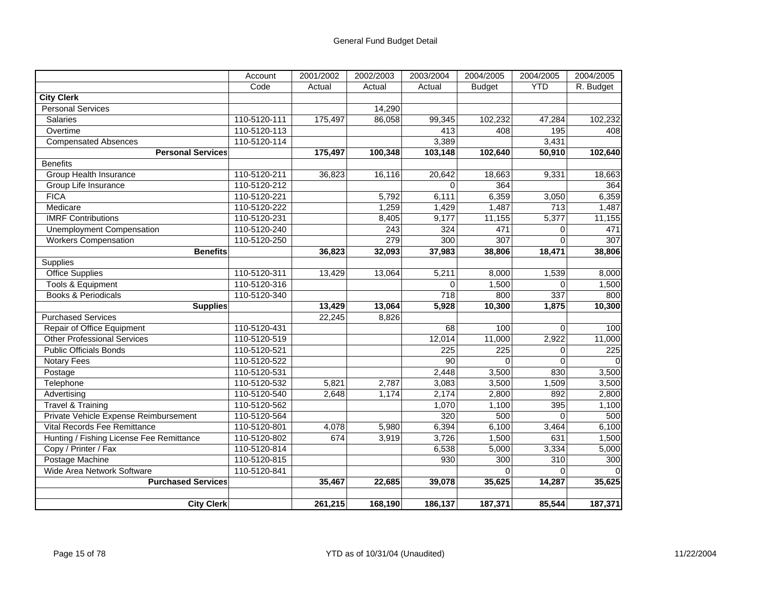|                                          | Account      | 2001/2002 | 2002/2003 | 2003/2004 | 2004/2005     | 2004/2005   | 2004/2005 |
|------------------------------------------|--------------|-----------|-----------|-----------|---------------|-------------|-----------|
|                                          | Code         | Actual    | Actual    | Actual    | <b>Budget</b> | <b>YTD</b>  | R. Budget |
| <b>City Clerk</b>                        |              |           |           |           |               |             |           |
| <b>Personal Services</b>                 |              |           | 14,290    |           |               |             |           |
| <b>Salaries</b>                          | 110-5120-111 | 175,497   | 86,058    | 99,345    | 102,232       | 47,284      | 102,232   |
| Overtime                                 | 110-5120-113 |           |           | 413       | 408           | 195         | 408       |
| <b>Compensated Absences</b>              | 110-5120-114 |           |           | 3,389     |               | 3,431       |           |
| <b>Personal Services</b>                 |              | 175,497   | 100,348   | 103,148   | 102,640       | 50,910      | 102,640   |
| <b>Benefits</b>                          |              |           |           |           |               |             |           |
| <b>Group Health Insurance</b>            | 110-5120-211 | 36,823    | 16,116    | 20,642    | 18,663        | 9,331       | 18,663    |
| Group Life Insurance                     | 110-5120-212 |           |           | $\Omega$  | 364           |             | 364       |
| <b>FICA</b>                              | 110-5120-221 |           | 5,792     | 6,111     | 6,359         | 3,050       | 6,359     |
| Medicare                                 | 110-5120-222 |           | 1,259     | 1,429     | 1,487         | 713         | 1,487     |
| <b>IMRF Contributions</b>                | 110-5120-231 |           | 8,405     | 9,177     | 11,155        | 5,377       | 11,155    |
| <b>Unemployment Compensation</b>         | 110-5120-240 |           | 243       | 324       | 471           | 0           | 471       |
| <b>Workers Compensation</b>              | 110-5120-250 |           | 279       | 300       | 307           | $\Omega$    | 307       |
| <b>Benefits</b>                          |              | 36,823    | 32,093    | 37,983    | 38,806        | 18,471      | 38,806    |
| Supplies                                 |              |           |           |           |               |             |           |
| <b>Office Supplies</b>                   | 110-5120-311 | 13,429    | 13,064    | 5,211     | 8,000         | 1,539       | 8,000     |
| <b>Tools &amp; Equipment</b>             | 110-5120-316 |           |           | $\Omega$  | 1,500         | $\Omega$    | 1,500     |
| <b>Books &amp; Periodicals</b>           | 110-5120-340 |           |           | 718       | 800           | 337         | 800       |
| <b>Supplies</b>                          |              | 13,429    | 13,064    | 5,928     | 10,300        | 1,875       | 10,300    |
| <b>Purchased Services</b>                |              | 22,245    | 8,826     |           |               |             |           |
| Repair of Office Equipment               | 110-5120-431 |           |           | 68        | 100           | $\mathbf 0$ | 100       |
| <b>Other Professional Services</b>       | 110-5120-519 |           |           | 12,014    | 11,000        | 2,922       | 11,000    |
| <b>Public Officials Bonds</b>            | 110-5120-521 |           |           | 225       | 225           | $\Omega$    | 225       |
| Notary Fees                              | 110-5120-522 |           |           | 90        | $\Omega$      | $\Omega$    |           |
| Postage                                  | 110-5120-531 |           |           | 2,448     | 3,500         | 830         | 3,500     |
| Telephone                                | 110-5120-532 | 5,821     | 2,787     | 3,083     | 3,500         | 1,509       | 3,500     |
| Advertising                              | 110-5120-540 | 2,648     | 1,174     | 2,174     | 2,800         | 892         | 2,800     |
| <b>Travel &amp; Training</b>             | 110-5120-562 |           |           | 1,070     | 1,100         | 395         | 1,100     |
| Private Vehicle Expense Reimbursement    | 110-5120-564 |           |           | 320       | 500           | $\Omega$    | 500       |
| Vital Records Fee Remittance             | 110-5120-801 | 4,078     | 5,980     | 6,394     | 6,100         | 3,464       | 6,100     |
| Hunting / Fishing License Fee Remittance | 110-5120-802 | 674       | 3,919     | 3,726     | 1,500         | 631         | 1,500     |
| Copy / Printer / Fax                     | 110-5120-814 |           |           | 6,538     | 5,000         | 3,334       | 5,000     |
| Postage Machine                          | 110-5120-815 |           |           | 930       | 300           | 310         | 300       |
| Wide Area Network Software               | 110-5120-841 |           |           |           | $\Omega$      | $\Omega$    |           |
| <b>Purchased Services</b>                |              | 35,467    | 22,685    | 39,078    | 35,625        | 14,287      | 35,625    |
|                                          |              |           |           |           |               |             |           |
| <b>City Clerk</b>                        |              | 261,215   | 168,190   | 186,137   | 187,371       | 85,544      | 187,371   |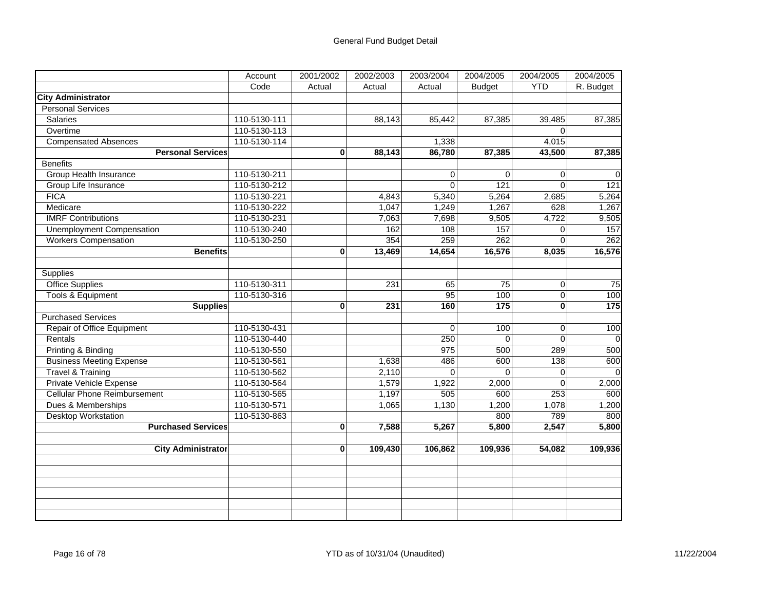|                                     | Account      | 2001/2002    | 2002/2003 | 2003/2004 | 2004/2005     | 2004/2005      | 2004/2005        |
|-------------------------------------|--------------|--------------|-----------|-----------|---------------|----------------|------------------|
|                                     | Code         | Actual       | Actual    | Actual    | <b>Budget</b> | <b>YTD</b>     | R. Budget        |
| <b>City Administrator</b>           |              |              |           |           |               |                |                  |
| <b>Personal Services</b>            |              |              |           |           |               |                |                  |
| <b>Salaries</b>                     | 110-5130-111 |              | 88,143    | 85,442    | 87,385        | 39,485         | 87,385           |
| Overtime                            | 110-5130-113 |              |           |           |               | $\mathbf 0$    |                  |
| <b>Compensated Absences</b>         | 110-5130-114 |              |           | 1,338     |               | 4,015          |                  |
| <b>Personal Services</b>            |              | $\mathbf{0}$ | 88,143    | 86,780    | 87,385        | 43,500         | 87,385           |
| <b>Benefits</b>                     |              |              |           |           |               |                |                  |
| <b>Group Health Insurance</b>       | 110-5130-211 |              |           | 0         | $\Omega$      | 0              | $\Omega$         |
| Group Life Insurance                | 110-5130-212 |              |           | $\Omega$  | 121           | $\Omega$       | $\overline{121}$ |
| <b>FICA</b>                         | 110-5130-221 |              | 4,843     | 5,340     | 5,264         | 2,685          | 5,264            |
| Medicare                            | 110-5130-222 |              | 1,047     | 1,249     | 1,267         | 628            | 1,267            |
| <b>IMRF Contributions</b>           | 110-5130-231 |              | 7,063     | 7,698     | 9,505         | 4,722          | 9,505            |
| Unemployment Compensation           | 110-5130-240 |              | 162       | 108       | 157           | $\Omega$       | 157              |
| <b>Workers Compensation</b>         | 110-5130-250 |              | 354       | 259       | 262           | $\Omega$       | 262              |
| <b>Benefits</b>                     |              | 0            | 13,469    | 14,654    | 16,576        | 8,035          | 16,576           |
|                                     |              |              |           |           |               |                |                  |
| <b>Supplies</b>                     |              |              |           |           |               |                |                  |
| <b>Office Supplies</b>              | 110-5130-311 |              | 231       | 65        | 75            | 0              | $\overline{75}$  |
| Tools & Equipment                   | 110-5130-316 |              |           | 95        | 100           | $\overline{0}$ | 100              |
| <b>Supplies</b>                     |              | $\mathbf{0}$ | 231       | 160       | 175           | 0              | $\frac{1}{175}$  |
| <b>Purchased Services</b>           |              |              |           |           |               |                |                  |
| Repair of Office Equipment          | 110-5130-431 |              |           | 0         | 100           | $\pmb{0}$      | 100              |
| Rentals                             | 110-5130-440 |              |           | 250       | $\Omega$      | $\Omega$       |                  |
| Printing & Binding                  | 110-5130-550 |              |           | 975       | 500           | 289            | 500              |
| <b>Business Meeting Expense</b>     | 110-5130-561 |              | 1,638     | 486       | 600           | 138            | 600              |
| <b>Travel &amp; Training</b>        | 110-5130-562 |              | 2,110     | $\Omega$  | $\Omega$      | 0              | $\Omega$         |
| Private Vehicle Expense             | 110-5130-564 |              | 1,579     | 1,922     | 2,000         | $\mathbf 0$    | 2,000            |
| <b>Cellular Phone Reimbursement</b> | 110-5130-565 |              | 1,197     | 505       | 600           | 253            | 600              |
| Dues & Memberships                  | 110-5130-571 |              | 1,065     | 1,130     | 1,200         | 1,078          | 1,200            |
| <b>Desktop Workstation</b>          | 110-5130-863 |              |           |           | 800           | 789            | 800              |
| <b>Purchased Services</b>           |              | $\mathbf{0}$ | 7,588     | 5,267     | 5,800         | 2,547          | 5,800            |
|                                     |              |              |           |           |               |                |                  |
| <b>City Administrator</b>           |              | 0            | 109,430   | 106,862   | 109,936       | 54,082         | 109,936          |
|                                     |              |              |           |           |               |                |                  |
|                                     |              |              |           |           |               |                |                  |
|                                     |              |              |           |           |               |                |                  |
|                                     |              |              |           |           |               |                |                  |
|                                     |              |              |           |           |               |                |                  |
|                                     |              |              |           |           |               |                |                  |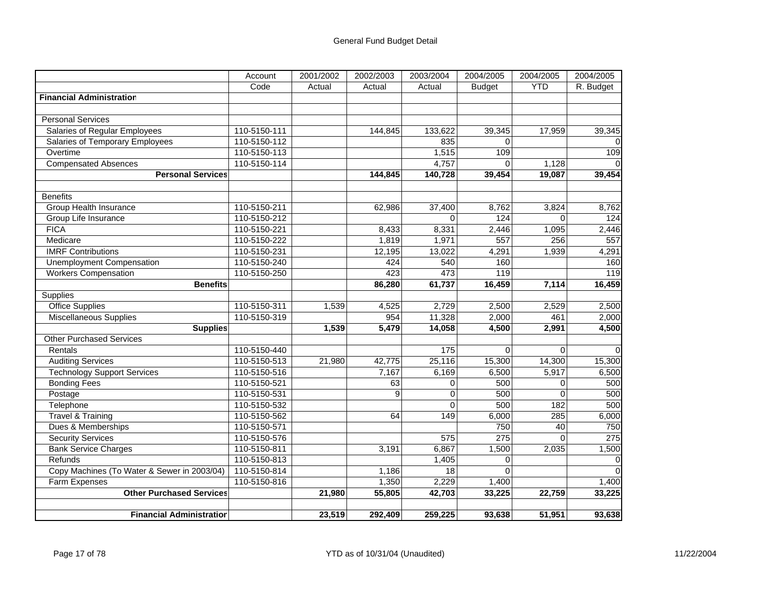|                                             | Account      | 2001/2002 | 2002/2003 | 2003/2004        | 2004/2005     | 2004/2005  | 2004/2005 |
|---------------------------------------------|--------------|-----------|-----------|------------------|---------------|------------|-----------|
|                                             | Code         | Actual    | Actual    | Actual           | <b>Budget</b> | <b>YTD</b> | R. Budget |
| <b>Financial Administration</b>             |              |           |           |                  |               |            |           |
|                                             |              |           |           |                  |               |            |           |
| <b>Personal Services</b>                    |              |           |           |                  |               |            |           |
| Salaries of Regular Employees               | 110-5150-111 |           | 144,845   | 133,622          | 39,345        | 17,959     | 39,345    |
| <b>Salaries of Temporary Employees</b>      | 110-5150-112 |           |           | 835              | $\Omega$      |            |           |
| Overtime                                    | 110-5150-113 |           |           | 1,515            | 109           |            | 109       |
| <b>Compensated Absences</b>                 | 110-5150-114 |           |           | 4,757            | $\Omega$      | 1,128      |           |
| <b>Personal Services</b>                    |              |           | 144,845   | 140,728          | 39,454        | 19,087     | 39,454    |
|                                             |              |           |           |                  |               |            |           |
| <b>Benefits</b>                             |              |           |           |                  |               |            |           |
| Group Health Insurance                      | 110-5150-211 |           | 62,986    | 37,400           | 8,762         | 3,824      | 8,762     |
| Group Life Insurance                        | 110-5150-212 |           |           | $\Omega$         | 124           | $\Omega$   | 124       |
| <b>FICA</b>                                 | 110-5150-221 |           | 8,433     | 8,331            | 2,446         | 1,095      | 2,446     |
| Medicare                                    | 110-5150-222 |           | 1,819     | 1,971            | 557           | 256        | 557       |
| <b>IMRF Contributions</b>                   | 110-5150-231 |           | 12,195    | 13,022           | 4,291         | 1,939      | 4,291     |
| Unemployment Compensation                   | 110-5150-240 |           | 424       | 540              | 160           |            | 160       |
| <b>Workers Compensation</b>                 | 110-5150-250 |           | 423       | 473              | 119           |            | 119       |
| <b>Benefits</b>                             |              |           | 86,280    | 61,737           | 16,459        | 7,114      | 16,459    |
| Supplies                                    |              |           |           |                  |               |            |           |
| <b>Office Supplies</b>                      | 110-5150-311 | 1,539     | 4,525     | 2,729            | 2,500         | 2,529      | 2,500     |
| <b>Miscellaneous Supplies</b>               | 110-5150-319 |           | 954       | 11,328           | 2,000         | 461        | 2,000     |
| <b>Supplies</b>                             |              | 1,539     | 5,479     | 14,058           | 4,500         | 2,991      | 4,500     |
| <b>Other Purchased Services</b>             |              |           |           |                  |               |            |           |
| Rentals                                     | 110-5150-440 |           |           | 175              | $\Omega$      | $\Omega$   | $\Omega$  |
| <b>Auditing Services</b>                    | 110-5150-513 | 21,980    | 42,775    | 25,116           | 15,300        | 14,300     | 15,300    |
| <b>Technology Support Services</b>          | 110-5150-516 |           | 7,167     | 6,169            | 6,500         | 5,917      | 6,500     |
| <b>Bonding Fees</b>                         | 110-5150-521 |           | 63        | $\mathbf 0$      | 500           | 0          | 500       |
| Postage                                     | 110-5150-531 |           | 9         | $\overline{0}$   | 500           | $\Omega$   | 500       |
| Telephone                                   | 110-5150-532 |           |           | $\Omega$         | 500           | 182        | 500       |
| <b>Travel &amp; Training</b>                | 110-5150-562 |           | 64        | 149              | 6,000         | 285        | 6,000     |
| Dues & Memberships                          | 110-5150-571 |           |           |                  | 750           | 40         | 750       |
| <b>Security Services</b>                    | 110-5150-576 |           |           | $\overline{575}$ | 275           | $\Omega$   | 275       |
| <b>Bank Service Charges</b>                 | 110-5150-811 |           | 3,191     | 6,867            | 1,500         | 2,035      | 1,500     |
| Refunds                                     | 110-5150-813 |           |           | 1,405            | $\Omega$      |            |           |
| Copy Machines (To Water & Sewer in 2003/04) | 110-5150-814 |           | 1,186     | 18               | $\Omega$      |            | $\Omega$  |
| Farm Expenses                               | 110-5150-816 |           | 1,350     | 2,229            | 1,400         |            | 1,400     |
| <b>Other Purchased Services</b>             |              | 21,980    | 55,805    | 42,703           | 33,225        | 22,759     | 33,225    |
|                                             |              |           |           |                  |               |            |           |
| <b>Financial Administration</b>             |              | 23,519    | 292,409   | 259,225          | 93,638        | 51,951     | 93,638    |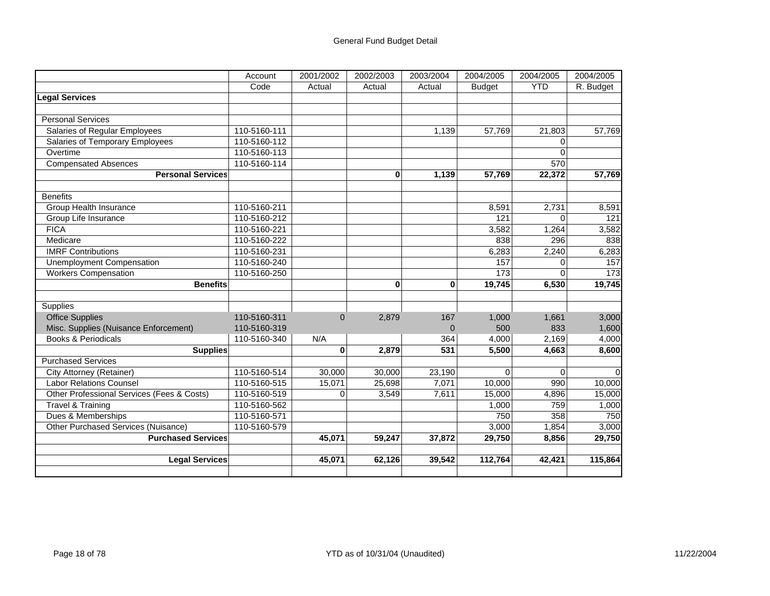|                                            | Account      | 2001/2002 | 2002/2003 | 2003/2004 | 2004/2005     | 2004/2005  | 2004/2005 |
|--------------------------------------------|--------------|-----------|-----------|-----------|---------------|------------|-----------|
|                                            | Code         | Actual    | Actual    | Actual    | <b>Budget</b> | <b>YTD</b> | R. Budget |
| Legal Services                             |              |           |           |           |               |            |           |
|                                            |              |           |           |           |               |            |           |
| <b>Personal Services</b>                   |              |           |           |           |               |            |           |
| Salaries of Regular Employees              | 110-5160-111 |           |           | 1,139     | 57,769        | 21,803     | 57,769    |
| Salaries of Temporary Employees            | 110-5160-112 |           |           |           |               | 0          |           |
| Overtime                                   | 110-5160-113 |           |           |           |               | $\Omega$   |           |
| <b>Compensated Absences</b>                | 110-5160-114 |           |           |           |               | 570        |           |
| <b>Personal Services</b>                   |              |           | $\bf{0}$  | 1,139     | 57,769        | 22,372     | 57,769    |
|                                            |              |           |           |           |               |            |           |
| <b>Benefits</b>                            |              |           |           |           |               |            |           |
| Group Health Insurance                     | 110-5160-211 |           |           |           | 8,591         | 2,731      | 8,591     |
| Group Life Insurance                       | 110-5160-212 |           |           |           | 121           | $\Omega$   | 121       |
| <b>FICA</b>                                | 110-5160-221 |           |           |           | 3,582         | 1,264      | 3,582     |
| Medicare                                   | 110-5160-222 |           |           |           | 838           | 296        | 838       |
| <b>IMRF Contributions</b>                  | 110-5160-231 |           |           |           | 6,283         | 2,240      | 6,283     |
| <b>Unemployment Compensation</b>           | 110-5160-240 |           |           |           | 157           | $\Omega$   | 157       |
| <b>Workers Compensation</b>                | 110-5160-250 |           |           |           | 173           | $\Omega$   | 173       |
| <b>Benefits</b>                            |              |           | $\bf{0}$  | $\bf{0}$  | 19,745        | 6,530      | 19,745    |
|                                            |              |           |           |           |               |            |           |
| Supplies                                   |              |           |           |           |               |            |           |
| <b>Office Supplies</b>                     | 110-5160-311 | $\Omega$  | 2,879     | 167       | 1,000         | 1,661      | 3,000     |
| Misc. Supplies (Nuisance Enforcement)      | 110-5160-319 |           |           | $\Omega$  | 500           | 833        | 1,600     |
| <b>Books &amp; Periodicals</b>             | 110-5160-340 | N/A       |           | 364       | 4,000         | 2,169      | 4,000     |
| <b>Supplies</b>                            |              | $\bf{0}$  | 2,879     | 531       | 5,500         | 4,663      | 8,600     |
| <b>Purchased Services</b>                  |              |           |           |           |               |            |           |
| City Attorney (Retainer)                   | 110-5160-514 | 30,000    | 30,000    | 23,190    | $\Omega$      | $\Omega$   | $\Omega$  |
| <b>Labor Relations Counsel</b>             | 110-5160-515 | 15,071    | 25,698    | 7,071     | 10,000        | 990        | 10,000    |
| Other Professional Services (Fees & Costs) | 110-5160-519 | 0         | 3,549     | 7,611     | 15,000        | 4,896      | 15,000    |
| Travel & Training                          | 110-5160-562 |           |           |           | 1,000         | 759        | 1,000     |
| Dues & Memberships                         | 110-5160-571 |           |           |           | 750           | 358        | 750       |
| Other Purchased Services (Nuisance)        | 110-5160-579 |           |           |           | 3,000         | 1,854      | 3,000     |
| <b>Purchased Services</b>                  |              | 45,071    | 59,247    | 37,872    | 29,750        | 8,856      | 29,750    |
|                                            |              |           |           |           |               |            |           |
| <b>Legal Services</b>                      |              | 45,071    | 62,126    | 39,542    | 112,764       | 42,421     | 115,864   |
|                                            |              |           |           |           |               |            |           |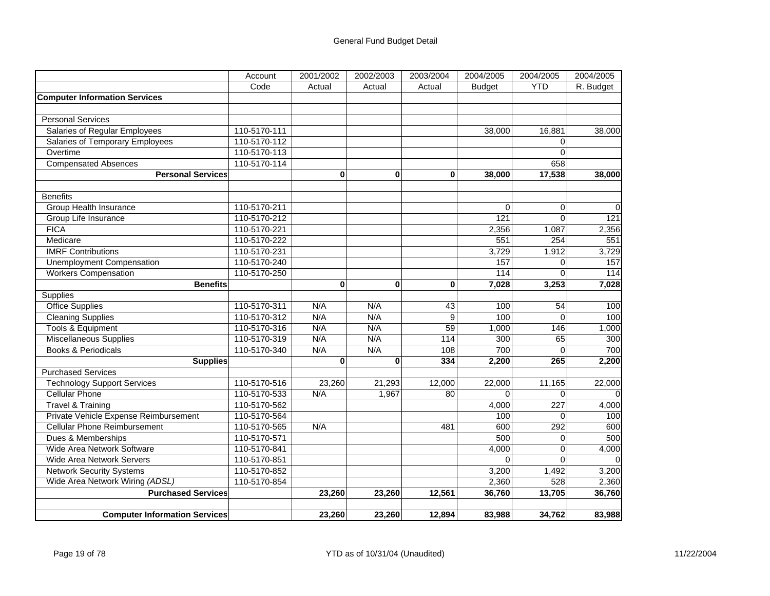|                                        | Account      | 2001/2002 | 2002/2003   | 2003/2004   | 2004/2005         | 2004/2005  | 2004/2005         |
|----------------------------------------|--------------|-----------|-------------|-------------|-------------------|------------|-------------------|
|                                        | Code         | Actual    | Actual      | Actual      | <b>Budget</b>     | <b>YTD</b> | R. Budget         |
| <b>Computer Information Services</b>   |              |           |             |             |                   |            |                   |
|                                        |              |           |             |             |                   |            |                   |
| <b>Personal Services</b>               |              |           |             |             |                   |            |                   |
| Salaries of Regular Employees          | 110-5170-111 |           |             |             | 38.000            | 16,881     | 38,000            |
| <b>Salaries of Temporary Employees</b> | 110-5170-112 |           |             |             |                   | $\Omega$   |                   |
| Overtime                               | 110-5170-113 |           |             |             |                   | $\Omega$   |                   |
| <b>Compensated Absences</b>            | 110-5170-114 |           |             |             |                   | 658        |                   |
| <b>Personal Services</b>               |              | $\bf{0}$  | $\mathbf 0$ | $\mathbf 0$ | 38,000            | 17,538     | 38,000            |
|                                        |              |           |             |             |                   |            |                   |
| <b>Benefits</b>                        |              |           |             |             |                   |            |                   |
| Group Health Insurance                 | 110-5170-211 |           |             |             | $\Omega$          | $\Omega$   | $\Omega$          |
| Group Life Insurance                   | 110-5170-212 |           |             |             | 121               | $\Omega$   | 121               |
| <b>FICA</b>                            | 110-5170-221 |           |             |             | 2,356             | 1,087      | 2,356             |
| Medicare                               | 110-5170-222 |           |             |             | 551               | 254        | 551               |
| <b>IMRF Contributions</b>              | 110-5170-231 |           |             |             | 3,729             | 1,912      | 3,729             |
| Unemployment Compensation              | 110-5170-240 |           |             |             | 157               | $\Omega$   | 157               |
| <b>Workers Compensation</b>            | 110-5170-250 |           |             |             | $\frac{114}{114}$ | $\Omega$   | $\frac{114}{114}$ |
| <b>Benefits</b>                        |              | $\bf{0}$  | $\bf{0}$    | $\bf{0}$    | 7,028             | 3,253      | 7,028             |
| Supplies                               |              |           |             |             |                   |            |                   |
| <b>Office Supplies</b>                 | 110-5170-311 | N/A       | N/A         | 43          | 100               | 54         | 100               |
| <b>Cleaning Supplies</b>               | 110-5170-312 | N/A       | N/A         | 9           | 100               | $\Omega$   | 100               |
| <b>Tools &amp; Equipment</b>           | 110-5170-316 | N/A       | N/A         | 59          | 1,000             | 146        | 1,000             |
| Miscellaneous Supplies                 | 110-5170-319 | N/A       | N/A         | 114         | 300               | 65         | 300               |
| <b>Books &amp; Periodicals</b>         | 110-5170-340 | N/A       | N/A         | 108         | 700               | $\Omega$   | 700               |
| <b>Supplies</b>                        |              | $\bf{0}$  | $\bf{0}$    | 334         | 2,200             | 265        | 2,200             |
| <b>Purchased Services</b>              |              |           |             |             |                   |            |                   |
| <b>Technology Support Services</b>     | 110-5170-516 | 23,260    | 21,293      | 12,000      | 22,000            | 11,165     | 22,000            |
| <b>Cellular Phone</b>                  | 110-5170-533 | N/A       | 1,967       | 80          | $\Omega$          | $\Omega$   |                   |
| Travel & Training                      | 110-5170-562 |           |             |             | 4,000             | 227        | 4,000             |
| Private Vehicle Expense Reimbursement  | 110-5170-564 |           |             |             | 100               | $\Omega$   | 100               |
| <b>Cellular Phone Reimbursement</b>    | 110-5170-565 | N/A       |             | 481         | 600               | 292        | 600               |
| Dues & Memberships                     | 110-5170-571 |           |             |             | 500               | $\Omega$   | 500               |
| Wide Area Network Software             | 110-5170-841 |           |             |             | 4,000             | 0          | 4,000             |
| <b>Wide Area Network Servers</b>       | 110-5170-851 |           |             |             | $\Omega$          | $\Omega$   |                   |
| <b>Network Security Systems</b>        | 110-5170-852 |           |             |             | 3,200             | 1,492      | 3,200             |
| Wide Area Network Wiring (ADSL)        | 110-5170-854 |           |             |             | 2,360             | 528        | 2,360             |
| <b>Purchased Services</b>              |              | 23,260    | 23,260      | 12,561      | 36,760            | 13,705     | 36,760            |
|                                        |              |           |             |             |                   |            |                   |
| <b>Computer Information Services</b>   |              | 23,260    | 23,260      | 12,894      | 83,988            | 34,762     | 83,988            |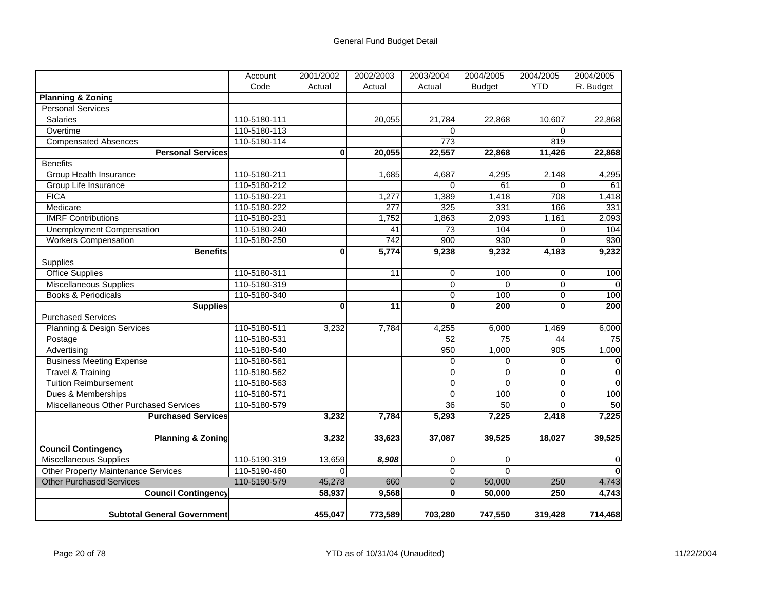|                                            | Account      | 2001/2002   | 2002/2003       | 2003/2004        | 2004/2005       | 2004/2005  | 2004/2005 |
|--------------------------------------------|--------------|-------------|-----------------|------------------|-----------------|------------|-----------|
|                                            | Code         | Actual      | Actual          | Actual           | <b>Budget</b>   | <b>YTD</b> | R. Budget |
| <b>Planning &amp; Zoning</b>               |              |             |                 |                  |                 |            |           |
| <b>Personal Services</b>                   |              |             |                 |                  |                 |            |           |
| <b>Salaries</b>                            | 110-5180-111 |             | 20,055          | 21,784           | 22,868          | 10.607     | 22,868    |
| Overtime                                   | 110-5180-113 |             |                 | $\Omega$         |                 | $\Omega$   |           |
| <b>Compensated Absences</b>                | 110-5180-114 |             |                 | $\overline{773}$ |                 | 819        |           |
| <b>Personal Services</b>                   |              | $\bf{0}$    | 20,055          | 22,557           | 22,868          | 11,426     | 22,868    |
| <b>Benefits</b>                            |              |             |                 |                  |                 |            |           |
| Group Health Insurance                     | 110-5180-211 |             | 1,685           | 4,687            | 4,295           | 2,148      | 4,295     |
| Group Life Insurance                       | 110-5180-212 |             |                 | $\Omega$         | 61              | $\Omega$   | 61        |
| <b>FICA</b>                                | 110-5180-221 |             | 1,277           | 1,389            | 1,418           | 708        | 1,418     |
| Medicare                                   | 110-5180-222 |             | 277             | 325              | 331             | 166        | 331       |
| <b>IMRF Contributions</b>                  | 110-5180-231 |             | 1,752           | 1,863            | 2,093           | 1,161      | 2,093     |
| Unemployment Compensation                  | 110-5180-240 |             | 41              | 73               | 104             | $\Omega$   | 104       |
| <b>Workers Compensation</b>                | 110-5180-250 |             | 742             | 900              | 930             | $\Omega$   | 930       |
| <b>Benefits</b>                            |              | $\bf{0}$    | 5,774           | 9,238            | 9,232           | 4,183      | 9,232     |
| Supplies                                   |              |             |                 |                  |                 |            |           |
| <b>Office Supplies</b>                     | 110-5180-311 |             | 11              | $\mathbf 0$      | 100             | 0          | 100       |
| <b>Miscellaneous Supplies</b>              | 110-5180-319 |             |                 | $\Omega$         | $\Omega$        | $\Omega$   |           |
| <b>Books &amp; Periodicals</b>             | 110-5180-340 |             |                 | $\mathbf 0$      | 100             | 0          | 100       |
| <b>Supplies</b>                            |              | 0           | $\overline{11}$ | $\bf{0}$         | 200             | $\bf{0}$   | 200       |
| <b>Purchased Services</b>                  |              |             |                 |                  |                 |            |           |
| Planning & Design Services                 | 110-5180-511 | 3,232       | 7,784           | 4,255            | 6,000           | 1,469      | 6,000     |
| Postage                                    | 110-5180-531 |             |                 | 52               | 75              | 44         | 75        |
| Advertising                                | 110-5180-540 |             |                 | 950              | 1,000           | 905        | 1,000     |
| <b>Business Meeting Expense</b>            | 110-5180-561 |             |                 | $\mathbf 0$      | $\Omega$        | $\Omega$   | 0         |
| <b>Travel &amp; Training</b>               | 110-5180-562 |             |                 | $\mathbf 0$      | 0               | 0          | $\Omega$  |
| <b>Tuition Reimbursement</b>               | 110-5180-563 |             |                 | $\Omega$         | $\Omega$        | $\Omega$   | $\Omega$  |
| Dues & Memberships                         | 110-5180-571 |             |                 | $\Omega$         | 100             | $\Omega$   | 100       |
| Miscellaneous Other Purchased Services     | 110-5180-579 |             |                 | $\overline{36}$  | $\overline{50}$ | $\Omega$   | 50        |
| <b>Purchased Services</b>                  |              | 3,232       | 7,784           | 5,293            | 7,225           | 2,418      | 7,225     |
|                                            |              |             |                 |                  |                 |            |           |
| <b>Planning &amp; Zoning</b>               |              | 3,232       | 33,623          | 37,087           | 39,525          | 18,027     | 39,525    |
| <b>Council Contingency</b>                 |              |             |                 |                  |                 |            |           |
| <b>Miscellaneous Supplies</b>              | 110-5190-319 | 13,659      | 8,908           | $\mathbf 0$      | $\Omega$        |            | $\Omega$  |
| <b>Other Property Maintenance Services</b> | 110-5190-460 | $\mathbf 0$ |                 | $\overline{0}$   | $\overline{0}$  |            | $\Omega$  |
| <b>Other Purchased Services</b>            | 110-5190-579 | 45,278      | 660             | $\mathbf{0}$     | 50,000          | 250        | 4,743     |
| <b>Council Contingency</b>                 |              | 58,937      | 9,568           | $\bf{0}$         | 50,000          | 250        | 4,743     |
|                                            |              |             |                 |                  |                 |            |           |
| <b>Subtotal General Government</b>         |              | 455.047     | 773,589         | 703,280          | 747,550         | 319,428    | 714,468   |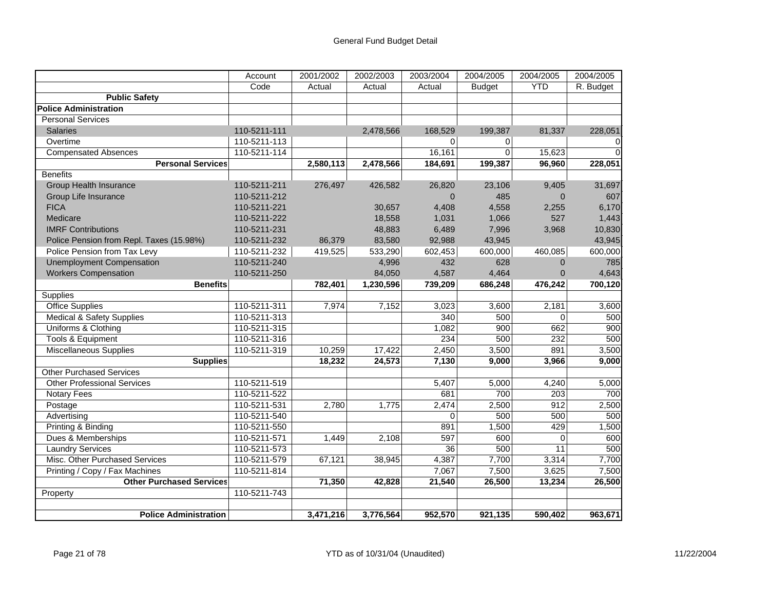|                                          | Account      | 2001/2002 | 2002/2003 | 2003/2004 | 2004/2005      | 2004/2005      | 2004/2005               |
|------------------------------------------|--------------|-----------|-----------|-----------|----------------|----------------|-------------------------|
|                                          | Code         | Actual    | Actual    | Actual    | <b>Budget</b>  | <b>YTD</b>     | $\overline{R}$ . Budget |
| <b>Public Safety</b>                     |              |           |           |           |                |                |                         |
| <b>Police Administration</b>             |              |           |           |           |                |                |                         |
| <b>Personal Services</b>                 |              |           |           |           |                |                |                         |
| <b>Salaries</b>                          | 110-5211-111 |           | 2,478,566 | 168,529   | 199,387        | 81,337         | 228,051                 |
| Overtime                                 | 110-5211-113 |           |           | 0         | 0              |                | 0                       |
| <b>Compensated Absences</b>              | 110-5211-114 |           |           | 16,161    | $\overline{0}$ | 15,623         | $\Omega$                |
| <b>Personal Services</b>                 |              | 2,580,113 | 2,478,566 | 184,691   | 199,387        | 96,960         | 228,051                 |
| <b>Benefits</b>                          |              |           |           |           |                |                |                         |
| <b>Group Health Insurance</b>            | 110-5211-211 | 276,497   | 426,582   | 26,820    | 23,106         | 9,405          | 31,697                  |
| Group Life Insurance                     | 110-5211-212 |           |           | $\Omega$  | 485            | $\Omega$       | 607                     |
| <b>FICA</b>                              | 110-5211-221 |           | 30,657    | 4,408     | 4,558          | 2,255          | 6,170                   |
| Medicare                                 | 110-5211-222 |           | 18,558    | 1,031     | 1,066          | 527            | 1,443                   |
| <b>IMRF Contributions</b>                | 110-5211-231 |           | 48,883    | 6,489     | 7,996          | 3,968          | 10,830                  |
| Police Pension from Repl. Taxes (15.98%) | 110-5211-232 | 86,379    | 83,580    | 92,988    | 43,945         |                | 43,945                  |
| Police Pension from Tax Levy             | 110-5211-232 | 419,525   | 533,290   | 602,453   | 600,000        | 460,085        | 600,000                 |
| <b>Unemployment Compensation</b>         | 110-5211-240 |           | 4,996     | 432       | 628            | $\overline{0}$ | 785                     |
| <b>Workers Compensation</b>              | 110-5211-250 |           | 84,050    | 4,587     | 4,464          | $\mathbf{0}$   | 4,643                   |
| <b>Benefits</b>                          |              | 782,401   | 1,230,596 | 739,209   | 686,248        | 476,242        | 700,120                 |
| Supplies                                 |              |           |           |           |                |                |                         |
| <b>Office Supplies</b>                   | 110-5211-311 | 7,974     | 7,152     | 3,023     | 3,600          | 2,181          | 3,600                   |
| <b>Medical &amp; Safety Supplies</b>     | 110-5211-313 |           |           | 340       | 500            | $\Omega$       | 500                     |
| Uniforms & Clothing                      | 110-5211-315 |           |           | 1,082     | 900            | 662            | 900                     |
| Tools & Equipment                        | 110-5211-316 |           |           | 234       | 500            | 232            | 500                     |
| Miscellaneous Supplies                   | 110-5211-319 | 10,259    | 17,422    | 2,450     | 3,500          | 891            | 3,500                   |
| <b>Supplies</b>                          |              | 18,232    | 24,573    | 7,130     | 9,000          | 3,966          | 9,000                   |
| Other Purchased Services                 |              |           |           |           |                |                |                         |
| <b>Other Professional Services</b>       | 110-5211-519 |           |           | 5,407     | 5,000          | 4,240          | 5,000                   |
| <b>Notary Fees</b>                       | 110-5211-522 |           |           | 681       | 700            | 203            | 700                     |
| Postage                                  | 110-5211-531 | 2,780     | 1,775     | 2,474     | 2,500          | 912            | 2,500                   |
| Advertising                              | 110-5211-540 |           |           | $\Omega$  | 500            | 500            | 500                     |
| Printing & Binding                       | 110-5211-550 |           |           | 891       | 1,500          | 429            | 1,500                   |
| Dues & Memberships                       | 110-5211-571 | 1,449     | 2,108     | 597       | 600            | $\Omega$       | 600                     |
| <b>Laundry Services</b>                  | 110-5211-573 |           |           | 36        | 500            | 11             | 500                     |
| Misc. Other Purchased Services           | 110-5211-579 | 67,121    | 38,945    | 4,387     | 7,700          | 3,314          | 7,700                   |
| Printing / Copy / Fax Machines           | 110-5211-814 |           |           | 7,067     | 7,500          | 3,625          | 7,500                   |
| <b>Other Purchased Services</b>          |              | 71,350    | 42,828    | 21,540    | 26,500         | 13,234         | 26,500                  |
| Property                                 | 110-5211-743 |           |           |           |                |                |                         |
|                                          |              |           |           |           |                |                |                         |
| <b>Police Administration</b>             |              | 3,471,216 | 3,776,564 | 952.570   | 921.135        | 590.402        | 963,671                 |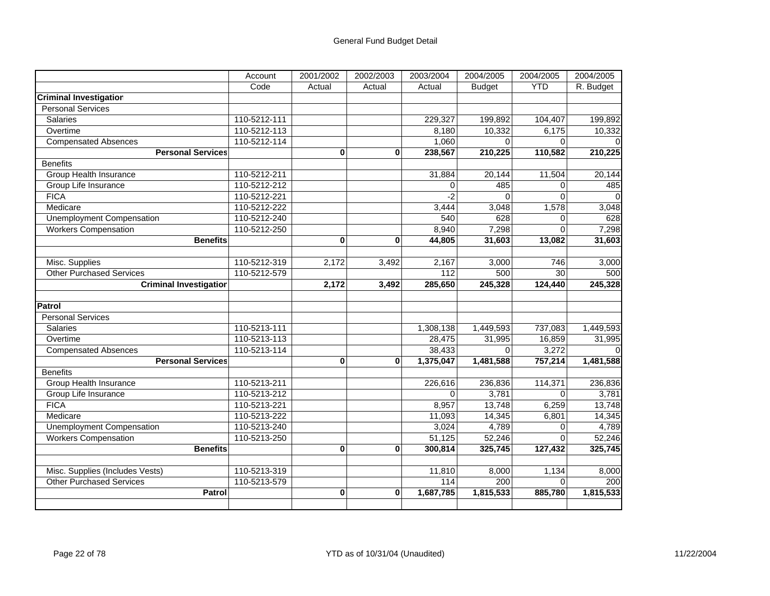|                                  | Account      | 2001/2002    | 2002/2003 | 2003/2004 | 2004/2005     | 2004/2005  | 2004/2005 |
|----------------------------------|--------------|--------------|-----------|-----------|---------------|------------|-----------|
|                                  | Code         | Actual       | Actual    | Actual    | <b>Budget</b> | <b>YTD</b> | R. Budget |
| <b>Criminal Investigation</b>    |              |              |           |           |               |            |           |
| <b>Personal Services</b>         |              |              |           |           |               |            |           |
| <b>Salaries</b>                  | 110-5212-111 |              |           | 229,327   | 199,892       | 104,407    | 199,892   |
| Overtime                         | 110-5212-113 |              |           | 8,180     | 10,332        | 6,175      | 10,332    |
| <b>Compensated Absences</b>      | 110-5212-114 |              |           | 1,060     | $\Omega$      | $\Omega$   |           |
| <b>Personal Services</b>         |              | $\bf{0}$     | 0         | 238,567   | 210,225       | 110,582    | 210,225   |
| <b>Benefits</b>                  |              |              |           |           |               |            |           |
| Group Health Insurance           | 110-5212-211 |              |           | 31,884    | 20,144        | 11,504     | 20,144    |
| Group Life Insurance             | 110-5212-212 |              |           | $\Omega$  | 485           | $\Omega$   | 485       |
| <b>FICA</b>                      | 110-5212-221 |              |           | $-2$      | $\Omega$      | $\Omega$   | $\Omega$  |
| Medicare                         | 110-5212-222 |              |           | 3,444     | 3,048         | 1,578      | 3,048     |
| <b>Unemployment Compensation</b> | 110-5212-240 |              |           | 540       | 628           | 0          | 628       |
| <b>Workers Compensation</b>      | 110-5212-250 |              |           | 8,940     | 7,298         | $\Omega$   | 7,298     |
| <b>Benefits</b>                  |              | $\bf{0}$     | $\bf{0}$  | 44,805    | 31,603        | 13,082     | 31,603    |
|                                  |              |              |           |           |               |            |           |
| Misc. Supplies                   | 110-5212-319 | 2,172        | 3,492     | 2,167     | 3,000         | 746        | 3,000     |
| <b>Other Purchased Services</b>  | 110-5212-579 |              |           | 112       | 500           | 30         | 500       |
| <b>Criminal Investigation</b>    |              | 2,172        | 3,492     | 285,650   | 245,328       | 124,440    | 245,328   |
|                                  |              |              |           |           |               |            |           |
| <b>Patrol</b>                    |              |              |           |           |               |            |           |
| <b>Personal Services</b>         |              |              |           |           |               |            |           |
| Salaries                         | 110-5213-111 |              |           | 1,308,138 | 1,449,593     | 737,083    | 1,449,593 |
| Overtime                         | 110-5213-113 |              |           | 28,475    | 31,995        | 16,859     | 31,995    |
| <b>Compensated Absences</b>      | 110-5213-114 |              |           | 38,433    | $\Omega$      | 3,272      |           |
| <b>Personal Services</b>         |              | $\mathbf{0}$ | $\bf{0}$  | 1,375,047 | 1,481,588     | 757,214    | 1,481,588 |
| <b>Benefits</b>                  |              |              |           |           |               |            |           |
| Group Health Insurance           | 110-5213-211 |              |           | 226,616   | 236,836       | 114,371    | 236,836   |
| Group Life Insurance             | 110-5213-212 |              |           | $\Omega$  | 3,781         | $\Omega$   | 3,781     |
| <b>FICA</b>                      | 110-5213-221 |              |           | 8,957     | 13,748        | 6,259      | 13,748    |
| Medicare                         | 110-5213-222 |              |           | 11,093    | 14,345        | 6,801      | 14,345    |
| <b>Unemployment Compensation</b> | 110-5213-240 |              |           | 3,024     | 4,789         | $\Omega$   | 4,789     |
| <b>Workers Compensation</b>      | 110-5213-250 |              |           | 51,125    | 52,246        | $\Omega$   | 52,246    |
| <b>Benefits</b>                  |              | $\bf{0}$     | $\bf{0}$  | 300,814   | 325,745       | 127,432    | 325,745   |
|                                  |              |              |           |           |               |            |           |
| Misc. Supplies (Includes Vests)  | 110-5213-319 |              |           | 11,810    | 8,000         | 1,134      | 8,000     |
| <b>Other Purchased Services</b>  | 110-5213-579 |              |           | 114       | 200           | $\Omega$   | 200       |
| <b>Patrol</b>                    |              | $\bf{0}$     | 0         | 1,687,785 | 1,815,533     | 885,780    | 1,815,533 |
|                                  |              |              |           |           |               |            |           |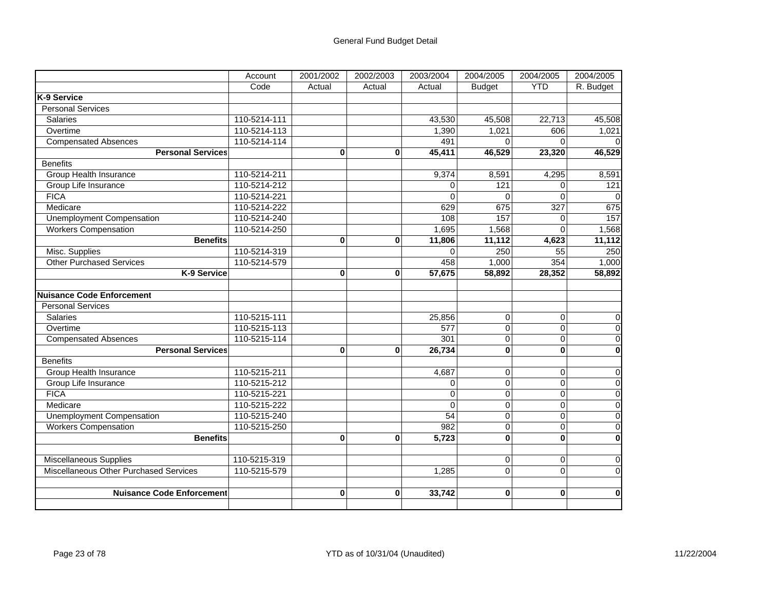|                                        | Account      | 2001/2002    | 2002/2003    | 2003/2004       | 2004/2005               | 2004/2005      | 2004/2005               |
|----------------------------------------|--------------|--------------|--------------|-----------------|-------------------------|----------------|-------------------------|
|                                        | Code         | Actual       | Actual       | Actual          | <b>Budget</b>           | <b>YTD</b>     | R. Budget               |
| K-9 Service                            |              |              |              |                 |                         |                |                         |
| <b>Personal Services</b>               |              |              |              |                 |                         |                |                         |
| <b>Salaries</b>                        | 110-5214-111 |              |              | 43,530          | 45,508                  | 22,713         | 45,508                  |
| Overtime                               | 110-5214-113 |              |              | 1,390           | 1,021                   | 606            | 1,021                   |
| <b>Compensated Absences</b>            | 110-5214-114 |              |              | 491             | $\Omega$                | $\Omega$       | $\Omega$                |
| <b>Personal Services</b>               |              | 0            | 0            | 45,411          | 46,529                  | 23,320         | 46,529                  |
| <b>Benefits</b>                        |              |              |              |                 |                         |                |                         |
| <b>Group Health Insurance</b>          | 110-5214-211 |              |              | 9,374           | 8,591                   | 4,295          | 8,591                   |
| Group Life Insurance                   | 110-5214-212 |              |              | $\Omega$        | 121                     | $\Omega$       | 121                     |
| <b>FICA</b>                            | 110-5214-221 |              |              | $\Omega$        | $\Omega$                | $\Omega$       | $\overline{0}$          |
| Medicare                               | 110-5214-222 |              |              | 629             | 675                     | 327            | 675                     |
| <b>Unemployment Compensation</b>       | 110-5214-240 |              |              | 108             | 157                     | 0              | 157                     |
| <b>Workers Compensation</b>            | 110-5214-250 |              |              | 1,695           | 1,568                   | $\Omega$       | 1,568                   |
| <b>Benefits</b>                        |              | 0            | 0            | 11,806          | 11,112                  | 4,623          | 11,112                  |
| Misc. Supplies                         | 110-5214-319 |              |              | $\Omega$        | 250                     | 55             | 250                     |
| <b>Other Purchased Services</b>        | 110-5214-579 |              |              | 458             | 1,000                   | 354            | 1,000                   |
| K-9 Service                            |              | 0            | $\mathbf{0}$ | 57,675          | 58,892                  | 28,352         | 58,892                  |
|                                        |              |              |              |                 |                         |                |                         |
| Nuisance Code Enforcement              |              |              |              |                 |                         |                |                         |
| <b>Personal Services</b>               |              |              |              |                 |                         |                |                         |
| <b>Salaries</b>                        | 110-5215-111 |              |              | 25.856          | $\overline{0}$          | 0              | $\overline{0}$          |
| Overtime                               | 110-5215-113 |              |              | 577             | $\mathbf 0$             | 0              | $\overline{\mathbf{0}}$ |
| <b>Compensated Absences</b>            | 110-5215-114 |              |              | 301             | $\mathbf 0$             | 0              | $\pmb{0}$               |
| <b>Personal Services</b>               |              | 0            | $\bf{0}$     | 26,734          | $\mathbf{0}$            | $\bf{0}$       | $\bf{0}$                |
| <b>Benefits</b>                        |              |              |              |                 |                         |                |                         |
| <b>Group Health Insurance</b>          | 110-5215-211 |              |              | 4,687           | $\overline{0}$          | $\Omega$       | $\pmb{0}$               |
| Group Life Insurance                   | 110-5215-212 |              |              | 0               | $\mathbf 0$             | 0              | $\overline{\mathbf{0}}$ |
| <b>FICA</b>                            | 110-5215-221 |              |              | 0               | $\pmb{0}$               | 0              | $\overline{\mathbf{0}}$ |
| Medicare                               | 110-5215-222 |              |              | $\Omega$        | $\overline{\mathsf{o}}$ | 0              | $\overline{0}$          |
| <b>Unemployment Compensation</b>       | 110-5215-240 |              |              | $\overline{54}$ | $\mathbf 0$             | $\Omega$       | $\overline{0}$          |
| <b>Workers Compensation</b>            | 110-5215-250 |              |              | 982             | $\mathbf 0$             | 0              | $\overline{0}$          |
| <b>Benefits</b>                        |              | $\mathbf{0}$ | 0            | 5,723           | $\mathbf{0}$            | $\mathbf{0}$   | $\mathbf 0$             |
|                                        |              |              |              |                 |                         |                |                         |
| <b>Miscellaneous Supplies</b>          | 110-5215-319 |              |              |                 | $\overline{0}$          | $\overline{0}$ | $\pmb{0}$               |
| Miscellaneous Other Purchased Services | 110-5215-579 |              |              | 1,285           | $\mathbf 0$             | $\Omega$       | $\mathbf 0$             |
|                                        |              |              |              |                 |                         |                |                         |
| <b>Nuisance Code Enforcement</b>       |              | 0            | $\bf{0}$     | 33,742          | $\mathbf{0}$            | $\mathbf{0}$   | $\bf{0}$                |
|                                        |              |              |              |                 |                         |                |                         |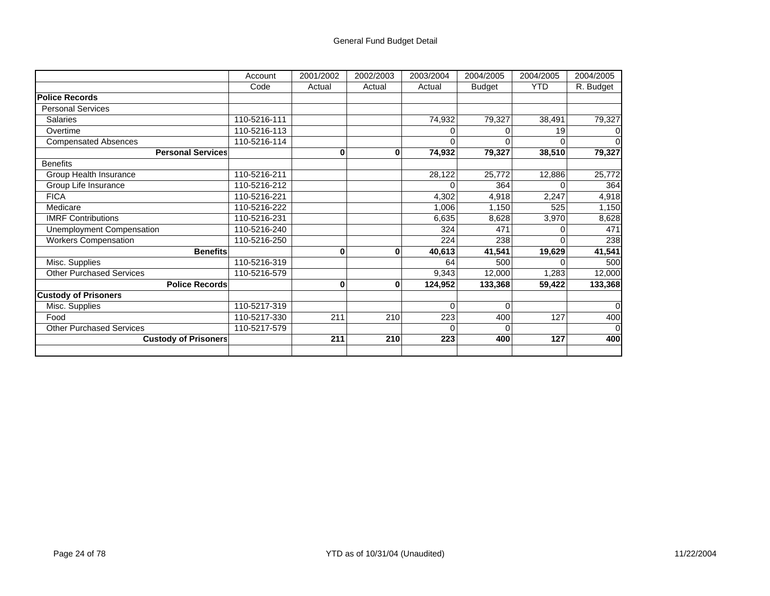## General Fund Budget Detail

|                                 | Account      | 2001/2002 | 2002/2003    | 2003/2004 | 2004/2005     | 2004/2005  | 2004/2005 |
|---------------------------------|--------------|-----------|--------------|-----------|---------------|------------|-----------|
|                                 | Code         | Actual    | Actual       | Actual    | <b>Budget</b> | <b>YTD</b> | R. Budget |
| <b>Police Records</b>           |              |           |              |           |               |            |           |
| <b>Personal Services</b>        |              |           |              |           |               |            |           |
| <b>Salaries</b>                 | 110-5216-111 |           |              | 74,932    | 79,327        | 38,491     | 79,327    |
| Overtime                        | 110-5216-113 |           |              |           |               | 19         |           |
| <b>Compensated Absences</b>     | 110-5216-114 |           |              | O         | n             |            |           |
| <b>Personal Services</b>        |              | 0         | 0            | 74,932    | 79,327        | 38,510     | 79,327    |
| <b>Benefits</b>                 |              |           |              |           |               |            |           |
| Group Health Insurance          | 110-5216-211 |           |              | 28,122    | 25,772        | 12,886     | 25,772    |
| Group Life Insurance            | 110-5216-212 |           |              | 0         | 364           |            | 364       |
| <b>FICA</b>                     | 110-5216-221 |           |              | 4,302     | 4,918         | 2,247      | 4,918     |
| Medicare                        | 110-5216-222 |           |              | 1,006     | 1,150         | 525        | 1,150     |
| <b>IMRF Contributions</b>       | 110-5216-231 |           |              | 6,635     | 8,628         | 3,970      | 8,628     |
| Unemployment Compensation       | 110-5216-240 |           |              | 324       | 471           |            | 471       |
| <b>Workers Compensation</b>     | 110-5216-250 |           |              | 224       | 238           |            | 238       |
| <b>Benefits</b>                 |              | 0         | $\mathbf{0}$ | 40,613    | 41,541        | 19,629     | 41,541    |
| Misc. Supplies                  | 110-5216-319 |           |              | 64        | 500           |            | 500       |
| <b>Other Purchased Services</b> | 110-5216-579 |           |              | 9,343     | 12,000        | 1,283      | 12,000    |
| <b>Police Records</b>           |              | 0         | $\mathbf{0}$ | 124,952   | 133,368       | 59,422     | 133,368   |
| <b>Custody of Prisoners</b>     |              |           |              |           |               |            |           |
| Misc. Supplies                  | 110-5217-319 |           |              | $\Omega$  | $\Omega$      |            | 0         |
| Food                            | 110-5217-330 | 211       | 210          | 223       | 400           | 127        | 400       |
| <b>Other Purchased Services</b> | 110-5217-579 |           |              | U         | $\Omega$      |            |           |
| <b>Custody of Prisoners</b>     |              | 211       | 210          | 223       | 400           | 127        | 400       |
|                                 |              |           |              |           |               |            |           |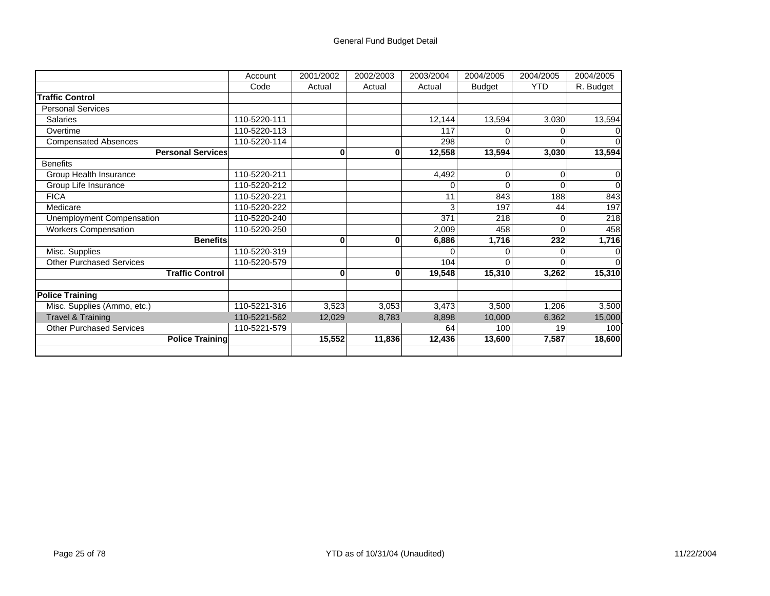## General Fund Budget Detail

|                                 | Account      | 2001/2002 | 2002/2003    | 2003/2004 | 2004/2005     | 2004/2005  | 2004/2005 |
|---------------------------------|--------------|-----------|--------------|-----------|---------------|------------|-----------|
|                                 | Code         | Actual    | Actual       | Actual    | <b>Budget</b> | <b>YTD</b> | R. Budget |
| <b>Traffic Control</b>          |              |           |              |           |               |            |           |
| <b>Personal Services</b>        |              |           |              |           |               |            |           |
| <b>Salaries</b>                 | 110-5220-111 |           |              | 12,144    | 13,594        | 3,030      | 13,594    |
| Overtime                        | 110-5220-113 |           |              | 117       | 0             |            |           |
| <b>Compensated Absences</b>     | 110-5220-114 |           |              | 298       | 0             |            |           |
| <b>Personal Services</b>        |              | 0         | 0            | 12,558    | 13,594        | 3,030      | 13,594    |
| <b>Benefits</b>                 |              |           |              |           |               |            |           |
| Group Health Insurance          | 110-5220-211 |           |              | 4,492     | 0             | ი          |           |
| Group Life Insurance            | 110-5220-212 |           |              | 0         | $\Omega$      |            | $\Omega$  |
| <b>FICA</b>                     | 110-5220-221 |           |              | 11        | 843           | 188        | 843       |
| Medicare                        | 110-5220-222 |           |              | 3         | 197           | 44         | 197       |
| Unemployment Compensation       | 110-5220-240 |           |              | 371       | 218           |            | 218       |
| <b>Workers Compensation</b>     | 110-5220-250 |           |              | 2,009     | 458           |            | 458       |
| <b>Benefits</b>                 |              | 0         | $\bf{0}$     | 6,886     | 1,716         | 232        | 1,716     |
| Misc. Supplies                  | 110-5220-319 |           |              | U         |               |            |           |
| <b>Other Purchased Services</b> | 110-5220-579 |           |              | 104       | 0             |            |           |
| <b>Traffic Control</b>          |              | 0         | $\mathbf{0}$ | 19,548    | 15,310        | 3,262      | 15,310    |
|                                 |              |           |              |           |               |            |           |
| <b>Police Training</b>          |              |           |              |           |               |            |           |
| Misc. Supplies (Ammo, etc.)     | 110-5221-316 | 3,523     | 3,053        | 3,473     | 3,500         | 1,206      | 3,500     |
| <b>Travel &amp; Training</b>    | 110-5221-562 | 12,029    | 8,783        | 8,898     | 10,000        | 6,362      | 15,000    |
| <b>Other Purchased Services</b> | 110-5221-579 |           |              | 64        | 100           | 19         | 100       |
| <b>Police Training</b>          |              | 15,552    | 11,836       | 12,436    | 13,600        | 7,587      | 18,600    |
|                                 |              |           |              |           |               |            |           |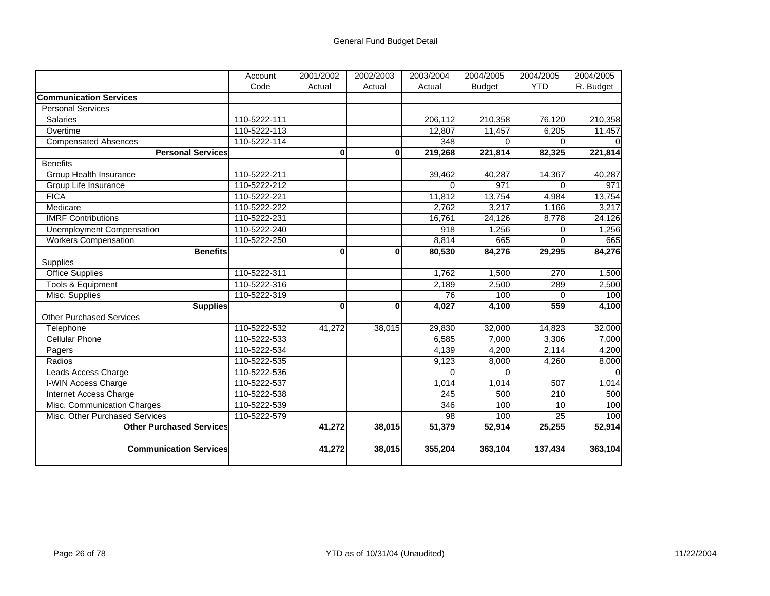|                                  | Account      | 2001/2002 | 2002/2003 | 2003/2004 | 2004/2005     | 2004/2005  | 2004/2005 |
|----------------------------------|--------------|-----------|-----------|-----------|---------------|------------|-----------|
|                                  | Code         | Actual    | Actual    | Actual    | <b>Budget</b> | <b>YTD</b> | R. Budget |
| <b>Communication Services</b>    |              |           |           |           |               |            |           |
| <b>Personal Services</b>         |              |           |           |           |               |            |           |
| <b>Salaries</b>                  | 110-5222-111 |           |           | 206,112   | 210,358       | 76,120     | 210,358   |
| Overtime                         | 110-5222-113 |           |           | 12,807    | 11,457        | 6,205      | 11,457    |
| <b>Compensated Absences</b>      | 110-5222-114 |           |           | 348       | $\Omega$      | $\Omega$   |           |
| <b>Personal Services</b>         |              | $\bf{0}$  | $\bf{0}$  | 219,268   | 221,814       | 82,325     | 221,814   |
| <b>Benefits</b>                  |              |           |           |           |               |            |           |
| <b>Group Health Insurance</b>    | 110-5222-211 |           |           | 39,462    | 40,287        | 14,367     | 40,287    |
| Group Life Insurance             | 110-5222-212 |           |           | $\Omega$  | 971           | $\Omega$   | 971       |
| <b>FICA</b>                      | 110-5222-221 |           |           | 11,812    | 13,754        | 4,984      | 13,754    |
| Medicare                         | 110-5222-222 |           |           | 2,762     | 3,217         | 1,166      | 3,217     |
| <b>IMRF Contributions</b>        | 110-5222-231 |           |           | 16,761    | 24,126        | 8,778      | 24,126    |
| <b>Unemployment Compensation</b> | 110-5222-240 |           |           | 918       | 1,256         | 0          | 1,256     |
| <b>Workers Compensation</b>      | 110-5222-250 |           |           | 8,814     | 665           | 0          | 665       |
| <b>Benefits</b>                  |              | 0         | 0         | 80,530    | 84,276        | 29,295     | 84,276    |
| Supplies                         |              |           |           |           |               |            |           |
| <b>Office Supplies</b>           | 110-5222-311 |           |           | 1,762     | 1,500         | 270        | 1,500     |
| <b>Tools &amp; Equipment</b>     | 110-5222-316 |           |           | 2.189     | 2,500         | 289        | 2,500     |
| Misc. Supplies                   | 110-5222-319 |           |           | 76        | 100           | $\Omega$   | 100       |
| <b>Supplies</b>                  |              | $\bf{0}$  | $\bf{0}$  | 4,027     | 4,100         | 559        | 4,100     |
| <b>Other Purchased Services</b>  |              |           |           |           |               |            |           |
| Telephone                        | 110-5222-532 | 41,272    | 38,015    | 29,830    | 32,000        | 14,823     | 32,000    |
| <b>Cellular Phone</b>            | 110-5222-533 |           |           | 6,585     | 7,000         | 3,306      | 7,000     |
| Pagers                           | 110-5222-534 |           |           | 4,139     | 4,200         | 2,114      | 4,200     |
| Radios                           | 110-5222-535 |           |           | 9,123     | 8,000         | 4,260      | 8,000     |
| Leads Access Charge              | 110-5222-536 |           |           | $\Omega$  | $\Omega$      |            |           |
| I-WIN Access Charge              | 110-5222-537 |           |           | 1,014     | 1,014         | 507        | 1,014     |
| Internet Access Charge           | 110-5222-538 |           |           | 245       | 500           | 210        | 500       |
| Misc. Communication Charges      | 110-5222-539 |           |           | 346       | 100           | 10         | 100       |
| Misc. Other Purchased Services   | 110-5222-579 |           |           | 98        | 100           | 25         | 100       |
| <b>Other Purchased Services</b>  |              | 41,272    | 38,015    | 51,379    | 52,914        | 25,255     | 52,914    |
|                                  |              |           |           |           |               |            |           |
| <b>Communication Services</b>    |              | 41,272    | 38,015    | 355,204   | 363,104       | 137,434    | 363,104   |
|                                  |              |           |           |           |               |            |           |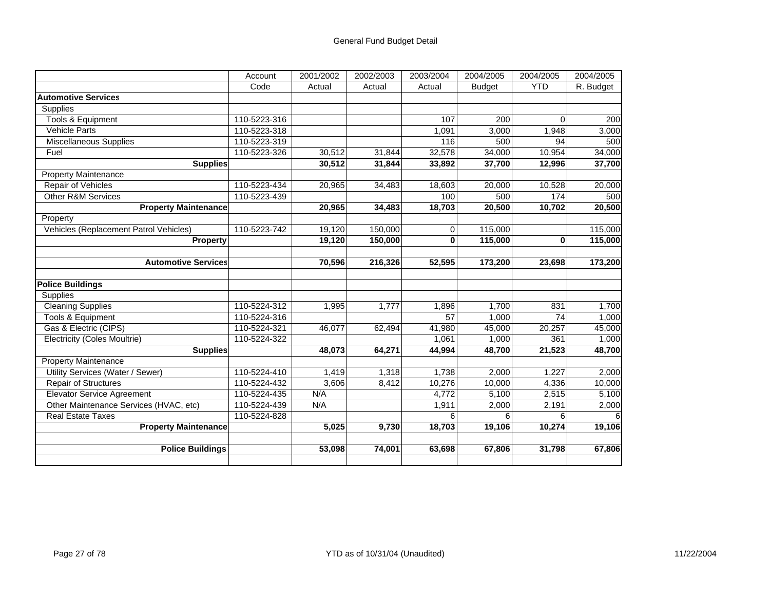|                                        | Account      | 2001/2002 | 2002/2003 | 2003/2004 | 2004/2005     | 2004/2005  | 2004/2005 |
|----------------------------------------|--------------|-----------|-----------|-----------|---------------|------------|-----------|
|                                        | Code         | Actual    | Actual    | Actual    | <b>Budget</b> | <b>YTD</b> | R. Budget |
| <b>Automotive Services</b>             |              |           |           |           |               |            |           |
| Supplies                               |              |           |           |           |               |            |           |
| Tools & Equipment                      | 110-5223-316 |           |           | 107       | 200           | $\Omega$   | 200       |
| <b>Vehicle Parts</b>                   | 110-5223-318 |           |           | 1,091     | 3,000         | 1,948      | 3,000     |
| Miscellaneous Supplies                 | 110-5223-319 |           |           | 116       | 500           | 94         | 500       |
| Fuel                                   | 110-5223-326 | 30,512    | 31,844    | 32,578    | 34,000        | 10,954     | 34,000    |
| <b>Supplies</b>                        |              | 30,512    | 31,844    | 33,892    | 37,700        | 12,996     | 37,700    |
| <b>Property Maintenance</b>            |              |           |           |           |               |            |           |
| <b>Repair of Vehicles</b>              | 110-5223-434 | 20,965    | 34,483    | 18,603    | 20,000        | 10,528     | 20,000    |
| <b>Other R&amp;M Services</b>          | 110-5223-439 |           |           | 100       | 500           | 174        | 500       |
| <b>Property Maintenance</b>            |              | 20,965    | 34,483    | 18,703    | 20,500        | 10,702     | 20,500    |
| Property                               |              |           |           |           |               |            |           |
| Vehicles (Replacement Patrol Vehicles) | 110-5223-742 | 19,120    | 150,000   | 0         | 115,000       |            | 115,000   |
| <b>Property</b>                        |              | 19,120    | 150,000   | 0         | 115,000       | 0          | 115,000   |
|                                        |              |           |           |           |               |            |           |
| <b>Automotive Services</b>             |              | 70,596    | 216,326   | 52,595    | 173,200       | 23,698     | 173,200   |
|                                        |              |           |           |           |               |            |           |
| <b>Police Buildings</b>                |              |           |           |           |               |            |           |
| <b>Supplies</b>                        |              |           |           |           |               |            |           |
| <b>Cleaning Supplies</b>               | 110-5224-312 | 1,995     | 1,777     | 1,896     | 1,700         | 831        | 1,700     |
| Tools & Equipment                      | 110-5224-316 |           |           | 57        | 1,000         | 74         | 1,000     |
| Gas & Electric (CIPS)                  | 110-5224-321 | 46,077    | 62,494    | 41,980    | 45,000        | 20,257     | 45,000    |
| <b>Electricity (Coles Moultrie)</b>    | 110-5224-322 |           |           | 1,061     | 1,000         | 361        | 1,000     |
| <b>Supplies</b>                        |              | 48,073    | 64,271    | 44,994    | 48,700        | 21,523     | 48,700    |
| <b>Property Maintenance</b>            |              |           |           |           |               |            |           |
| Utility Services (Water / Sewer)       | 110-5224-410 | 1,419     | 1,318     | 1,738     | 2,000         | 1,227      | 2,000     |
| <b>Repair of Structures</b>            | 110-5224-432 | 3,606     | 8,412     | 10,276    | 10,000        | 4,336      | 10,000    |
| <b>Elevator Service Agreement</b>      | 110-5224-435 | N/A       |           | 4,772     | 5,100         | 2,515      | 5,100     |
| Other Maintenance Services (HVAC, etc) | 110-5224-439 | N/A       |           | 1,911     | 2,000         | 2,191      | 2,000     |
| <b>Real Estate Taxes</b>               | 110-5224-828 |           |           | 6         | 6             | 6          |           |
| <b>Property Maintenance</b>            |              | 5,025     | 9,730     | 18,703    | 19,106        | 10,274     | 19,106    |
|                                        |              |           |           |           |               |            |           |
| <b>Police Buildings</b>                |              | 53,098    | 74,001    | 63,698    | 67,806        | 31,798     | 67,806    |
|                                        |              |           |           |           |               |            |           |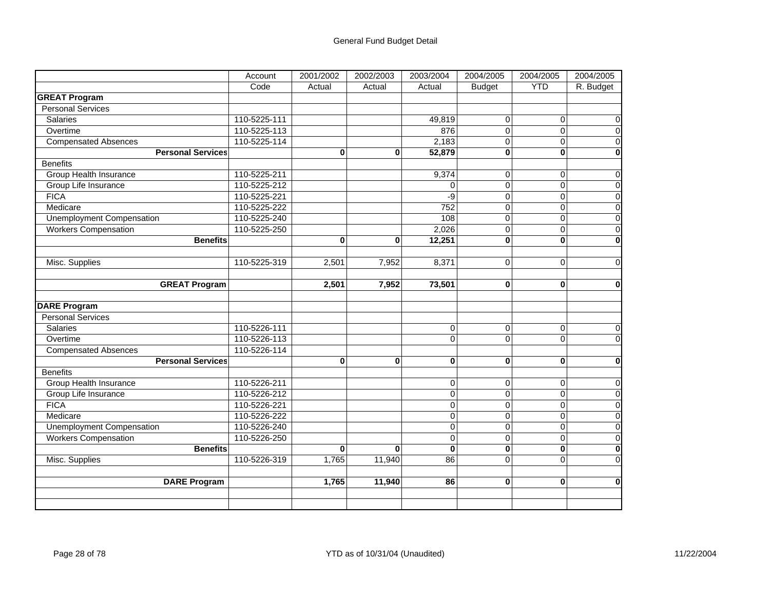|                                  | Account                  | 2001/2002 | 2002/2003 | 2003/2004      | 2004/2005      | 2004/2005      | 2004/2005               |
|----------------------------------|--------------------------|-----------|-----------|----------------|----------------|----------------|-------------------------|
|                                  | Code                     | Actual    | Actual    | Actual         | <b>Budget</b>  | <b>YTD</b>     | R. Budget               |
| <b>GREAT Program</b>             |                          |           |           |                |                |                |                         |
| <b>Personal Services</b>         |                          |           |           |                |                |                |                         |
| Salaries                         | 110-5225-111             |           |           | 49,819         | 0              | 0              | 0                       |
| Overtime                         | 110-5225-113             |           |           | 876            | $\Omega$       | $\Omega$       | $\overline{0}$          |
| <b>Compensated Absences</b>      | 110-5225-114             |           |           | 2,183          | $\overline{0}$ | 0              | $\overline{0}$          |
|                                  | <b>Personal Services</b> | 0         | 0         | 52,879         | $\bf{0}$       | $\bf{0}$       | $\overline{\mathbf{0}}$ |
| <b>Benefits</b>                  |                          |           |           |                |                |                |                         |
| <b>Group Health Insurance</b>    | 110-5225-211             |           |           | 9,374          | 0              | 0              | $\pmb{0}$               |
| Group Life Insurance             | 110-5225-212             |           |           | $\Omega$       | 0              | $\overline{0}$ | $\overline{0}$          |
| <b>FICA</b>                      | 110-5225-221             |           |           | $-9$           | $\mathbf 0$    | $\Omega$       | $\overline{0}$          |
| Medicare                         | 110-5225-222             |           |           | 752            | $\overline{0}$ | $\Omega$       | $\overline{0}$          |
| <b>Unemployment Compensation</b> | 110-5225-240             |           |           | 108            | $\overline{0}$ | $\mathbf 0$    | $\overline{0}$          |
| <b>Workers Compensation</b>      | 110-5225-250             |           |           | 2,026          | $\pmb{0}$      | 0              | $\mathsf 0$             |
|                                  | <b>Benefits</b>          | $\bf{0}$  | 0         | 12,251         | $\mathbf{0}$   | $\bf{0}$       | $\bf{0}$                |
|                                  |                          |           |           |                |                |                |                         |
| Misc. Supplies                   | 110-5225-319             | 2,501     | 7,952     | 8,371          | $\Omega$       | $\Omega$       | $\mathbf 0$             |
|                                  |                          |           |           |                |                |                |                         |
|                                  | <b>GREAT Program</b>     | 2,501     | 7,952     | 73,501         | $\bf{0}$       | $\bf{0}$       | $\mathbf 0$             |
|                                  |                          |           |           |                |                |                |                         |
| <b>DARE Program</b>              |                          |           |           |                |                |                |                         |
| <b>Personal Services</b>         |                          |           |           |                |                |                |                         |
| Salaries                         | 110-5226-111             |           |           | $\mathbf 0$    | 0              | 0              | 0                       |
| Overtime                         | 110-5226-113             |           |           | $\Omega$       | $\overline{0}$ | $\Omega$       | $\mathbf 0$             |
| <b>Compensated Absences</b>      | 110-5226-114             |           |           |                |                |                |                         |
|                                  | <b>Personal Services</b> | 0         | 0         | $\mathbf 0$    | $\mathbf 0$    | $\mathbf 0$    | $\pmb{0}$               |
| <b>Benefits</b>                  |                          |           |           |                |                |                |                         |
| Group Health Insurance           | 110-5226-211             |           |           | $\mathbf 0$    | 0              | 0              | $\pmb{0}$               |
| Group Life Insurance             | 110-5226-212             |           |           | $\overline{0}$ | $\mathsf 0$    | $\mathbf 0$    | $\overline{0}$          |
| <b>FICA</b>                      | 110-5226-221             |           |           | $\Omega$       | $\mathbf 0$    | 0              | $\overline{0}$          |
| Medicare                         | 110-5226-222             |           |           | $\Omega$       | $\mathbf 0$    | $\overline{0}$ | $\overline{0}$          |
| <b>Unemployment Compensation</b> | 110-5226-240             |           |           | $\overline{0}$ | $\overline{0}$ | $\overline{0}$ | $\overline{0}$          |
| <b>Workers Compensation</b>      | 110-5226-250             |           |           | $\overline{0}$ | $\mathbf 0$    | $\overline{0}$ | $\overline{0}$          |
|                                  | <b>Benefits</b>          | $\bf{0}$  | $\bf{0}$  | $\bf{0}$       | $\bf{0}$       | $\bf{0}$       | $\overline{\mathbf{0}}$ |
| Misc. Supplies                   | 110-5226-319             | 1,765     | 11,940    | 86             | 0              | $\Omega$       | $\overline{0}$          |
|                                  |                          |           |           |                |                |                |                         |
|                                  | <b>DARE Program</b>      | 1,765     | 11,940    | 86             | 0              | 0              | $\mathbf 0$             |
|                                  |                          |           |           |                |                |                |                         |
|                                  |                          |           |           |                |                |                |                         |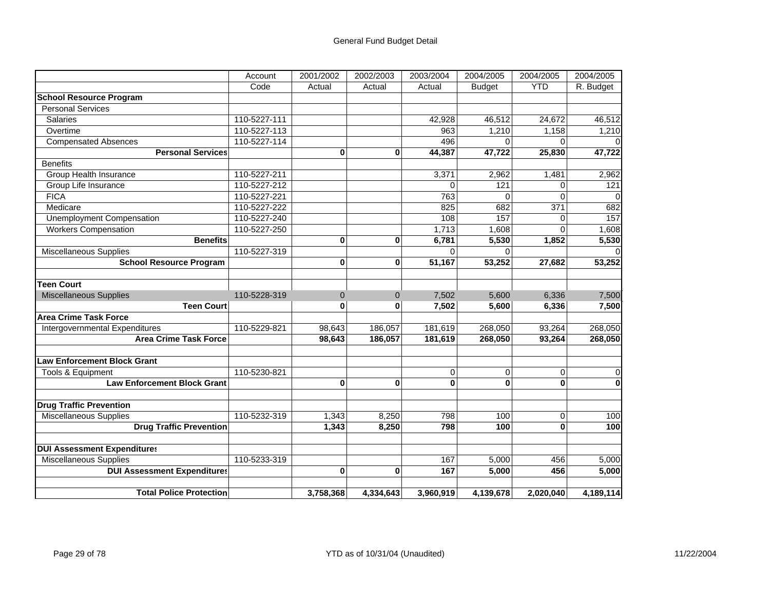|                                    | Account      | 2001/2002 | 2002/2003      | 2003/2004      | 2004/2005      | 2004/2005    | 2004/2005        |
|------------------------------------|--------------|-----------|----------------|----------------|----------------|--------------|------------------|
|                                    | Code         | Actual    | Actual         | Actual         | <b>Budget</b>  | <b>YTD</b>   | R. Budget        |
| <b>School Resource Program</b>     |              |           |                |                |                |              |                  |
| <b>Personal Services</b>           |              |           |                |                |                |              |                  |
| <b>Salaries</b>                    | 110-5227-111 |           |                | 42,928         | 46,512         | 24,672       | 46,512           |
| Overtime                           | 110-5227-113 |           |                | 963            | 1,210          | 1,158        | 1,210            |
| <b>Compensated Absences</b>        | 110-5227-114 |           |                | 496            | $\Omega$       | 0            |                  |
| <b>Personal Services</b>           |              | $\bf{0}$  | 0              | 44,387         | 47,722         | 25,830       | 47,722           |
| <b>Benefits</b>                    |              |           |                |                |                |              |                  |
| <b>Group Health Insurance</b>      | 110-5227-211 |           |                | 3,371          | 2,962          | 1,481        | 2,962            |
| Group Life Insurance               | 110-5227-212 |           |                | $\overline{0}$ | 121            | $\Omega$     | $\overline{121}$ |
| <b>FICA</b>                        | 110-5227-221 |           |                | 763            | $\Omega$       | $\Omega$     | $\Omega$         |
| Medicare                           | 110-5227-222 |           |                | 825            | 682            | 371          | 682              |
| <b>Unemployment Compensation</b>   | 110-5227-240 |           |                | 108            | 157            | U            | 157              |
| <b>Workers Compensation</b>        | 110-5227-250 |           |                | 1,713          | 1,608          | $\Omega$     | 1,608            |
| <b>Benefits</b>                    |              | $\bf{0}$  | 0              | 6,781          | 5,530          | 1,852        | 5,530            |
| Miscellaneous Supplies             | 110-5227-319 |           |                | $\Omega$       | $\Omega$       |              |                  |
| <b>School Resource Program</b>     |              | $\bf{0}$  | $\mathbf{0}$   | 51,167         | 53,252         | 27,682       | 53,252           |
|                                    |              |           |                |                |                |              |                  |
| <b>Teen Court</b>                  |              |           |                |                |                |              |                  |
| <b>Miscellaneous Supplies</b>      | 110-5228-319 | $\Omega$  | $\overline{0}$ | 7,502          | 5,600          | 6,336        | 7,500            |
| <b>Teen Court</b>                  |              | $\bf{0}$  | $\bf{0}$       | 7,502          | 5,600          | 6,336        | 7,500            |
| <b>Area Crime Task Force</b>       |              |           |                |                |                |              |                  |
| Intergovernmental Expenditures     | 110-5229-821 | 98,643    | 186,057        | 181,619        | 268,050        | 93,264       | 268,050          |
| <b>Area Crime Task Force</b>       |              | 98,643    | 186,057        | 181,619        | 268,050        | 93,264       | 268,050          |
|                                    |              |           |                |                |                |              |                  |
| <b>Law Enforcement Block Grant</b> |              |           |                |                |                |              |                  |
| Tools & Equipment                  | 110-5230-821 |           |                | 0              | $\overline{0}$ | $\Omega$     | 0                |
| <b>Law Enforcement Block Grant</b> |              | $\bf{0}$  | 0              | 0              | $\bf{0}$       | $\mathbf{0}$ | $\mathbf{0}$     |
|                                    |              |           |                |                |                |              |                  |
| <b>Drug Traffic Prevention</b>     |              |           |                |                |                |              |                  |
| <b>Miscellaneous Supplies</b>      | 110-5232-319 | 1,343     | 8,250          | 798            | 100            | 0            | 100              |
| <b>Drug Traffic Prevention</b>     |              | 1,343     | 8,250          | 798            | 100            | $\bf{0}$     | 100              |
|                                    |              |           |                |                |                |              |                  |
| <b>DUI Assessment Expenditures</b> |              |           |                |                |                |              |                  |
| <b>Miscellaneous Supplies</b>      | 110-5233-319 |           |                | 167            | 5,000          | 456          | 5,000            |
| <b>DUI Assessment Expenditures</b> |              | $\bf{0}$  | 0              | 167            | 5,000          | 456          | 5,000            |
|                                    |              |           |                |                |                |              |                  |
| <b>Total Police Protection</b>     |              | 3,758,368 | 4,334,643      | 3,960,919      | 4,139,678      | 2,020,040    | 4,189,114        |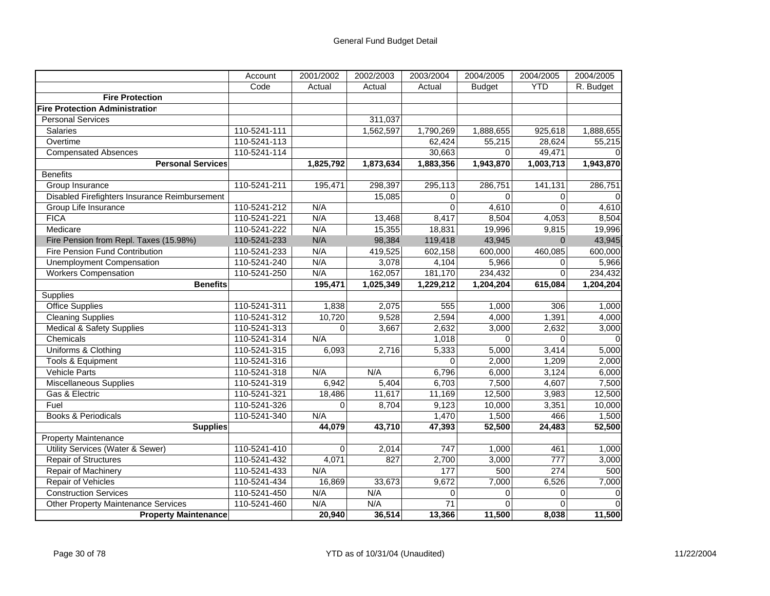|                                               | Account      | 2001/2002 | 2002/2003 | 2003/2004   | 2004/2005     | 2004/2005  | 2004/2005 |
|-----------------------------------------------|--------------|-----------|-----------|-------------|---------------|------------|-----------|
|                                               | Code         | Actual    | Actual    | Actual      | <b>Budget</b> | <b>YTD</b> | R. Budget |
| <b>Fire Protection</b>                        |              |           |           |             |               |            |           |
| <b>Fire Protection Administration</b>         |              |           |           |             |               |            |           |
| <b>Personal Services</b>                      |              |           | 311,037   |             |               |            |           |
| <b>Salaries</b>                               | 110-5241-111 |           | 1,562,597 | 1,790,269   | 1,888,655     | 925,618    | 1,888,655 |
| Overtime                                      | 110-5241-113 |           |           | 62,424      | 55,215        | 28,624     | 55,215    |
| <b>Compensated Absences</b>                   | 110-5241-114 |           |           | 30,663      | $\Omega$      | 49,471     |           |
| <b>Personal Services</b>                      |              | 1,825,792 | 1,873,634 | 1,883,356   | 1,943,870     | 1,003,713  | 1,943,870 |
| <b>Benefits</b>                               |              |           |           |             |               |            |           |
| Group Insurance                               | 110-5241-211 | 195,471   | 298,397   | 295,113     | 286,751       | 141,131    | 286,751   |
| Disabled Firefighters Insurance Reimbursement |              |           | 15,085    | $\mathbf 0$ | $\Omega$      | 0          |           |
| Group Life Insurance                          | 110-5241-212 | N/A       |           | $\Omega$    | 4,610         | $\Omega$   | 4,610     |
| <b>FICA</b>                                   | 110-5241-221 | N/A       | 13,468    | 8,417       | 8,504         | 4,053      | 8,504     |
| Medicare                                      | 110-5241-222 | N/A       | 15,355    | 18,831      | 19,996        | 9,815      | 19,996    |
| Fire Pension from Repl. Taxes (15.98%)        | 110-5241-233 | N/A       | 98,384    | 119,418     | 43,945        | $\Omega$   | 43,945    |
| Fire Pension Fund Contribution                | 110-5241-233 | N/A       | 419,525   | 602,158     | 600,000       | 460,085    | 600,000   |
| Unemployment Compensation                     | 110-5241-240 | N/A       | 3,078     | 4,104       | 5,966         | 0          | 5,966     |
| <b>Workers Compensation</b>                   | 110-5241-250 | N/A       | 162,057   | 181,170     | 234,432       | $\Omega$   | 234,432   |
| <b>Benefits</b>                               |              | 195,471   | 1,025,349 | 1,229,212   | 1,204,204     | 615,084    | 1,204,204 |
| Supplies                                      |              |           |           |             |               |            |           |
| Office Supplies                               | 110-5241-311 | 1,838     | 2,075     | 555         | 1,000         | 306        | 1,000     |
| <b>Cleaning Supplies</b>                      | 110-5241-312 | 10,720    | 9,528     | 2,594       | 4,000         | 1,391      | 4,000     |
| <b>Medical &amp; Safety Supplies</b>          | 110-5241-313 | $\Omega$  | 3,667     | 2,632       | 3,000         | 2,632      | 3,000     |
| Chemicals                                     | 110-5241-314 | N/A       |           | 1,018       | $\Omega$      | $\Omega$   |           |
| Uniforms & Clothing                           | 110-5241-315 | 6,093     | 2,716     | 5,333       | 5,000         | 3,414      | 5,000     |
| Tools & Equipment                             | 110-5241-316 |           |           | $\Omega$    | 2,000         | 1,209      | 2,000     |
| <b>Vehicle Parts</b>                          | 110-5241-318 | N/A       | N/A       | 6,796       | 6,000         | 3,124      | 6,000     |
| Miscellaneous Supplies                        | 110-5241-319 | 6,942     | 5,404     | 6,703       | 7,500         | 4,607      | 7,500     |
| Gas & Electric                                | 110-5241-321 | 18,486    | 11,617    | 11,169      | 12,500        | 3,983      | 12,500    |
| Fuel                                          | 110-5241-326 | $\Omega$  | 8,704     | 9,123       | 10,000        | 3,351      | 10,000    |
| <b>Books &amp; Periodicals</b>                | 110-5241-340 | N/A       |           | 1,470       | 1,500         | 466        | 1,500     |
| <b>Supplies</b>                               |              | 44,079    | 43,710    | 47,393      | 52,500        | 24,483     | 52,500    |
| <b>Property Maintenance</b>                   |              |           |           |             |               |            |           |
| Utility Services (Water & Sewer)              | 110-5241-410 | 0         | 2,014     | 747         | 1,000         | 461        | 1,000     |
| <b>Repair of Structures</b>                   | 110-5241-432 | 4,071     | 827       | 2,700       | 3,000         | 777        | 3,000     |
| Repair of Machinery                           | 110-5241-433 | N/A       |           | 177         | 500           | 274        | 500       |
| <b>Repair of Vehicles</b>                     | 110-5241-434 | 16,869    | 33,673    | 9,672       | 7,000         | 6,526      | 7,000     |
| <b>Construction Services</b>                  | 110-5241-450 | N/A       | N/A       | $\Omega$    | $\Omega$      | $\Omega$   |           |
| Other Property Maintenance Services           | 110-5241-460 | N/A       | N/A       | 71          | $\Omega$      | $\Omega$   |           |
| <b>Property Maintenance</b>                   |              | 20,940    | 36,514    | 13,366      | 11,500        | 8,038      | 11,500    |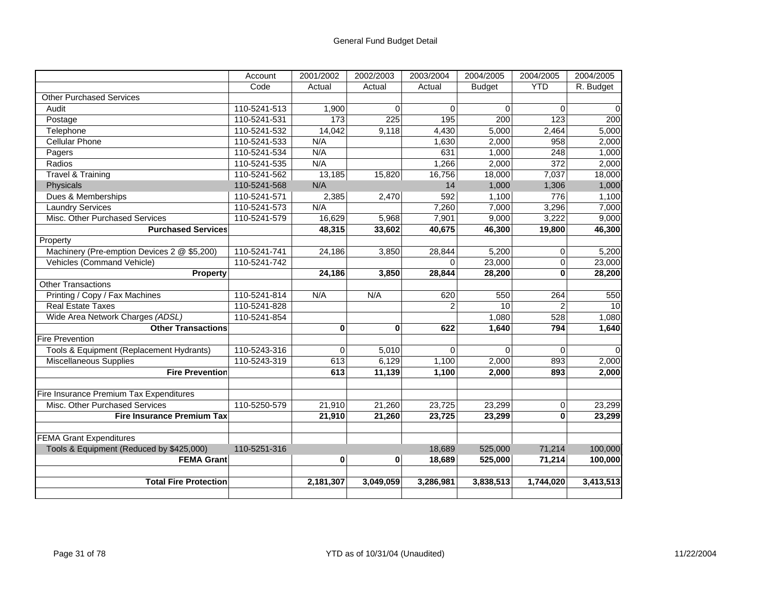|                                             | Account      | 2001/2002   | 2002/2003 | 2003/2004      | 2004/2005     | 2004/2005        | 2004/2005 |
|---------------------------------------------|--------------|-------------|-----------|----------------|---------------|------------------|-----------|
|                                             | Code         | Actual      | Actual    | Actual         | <b>Budget</b> | <b>YTD</b>       | R. Budget |
| <b>Other Purchased Services</b>             |              |             |           |                |               |                  |           |
| Audit                                       | 110-5241-513 | 1,900       | $\Omega$  | $\Omega$       | $\Omega$      | $\Omega$         | $\Omega$  |
| Postage                                     | 110-5241-531 | 173         | 225       | 195            | 200           | 123              | 200       |
| Telephone                                   | 110-5241-532 | 14,042      | 9,118     | 4,430          | 5,000         | 2,464            | 5,000     |
| <b>Cellular Phone</b>                       | 110-5241-533 | N/A         |           | 1,630          | 2,000         | 958              | 2,000     |
| Pagers                                      | 110-5241-534 | N/A         |           | 631            | 1,000         | $\overline{248}$ | 1,000     |
| Radios                                      | 110-5241-535 | N/A         |           | 1,266          | 2,000         | 372              | 2,000     |
| <b>Travel &amp; Training</b>                | 110-5241-562 | 13,185      | 15,820    | 16,756         | 18,000        | 7,037            | 18,000    |
| Physicals                                   | 110-5241-568 | N/A         |           | 14             | 1,000         | 1,306            | 1,000     |
| Dues & Memberships                          | 110-5241-571 | 2,385       | 2,470     | 592            | 1,100         | 776              | 1,100     |
| <b>Laundry Services</b>                     | 110-5241-573 | N/A         |           | 7,260          | 7,000         | 3,296            | 7,000     |
| Misc. Other Purchased Services              | 110-5241-579 | 16,629      | 5,968     | 7,901          | 9,000         | 3,222            | 9,000     |
| <b>Purchased Services</b>                   |              | 48,315      | 33,602    | 40,675         | 46,300        | 19,800           | 46,300    |
| Property                                    |              |             |           |                |               |                  |           |
| Machinery (Pre-emption Devices 2 @ \$5,200) | 110-5241-741 | 24,186      | 3,850     | 28,844         | 5,200         | $\Omega$         | 5,200     |
| Vehicles (Command Vehicle)                  | 110-5241-742 |             |           | $\Omega$       | 23,000        | 0                | 23,000    |
| Property                                    |              | 24,186      | 3,850     | 28,844         | 28,200        | $\bf{0}$         | 28,200    |
| <b>Other Transactions</b>                   |              |             |           |                |               |                  |           |
| Printing / Copy / Fax Machines              | 110-5241-814 | N/A         | N/A       | 620            | 550           | 264              | 550       |
| <b>Real Estate Taxes</b>                    | 110-5241-828 |             |           | $\overline{2}$ | 10            | 2                | 10        |
| Wide Area Network Charges (ADSL)            | 110-5241-854 |             |           |                | 1,080         | 528              | 1,080     |
| <b>Other Transactions</b>                   |              | 0           | $\bf{0}$  | 622            | 1,640         | 794              | 1,640     |
| <b>Fire Prevention</b>                      |              |             |           |                |               |                  |           |
| Tools & Equipment (Replacement Hydrants)    | 110-5243-316 | $\mathbf 0$ | 5,010     | $\mathbf 0$    | $\mathbf 0$   | $\mathbf 0$      | $\Omega$  |
| <b>Miscellaneous Supplies</b>               | 110-5243-319 | 613         | 6,129     | 1,100          | 2,000         | 893              | 2,000     |
| <b>Fire Prevention</b>                      |              | 613         | 11,139    | 1,100          | 2,000         | 893              | 2,000     |
|                                             |              |             |           |                |               |                  |           |
| Fire Insurance Premium Tax Expenditures     |              |             |           |                |               |                  |           |
| Misc. Other Purchased Services              | 110-5250-579 | 21,910      | 21,260    | 23,725         | 23,299        | 0                | 23,299    |
| <b>Fire Insurance Premium Tax</b>           |              | 21,910      | 21,260    | 23,725         | 23,299        | $\mathbf{0}$     | 23,299    |
|                                             |              |             |           |                |               |                  |           |
| <b>FEMA Grant Expenditures</b>              |              |             |           |                |               |                  |           |
| Tools & Equipment (Reduced by \$425,000)    | 110-5251-316 |             |           | 18,689         | 525,000       | 71,214           | 100,000   |
| <b>FEMA Grant</b>                           |              | 0           | 0         | 18,689         | 525,000       | 71,214           | 100,000   |
|                                             |              |             |           |                |               |                  |           |
| <b>Total Fire Protection</b>                |              | 2,181,307   | 3,049,059 | 3,286,981      | 3,838,513     | 1,744,020        | 3,413,513 |
|                                             |              |             |           |                |               |                  |           |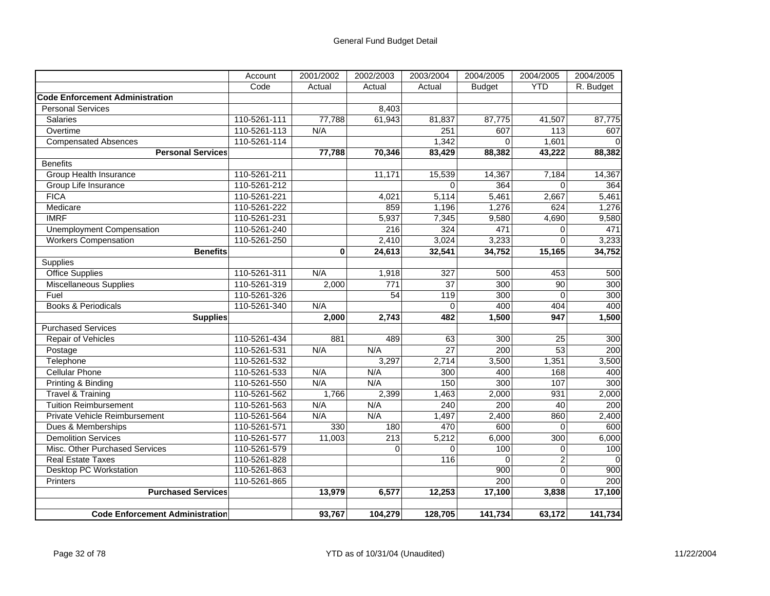|                                        | Account      | 2001/2002   | 2002/2003        | 2003/2004        | 2004/2005        | 2004/2005      | 2004/2005 |
|----------------------------------------|--------------|-------------|------------------|------------------|------------------|----------------|-----------|
|                                        | Code         | Actual      | Actual           | Actual           | <b>Budget</b>    | <b>YTD</b>     | R. Budget |
| <b>Code Enforcement Administration</b> |              |             |                  |                  |                  |                |           |
| <b>Personal Services</b>               |              |             | 8,403            |                  |                  |                |           |
| Salaries                               | 110-5261-111 | 77,788      | 61,943           | 81,837           | 87,775           | 41,507         | 87,775    |
| Overtime                               | 110-5261-113 | N/A         |                  | 251              | 607              | 113            | 607       |
| <b>Compensated Absences</b>            | 110-5261-114 |             |                  | 1,342            | $\Omega$         | 1,601          |           |
| <b>Personal Services</b>               |              | 77,788      | 70,346           | 83,429           | 88,382           | 43,222         | 88,382    |
| <b>Benefits</b>                        |              |             |                  |                  |                  |                |           |
| <b>Group Health Insurance</b>          | 110-5261-211 |             | 11,171           | 15,539           | 14,367           | 7,184          | 14,367    |
| Group Life Insurance                   | 110-5261-212 |             |                  | $\Omega$         | 364              | $\Omega$       | 364       |
| <b>FICA</b>                            | 110-5261-221 |             | 4,021            | 5,114            | 5,461            | 2,667          | 5,461     |
| Medicare                               | 110-5261-222 |             | 859              | 1,196            | 1,276            | 624            | 1,276     |
| <b>IMRF</b>                            | 110-5261-231 |             | 5,937            | 7,345            | 9,580            | 4,690          | 9,580     |
| Unemployment Compensation              | 110-5261-240 |             | 216              | 324              | 471              | $\Omega$       | 471       |
| <b>Workers Compensation</b>            | 110-5261-250 |             | 2,410            | 3,024            | 3,233            | $\Omega$       | 3,233     |
| <b>Benefits</b>                        |              | $\mathbf 0$ | 24,613           | 32,541           | 34,752           | 15,165         | 34,752    |
| Supplies                               |              |             |                  |                  |                  |                |           |
| <b>Office Supplies</b>                 | 110-5261-311 | N/A         | 1,918            | $\overline{327}$ | 500              | 453            | 500       |
| <b>Miscellaneous Supplies</b>          | 110-5261-319 | 2,000       | 771              | $\overline{37}$  | 300              | 90             | 300       |
| Fuel                                   | 110-5261-326 |             | 54               | 119              | 300              | $\Omega$       | 300       |
| <b>Books &amp; Periodicals</b>         | 110-5261-340 | N/A         |                  | 0                | 400              | 404            | 400       |
| <b>Supplies</b>                        |              | 2,000       | 2,743            | 482              | 1,500            | 947            | 1,500     |
| <b>Purchased Services</b>              |              |             |                  |                  |                  |                |           |
| Repair of Vehicles                     | 110-5261-434 | 881         | 489              | 63               | 300              | 25             | 300       |
| Postage                                | 110-5261-531 | N/A         | N/A              | $\overline{27}$  | 200              | 53             | 200       |
| Telephone                              | 110-5261-532 |             | 3,297            | 2,714            | 3,500            | 1,351          | 3,500     |
| <b>Cellular Phone</b>                  | 110-5261-533 | N/A         | N/A              | 300              | 400              | 168            | 400       |
| Printing & Binding                     | 110-5261-550 | N/A         | N/A              | 150              | 300              | 107            | 300       |
| Travel & Training                      | 110-5261-562 | 1,766       | 2,399            | 1,463            | 2,000            | 931            | 2,000     |
| <b>Tuition Reimbursement</b>           | 110-5261-563 | N/A         | N/A              | $\overline{240}$ | $\overline{200}$ | 40             | 200       |
| Private Vehicle Reimbursement          | 110-5261-564 | N/A         | N/A              | 1,497            | 2,400            | 860            | 2,400     |
| Dues & Memberships                     | 110-5261-571 | 330         | 180              | 470              | 600              | $\Omega$       | 600       |
| <b>Demolition Services</b>             | 110-5261-577 | 11,003      | $\overline{213}$ | 5,212            | 6,000            | 300            | 6,000     |
| Misc. Other Purchased Services         | 110-5261-579 |             | $\Omega$         | $\Omega$         | 100              | 0              | 100       |
| <b>Real Estate Taxes</b>               | 110-5261-828 |             |                  | 116              | $\Omega$         | $\overline{2}$ |           |
| <b>Desktop PC Workstation</b>          | 110-5261-863 |             |                  |                  | 900              | $\overline{0}$ | 900       |
| Printers                               | 110-5261-865 |             |                  |                  | 200              | $\Omega$       | 200       |
| <b>Purchased Services</b>              |              | 13,979      | 6,577            | 12,253           | 17,100           | 3,838          | 17,100    |
|                                        |              |             |                  |                  |                  |                |           |
| <b>Code Enforcement Administration</b> |              | 93,767      | 104,279          | 128,705          | 141,734          | 63,172         | 141,734   |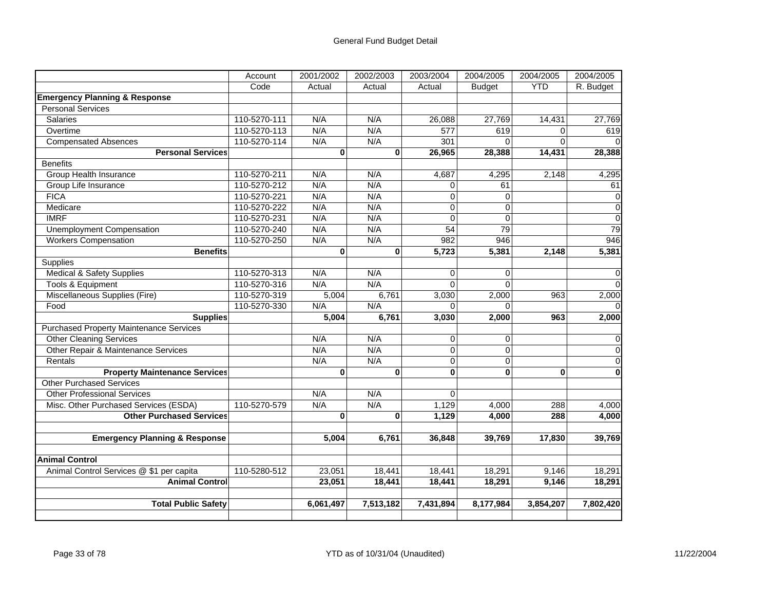|                                                | Account      | 2001/2002    | 2002/2003    | 2003/2004      | 2004/2005      | 2004/2005  | 2004/2005   |
|------------------------------------------------|--------------|--------------|--------------|----------------|----------------|------------|-------------|
|                                                | Code         | Actual       | Actual       | Actual         | <b>Budget</b>  | <b>YTD</b> | R. Budget   |
| <b>Emergency Planning &amp; Response</b>       |              |              |              |                |                |            |             |
| <b>Personal Services</b>                       |              |              |              |                |                |            |             |
| <b>Salaries</b>                                | 110-5270-111 | N/A          | N/A          | 26,088         | 27,769         | 14,431     | 27,769      |
| Overtime                                       | 110-5270-113 | N/A          | N/A          | 577            | 619            | $\Omega$   | 619         |
| <b>Compensated Absences</b>                    | 110-5270-114 | N/A          | N/A          | 301            | $\Omega$       | $\Omega$   |             |
| <b>Personal Services</b>                       |              | $\mathbf{0}$ | $\mathbf{0}$ | 26,965         | 28,388         | 14,431     | 28,388      |
| <b>Benefits</b>                                |              |              |              |                |                |            |             |
| Group Health Insurance                         | 110-5270-211 | N/A          | N/A          | 4,687          | 4,295          | 2,148      | 4,295       |
| Group Life Insurance                           | 110-5270-212 | N/A          | N/A          | $\mathbf 0$    | 61             |            | 61          |
| <b>FICA</b>                                    | 110-5270-221 | N/A          | N/A          | $\mathbf 0$    | $\mathbf 0$    |            | 0           |
| Medicare                                       | 110-5270-222 | N/A          | N/A          | $\overline{0}$ | $\overline{0}$ |            | $\mathbf 0$ |
| <b>IMRF</b>                                    | 110-5270-231 | N/A          | N/A          | $\overline{0}$ | $\mathbf 0$    |            | $\mathbf 0$ |
| <b>Unemployment Compensation</b>               | 110-5270-240 | N/A          | N/A          | 54             | 79             |            | 79          |
| <b>Workers Compensation</b>                    | 110-5270-250 | N/A          | N/A          | 982            | 946            |            | 946         |
| <b>Benefits</b>                                |              | $\bf{0}$     | $\bf{0}$     | 5,723          | 5,381          | 2,148      | 5,381       |
| Supplies                                       |              |              |              |                |                |            |             |
| <b>Medical &amp; Safety Supplies</b>           | 110-5270-313 | N/A          | N/A          | $\Omega$       | $\Omega$       |            | $\Omega$    |
| Tools & Equipment                              | 110-5270-316 | N/A          | N/A          | $\Omega$       | $\Omega$       |            | $\Omega$    |
| Miscellaneous Supplies (Fire)                  | 110-5270-319 | 5,004        | 6,761        | 3,030          | 2,000          | 963        | 2,000       |
| Food                                           | 110-5270-330 | N/A          | N/A          | $\Omega$       | $\Omega$       |            |             |
| <b>Supplies</b>                                |              | 5,004        | 6,761        | 3,030          | 2,000          | 963        | 2,000       |
| <b>Purchased Property Maintenance Services</b> |              |              |              |                |                |            |             |
| <b>Other Cleaning Services</b>                 |              | N/A          | N/A          | $\overline{0}$ | $\mathbf 0$    |            | $\Omega$    |
| Other Repair & Maintenance Services            |              | N/A          | N/A          | $\mathbf 0$    | $\mathbf 0$    |            | $\Omega$    |
| Rentals                                        |              | N/A          | N/A          | $\Omega$       | $\mathbf 0$    |            | $\Omega$    |
| <b>Property Maintenance Services</b>           |              | $\bf{0}$     | $\mathbf 0$  | $\bf{0}$       | $\mathbf 0$    | $\bf{0}$   | $\bf{0}$    |
| <b>Other Purchased Services</b>                |              |              |              |                |                |            |             |
| <b>Other Professional Services</b>             |              | N/A          | N/A          | $\Omega$       |                |            |             |
| Misc. Other Purchased Services (ESDA)          | 110-5270-579 | N/A          | N/A          | 1,129          | 4,000          | 288        | 4,000       |
| <b>Other Purchased Services</b>                |              | $\bf{0}$     | $\bf{0}$     | 1,129          | 4,000          | 288        | 4,000       |
|                                                |              |              |              |                |                |            |             |
| <b>Emergency Planning &amp; Response</b>       |              | 5,004        | 6,761        | 36,848         | 39,769         | 17,830     | 39,769      |
| <b>Animal Control</b>                          |              |              |              |                |                |            |             |
| Animal Control Services @ \$1 per capita       | 110-5280-512 | 23.051       | 18,441       | 18,441         | 18,291         | 9,146      | 18,291      |
| <b>Animal Control</b>                          |              | 23,051       | 18,441       | 18,441         | 18,291         | 9,146      | 18,291      |
|                                                |              |              |              |                |                |            |             |
| <b>Total Public Safety</b>                     |              | 6,061,497    | 7,513,182    | 7,431,894      | 8,177,984      | 3,854,207  | 7,802,420   |
|                                                |              |              |              |                |                |            |             |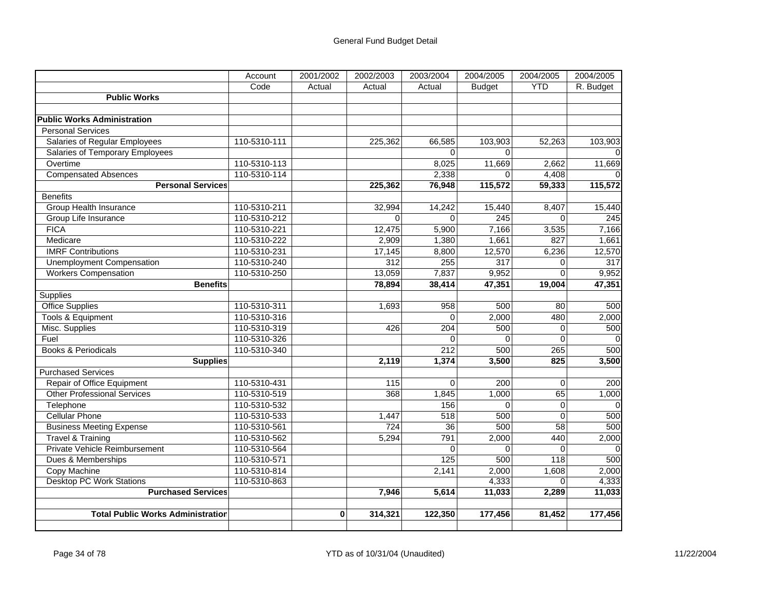|                                          | Account      | 2001/2002 | 2002/2003   | 2003/2004   | 2004/2005        | 2004/2005      | 2004/2005        |
|------------------------------------------|--------------|-----------|-------------|-------------|------------------|----------------|------------------|
|                                          | Code         | Actual    | Actual      | Actual      | <b>Budget</b>    | <b>YTD</b>     | R. Budget        |
| <b>Public Works</b>                      |              |           |             |             |                  |                |                  |
|                                          |              |           |             |             |                  |                |                  |
| <b>Public Works Administration</b>       |              |           |             |             |                  |                |                  |
| <b>Personal Services</b>                 |              |           |             |             |                  |                |                  |
| Salaries of Regular Employees            | 110-5310-111 |           | 225,362     | 66,585      | 103,903          | 52,263         | 103,903          |
| Salaries of Temporary Employees          |              |           |             | $\Omega$    | $\Omega$         |                |                  |
| Overtime                                 | 110-5310-113 |           |             | 8,025       | 11,669           | 2,662          | 11,669           |
| <b>Compensated Absences</b>              | 110-5310-114 |           |             | 2,338       | $\Omega$         | 4,408          |                  |
| <b>Personal Services</b>                 |              |           | 225,362     | 76,948      | 115,572          | 59,333         | 115,572          |
| <b>Benefits</b>                          |              |           |             |             |                  |                |                  |
| Group Health Insurance                   | 110-5310-211 |           | 32,994      | 14,242      | 15,440           | 8,407          | 15,440           |
| Group Life Insurance                     | 110-5310-212 |           | $\mathbf 0$ | $\Omega$    | $\overline{245}$ | $\Omega$       | 245              |
| <b>FICA</b>                              | 110-5310-221 |           | 12,475      | 5,900       | 7,166            | 3,535          | 7,166            |
| Medicare                                 | 110-5310-222 |           | 2,909       | 1,380       | 1,661            | 827            | 1,661            |
| <b>IMRF Contributions</b>                | 110-5310-231 |           | 17,145      | 8,800       | 12,570           | 6,236          | 12,570           |
| <b>Unemployment Compensation</b>         | 110-5310-240 |           | 312         | 255         | $\overline{317}$ | $\Omega$       | $\overline{317}$ |
| <b>Workers Compensation</b>              | 110-5310-250 |           | 13,059      | 7,837       | 9,952            | $\Omega$       | 9,952            |
| <b>Benefits</b>                          |              |           | 78,894      | 38,414      | 47,351           | 19,004         | 47,351           |
| <b>Supplies</b>                          |              |           |             |             |                  |                |                  |
| <b>Office Supplies</b>                   | 110-5310-311 |           | 1,693       | 958         | 500              | 80             | 500              |
| <b>Tools &amp; Equipment</b>             | 110-5310-316 |           |             | $\mathbf 0$ | 2,000            | 480            | 2,000            |
| Misc. Supplies                           | 110-5310-319 |           | 426         | 204         | 500              | $\overline{0}$ | 500              |
| Fuel                                     | 110-5310-326 |           |             | $\Omega$    | $\Omega$         | $\Omega$       | $\Omega$         |
| <b>Books &amp; Periodicals</b>           | 110-5310-340 |           |             | 212         | 500              | 265            | 500              |
| <b>Supplies</b>                          |              |           | 2,119       | 1,374       | 3,500            | 825            | 3,500            |
| <b>Purchased Services</b>                |              |           |             |             |                  |                |                  |
| Repair of Office Equipment               | 110-5310-431 |           | 115         | $\Omega$    | 200              | $\overline{0}$ | 200              |
| <b>Other Professional Services</b>       | 110-5310-519 |           | 368         | 1,845       | 1,000            | 65             | 1,000            |
| Telephone                                | 110-5310-532 |           |             | 156         | $\Omega$         | $\overline{0}$ | $\mathbf 0$      |
| <b>Cellular Phone</b>                    | 110-5310-533 |           | 1,447       | 518         | 500              | $\Omega$       | 500              |
| <b>Business Meeting Expense</b>          | 110-5310-561 |           | 724         | 36          | 500              | 58             | 500              |
| <b>Travel &amp; Training</b>             | 110-5310-562 |           | 5,294       | 791         | 2,000            | 440            | 2,000            |
| Private Vehicle Reimbursement            | 110-5310-564 |           |             | $\Omega$    | $\Omega$         | $\Omega$       | $\Omega$         |
| Dues & Memberships                       | 110-5310-571 |           |             | 125         | 500              | 118            | 500              |
| Copy Machine                             | 110-5310-814 |           |             | 2,141       | 2,000            | 1,608          | 2,000            |
| <b>Desktop PC Work Stations</b>          | 110-5310-863 |           |             |             | 4,333            | $\overline{0}$ | 4,333            |
| <b>Purchased Services</b>                |              |           | 7.946       | 5,614       | 11,033           | 2,289          | 11,033           |
|                                          |              |           |             |             |                  |                |                  |
| <b>Total Public Works Administration</b> |              | $\bf{0}$  | 314,321     | 122,350     | 177,456          | 81,452         | 177,456          |
|                                          |              |           |             |             |                  |                |                  |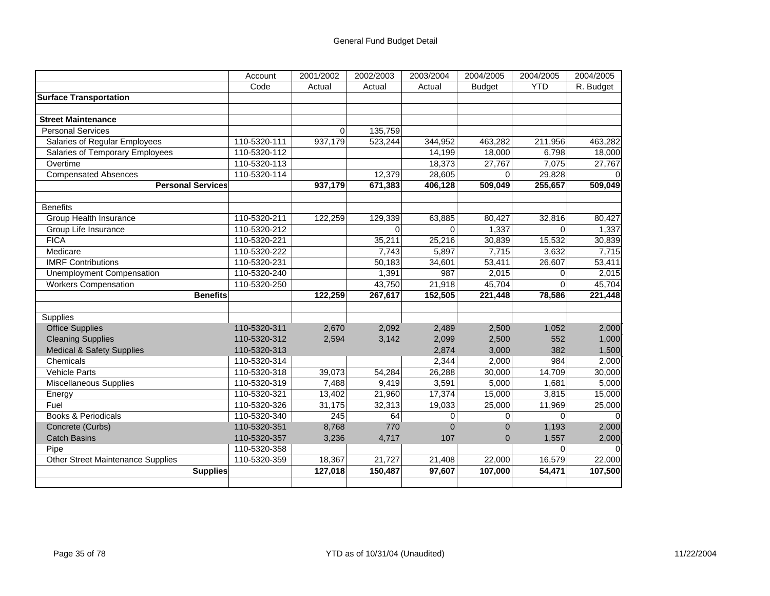|                                          | Account      | 2001/2002 | 2002/2003 | 2003/2004   | 2004/2005      | 2004/2005   | 2004/2005 |
|------------------------------------------|--------------|-----------|-----------|-------------|----------------|-------------|-----------|
|                                          | Code         | Actual    | Actual    | Actual      | <b>Budget</b>  | <b>YTD</b>  | R. Budget |
| <b>Surface Transportation</b>            |              |           |           |             |                |             |           |
|                                          |              |           |           |             |                |             |           |
| <b>Street Maintenance</b>                |              |           |           |             |                |             |           |
| <b>Personal Services</b>                 |              | 0         | 135,759   |             |                |             |           |
| <b>Salaries of Regular Employees</b>     | 110-5320-111 | 937,179   | 523,244   | 344,952     | 463,282        | 211,956     | 463,282   |
| Salaries of Temporary Employees          | 110-5320-112 |           |           | 14,199      | 18,000         | 6,798       | 18,000    |
| Overtime                                 | 110-5320-113 |           |           | 18,373      | 27,767         | 7,075       | 27,767    |
| <b>Compensated Absences</b>              | 110-5320-114 |           | 12,379    | 28,605      | $\Omega$       | 29,828      |           |
| <b>Personal Services</b>                 |              | 937,179   | 671,383   | 406,128     | 509,049        | 255,657     | 509,049   |
|                                          |              |           |           |             |                |             |           |
| <b>Benefits</b>                          |              |           |           |             |                |             |           |
| Group Health Insurance                   | 110-5320-211 | 122.259   | 129,339   | 63.885      | 80,427         | 32,816      | 80,427    |
| Group Life Insurance                     | 110-5320-212 |           | 0         | $\Omega$    | 1,337          | $\Omega$    | 1,337     |
| <b>FICA</b>                              | 110-5320-221 |           | 35,211    | 25,216      | 30,839         | 15,532      | 30,839    |
| Medicare                                 | 110-5320-222 |           | 7,743     | 5,897       | 7,715          | 3,632       | 7,715     |
| <b>IMRF Contributions</b>                | 110-5320-231 |           | 50,183    | 34,601      | 53,411         | 26,607      | 53,411    |
| <b>Unemployment Compensation</b>         | 110-5320-240 |           | 1,391     | 987         | 2,015          | $\Omega$    | 2,015     |
| <b>Workers Compensation</b>              | 110-5320-250 |           | 43,750    | 21,918      | 45,704         | 0           | 45,704    |
| <b>Benefits</b>                          |              | 122,259   | 267,617   | 152,505     | 221,448        | 78,586      | 221,448   |
|                                          |              |           |           |             |                |             |           |
| Supplies                                 |              |           |           |             |                |             |           |
| <b>Office Supplies</b>                   | 110-5320-311 | 2,670     | 2,092     | 2,489       | 2,500          | 1,052       | 2,000     |
| <b>Cleaning Supplies</b>                 | 110-5320-312 | 2,594     | 3,142     | 2,099       | 2,500          | 552         | 1,000     |
| <b>Medical &amp; Safety Supplies</b>     | 110-5320-313 |           |           | 2,874       | 3,000          | 382         | 1,500     |
| Chemicals                                | 110-5320-314 |           |           | 2,344       | 2,000          | 984         | 2,000     |
| <b>Vehicle Parts</b>                     | 110-5320-318 | 39,073    | 54,284    | 26,288      | 30,000         | 14,709      | 30,000    |
| <b>Miscellaneous Supplies</b>            | 110-5320-319 | 7,488     | 9,419     | 3,591       | 5,000          | 1,681       | 5,000     |
| Energy                                   | 110-5320-321 | 13,402    | 21,960    | 17,374      | 15,000         | 3,815       | 15,000    |
| Fuel                                     | 110-5320-326 | 31,175    | 32,313    | 19,033      | 25,000         | 11,969      | 25,000    |
| Books & Periodicals                      | 110-5320-340 | 245       | 64        | $\mathbf 0$ | 0              | $\mathbf 0$ |           |
| Concrete (Curbs)                         | 110-5320-351 | 8,768     | 770       | $\Omega$    | $\Omega$       | 1,193       | 2,000     |
| <b>Catch Basins</b>                      | 110-5320-357 | 3,236     | 4,717     | 107         | $\overline{0}$ | 1,557       | 2,000     |
| Pipe                                     | 110-5320-358 |           |           |             |                | $\Omega$    |           |
| <b>Other Street Maintenance Supplies</b> | 110-5320-359 | 18,367    | 21,727    | 21,408      | 22,000         | 16,579      | 22,000    |
| <b>Supplies</b>                          |              | 127,018   | 150,487   | 97,607      | 107,000        | 54,471      | 107,500   |
|                                          |              |           |           |             |                |             |           |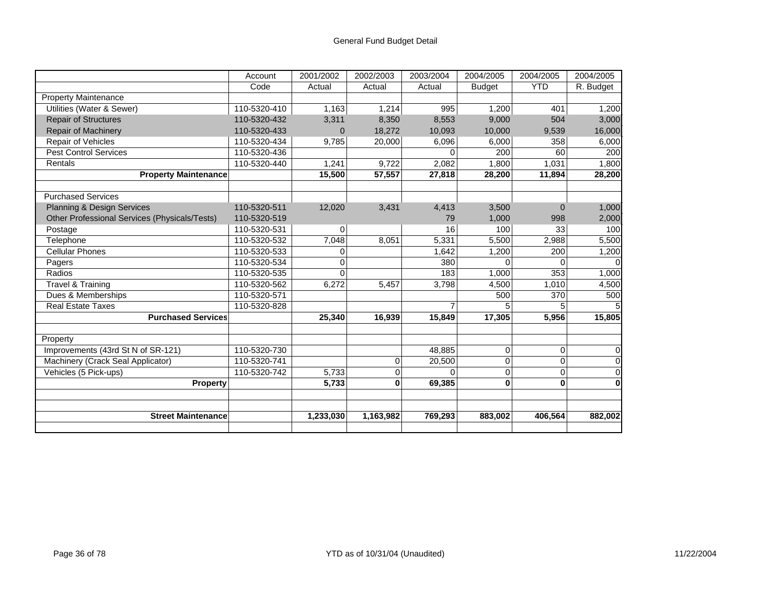|                                               | Account      | 2001/2002      | 2002/2003 | 2003/2004 | 2004/2005     | 2004/2005  | 2004/2005 |
|-----------------------------------------------|--------------|----------------|-----------|-----------|---------------|------------|-----------|
|                                               | Code         | Actual         | Actual    | Actual    | <b>Budget</b> | <b>YTD</b> | R. Budget |
| <b>Property Maintenance</b>                   |              |                |           |           |               |            |           |
| Utilities (Water & Sewer)                     | 110-5320-410 | 1,163          | 1,214     | 995       | 1,200         | 401        | 1,200     |
| <b>Repair of Structures</b>                   | 110-5320-432 | 3,311          | 8,350     | 8,553     | 9,000         | 504        | 3,000     |
| Repair of Machinery                           | 110-5320-433 | $\overline{0}$ | 18,272    | 10,093    | 10,000        | 9,539      | 16,000    |
| Repair of Vehicles                            | 110-5320-434 | 9,785          | 20,000    | 6,096     | 6,000         | 358        | 6,000     |
| <b>Pest Control Services</b>                  | 110-5320-436 |                |           | U         | 200           | 60         | 200       |
| Rentals                                       | 110-5320-440 | 1,241          | 9,722     | 2,082     | 1,800         | 1,031      | 1,800     |
| <b>Property Maintenance</b>                   |              | 15,500         | 57,557    | 27,818    | 28,200        | 11,894     | 28,200    |
|                                               |              |                |           |           |               |            |           |
| <b>Purchased Services</b>                     |              |                |           |           |               |            |           |
| Planning & Design Services                    | 110-5320-511 | 12,020         | 3,431     | 4,413     | 3,500         | $\Omega$   | 1,000     |
| Other Professional Services (Physicals/Tests) | 110-5320-519 |                |           | 79        | 1,000         | 998        | 2,000     |
| Postage                                       | 110-5320-531 | 0              |           | 16        | 100           | 33         | 100       |
| Telephone                                     | 110-5320-532 | 7,048          | 8,051     | 5,331     | 5,500         | 2,988      | 5,500     |
| <b>Cellular Phones</b>                        | 110-5320-533 | $\Omega$       |           | 1,642     | 1,200         | 200        | 1,200     |
| Pagers                                        | 110-5320-534 | 0              |           | 380       | $\Omega$      | $\Omega$   |           |
| Radios                                        | 110-5320-535 | $\Omega$       |           | 183       | 1,000         | 353        | 1,000     |
| <b>Travel &amp; Training</b>                  | 110-5320-562 | 6,272          | 5,457     | 3,798     | 4,500         | 1,010      | 4,500     |
| Dues & Memberships                            | 110-5320-571 |                |           |           | 500           | 370        | 500       |
| <b>Real Estate Taxes</b>                      | 110-5320-828 |                |           |           |               | 5.         |           |
| <b>Purchased Services</b>                     |              | 25,340         | 16,939    | 15,849    | 17,305        | 5,956      | 15,805    |
|                                               |              |                |           |           |               |            |           |
| Property                                      |              |                |           |           |               |            |           |
| Improvements (43rd St N of SR-121)            | 110-5320-730 |                |           | 48,885    | 0             | 0          | $\Omega$  |
| Machinery (Crack Seal Applicator)             | 110-5320-741 |                | 0         | 20,500    | 0             | $\Omega$   | $\Omega$  |
| Vehicles (5 Pick-ups)                         | 110-5320-742 | 5,733          | 0         | U         | $\mathbf 0$   | $\Omega$   | 0         |
| <b>Property</b>                               |              | 5,733          | $\bf{0}$  | 69,385    | $\bf{0}$      | $\bf{0}$   | $\bf{0}$  |
|                                               |              |                |           |           |               |            |           |
| <b>Street Maintenance</b>                     |              | 1,233,030      | 1,163,982 | 769,293   | 883,002       | 406,564    | 882,002   |
|                                               |              |                |           |           |               |            |           |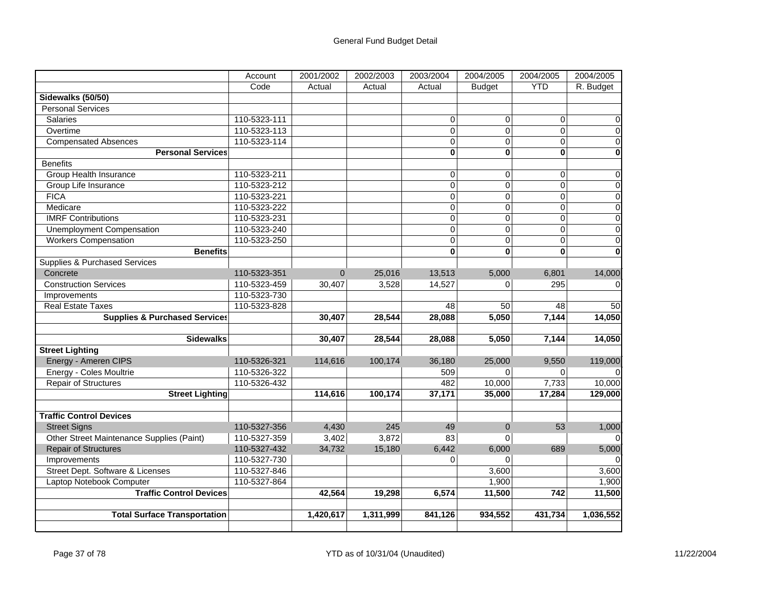|                                           | Account      | 2001/2002 | 2002/2003 | 2003/2004      | 2004/2005      | 2004/2005      | 2004/2005      |
|-------------------------------------------|--------------|-----------|-----------|----------------|----------------|----------------|----------------|
|                                           | Code         | Actual    | Actual    | Actual         | <b>Budget</b>  | <b>YTD</b>     | R. Budget      |
| Sidewalks (50/50)                         |              |           |           |                |                |                |                |
| <b>Personal Services</b>                  |              |           |           |                |                |                |                |
| <b>Salaries</b>                           | 110-5323-111 |           |           | $\Omega$       | 0              | 0              | 0              |
| Overtime                                  | 110-5323-113 |           |           | $\overline{0}$ | $\mathbf 0$    | $\mathbf 0$    | 0              |
| <b>Compensated Absences</b>               | 110-5323-114 |           |           | $\Omega$       | $\overline{0}$ | $\overline{0}$ | $\mathbf 0$    |
| <b>Personal Services</b>                  |              |           |           | $\bf{0}$       | $\bf{0}$       | $\bf{0}$       | $\bf{0}$       |
| <b>Benefits</b>                           |              |           |           |                |                |                |                |
| <b>Group Health Insurance</b>             | 110-5323-211 |           |           | $\overline{0}$ | $\mathbf 0$    | $\Omega$       | $\mathbf 0$    |
| Group Life Insurance                      | 110-5323-212 |           |           | $\mathbf 0$    | $\overline{0}$ | $\overline{0}$ | $\overline{0}$ |
| <b>FICA</b>                               | 110-5323-221 |           |           | $\Omega$       | $\mathbf 0$    | $\Omega$       | $\mathbf 0$    |
| Medicare                                  | 110-5323-222 |           |           | $\mathbf 0$    | $\mathsf 0$    | $\mathbf 0$    | $\mathsf 0$    |
| <b>IMRF Contributions</b>                 | 110-5323-231 |           |           | $\overline{0}$ | $\overline{0}$ | $\overline{0}$ | $\overline{0}$ |
| <b>Unemployment Compensation</b>          | 110-5323-240 |           |           | $\overline{0}$ | $\overline{0}$ | $\overline{0}$ | $\overline{0}$ |
| <b>Workers Compensation</b>               | 110-5323-250 |           |           | $\overline{0}$ | $\overline{0}$ | $\overline{0}$ | $\mathsf 0$    |
| <b>Benefits</b>                           |              |           |           | $\bf{0}$       | $\bf{0}$       | $\bf{0}$       | $\mathbf{0}$   |
| Supplies & Purchased Services             |              |           |           |                |                |                |                |
| Concrete                                  | 110-5323-351 | $\Omega$  | 25,016    | 13,513         | 5,000          | 6,801          | 14,000         |
| <b>Construction Services</b>              | 110-5323-459 | 30,407    | 3,528     | 14,527         | $\Omega$       | 295            | $\Omega$       |
| Improvements                              | 110-5323-730 |           |           |                |                |                |                |
| <b>Real Estate Taxes</b>                  | 110-5323-828 |           |           | 48             | 50             | 48             | 50             |
| <b>Supplies &amp; Purchased Services</b>  |              | 30,407    | 28,544    | 28,088         | 5,050          | 7,144          | 14,050         |
|                                           |              |           |           |                |                |                |                |
| <b>Sidewalks</b>                          |              | 30,407    | 28,544    | 28,088         | 5,050          | 7,144          | 14,050         |
| <b>Street Lighting</b>                    |              |           |           |                |                |                |                |
| Energy - Ameren CIPS                      | 110-5326-321 | 114,616   | 100,174   | 36,180         | 25,000         | 9,550          | 119,000        |
| Energy - Coles Moultrie                   | 110-5326-322 |           |           | 509            | $\Omega$       | $\Omega$       |                |
| <b>Repair of Structures</b>               | 110-5326-432 |           |           | 482            | 10,000         | 7,733          | 10,000         |
| <b>Street Lighting</b>                    |              | 114,616   | 100,174   | 37,171         | 35,000         | 17,284         | 129,000        |
|                                           |              |           |           |                |                |                |                |
| <b>Traffic Control Devices</b>            |              |           |           |                |                |                |                |
| <b>Street Signs</b>                       | 110-5327-356 | 4,430     | 245       | 49             | $\mathbf{0}$   | 53             | 1,000          |
| Other Street Maintenance Supplies (Paint) | 110-5327-359 | 3,402     | 3,872     | 83             | $\Omega$       |                |                |
| <b>Repair of Structures</b>               | 110-5327-432 | 34,732    | 15,180    | 6,442          | 6,000          | 689            | 5,000          |
| Improvements                              | 110-5327-730 |           |           | $\Omega$       | $\Omega$       |                |                |
| Street Dept. Software & Licenses          | 110-5327-846 |           |           |                | 3,600          |                | 3,600          |
| Laptop Notebook Computer                  | 110-5327-864 |           |           |                | 1,900          |                | 1,900          |
| <b>Traffic Control Devices</b>            |              | 42,564    | 19,298    | 6,574          | 11,500         | 742            | 11,500         |
|                                           |              |           |           |                |                |                |                |
| <b>Total Surface Transportation</b>       |              | 1,420,617 | 1,311,999 | 841,126        | 934,552        | 431,734        | 1,036,552      |
|                                           |              |           |           |                |                |                |                |
|                                           |              |           |           |                |                |                |                |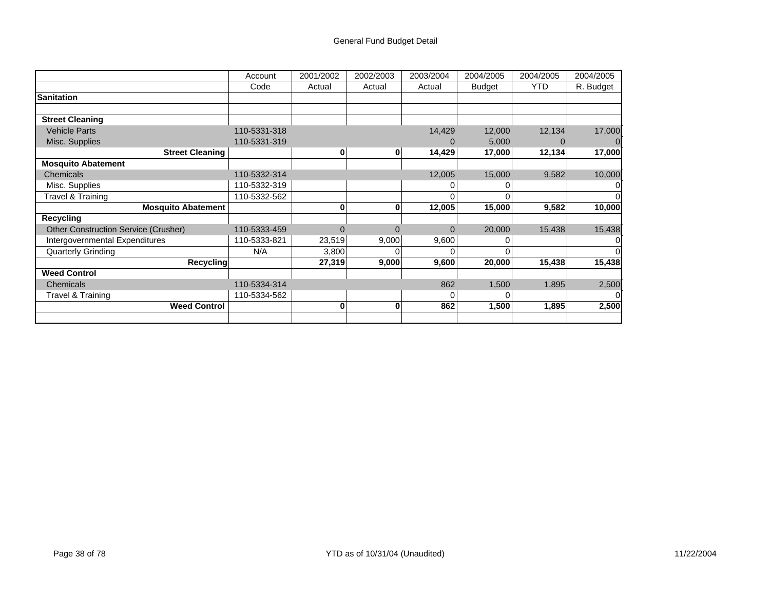|                                             | Account      | 2001/2002 | 2002/2003 | 2003/2004 | 2004/2005     | 2004/2005  | 2004/2005 |
|---------------------------------------------|--------------|-----------|-----------|-----------|---------------|------------|-----------|
|                                             | Code         | Actual    | Actual    | Actual    | <b>Budget</b> | <b>YTD</b> | R. Budget |
| <b>Sanitation</b>                           |              |           |           |           |               |            |           |
|                                             |              |           |           |           |               |            |           |
| <b>Street Cleaning</b>                      |              |           |           |           |               |            |           |
| <b>Vehicle Parts</b>                        | 110-5331-318 |           |           | 14,429    | 12,000        | 12,134     | 17,000    |
| Misc. Supplies                              | 110-5331-319 |           |           |           | 5,000         |            |           |
| <b>Street Cleaning</b>                      |              | 0         | 0         | 14,429    | 17,000        | 12,134     | 17,000    |
| <b>Mosquito Abatement</b>                   |              |           |           |           |               |            |           |
| Chemicals                                   | 110-5332-314 |           |           | 12,005    | 15,000        | 9,582      | 10,000    |
| Misc. Supplies                              | 110-5332-319 |           |           |           |               |            |           |
| Travel & Training                           | 110-5332-562 |           |           |           |               |            |           |
| <b>Mosquito Abatement</b>                   |              | 0         | 0         | 12,005    | 15,000        | 9,582      | 10,000    |
| Recycling                                   |              |           |           |           |               |            |           |
| <b>Other Construction Service (Crusher)</b> | 110-5333-459 | 0         | $\Omega$  | $\Omega$  | 20,000        | 15,438     | 15,438    |
| Intergovernmental Expenditures              | 110-5333-821 | 23,519    | 9,000     | 9,600     |               |            |           |
| <b>Quarterly Grinding</b>                   | N/A          | 3,800     |           |           |               |            |           |
| Recycling                                   |              | 27,319    | 9,000     | 9,600     | 20,000        | 15,438     | 15,438    |
| <b>Weed Control</b>                         |              |           |           |           |               |            |           |
| Chemicals                                   | 110-5334-314 |           |           | 862       | 1,500         | 1,895      | 2,500     |
| Travel & Training                           | 110-5334-562 |           |           | U         |               |            |           |
| <b>Weed Control</b>                         |              | 0         | 0         | 862       | 1,500         | 1,895      | 2,500     |
|                                             |              |           |           |           |               |            |           |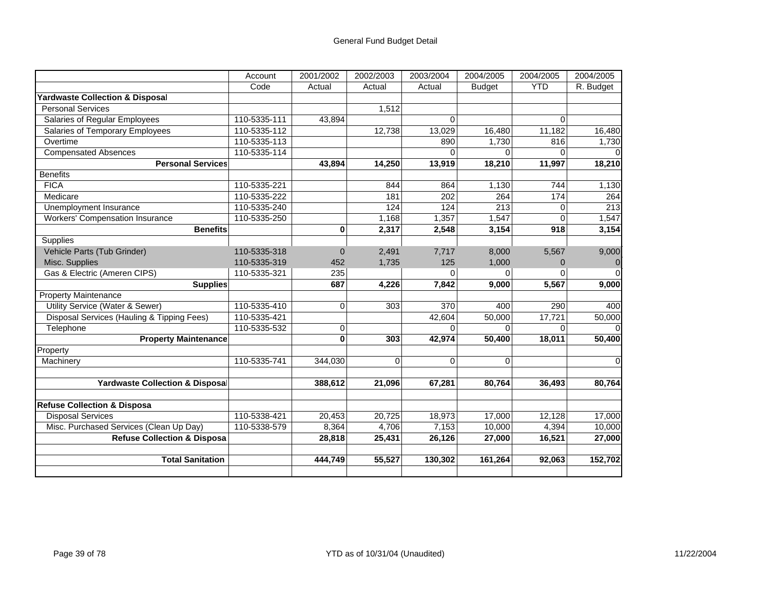|                                            | Account      | 2001/2002 | 2002/2003   | 2003/2004 | 2004/2005     | 2004/2005  | 2004/2005   |
|--------------------------------------------|--------------|-----------|-------------|-----------|---------------|------------|-------------|
|                                            | Code         | Actual    | Actual      | Actual    | <b>Budget</b> | <b>YTD</b> | R. Budget   |
| Yardwaste Collection & Disposal            |              |           |             |           |               |            |             |
| <b>Personal Services</b>                   |              |           | 1,512       |           |               |            |             |
| Salaries of Regular Employees              | 110-5335-111 | 43,894    |             | $\Omega$  |               | $\Omega$   |             |
| Salaries of Temporary Employees            | 110-5335-112 |           | 12,738      | 13,029    | 16,480        | 11,182     | 16,480      |
| Overtime                                   | 110-5335-113 |           |             | 890       | 1,730         | 816        | 1,730       |
| <b>Compensated Absences</b>                | 110-5335-114 |           |             | $\Omega$  | $\Omega$      | $\Omega$   |             |
| <b>Personal Services</b>                   |              | 43,894    | 14,250      | 13,919    | 18,210        | 11,997     | 18,210      |
| <b>Benefits</b>                            |              |           |             |           |               |            |             |
| <b>FICA</b>                                | 110-5335-221 |           | 844         | 864       | 1,130         | 744        | 1,130       |
| Medicare                                   | 110-5335-222 |           | 181         | 202       | 264           | 174        | 264         |
| Unemployment Insurance                     | 110-5335-240 |           | 124         | 124       | 213           | $\Omega$   | 213         |
| <b>Workers' Compensation Insurance</b>     | 110-5335-250 |           | 1,168       | 1,357     | 1,547         | $\Omega$   | 1,547       |
| <b>Benefits</b>                            |              | 0         | 2,317       | 2,548     | 3,154         | 918        | 3,154       |
| Supplies                                   |              |           |             |           |               |            |             |
| Vehicle Parts (Tub Grinder)                | 110-5335-318 | 0         | 2,491       | 7,717     | 8,000         | 5,567      | 9,000       |
| Misc. Supplies                             | 110-5335-319 | 452       | 1,735       | 125       | 1,000         | $\Omega$   |             |
| Gas & Electric (Ameren CIPS)               | 110-5335-321 | 235       |             | 0         | 0             | $\Omega$   |             |
| <b>Supplies</b>                            |              | 687       | 4,226       | 7,842     | 9,000         | 5,567      | 9,000       |
| <b>Property Maintenance</b>                |              |           |             |           |               |            |             |
| Utility Service (Water & Sewer)            | 110-5335-410 | $\Omega$  | 303         | 370       | 400           | 290        | 400         |
| Disposal Services (Hauling & Tipping Fees) | 110-5335-421 |           |             | 42,604    | 50,000        | 17,721     | 50,000      |
| Telephone                                  | 110-5335-532 | 0         |             | 0         | $\Omega$      | $\Omega$   |             |
| <b>Property Maintenance</b>                |              | $\bf{0}$  | 303         | 42,974    | 50,400        | 18,011     | 50,400      |
| Property                                   |              |           |             |           |               |            |             |
| Machinery                                  | 110-5335-741 | 344,030   | $\mathbf 0$ | $\Omega$  | $\Omega$      |            | $\mathbf 0$ |
|                                            |              |           |             |           |               |            |             |
| <b>Yardwaste Collection &amp; Disposal</b> |              | 388,612   | 21,096      | 67,281    | 80,764        | 36,493     | 80,764      |
| <b>Refuse Collection &amp; Disposa</b>     |              |           |             |           |               |            |             |
| <b>Disposal Services</b>                   | 110-5338-421 | 20,453    | 20,725      | 18,973    | 17,000        | 12,128     | 17,000      |
| Misc. Purchased Services (Clean Up Day)    | 110-5338-579 | 8,364     | 4,706       | 7,153     | 10,000        | 4,394      | 10,000      |
| <b>Refuse Collection &amp; Disposa</b>     |              | 28,818    | 25,431      | 26,126    | 27,000        | 16,521     | 27,000      |
|                                            |              |           |             |           |               |            |             |
| <b>Total Sanitation</b>                    |              | 444,749   | 55,527      | 130,302   | 161,264       | 92,063     | 152,702     |
|                                            |              |           |             |           |               |            |             |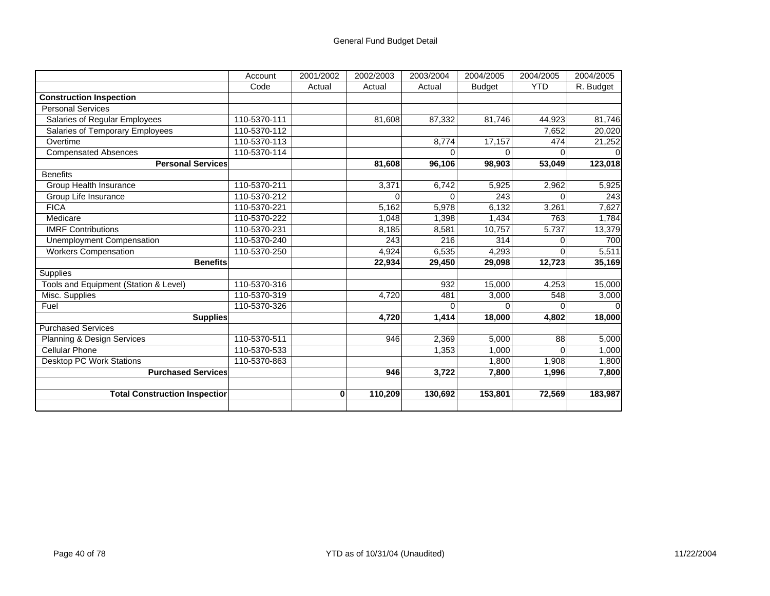|                                       | Account      | 2001/2002 | 2002/2003 | 2003/2004 | 2004/2005     | 2004/2005    | 2004/2005 |
|---------------------------------------|--------------|-----------|-----------|-----------|---------------|--------------|-----------|
|                                       | Code         | Actual    | Actual    | Actual    | <b>Budget</b> | <b>YTD</b>   | R. Budget |
| <b>Construction Inspection</b>        |              |           |           |           |               |              |           |
| <b>Personal Services</b>              |              |           |           |           |               |              |           |
| Salaries of Regular Employees         | 110-5370-111 |           | 81,608    | 87,332    | 81,746        | 44,923       | 81,746    |
| Salaries of Temporary Employees       | 110-5370-112 |           |           |           |               | 7,652        | 20,020    |
| Overtime                              | 110-5370-113 |           |           | 8,774     | 17,157        | 474          | 21,252    |
| <b>Compensated Absences</b>           | 110-5370-114 |           |           |           | 0             | <sup>0</sup> |           |
| <b>Personal Services</b>              |              |           | 81,608    | 96,106    | 98,903        | 53,049       | 123,018   |
| <b>Benefits</b>                       |              |           |           |           |               |              |           |
| Group Health Insurance                | 110-5370-211 |           | 3,371     | 6,742     | 5,925         | 2,962        | 5,925     |
| Group Life Insurance                  | 110-5370-212 |           | $\Omega$  | $\Omega$  | 243           | $\Omega$     | 243       |
| <b>FICA</b>                           | 110-5370-221 |           | 5,162     | 5,978     | 6,132         | 3,261        | 7,627     |
| Medicare                              | 110-5370-222 |           | 1,048     | 1,398     | 1,434         | 763          | 1,784     |
| <b>IMRF Contributions</b>             | 110-5370-231 |           | 8,185     | 8,581     | 10,757        | 5,737        | 13,379    |
| <b>Unemployment Compensation</b>      | 110-5370-240 |           | 243       | 216       | 314           | $\Omega$     | 700       |
| <b>Workers Compensation</b>           | 110-5370-250 |           | 4,924     | 6,535     | 4,293         | $\Omega$     | 5,511     |
| <b>Benefits</b>                       |              |           | 22,934    | 29,450    | 29,098        | 12,723       | 35,169    |
| Supplies                              |              |           |           |           |               |              |           |
| Tools and Equipment (Station & Level) | 110-5370-316 |           |           | 932       | 15,000        | 4,253        | 15,000    |
| Misc. Supplies                        | 110-5370-319 |           | 4.720     | 481       | 3,000         | 548          | 3,000     |
| Fuel                                  | 110-5370-326 |           |           |           | 0             | $\Omega$     |           |
| Supplies                              |              |           | 4,720     | 1,414     | 18,000        | 4,802        | 18,000    |
| <b>Purchased Services</b>             |              |           |           |           |               |              |           |
| Planning & Design Services            | 110-5370-511 |           | 946       | 2,369     | 5,000         | 88           | 5,000     |
| <b>Cellular Phone</b>                 | 110-5370-533 |           |           | 1,353     | 1,000         | $\Omega$     | 1,000     |
| Desktop PC Work Stations              | 110-5370-863 |           |           |           | 1,800         | 1,908        | 1,800     |
| <b>Purchased Services</b>             |              |           | 946       | 3,722     | 7,800         | 1,996        | 7,800     |
|                                       |              |           |           |           |               |              |           |
| <b>Total Construction Inspectior</b>  |              | $\bf{0}$  | 110,209   | 130,692   | 153,801       | 72,569       | 183,987   |
|                                       |              |           |           |           |               |              |           |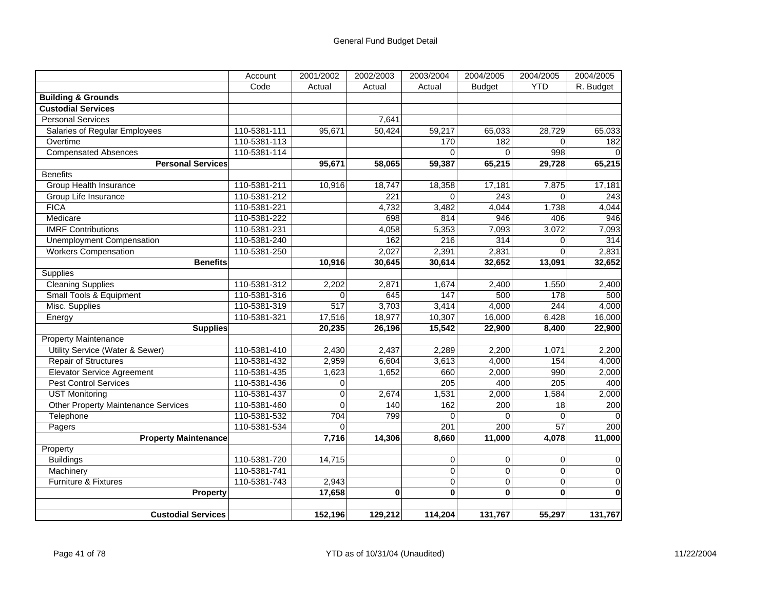|                                            | Account      | 2001/2002        | 2002/2003 | 2003/2004      | 2004/2005      | 2004/2005      | 2004/2005   |
|--------------------------------------------|--------------|------------------|-----------|----------------|----------------|----------------|-------------|
|                                            | Code         | Actual           | Actual    | Actual         | <b>Budget</b>  | <b>YTD</b>     | R. Budget   |
| <b>Building &amp; Grounds</b>              |              |                  |           |                |                |                |             |
| <b>Custodial Services</b>                  |              |                  |           |                |                |                |             |
| <b>Personal Services</b>                   |              |                  | 7,641     |                |                |                |             |
| Salaries of Regular Employees              | 110-5381-111 | 95,671           | 50,424    | 59,217         | 65,033         | 28,729         | 65,033      |
| Overtime                                   | 110-5381-113 |                  |           | 170            | 182            | $\Omega$       | 182         |
| <b>Compensated Absences</b>                | 110-5381-114 |                  |           | $\Omega$       | 0              | 998            |             |
| <b>Personal Services</b>                   |              | 95,671           | 58,065    | 59,387         | 65,215         | 29,728         | 65,215      |
| <b>Benefits</b>                            |              |                  |           |                |                |                |             |
| Group Health Insurance                     | 110-5381-211 | 10,916           | 18,747    | 18,358         | 17,181         | 7,875          | 17,181      |
| Group Life Insurance                       | 110-5381-212 |                  | 221       | $\Omega$       | 243            | $\overline{0}$ | 243         |
| <b>FICA</b>                                | 110-5381-221 |                  | 4,732     | 3,482          | 4,044          | 1,738          | 4,044       |
| Medicare                                   | 110-5381-222 |                  | 698       | 814            | 946            | 406            | 946         |
| <b>IMRF Contributions</b>                  | 110-5381-231 |                  | 4,058     | 5,353          | 7,093          | 3,072          | 7,093       |
| <b>Unemployment Compensation</b>           | 110-5381-240 |                  | 162       | 216            | 314            | 0              | 314         |
| <b>Workers Compensation</b>                | 110-5381-250 |                  | 2,027     | 2,391          | 2,831          | $\Omega$       | 2,831       |
| <b>Benefits</b>                            |              | 10,916           | 30,645    | 30,614         | 32,652         | 13,091         | 32,652      |
| <b>Supplies</b>                            |              |                  |           |                |                |                |             |
| <b>Cleaning Supplies</b>                   | 110-5381-312 | 2,202            | 2,871     | 1,674          | 2,400          | 1,550          | 2,400       |
| Small Tools & Equipment                    | 110-5381-316 | $\Omega$         | 645       | 147            | 500            | 178            | 500         |
| Misc. Supplies                             | 110-5381-319 | $\overline{517}$ | 3,703     | 3,414          | 4,000          | 244            | 4,000       |
| Energy                                     | 110-5381-321 | 17,516           | 18,977    | 10,307         | 16,000         | 6,428          | 16,000      |
| <b>Supplies</b>                            |              | 20,235           | 26,196    | 15,542         | 22,900         | 8,400          | 22,900      |
| <b>Property Maintenance</b>                |              |                  |           |                |                |                |             |
| <b>Utility Service (Water &amp; Sewer)</b> | 110-5381-410 | 2,430            | 2,437     | 2,289          | 2,200          | 1,071          | 2,200       |
| <b>Repair of Structures</b>                | 110-5381-432 | 2,959            | 6,604     | 3,613          | 4,000          | 154            | 4,000       |
| Elevator Service Agreement                 | 110-5381-435 | 1,623            | 1,652     | 660            | 2,000          | 990            | 2,000       |
| <b>Pest Control Services</b>               | 110-5381-436 | $\overline{0}$   |           | 205            | 400            | 205            | 400         |
| <b>UST Monitoring</b>                      | 110-5381-437 | $\mathbf 0$      | 2,674     | 1,531          | 2,000          | 1,584          | 2,000       |
| <b>Other Property Maintenance Services</b> | 110-5381-460 | $\Omega$         | 140       | 162            | 200            | 18             | 200         |
| Telephone                                  | 110-5381-532 | 704              | 799       | $\Omega$       | $\Omega$       | $\Omega$       |             |
| Pagers                                     | 110-5381-534 | $\Omega$         |           | 201            | 200            | 57             | 200         |
| <b>Property Maintenance</b>                |              | 7,716            | 14,306    | 8,660          | 11,000         | 4,078          | 11,000      |
| Property                                   |              |                  |           |                |                |                |             |
| <b>Buildings</b>                           | 110-5381-720 | 14,715           |           | 0              | $\mathbf 0$    | 0              | 0           |
| Machinery                                  | 110-5381-741 |                  |           | $\overline{0}$ | $\overline{0}$ | $\overline{0}$ | 0           |
| Furniture & Fixtures                       | 110-5381-743 | 2,943            |           | 0              | $\mathbf 0$    | 0              | $\mathbf 0$ |
| <b>Property</b>                            |              | 17,658           | $\bf{0}$  | $\mathbf{0}$   | $\mathbf{0}$   | $\bf{0}$       | $\bf{0}$    |
|                                            |              |                  |           |                |                |                |             |
| <b>Custodial Services</b>                  |              | 152,196          | 129,212   | 114,204        | 131,767        | 55,297         | 131,767     |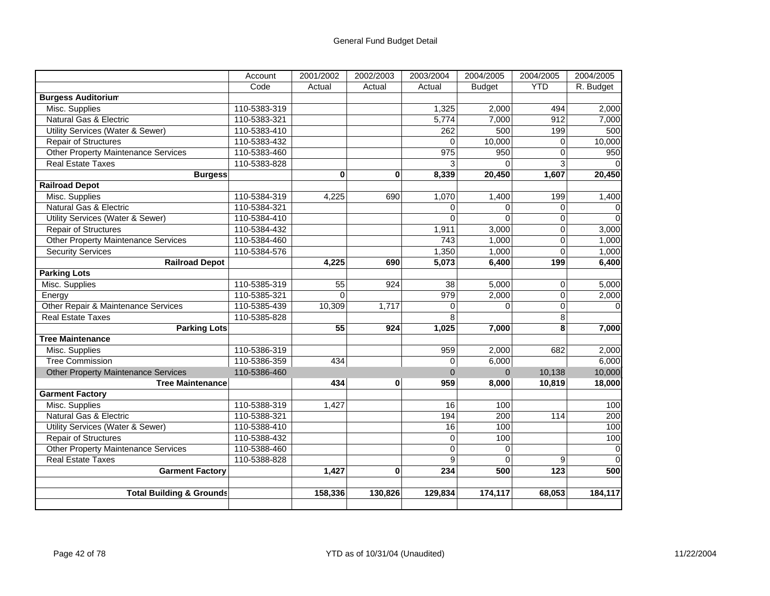|                                             | Account      | 2001/2002       | 2002/2003 | 2003/2004   | 2004/2005     | 2004/2005  | 2004/2005   |
|---------------------------------------------|--------------|-----------------|-----------|-------------|---------------|------------|-------------|
|                                             | Code         | Actual          | Actual    | Actual      | <b>Budget</b> | <b>YTD</b> | R. Budget   |
| <b>Burgess Auditorium</b>                   |              |                 |           |             |               |            |             |
| Misc. Supplies                              | 110-5383-319 |                 |           | 1,325       | 2,000         | 494        | 2,000       |
| Natural Gas & Electric                      | 110-5383-321 |                 |           | 5,774       | 7,000         | 912        | 7,000       |
| <b>Utility Services (Water &amp; Sewer)</b> | 110-5383-410 |                 |           | 262         | 500           | 199        | 500         |
| <b>Repair of Structures</b>                 | 110-5383-432 |                 |           | $\Omega$    | 10,000        | 0          | 10,000      |
| <b>Other Property Maintenance Services</b>  | 110-5383-460 |                 |           | 975         | 950           | $\Omega$   | 950         |
| <b>Real Estate Taxes</b>                    | 110-5383-828 |                 |           | 3           | $\Omega$      | 3          |             |
| <b>Burgess</b>                              |              | 0               | 0         | 8,339       | 20,450        | 1,607      | 20,450      |
| <b>Railroad Depot</b>                       |              |                 |           |             |               |            |             |
| Misc. Supplies                              | 110-5384-319 | 4,225           | 690       | 1,070       | 1,400         | 199        | 1,400       |
| <b>Natural Gas &amp; Electric</b>           | 110-5384-321 |                 |           | $\Omega$    | $\Omega$      | $\Omega$   | $\Omega$    |
| Utility Services (Water & Sewer)            | 110-5384-410 |                 |           | $\mathbf 0$ | $\mathbf 0$   | 0          | $\mathbf 0$ |
| Repair of Structures                        | 110-5384-432 |                 |           | 1,911       | 3,000         | 0          | 3,000       |
| <b>Other Property Maintenance Services</b>  | 110-5384-460 |                 |           | 743         | 1,000         | $\Omega$   | 1,000       |
| <b>Security Services</b>                    | 110-5384-576 |                 |           | 1,350       | 1,000         | $\Omega$   | 1,000       |
| <b>Railroad Depot</b>                       |              | 4,225           | 690       | 5,073       | 6,400         | 199        | 6,400       |
| <b>Parking Lots</b>                         |              |                 |           |             |               |            |             |
| Misc. Supplies                              | 110-5385-319 | $\overline{55}$ | 924       | 38          | 5,000         | $\Omega$   | 5,000       |
| Energy                                      | 110-5385-321 | $\Omega$        |           | 979         | 2,000         | 0          | 2,000       |
| Other Repair & Maintenance Services         | 110-5385-439 | 10,309          | 1,717     | $\mathbf 0$ | $\Omega$      | $\Omega$   | $\Omega$    |
| <b>Real Estate Taxes</b>                    | 110-5385-828 |                 |           | 8           |               | 8          |             |
| <b>Parking Lots</b>                         |              | 55              | 924       | 1,025       | 7,000         | 8          | 7,000       |
| <b>Tree Maintenance</b>                     |              |                 |           |             |               |            |             |
| Misc. Supplies                              | 110-5386-319 |                 |           | 959         | 2,000         | 682        | 2,000       |
| <b>Tree Commission</b>                      | 110-5386-359 | 434             |           | $\mathbf 0$ | 6,000         |            | 6,000       |
| <b>Other Property Maintenance Services</b>  | 110-5386-460 |                 |           | $\Omega$    | $\Omega$      | 10,138     | 10,000      |
| <b>Tree Maintenance</b>                     |              | 434             | 0         | 959         | 8,000         | 10,819     | 18,000      |
| <b>Garment Factory</b>                      |              |                 |           |             |               |            |             |
| Misc. Supplies                              | 110-5388-319 | 1,427           |           | 16          | 100           |            | 100         |
| Natural Gas & Electric                      | 110-5388-321 |                 |           | 194         | 200           | 114        | 200         |
| <b>Utility Services (Water &amp; Sewer)</b> | 110-5388-410 |                 |           | 16          | 100           |            | 100         |
| <b>Repair of Structures</b>                 | 110-5388-432 |                 |           | $\Omega$    | 100           |            | 100         |
| Other Property Maintenance Services         | 110-5388-460 |                 |           | $\Omega$    | $\Omega$      |            | $\Omega$    |
| <b>Real Estate Taxes</b>                    | 110-5388-828 |                 |           | 9           | $\mathbf 0$   | 9          | $\Omega$    |
| <b>Garment Factory</b>                      |              | 1,427           | $\bf{0}$  | 234         | 500           | 123        | 500         |
|                                             |              |                 |           |             |               |            |             |
| <b>Total Building &amp; Grounds</b>         |              | 158,336         | 130,826   | 129,834     | 174,117       | 68,053     | 184,117     |
|                                             |              |                 |           |             |               |            |             |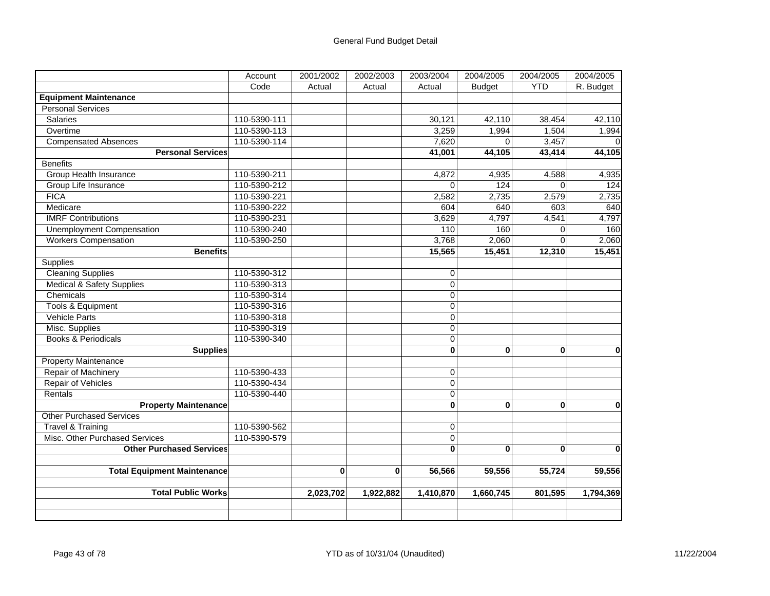|                                      | Account      | 2001/2002 | 2002/2003 | 2003/2004      | 2004/2005     | 2004/2005    | 2004/2005    |
|--------------------------------------|--------------|-----------|-----------|----------------|---------------|--------------|--------------|
|                                      | Code         | Actual    | Actual    | Actual         | <b>Budget</b> | <b>YTD</b>   | R. Budget    |
| <b>Equipment Maintenance</b>         |              |           |           |                |               |              |              |
| <b>Personal Services</b>             |              |           |           |                |               |              |              |
| <b>Salaries</b>                      | 110-5390-111 |           |           | 30,121         | 42,110        | 38,454       | 42,110       |
| Overtime                             | 110-5390-113 |           |           | 3,259          | 1,994         | 1,504        | 1,994        |
| <b>Compensated Absences</b>          | 110-5390-114 |           |           | 7,620          | $\Omega$      | 3,457        |              |
| <b>Personal Services</b>             |              |           |           | 41,001         | 44,105        | 43,414       | 44,105       |
| <b>Benefits</b>                      |              |           |           |                |               |              |              |
| <b>Group Health Insurance</b>        | 110-5390-211 |           |           | 4,872          | 4,935         | 4,588        | 4,935        |
| Group Life Insurance                 | 110-5390-212 |           |           | $\Omega$       | 124           | $\Omega$     | 124          |
| <b>FICA</b>                          | 110-5390-221 |           |           | 2,582          | 2,735         | 2,579        | 2,735        |
| Medicare                             | 110-5390-222 |           |           | 604            | 640           | 603          | 640          |
| <b>IMRF Contributions</b>            | 110-5390-231 |           |           | 3,629          | 4,797         | 4,541        | 4,797        |
| <b>Unemployment Compensation</b>     | 110-5390-240 |           |           | 110            | 160           | $\Omega$     | 160          |
| <b>Workers Compensation</b>          | 110-5390-250 |           |           | 3,768          | 2,060         | $\mathbf 0$  | 2,060        |
| <b>Benefits</b>                      |              |           |           | 15,565         | 15,451        | 12,310       | 15,451       |
| Supplies                             |              |           |           |                |               |              |              |
| <b>Cleaning Supplies</b>             | 110-5390-312 |           |           | 0              |               |              |              |
| <b>Medical &amp; Safety Supplies</b> | 110-5390-313 |           |           | 0              |               |              |              |
| Chemicals                            | 110-5390-314 |           |           | $\overline{0}$ |               |              |              |
| <b>Tools &amp; Equipment</b>         | 110-5390-316 |           |           | 0              |               |              |              |
| <b>Vehicle Parts</b>                 | 110-5390-318 |           |           | 0              |               |              |              |
| Misc. Supplies                       | 110-5390-319 |           |           | 0              |               |              |              |
| <b>Books &amp; Periodicals</b>       | 110-5390-340 |           |           | $\mathbf 0$    |               |              |              |
| <b>Supplies</b>                      |              |           |           | $\mathbf{0}$   | $\bf{0}$      | $\bf{0}$     | $\mathbf 0$  |
| <b>Property Maintenance</b>          |              |           |           |                |               |              |              |
| Repair of Machinery                  | 110-5390-433 |           |           | $\pmb{0}$      |               |              |              |
| Repair of Vehicles                   | 110-5390-434 |           |           | 0              |               |              |              |
| Rentals                              | 110-5390-440 |           |           | $\overline{0}$ |               |              |              |
| <b>Property Maintenance</b>          |              |           |           | 0              | $\bf{0}$      | $\bf{0}$     | $\mathbf 0$  |
| <b>Other Purchased Services</b>      |              |           |           |                |               |              |              |
| <b>Travel &amp; Training</b>         | 110-5390-562 |           |           | 0              |               |              |              |
| Misc. Other Purchased Services       | 110-5390-579 |           |           | 0              |               |              |              |
| <b>Other Purchased Services</b>      |              |           |           | $\bf{0}$       | $\bf{0}$      | $\mathbf{0}$ | $\mathbf{0}$ |
|                                      |              |           |           |                |               |              |              |
| <b>Total Equipment Maintenance</b>   |              | $\bf{0}$  | $\bf{0}$  | 56,566         | 59,556        | 55,724       | 59,556       |
| <b>Total Public Works</b>            |              | 2,023,702 | 1,922,882 | 1,410,870      | 1,660,745     | 801,595      | 1,794,369    |
|                                      |              |           |           |                |               |              |              |
|                                      |              |           |           |                |               |              |              |
|                                      |              |           |           |                |               |              |              |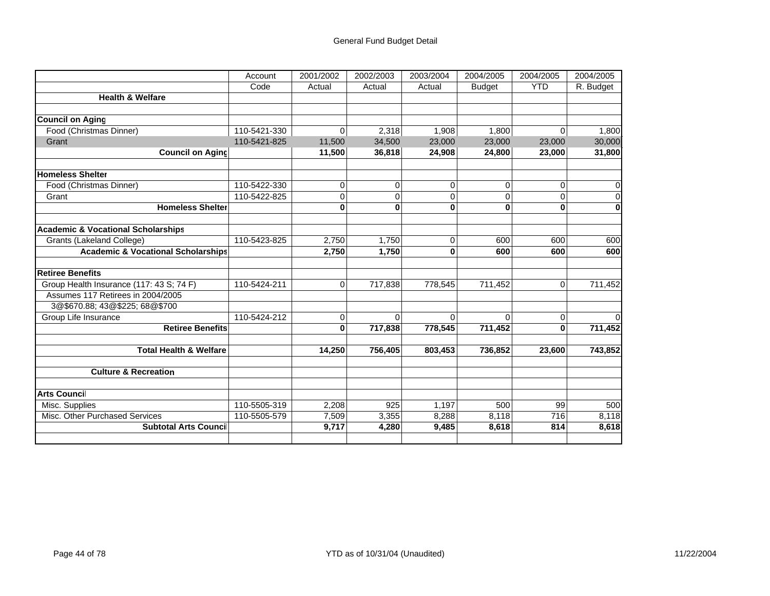|                                               | Account      | 2001/2002      | 2002/2003      | 2003/2004 | 2004/2005     | 2004/2005  | 2004/2005   |
|-----------------------------------------------|--------------|----------------|----------------|-----------|---------------|------------|-------------|
|                                               | Code         | Actual         | Actual         | Actual    | <b>Budget</b> | <b>YTD</b> | R. Budget   |
| <b>Health &amp; Welfare</b>                   |              |                |                |           |               |            |             |
|                                               |              |                |                |           |               |            |             |
| <b>Council on Aging</b>                       |              |                |                |           |               |            |             |
| Food (Christmas Dinner)                       | 110-5421-330 | 0              | 2,318          | 1,908     | 1,800         | 0          | 1,800       |
| Grant                                         | 110-5421-825 | 11,500         | 34,500         | 23,000    | 23,000        | 23,000     | 30,000      |
| <b>Council on Aging</b>                       |              | 11,500         | 36,818         | 24,908    | 24,800        | 23,000     | 31,800      |
|                                               |              |                |                |           |               |            |             |
| <b>Homeless Shelter</b>                       |              |                |                |           |               |            |             |
| Food (Christmas Dinner)                       | 110-5422-330 | 0              | $\overline{0}$ | 0         | 0             | 0          | $\mathbf 0$ |
| Grant                                         | 110-5422-825 | $\overline{0}$ | 0              | 0         | 0             | 0          | $\Omega$    |
| <b>Homeless Shelter</b>                       |              | 0              | $\bf{0}$       | $\bf{0}$  | $\bf{0}$      | 0          | $\bf{0}$    |
|                                               |              |                |                |           |               |            |             |
| <b>Academic &amp; Vocational Scholarships</b> |              |                |                |           |               |            |             |
| Grants (Lakeland College)                     | 110-5423-825 | 2,750          | 1,750          | 0         | 600           | 600        | 600         |
| <b>Academic &amp; Vocational Scholarships</b> |              | 2,750          | 1,750          | 0         | 600           | 600        | 600         |
| <b>Retiree Benefits</b>                       |              |                |                |           |               |            |             |
| Group Health Insurance (117: 43 S; 74 F)      | 110-5424-211 | $\Omega$       | 717,838        | 778,545   | 711,452       | 0          | 711,452     |
| Assumes 117 Retirees in 2004/2005             |              |                |                |           |               |            |             |
| 3@\$670.88; 43@\$225; 68@\$700                |              |                |                |           |               |            |             |
| Group Life Insurance                          | 110-5424-212 | 0              | 0              | 0         | $\Omega$      | 0          |             |
| <b>Retiree Benefits</b>                       |              | $\mathbf{0}$   | 717,838        | 778,545   | 711,452       | $\bf{0}$   | 711,452     |
| <b>Total Health &amp; Welfare</b>             |              | 14,250         | 756,405        | 803,453   | 736,852       | 23,600     | 743,852     |
|                                               |              |                |                |           |               |            |             |
| <b>Culture &amp; Recreation</b>               |              |                |                |           |               |            |             |
| <b>Arts Council</b>                           |              |                |                |           |               |            |             |
| Misc. Supplies                                | 110-5505-319 | 2,208          | 925            | 1,197     | 500           | 99         | 500         |
| Misc. Other Purchased Services                | 110-5505-579 | 7,509          | 3,355          | 8,288     | 8,118         | 716        | 8,118       |
| <b>Subtotal Arts Council</b>                  |              | 9,717          | 4,280          | 9,485     | 8,618         | 814        | 8,618       |
|                                               |              |                |                |           |               |            |             |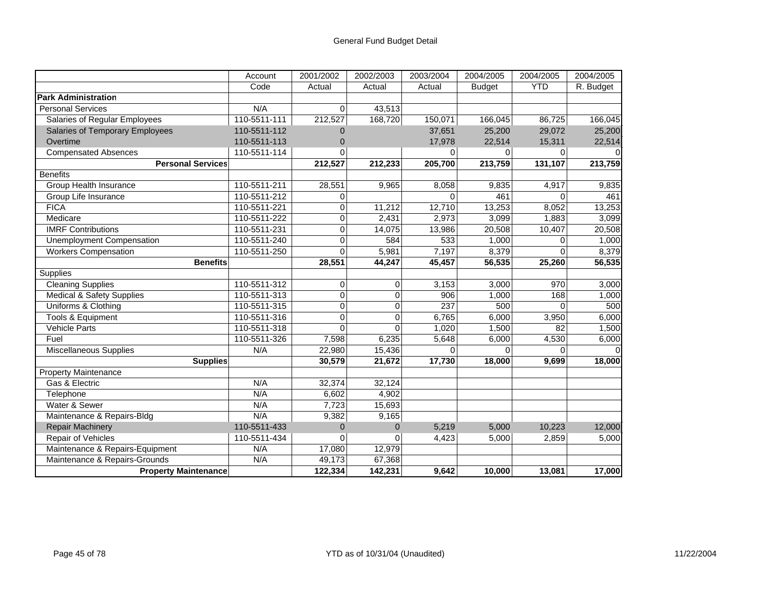|                                      | Account      | 2001/2002      | 2002/2003      | 2003/2004 | 2004/2005     | 2004/2005  | 2004/2005 |
|--------------------------------------|--------------|----------------|----------------|-----------|---------------|------------|-----------|
|                                      | Code         | Actual         | Actual         | Actual    | <b>Budget</b> | <b>YTD</b> | R. Budget |
| <b>Park Administration</b>           |              |                |                |           |               |            |           |
| <b>Personal Services</b>             | N/A          | $\Omega$       | 43,513         |           |               |            |           |
| Salaries of Regular Employees        | 110-5511-111 | 212,527        | 168,720        | 150,071   | 166,045       | 86,725     | 166,045   |
| Salaries of Temporary Employees      | 110-5511-112 | 0              |                | 37,651    | 25,200        | 29,072     | 25,200    |
| Overtime                             | 110-5511-113 | 0              |                | 17,978    | 22,514        | 15,311     | 22,514    |
| <b>Compensated Absences</b>          | 110-5511-114 | 0              |                | $\Omega$  | $\Omega$      | 0          |           |
| <b>Personal Services</b>             |              | 212,527        | 212,233        | 205,700   | 213,759       | 131,107    | 213,759   |
| <b>Benefits</b>                      |              |                |                |           |               |            |           |
| Group Health Insurance               | 110-5511-211 | 28,551         | 9,965          | 8,058     | 9,835         | 4,917      | 9,835     |
| Group Life Insurance                 | 110-5511-212 | 0              |                | $\Omega$  | 461           | $\Omega$   | 461       |
| <b>FICA</b>                          | 110-5511-221 | 0              | 11,212         | 12,710    | 13,253        | 8,052      | 13,253    |
| Medicare                             | 110-5511-222 | 0              | 2,431          | 2,973     | 3,099         | 1,883      | 3,099     |
| <b>IMRF Contributions</b>            | 110-5511-231 | 0              | 14,075         | 13,986    | 20,508        | 10,407     | 20,508    |
| <b>Unemployment Compensation</b>     | 110-5511-240 | 0              | 584            | 533       | 1,000         | $\Omega$   | 1,000     |
| <b>Workers Compensation</b>          | 110-5511-250 | $\Omega$       | 5,981          | 7,197     | 8,379         | $\Omega$   | 8,379     |
| <b>Benefits</b>                      |              | 28,551         | 44,247         | 45,457    | 56,535        | 25,260     | 56,535    |
| Supplies                             |              |                |                |           |               |            |           |
| <b>Cleaning Supplies</b>             | 110-5511-312 | 0              | $\Omega$       | 3,153     | 3,000         | 970        | 3,000     |
| <b>Medical &amp; Safety Supplies</b> | 110-5511-313 | 0              | $\Omega$       | 906       | 1,000         | 168        | 1,000     |
| Uniforms & Clothing                  | 110-5511-315 | 0              | $\overline{0}$ | 237       | 500           | $\Omega$   | 500       |
| Tools & Equipment                    | 110-5511-316 | 0              | $\Omega$       | 6,765     | 6,000         | 3,950      | 6,000     |
| <b>Vehicle Parts</b>                 | 110-5511-318 | $\Omega$       | $\Omega$       | 1,020     | 1,500         | 82         | 1,500     |
| Fuel                                 | 110-5511-326 | 7,598          | 6,235          | 5,648     | 6,000         | 4,530      | 6,000     |
| Miscellaneous Supplies               | N/A          | 22,980         | 15,436         | $\Omega$  | $\Omega$      | $\Omega$   |           |
| <b>Supplies</b>                      |              | 30,579         | 21,672         | 17,730    | 18,000        | 9.699      | 18,000    |
| Property Maintenance                 |              |                |                |           |               |            |           |
| Gas & Electric                       | N/A          | 32,374         | 32,124         |           |               |            |           |
| Telephone                            | N/A          | 6,602          | 4,902          |           |               |            |           |
| Water & Sewer                        | N/A          | 7,723          | 15,693         |           |               |            |           |
| Maintenance & Repairs-Bldg           | N/A          | 9,382          | 9,165          |           |               |            |           |
| <b>Repair Machinery</b>              | 110-5511-433 | $\overline{0}$ | $\Omega$       | 5,219     | 5,000         | 10,223     | 12,000    |
| Repair of Vehicles                   | 110-5511-434 | $\Omega$       | U              | 4,423     | 5,000         | 2,859      | 5,000     |
| Maintenance & Repairs-Equipment      | N/A          | 17,080         | 12,979         |           |               |            |           |
| Maintenance & Repairs-Grounds        | N/A          | 49,173         | 67,368         |           |               |            |           |
| <b>Property Maintenance</b>          |              | 122,334        | 142,231        | 9,642     | 10,000        | 13,081     | 17,000    |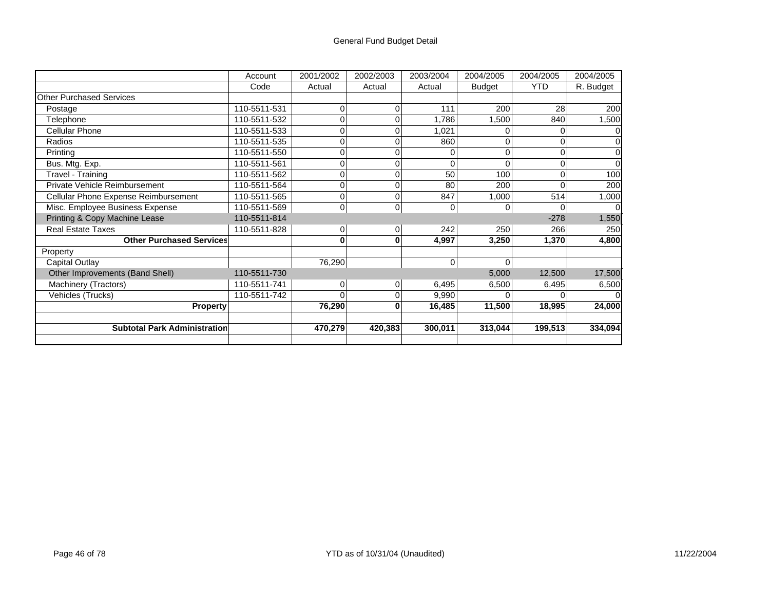## General Fund Budget Detail

|                                      | Account      | 2001/2002      | 2002/2003      | 2003/2004 | 2004/2005     | 2004/2005  | 2004/2005 |
|--------------------------------------|--------------|----------------|----------------|-----------|---------------|------------|-----------|
|                                      | Code         | Actual         | Actual         | Actual    | <b>Budget</b> | <b>YTD</b> | R. Budget |
| <b>Other Purchased Services</b>      |              |                |                |           |               |            |           |
| Postage                              | 110-5511-531 | 0              | 0              | 111       | 200           | 28         | 200       |
| Telephone                            | 110-5511-532 |                | 0              | 1,786     | 1,500         | 840        | 1,500     |
| <b>Cellular Phone</b>                | 110-5511-533 | 0              | 0              | 1,021     |               |            |           |
| Radios                               | 110-5511-535 | 0              | 0              | 860       |               |            |           |
| Printing                             | 110-5511-550 | 0              | 0              |           | 0             |            |           |
| Bus. Mtg. Exp.                       | 110-5511-561 | 0              | 0              |           |               |            |           |
| Travel - Training                    | 110-5511-562 | 0              | 0              | 50        | 100           |            | 100       |
| Private Vehicle Reimbursement        | 110-5511-564 | 0              | 0              | 80        | 200           |            | 200       |
| Cellular Phone Expense Reimbursement | 110-5511-565 | 0              | 0              | 847       | 1,000         | 514        | 1,000     |
| Misc. Employee Business Expense      | 110-5511-569 | 0              | $\overline{0}$ | 0         | 0             |            |           |
| Printing & Copy Machine Lease        | 110-5511-814 |                |                |           |               | $-278$     | 1,550     |
| <b>Real Estate Taxes</b>             | 110-5511-828 | $\overline{0}$ | 0              | 242       | 250           | 266        | 250       |
| <b>Other Purchased Services</b>      |              | 0              | 0              | 4,997     | 3,250         | 1,370      | 4,800     |
| Property                             |              |                |                |           |               |            |           |
| Capital Outlay                       |              | 76,290         |                | 0         | 0             |            |           |
| Other Improvements (Band Shell)      | 110-5511-730 |                |                |           | 5,000         | 12,500     | 17,500    |
| Machinery (Tractors)                 | 110-5511-741 | $\Omega$       | $\overline{0}$ | 6,495     | 6,500         | 6,495      | 6,500     |
| Vehicles (Trucks)                    | 110-5511-742 | U              | 0              | 9,990     |               |            |           |
| <b>Property</b>                      |              | 76,290         | 0              | 16,485    | 11,500        | 18,995     | 24,000    |
|                                      |              |                |                |           |               |            |           |
| <b>Subtotal Park Administration</b>  |              | 470,279        | 420,383        | 300,011   | 313,044       | 199,513    | 334,094   |
|                                      |              |                |                |           |               |            |           |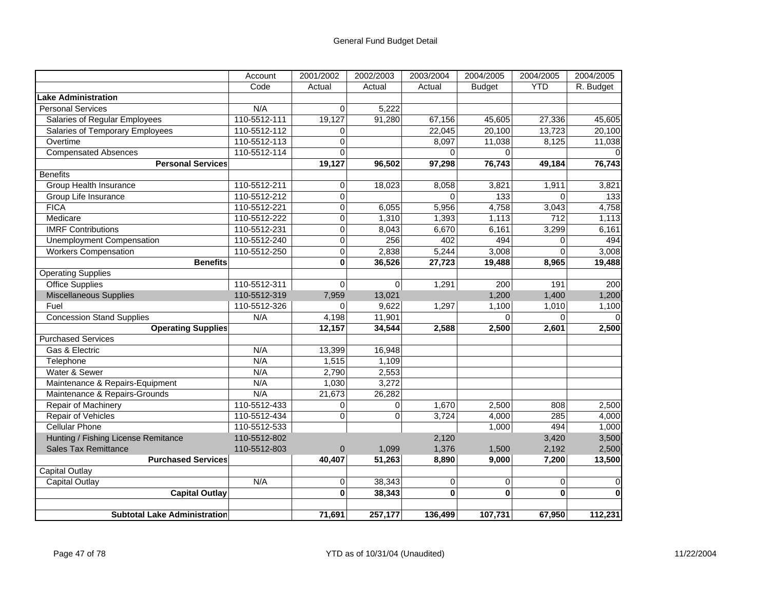|                                     | Account      | 2001/2002      | 2002/2003      | 2003/2004    | 2004/2005        | 2004/2005        | 2004/2005    |
|-------------------------------------|--------------|----------------|----------------|--------------|------------------|------------------|--------------|
|                                     | Code         | Actual         | Actual         | Actual       | <b>Budget</b>    | <b>YTD</b>       | R. Budget    |
| Lake Administration                 |              |                |                |              |                  |                  |              |
| <b>Personal Services</b>            | N/A          | $\Omega$       | 5,222          |              |                  |                  |              |
| Salaries of Regular Employees       | 110-5512-111 | 19,127         | 91,280         | 67,156       | 45,605           | 27,336           | 45,605       |
| Salaries of Temporary Employees     | 110-5512-112 | 0              |                | 22,045       | 20,100           | 13,723           | 20,100       |
| Overtime                            | 110-5512-113 | $\overline{0}$ |                | 8,097        | 11,038           | 8,125            | 11,038       |
| <b>Compensated Absences</b>         | 110-5512-114 | $\Omega$       |                | $\Omega$     | $\Omega$         |                  |              |
| <b>Personal Services</b>            |              | 19,127         | 96,502         | 97,298       | 76,743           | 49,184           | 76,743       |
| <b>Benefits</b>                     |              |                |                |              |                  |                  |              |
| Group Health Insurance              | 110-5512-211 | 0              | 18,023         | 8,058        | 3,821            | 1,911            | 3,821        |
| Group Life Insurance                | 110-5512-212 | $\mathbf 0$    |                | $\Omega$     | $\overline{133}$ | $\Omega$         | 133          |
| <b>FICA</b>                         | 110-5512-221 | $\mathbf 0$    | 6,055          | 5,956        | 4,758            | 3,043            | 4,758        |
| Medicare                            | 110-5512-222 | $\mathbf 0$    | 1,310          | 1,393        | 1,113            | $\overline{712}$ | 1,113        |
| <b>IMRF</b> Contributions           | 110-5512-231 | 0              | 8,043          | 6,670        | 6,161            | 3,299            | 6,161        |
| <b>Unemployment Compensation</b>    | 110-5512-240 | $\overline{0}$ | 256            | 402          | 494              | $\Omega$         | 494          |
| <b>Workers Compensation</b>         | 110-5512-250 | $\mathbf 0$    | 2,838          | 5,244        | 3,008            | 0                | 3,008        |
| <b>Benefits</b>                     |              | $\mathbf 0$    | 36,526         | 27,723       | 19,488           | 8,965            | 19,488       |
| <b>Operating Supplies</b>           |              |                |                |              |                  |                  |              |
| <b>Office Supplies</b>              | 110-5512-311 | $\mathbf 0$    | $\overline{0}$ | 1,291        | 200              | 191              | 200          |
| <b>Miscellaneous Supplies</b>       | 110-5512-319 | 7,959          | 13,021         |              | 1,200            | 1,400            | 1,200        |
| Fuel                                | 110-5512-326 | 0              | 9,622          | 1,297        | 1,100            | 1,010            | 1,100        |
| <b>Concession Stand Supplies</b>    | N/A          | 4,198          | 11,901         |              | $\Omega$         | $\Omega$         |              |
| <b>Operating Supplies</b>           |              | 12,157         | 34,544         | 2,588        | 2,500            | 2,601            | 2,500        |
| <b>Purchased Services</b>           |              |                |                |              |                  |                  |              |
| Gas & Electric                      | N/A          | 13,399         | 16,948         |              |                  |                  |              |
| Telephone                           | N/A          | 1,515          | 1,109          |              |                  |                  |              |
| Water & Sewer                       | N/A          | 2,790          | 2,553          |              |                  |                  |              |
| Maintenance & Repairs-Equipment     | N/A          | 1,030          | 3,272          |              |                  |                  |              |
| Maintenance & Repairs-Grounds       | N/A          | 21,673         | 26,282         |              |                  |                  |              |
| Repair of Machinery                 | 110-5512-433 | 0              | 0              | 1,670        | 2,500            | 808              | 2,500        |
| <b>Repair of Vehicles</b>           | 110-5512-434 | $\Omega$       | $\Omega$       | 3,724        | 4,000            | 285              | 4,000        |
| <b>Cellular Phone</b>               | 110-5512-533 |                |                |              | 1,000            | 494              | 1,000        |
| Hunting / Fishing License Remitance | 110-5512-802 |                |                | 2,120        |                  | 3,420            | 3,500        |
| <b>Sales Tax Remittance</b>         | 110-5512-803 | $\mathbf 0$    | 1,099          | 1,376        | 1,500            | 2,192            | 2,500        |
| <b>Purchased Services</b>           |              | 40.407         | 51,263         | 8,890        | 9,000            | 7,200            | 13,500       |
| <b>Capital Outlay</b>               |              |                |                |              |                  |                  |              |
| <b>Capital Outlay</b>               | N/A          | $\mathbf 0$    | 38,343         | $\mathbf 0$  | $\mathbf 0$      | 0                | 0            |
| <b>Capital Outlay</b>               |              | $\mathbf{0}$   | 38,343         | $\mathbf{0}$ | $\mathbf{0}$     | $\mathbf{0}$     | $\mathbf{0}$ |
| <b>Subtotal Lake Administration</b> |              | 71,691         | 257,177        | 136.499      | 107,731          | 67.950           | 112,231      |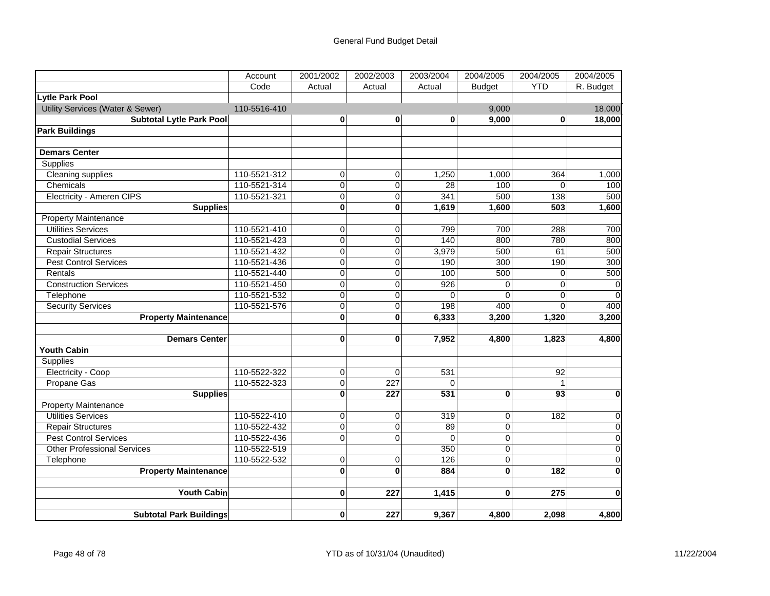|                                    | Account      | 2001/2002      | 2002/2003        | 2003/2004 | 2004/2005      | 2004/2005  | 2004/2005   |
|------------------------------------|--------------|----------------|------------------|-----------|----------------|------------|-------------|
|                                    | Code         | Actual         | Actual           | Actual    | <b>Budget</b>  | <b>YTD</b> | R. Budget   |
| Lytle Park Pool                    |              |                |                  |           |                |            |             |
| Utility Services (Water & Sewer)   | 110-5516-410 |                |                  |           | 9,000          |            | 18,000      |
| <b>Subtotal Lytle Park Pool</b>    |              | $\bf{0}$       | $\bf{0}$         | $\bf{0}$  | 9,000          | $\bf{0}$   | 18,000      |
| <b>Park Buildings</b>              |              |                |                  |           |                |            |             |
|                                    |              |                |                  |           |                |            |             |
| <b>Demars Center</b>               |              |                |                  |           |                |            |             |
| <b>Supplies</b>                    |              |                |                  |           |                |            |             |
| <b>Cleaning supplies</b>           | 110-5521-312 | 0              | 0                | 1,250     | 1,000          | 364        | 1,000       |
| Chemicals                          | 110-5521-314 | $\mathbf 0$    | $\overline{0}$   | 28        | 100            | $\Omega$   | 100         |
| Electricity - Ameren CIPS          | 110-5521-321 | $\mathbf 0$    | $\mathbf 0$      | 341       | 500            | 138        | 500         |
| <b>Supplies</b>                    |              | $\mathbf{0}$   | $\bf{0}$         | 1,619     | 1,600          | 503        | 1,600       |
| <b>Property Maintenance</b>        |              |                |                  |           |                |            |             |
| <b>Utilities Services</b>          | 110-5521-410 | $\overline{0}$ | $\overline{0}$   | 799       | 700            | 288        | 700         |
| <b>Custodial Services</b>          | 110-5521-423 | 0              | 0                | 140       | 800            | 780        | 800         |
| <b>Repair Structures</b>           | 110-5521-432 | $\mathbf 0$    | $\mathbf 0$      | 3,979     | 500            | 61         | 500         |
| <b>Pest Control Services</b>       | 110-5521-436 | $\mathbf 0$    | $\mathbf 0$      | 190       | 300            | 190        | 300         |
| Rentals                            | 110-5521-440 | $\overline{0}$ | $\overline{0}$   | 100       | 500            | $\Omega$   | 500         |
| <b>Construction Services</b>       | 110-5521-450 | $\overline{0}$ | $\overline{0}$   | 926       | $\Omega$       | $\Omega$   | $\mathbf 0$ |
| Telephone                          | 110-5521-532 | $\mathbf 0$    | $\overline{0}$   | $\Omega$  | $\Omega$       | $\Omega$   | $\mathbf 0$ |
| <b>Security Services</b>           | 110-5521-576 | 0              | 0                | 198       | 400            | 0          | 400         |
| <b>Property Maintenance</b>        |              | $\mathbf{0}$   | $\bf{0}$         | 6,333     | 3,200          | 1,320      | 3,200       |
|                                    |              |                |                  |           |                |            |             |
| <b>Demars Center</b>               |              | $\bf{0}$       | $\bf{0}$         | 7,952     | 4,800          | 1,823      | 4,800       |
| <b>Youth Cabin</b>                 |              |                |                  |           |                |            |             |
| Supplies                           |              |                |                  |           |                |            |             |
| Electricity - Coop                 | 110-5522-322 | 0              | $\mathbf 0$      | 531       |                | 92         |             |
| Propane Gas                        | 110-5522-323 | $\mathbf 0$    | $\overline{227}$ | $\Omega$  |                |            |             |
| <b>Supplies</b>                    |              | O              | 227              | 531       | $\bf{0}$       | 93         | 0           |
| <b>Property Maintenance</b>        |              |                |                  |           |                |            |             |
| <b>Utilities Services</b>          | 110-5522-410 | $\overline{0}$ | $\overline{0}$   | 319       | $\mathbf 0$    | 182        | $\mathbf 0$ |
| <b>Repair Structures</b>           | 110-5522-432 | $\mathbf 0$    | $\overline{0}$   | 89        | $\mathbf 0$    |            | $\mathbf 0$ |
| <b>Pest Control Services</b>       | 110-5522-436 | $\overline{0}$ | $\overline{0}$   | $\Omega$  | $\overline{0}$ |            | $\Omega$    |
| <b>Other Professional Services</b> | 110-5522-519 |                |                  | 350       | $\mathbf 0$    |            | $\mathbf 0$ |
| Telephone                          | 110-5522-532 | $\overline{0}$ | $\overline{0}$   | 126       | $\Omega$       |            | $\mathbf 0$ |
| <b>Property Maintenance</b>        |              | $\mathbf 0$    | $\mathbf 0$      | 884       | $\mathbf{0}$   | 182        | $\mathbf 0$ |
|                                    |              |                |                  |           |                |            |             |
| <b>Youth Cabin</b>                 |              | 0              | 227              | 1,415     | $\bf{0}$       | 275        | $\mathbf 0$ |
|                                    |              |                |                  |           |                |            |             |
| <b>Subtotal Park Buildings</b>     |              | $\bf{0}$       | 227              | 9,367     | 4,800          | 2.098      | 4,800       |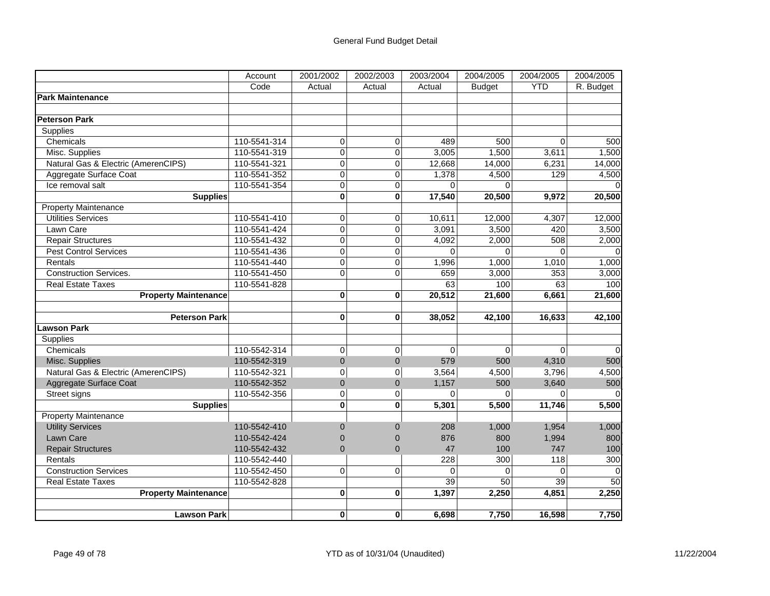|                                     | Account      | 2001/2002      | 2002/2003               | 2003/2004 | 2004/2005     | 2004/2005      | 2004/2005 |
|-------------------------------------|--------------|----------------|-------------------------|-----------|---------------|----------------|-----------|
|                                     | Code         | Actual         | Actual                  | Actual    | <b>Budget</b> | <b>YTD</b>     | R. Budget |
| <b>Park Maintenance</b>             |              |                |                         |           |               |                |           |
|                                     |              |                |                         |           |               |                |           |
| <b>Peterson Park</b>                |              |                |                         |           |               |                |           |
| Supplies                            |              |                |                         |           |               |                |           |
| Chemicals                           | 110-5541-314 | 0              | 0                       | 489       | 500           | $\overline{0}$ | 500       |
| Misc. Supplies                      | 110-5541-319 | $\overline{0}$ | $\overline{0}$          | 3,005     | 1,500         | 3,611          | 1,500     |
| Natural Gas & Electric (AmerenCIPS) | 110-5541-321 | 0              | $\overline{0}$          | 12,668    | 14,000        | 6,231          | 14,000    |
| Aggregate Surface Coat              | 110-5541-352 | 0              | 0                       | 1,378     | 4,500         | 129            | 4,500     |
| Ice removal salt                    | 110-5541-354 | 0              | $\mathbf 0$             | $\Omega$  | $\Omega$      |                |           |
| <b>Supplies</b>                     |              | $\mathbf 0$    | $\overline{\mathbf{0}}$ | 17,540    | 20,500        | 9,972          | 20,500    |
| <b>Property Maintenance</b>         |              |                |                         |           |               |                |           |
| <b>Utilities Services</b>           | 110-5541-410 | 0              | $\mathbf 0$             | 10,611    | 12,000        | 4,307          | 12,000    |
| Lawn Care                           | 110-5541-424 | 0              | $\overline{0}$          | 3,091     | 3,500         | 420            | 3,500     |
| <b>Repair Structures</b>            | 110-5541-432 | 0              | $\mathbf 0$             | 4,092     | 2,000         | 508            | 2,000     |
| <b>Pest Control Services</b>        | 110-5541-436 | $\overline{0}$ | $\mathbf 0$             | $\Omega$  | $\Omega$      | $\Omega$       | $\Omega$  |
| Rentals                             | 110-5541-440 | $\overline{0}$ | $\overline{0}$          | 1,996     | 1,000         | 1,010          | 1,000     |
| <b>Construction Services.</b>       | 110-5541-450 | 0              | 0                       | 659       | 3,000         | 353            | 3,000     |
| <b>Real Estate Taxes</b>            | 110-5541-828 |                |                         | 63        | 100           | 63             | 100       |
| <b>Property Maintenance</b>         |              | 0              | $\bf{0}$                | 20,512    | 21,600        | 6,661          | 21,600    |
|                                     |              |                |                         |           |               |                |           |
| <b>Peterson Park</b>                |              | 0              | $\bf{0}$                | 38,052    | 42,100        | 16,633         | 42,100    |
| Lawson Park                         |              |                |                         |           |               |                |           |
| Supplies                            |              |                |                         |           |               |                |           |
| Chemicals                           | 110-5542-314 | 0              | $\overline{0}$          | $\Omega$  | $\Omega$      | $\Omega$       | $\Omega$  |
| Misc. Supplies                      | 110-5542-319 | $\Omega$       | $\Omega$                | 579       | 500           | 4,310          | 500       |
| Natural Gas & Electric (AmerenCIPS) | 110-5542-321 | 0              | 0                       | 3,564     | 4,500         | 3,796          | 4,500     |
| Aggregate Surface Coat              | 110-5542-352 | $\overline{0}$ | $\overline{0}$          | 1,157     | 500           | 3,640          | 500       |
| Street signs                        | 110-5542-356 | 0              | $\overline{0}$          | 0         | $\Omega$      | $\Omega$       |           |
| <b>Supplies</b>                     |              | 0              | $\mathbf{0}$            | 5,301     | 5,500         | 11,746         | 5,500     |
| <b>Property Maintenance</b>         |              |                |                         |           |               |                |           |
| <b>Utility Services</b>             | 110-5542-410 | $\Omega$       | 0                       | 208       | 1,000         | 1,954          | 1,000     |
| Lawn Care                           | 110-5542-424 | $\overline{0}$ | $\mathbf 0$             | 876       | 800           | 1,994          | 800       |
| <b>Repair Structures</b>            | 110-5542-432 | $\overline{0}$ | $\overline{0}$          | 47        | 100           | 747            | 100       |
| Rentals                             | 110-5542-440 |                |                         | 228       | 300           | 118            | 300       |
| <b>Construction Services</b>        | 110-5542-450 | 0              | $\mathbf 0$             | $\Omega$  | $\Omega$      | $\Omega$       |           |
| Real Estate Taxes                   | 110-5542-828 |                |                         | 39        | 50            | 39             | 50        |
| <b>Property Maintenance</b>         |              | 0              | 0                       | 1,397     | 2,250         | 4,851          | 2,250     |
|                                     |              |                |                         |           |               |                |           |
| <b>Lawson Park</b>                  |              | $\mathbf{0}$   | 0                       | 6,698     | 7,750         | 16,598         | 7,750     |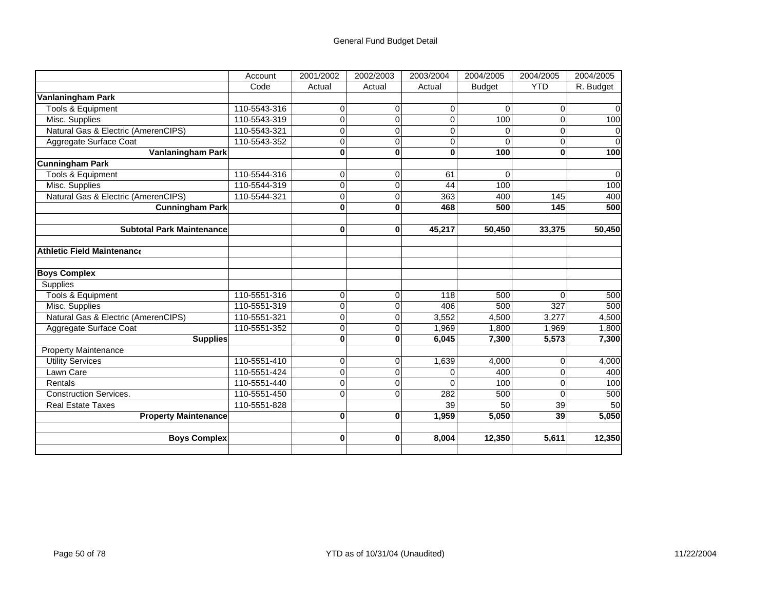|                                     | Account      | 2001/2002      | 2002/2003   | 2003/2004   | 2004/2005     | 2004/2005  | 2004/2005 |
|-------------------------------------|--------------|----------------|-------------|-------------|---------------|------------|-----------|
|                                     | Code         | Actual         | Actual      | Actual      | <b>Budget</b> | <b>YTD</b> | R. Budget |
| Vanlaningham Park                   |              |                |             |             |               |            |           |
| Tools & Equipment                   | 110-5543-316 | $\mathbf 0$    | $\Omega$    | $\mathbf 0$ | $\Omega$      | 0          | $\Omega$  |
| Misc. Supplies                      | 110-5543-319 | 0              | $\Omega$    | 0           | 100           | $\Omega$   | 100       |
| Natural Gas & Electric (AmerenCIPS) | 110-5543-321 | 0              | $\Omega$    | $\Omega$    |               | $\Omega$   | $\Omega$  |
| Aggregate Surface Coat              | 110-5543-352 | 0              | 0           | 0           | $\Omega$      | $\Omega$   | $\Omega$  |
| <b>Vanlaningham Park</b>            |              | 0              | $\bf{0}$    | $\bf{0}$    | 100           | 0          | 100       |
| <b>Cunningham Park</b>              |              |                |             |             |               |            |           |
| <b>Tools &amp; Equipment</b>        | 110-5544-316 | 0              | 0           | 61          | $\Omega$      |            | $\Omega$  |
| Misc. Supplies                      | 110-5544-319 | 0              | $\Omega$    | 44          | 100           |            | 100       |
| Natural Gas & Electric (AmerenCIPS) | 110-5544-321 | $\overline{0}$ | 0           | 363         | 400           | 145        | 400       |
| <b>Cunningham Park</b>              |              | $\bf{0}$       | $\bf{0}$    | 468         | 500           | 145        | 500       |
| <b>Subtotal Park Maintenance</b>    |              | $\bf{0}$       | $\bf{0}$    | 45,217      | 50,450        | 33,375     | 50,450    |
| <b>Athletic Field Maintenance</b>   |              |                |             |             |               |            |           |
| <b>Boys Complex</b>                 |              |                |             |             |               |            |           |
| Supplies                            |              |                |             |             |               |            |           |
| <b>Tools &amp; Equipment</b>        | 110-5551-316 | 0              | 0           | 118         | 500           | $\Omega$   | 500       |
| Misc. Supplies                      | 110-5551-319 | 0              | 0           | 406         | 500           | 327        | 500       |
| Natural Gas & Electric (AmerenCIPS) | 110-5551-321 | 0              | 0           | 3,552       | 4,500         | 3,277      | 4,500     |
| Aggregate Surface Coat              | 110-5551-352 | 0              | 0           | 1,969       | 1,800         | 1,969      | 1,800     |
| <b>Supplies</b>                     |              | 0              | $\bf{0}$    | 6,045       | 7,300         | 5,573      | 7,300     |
| <b>Property Maintenance</b>         |              |                |             |             |               |            |           |
| <b>Utility Services</b>             | 110-5551-410 | 0              | $\mathbf 0$ | 1,639       | 4,000         | $\Omega$   | 4,000     |
| Lawn Care                           | 110-5551-424 | $\overline{0}$ | $\Omega$    | $\Omega$    | 400           | $\Omega$   | 400       |
| Rentals                             | 110-5551-440 | $\overline{0}$ | 0           | $\Omega$    | 100           | $\Omega$   | 100       |
| <b>Construction Services.</b>       | 110-5551-450 | 0              | $\Omega$    | 282         | 500           | $\Omega$   | 500       |
| <b>Real Estate Taxes</b>            | 110-5551-828 |                |             | 39          | 50            | 39         | 50        |
| <b>Property Maintenance</b>         |              | $\bf{0}$       | $\bf{0}$    | 1,959       | 5,050         | 39         | 5,050     |
| <b>Boys Complex</b>                 |              | $\bf{0}$       | $\bf{0}$    | 8,004       | 12,350        | 5,611      | 12,350    |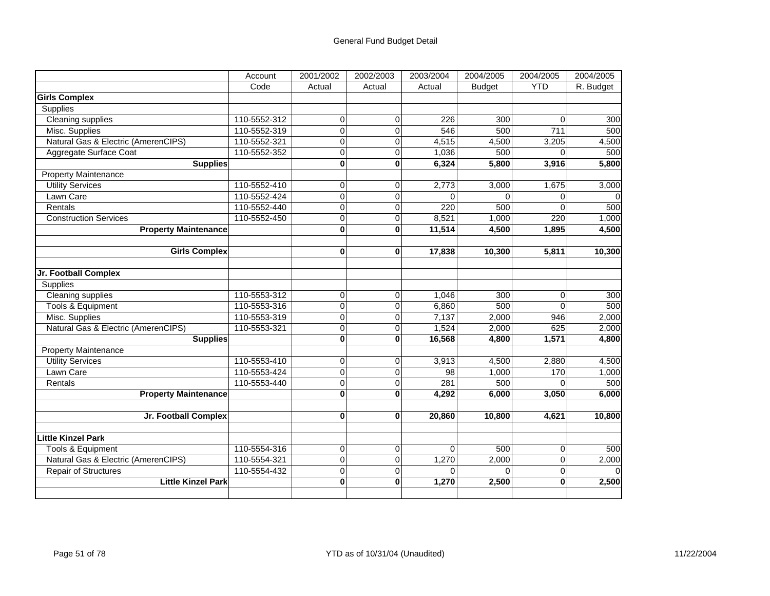|                                     | Account      | 2001/2002      | 2002/2003      | 2003/2004 | 2004/2005     | 2004/2005   | 2004/2005 |
|-------------------------------------|--------------|----------------|----------------|-----------|---------------|-------------|-----------|
|                                     | Code         | Actual         | Actual         | Actual    | <b>Budget</b> | <b>YTD</b>  | R. Budget |
| <b>Girls Complex</b>                |              |                |                |           |               |             |           |
| Supplies                            |              |                |                |           |               |             |           |
| Cleaning supplies                   | 110-5552-312 | $\overline{0}$ | 0              | 226       | 300           | $\Omega$    | 300       |
| Misc. Supplies                      | 110-5552-319 | $\overline{0}$ | $\overline{0}$ | 546       | 500           | 711         | 500       |
| Natural Gas & Electric (AmerenCIPS) | 110-5552-321 | 0              | $\overline{0}$ | 4,515     | 4,500         | 3,205       | 4,500     |
| Aggregate Surface Coat              | 110-5552-352 | 0              | $\mathbf 0$    | 1,036     | 500           | $\Omega$    | 500       |
| <b>Supplies</b>                     |              | $\bf{0}$       | $\bf{0}$       | 6,324     | 5,800         | 3,916       | 5,800     |
| <b>Property Maintenance</b>         |              |                |                |           |               |             |           |
| <b>Utility Services</b>             | 110-5552-410 | 0              | 0              | 2,773     | 3,000         | 1,675       | 3,000     |
| Lawn Care                           | 110-5552-424 | $\mathbf 0$    | $\pmb{0}$      | 0         | $\Omega$      | 0           | 0         |
| Rentals                             | 110-5552-440 | $\overline{0}$ | $\overline{0}$ | 220       | 500           | $\Omega$    | 500       |
| <b>Construction Services</b>        | 110-5552-450 | 0              | 0              | 8,521     | 1,000         | 220         | 1,000     |
| <b>Property Maintenance</b>         |              | O              | $\bf{0}$       | 11,514    | 4,500         | 1,895       | 4,500     |
|                                     |              |                |                |           |               |             |           |
| <b>Girls Complex</b>                |              | $\bf{0}$       | $\bf{0}$       | 17,838    | 10,300        | 5,811       | 10,300    |
|                                     |              |                |                |           |               |             |           |
| Jr. Football Complex                |              |                |                |           |               |             |           |
| <b>Supplies</b>                     |              |                |                |           |               |             |           |
| <b>Cleaning supplies</b>            | 110-5553-312 | 0              | 0              | 1,046     | 300           | $\Omega$    | 300       |
| Tools & Equipment                   | 110-5553-316 | $\mathbf 0$    | 0              | 6,860     | 500           | $\mathbf 0$ | 500       |
| Misc. Supplies                      | 110-5553-319 | $\mathbf 0$    | $\mathbf 0$    | 7,137     | 2,000         | 946         | 2,000     |
| Natural Gas & Electric (AmerenCIPS) | 110-5553-321 | $\overline{0}$ | $\mathbf 0$    | 1,524     | 2,000         | 625         | 2,000     |
| <b>Supplies</b>                     |              | $\mathbf 0$    | $\bf{0}$       | 16,568    | 4,800         | 1,571       | 4,800     |
| <b>Property Maintenance</b>         |              |                |                |           |               |             |           |
| <b>Utility Services</b>             | 110-5553-410 | 0              | 0              | 3,913     | 4,500         | 2,880       | 4,500     |
| Lawn Care                           | 110-5553-424 | $\overline{0}$ | $\overline{0}$ | 98        | 1,000         | 170         | 1,000     |
| Rentals                             | 110-5553-440 | $\mathbf 0$    | $\mathbf 0$    | 281       | 500           | $\Omega$    | 500       |
| <b>Property Maintenance</b>         |              | $\mathbf{0}$   | $\bf{0}$       | 4,292     | 6,000         | 3,050       | 6,000     |
|                                     |              |                |                |           |               |             |           |
| Jr. Football Complex                |              | 0              | $\bf{0}$       | 20,860    | 10,800        | 4,621       | 10,800    |
|                                     |              |                |                |           |               |             |           |
| <b>Little Kinzel Park</b>           |              |                |                |           |               |             |           |
| <b>Tools &amp; Equipment</b>        | 110-5554-316 | $\overline{0}$ | $\mathbf 0$    | $\Omega$  | 500           | $\mathbf 0$ | 500       |
| Natural Gas & Electric (AmerenCIPS) | 110-5554-321 | $\mathbf 0$    | $\mathbf 0$    | 1,270     | 2,000         | $\mathbf 0$ | 2,000     |
| Repair of Structures                | 110-5554-432 | $\mathbf 0$    | $\mathbf 0$    | $\Omega$  | $\Omega$      | $\mathbf 0$ |           |
| <b>Little Kinzel Park</b>           |              | O              | $\mathbf{0}$   | 1,270     | 2,500         | $\bf{0}$    | 2,500     |
|                                     |              |                |                |           |               |             |           |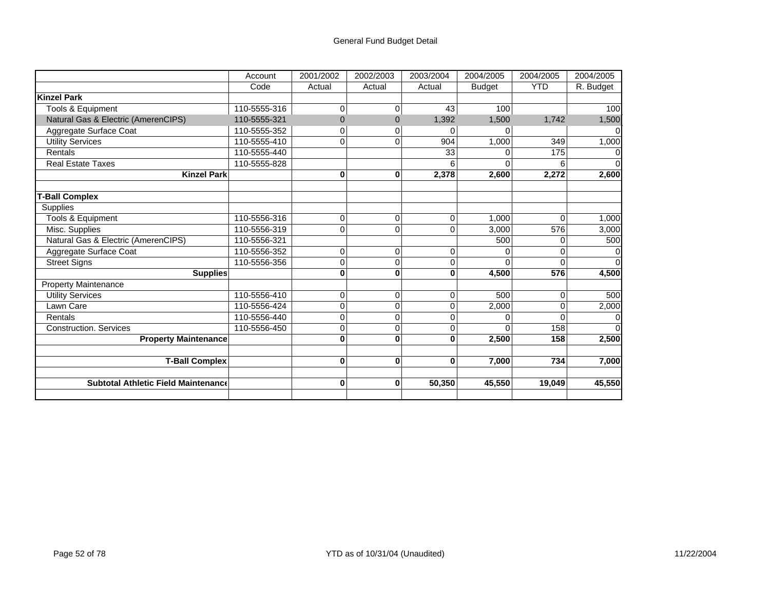|                                            | Account      | 2001/2002 | 2002/2003      | 2003/2004 | 2004/2005     | 2004/2005         | 2004/2005 |
|--------------------------------------------|--------------|-----------|----------------|-----------|---------------|-------------------|-----------|
|                                            | Code         | Actual    | Actual         | Actual    | <b>Budget</b> | <b>YTD</b>        | R. Budget |
| <b>Kinzel Park</b>                         |              |           |                |           |               |                   |           |
| Tools & Equipment                          | 110-5555-316 | 0         | 0              | 43        | 100           |                   | 100       |
| Natural Gas & Electric (AmerenCIPS)        | 110-5555-321 | $\Omega$  | $\overline{0}$ | 1,392     | 1,500         | 1,742             | 1,500     |
| Aggregate Surface Coat                     | 110-5555-352 | 0         | 0              | $\Omega$  |               |                   |           |
| Utility Services                           | 110-5555-410 | 0         | 0              | 904       | 1,000         | 349               | 1,000     |
| Rentals                                    | 110-5555-440 |           |                | 33        | U             | $\frac{175}{175}$ |           |
| <b>Real Estate Taxes</b>                   | 110-5555-828 |           |                |           |               |                   |           |
| <b>Kinzel Park</b>                         |              | 0         | $\bf{0}$       | 2,378     | 2,600         | 2,272             | 2,600     |
|                                            |              |           |                |           |               |                   |           |
| <b>T-Ball Complex</b>                      |              |           |                |           |               |                   |           |
| Supplies                                   |              |           |                |           |               |                   |           |
| Tools & Equipment                          | 110-5556-316 | 0         | $\overline{0}$ | $\Omega$  | 1.000         | $\Omega$          | 1,000     |
| Misc. Supplies                             | 110-5556-319 | 0         | 0              | $\Omega$  | 3,000         | 576               | 3,000     |
| Natural Gas & Electric (AmerenCIPS)        | 110-5556-321 |           |                |           | 500           | 0                 | 500       |
| Aggregate Surface Coat                     | 110-5556-352 | 0         | 0              | $\Omega$  |               | 0                 |           |
| <b>Street Signs</b>                        | 110-5556-356 | 0         | 0              | $\Omega$  | 0             | $\Omega$          |           |
| Supplies                                   |              | 0         | $\bf{0}$       | 0         | 4,500         | 576               | 4,500     |
| <b>Property Maintenance</b>                |              |           |                |           |               |                   |           |
| <b>Utility Services</b>                    | 110-5556-410 | 0         | 0              | $\Omega$  | 500           | 0                 | 500       |
| Lawn Care                                  | 110-5556-424 | 0         | $\overline{0}$ | $\Omega$  | 2,000         | $\Omega$          | 2,000     |
| Rentals                                    | 110-5556-440 | 0         | 0              | ი         | 0             |                   |           |
| <b>Construction. Services</b>              | 110-5556-450 | 0         | 0              | $\Omega$  | $\Omega$      | 158               |           |
| <b>Property Maintenance</b>                |              | 0         | $\bf{0}$       | 0         | 2,500         | 158               | 2,500     |
|                                            |              |           |                |           |               |                   |           |
| <b>T-Ball Complex</b>                      |              | 0         | $\bf{0}$       | $\bf{0}$  | 7,000         | 734               | 7,000     |
|                                            |              |           |                |           |               |                   |           |
| <b>Subtotal Athletic Field Maintenance</b> |              | 0         | $\bf{0}$       | 50,350    | 45,550        | 19,049            | 45,550    |
|                                            |              |           |                |           |               |                   |           |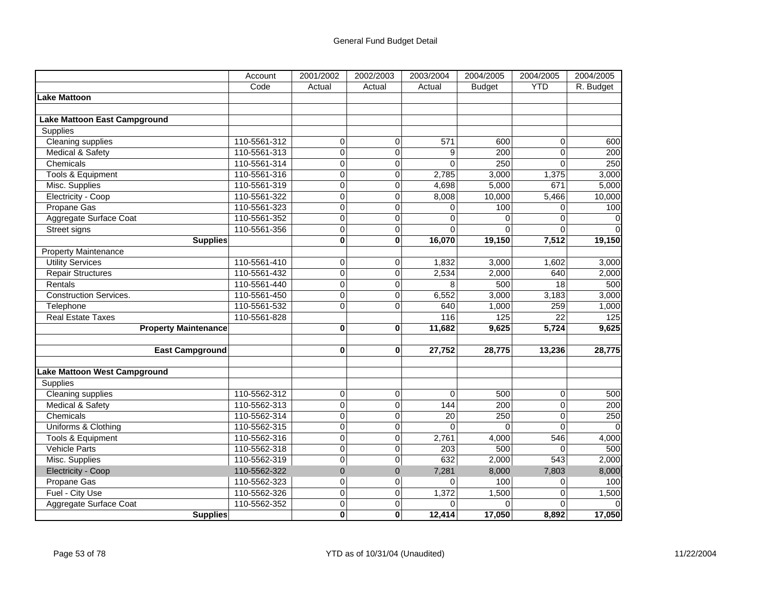|                                     | Account      | 2001/2002      | 2002/2003      | 2003/2004       | 2004/2005     | 2004/2005       | 2004/2005        |
|-------------------------------------|--------------|----------------|----------------|-----------------|---------------|-----------------|------------------|
|                                     | Code         | Actual         | Actual         | Actual          | <b>Budget</b> | <b>YTD</b>      | R. Budget        |
| Lake Mattoon                        |              |                |                |                 |               |                 |                  |
|                                     |              |                |                |                 |               |                 |                  |
| <b>Lake Mattoon East Campground</b> |              |                |                |                 |               |                 |                  |
| Supplies                            |              |                |                |                 |               |                 |                  |
| <b>Cleaning supplies</b>            | 110-5561-312 | 0              | $\overline{0}$ | 571             | 600           | 0               | 600              |
| Medical & Safety                    | 110-5561-313 | $\overline{0}$ | $\overline{0}$ | 9               | 200           | $\mathbf{0}$    | $\overline{200}$ |
| Chemicals                           | 110-5561-314 | 0              | $\overline{0}$ | $\Omega$        | 250           | $\Omega$        | 250              |
| Tools & Equipment                   | 110-5561-316 | $\overline{0}$ | $\mathbf 0$    | 2,785           | 3,000         | 1,375           | 3,000            |
| Misc. Supplies                      | 110-5561-319 | $\mathbf 0$    | $\overline{0}$ | 4,698           | 5,000         | 671             | 5,000            |
| Electricity - Coop                  | 110-5561-322 | $\mathbf 0$    | $\mathbf 0$    | 8,008           | 10,000        | 5,466           | 10,000           |
| Propane Gas                         | 110-5561-323 | $\overline{0}$ | $\overline{0}$ | 0               | 100           | 0               | 100              |
| Aggregate Surface Coat              | 110-5561-352 | $\overline{0}$ | $\mathbf 0$    | $\Omega$        | $\Omega$      | $\Omega$        | 0                |
| <b>Street signs</b>                 | 110-5561-356 | $\overline{0}$ | $\mathbf 0$    | $\Omega$        | $\Omega$      | $\Omega$        | $\Omega$         |
| <b>Supplies</b>                     |              | $\mathbf{0}$   | $\bf{0}$       | 16,070          | 19,150        | 7,512           | 19,150           |
| <b>Property Maintenance</b>         |              |                |                |                 |               |                 |                  |
| <b>Utility Services</b>             | 110-5561-410 | 0              | 0              | 1,832           | 3,000         | 1,602           | 3,000            |
| <b>Repair Structures</b>            | 110-5561-432 | 0              | $\mathbf 0$    | 2,534           | 2,000         | 640             | 2,000            |
| Rentals                             | 110-5561-440 | $\overline{0}$ | $\overline{0}$ | 8               | 500           | 18              | 500              |
| <b>Construction Services.</b>       | 110-5561-450 | $\overline{0}$ | $\Omega$       | 6,552           | 3,000         | 3,183           | 3,000            |
| Telephone                           | 110-5561-532 | 0              | $\overline{0}$ | 640             | 1,000         | 259             | 1,000            |
| <b>Real Estate Taxes</b>            | 110-5561-828 |                |                | 116             | 125           | $\overline{22}$ | 125              |
| <b>Property Maintenance</b>         |              | $\bf{0}$       | $\bf{0}$       | 11,682          | 9,625         | 5,724           | 9,625            |
|                                     |              |                |                |                 |               |                 |                  |
| <b>East Campground</b>              |              | $\bf{0}$       | $\bf{0}$       | 27,752          | 28,775        | 13,236          | 28,775           |
|                                     |              |                |                |                 |               |                 |                  |
| Lake Mattoon West Campground        |              |                |                |                 |               |                 |                  |
| Supplies                            |              |                |                |                 |               |                 |                  |
| <b>Cleaning supplies</b>            | 110-5562-312 | $\overline{0}$ | $\overline{0}$ | $\overline{0}$  | 500           | $\overline{0}$  | 500              |
| Medical & Safety                    | 110-5562-313 | $\overline{0}$ | $\overline{0}$ | 144             | 200           | $\mathbf{0}$    | 200              |
| Chemicals                           | 110-5562-314 | 0              | $\overline{0}$ | $\overline{20}$ | 250           | $\Omega$        | 250              |
| Uniforms & Clothing                 | 110-5562-315 | 0              | $\overline{0}$ | $\Omega$        | $\Omega$      | 0               |                  |
| <b>Tools &amp; Equipment</b>        | 110-5562-316 | $\mathbf 0$    | $\mathbf 0$    | 2,761           | 4,000         | 546             | 4,000            |
| <b>Vehicle Parts</b>                | 110-5562-318 | $\overline{0}$ | $\mathbf 0$    | 203             | 500           | $\Omega$        | 500              |
| Misc. Supplies                      | 110-5562-319 | 0              | $\overline{0}$ | 632             | 2,000         | 543             | 2,000            |
| Electricity - Coop                  | 110-5562-322 | $\overline{0}$ | $\mathbf 0$    | 7,281           | 8,000         | 7,803           | 8,000            |
| Propane Gas                         | 110-5562-323 | $\overline{0}$ | $\overline{0}$ | 0               | 100           | 0               | 100              |
| Fuel - City Use                     | 110-5562-326 | $\mathbf 0$    | $\mathbf 0$    | 1,372           | 1,500         | 0               | 1,500            |
| Aggregate Surface Coat              | 110-5562-352 | $\mathbf 0$    | $\mathsf 0$    | 0               | $\Omega$      | $\Omega$        | $\Omega$         |
| <b>Supplies</b>                     |              | $\mathbf{0}$   | $\mathbf{0}$   | 12,414          | 17,050        | 8,892           | 17,050           |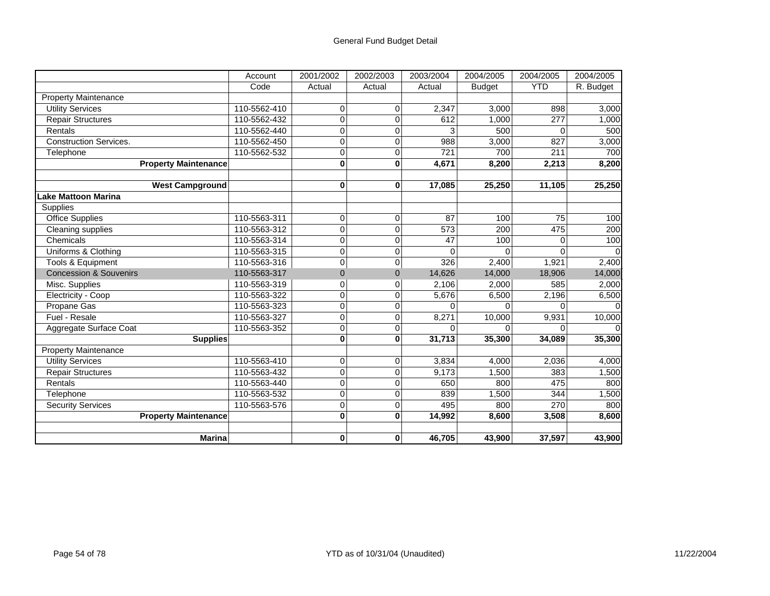|                                   | Account      | 2001/2002      | 2002/2003    | 2003/2004 | 2004/2005     | 2004/2005    | 2004/2005 |
|-----------------------------------|--------------|----------------|--------------|-----------|---------------|--------------|-----------|
|                                   | Code         | Actual         | Actual       | Actual    | <b>Budget</b> | <b>YTD</b>   | R. Budget |
| <b>Property Maintenance</b>       |              |                |              |           |               |              |           |
| <b>Utility Services</b>           | 110-5562-410 | $\Omega$       | $\Omega$     | 2,347     | 3,000         | 898          | 3,000     |
| <b>Repair Structures</b>          | 110-5562-432 | $\Omega$       | $\Omega$     | 612       | 1,000         | 277          | 1,000     |
| Rentals                           | 110-5562-440 | 0              | 0            |           | 500           | 0            | 500       |
| <b>Construction Services.</b>     | 110-5562-450 | 0              | 0            | 988       | 3,000         | 827          | 3,000     |
| Telephone                         | 110-5562-532 | $\Omega$       | $\mathbf 0$  | 721       | 700           | 211          | 700       |
| <b>Property Maintenance</b>       |              | $\bf{0}$       | $\bf{0}$     | 4,671     | 8,200         | 2,213        | 8,200     |
|                                   |              |                |              |           |               |              |           |
| <b>West Campground</b>            |              | $\bf{0}$       | $\bf{0}$     | 17,085    | 25,250        | 11,105       | 25,250    |
| Lake Mattoon Marina               |              |                |              |           |               |              |           |
| Supplies                          |              |                |              |           |               |              |           |
| <b>Office Supplies</b>            | 110-5563-311 | $\Omega$       | $\mathbf 0$  | 87        | 100           | 75           | 100       |
| Cleaning supplies                 | 110-5563-312 | $\Omega$       | 0            | 573       | 200           | 475          | 200       |
| Chemicals                         | 110-5563-314 | 0              | 0            | 47        | 100           | 0            | 100       |
| Uniforms & Clothing               | 110-5563-315 | 0              | $\mathbf 0$  | 0         |               | 0            |           |
| Tools & Equipment                 | 110-5563-316 | $\mathbf 0$    | $\pmb{0}$    | 326       | 2,400         | 1,921        | 2,400     |
| <b>Concession &amp; Souvenirs</b> | 110-5563-317 | $\Omega$       | $\mathbf{0}$ | 14,626    | 14,000        | 18,906       | 14,000    |
| Misc. Supplies                    | 110-5563-319 | 0              | 0            | 2,106     | 2,000         | 585          | 2,000     |
| Electricity - Coop                | 110-5563-322 | 0              | $\pmb{0}$    | 5,676     | 6,500         | 2,196        | 6,500     |
| Propane Gas                       | 110-5563-323 | 0              | $\mathbf 0$  |           |               | <sup>n</sup> |           |
| Fuel - Resale                     | 110-5563-327 | $\Omega$       | $\Omega$     | 8,271     | 10,000        | 9,931        | 10,000    |
| Aggregate Surface Coat            | 110-5563-352 | $\overline{0}$ | $\pmb{0}$    | $\Omega$  |               | $\Omega$     |           |
| <b>Supplies</b>                   |              | $\bf{0}$       | $\mathbf 0$  | 31,713    | 35,300        | 34,089       | 35,300    |
| <b>Property Maintenance</b>       |              |                |              |           |               |              |           |
| <b>Utility Services</b>           | 110-5563-410 | 0              | $\mathbf 0$  | 3,834     | 4,000         | 2,036        | 4,000     |
| <b>Repair Structures</b>          | 110-5563-432 | $\Omega$       | $\mathbf 0$  | 9,173     | 1,500         | 383          | 1,500     |
| Rentals                           | 110-5563-440 | $\Omega$       | 0            | 650       | 800           | 475          | 800       |
| Telephone                         | 110-5563-532 | $\overline{0}$ | 0            | 839       | 1,500         | 344          | 1,500     |
| <b>Security Services</b>          | 110-5563-576 | 0              | 0            | 495       | 800           | 270          | 800       |
| <b>Property Maintenance</b>       |              | $\bf{0}$       | $\bf{0}$     | 14,992    | 8,600         | 3,508        | 8,600     |
|                                   |              |                |              |           |               |              |           |
| <b>Marina</b>                     |              | 0              | 0            | 46,705    | 43,900        | 37,597       | 43,900    |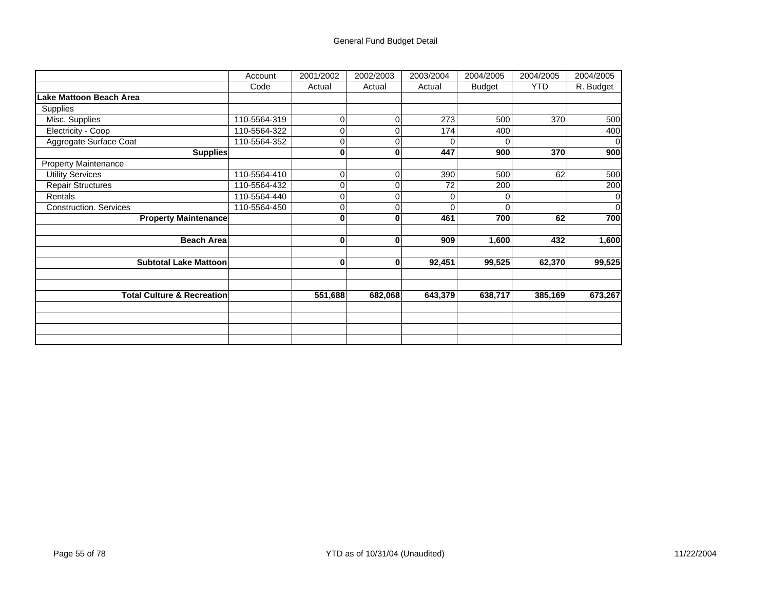## General Fund Budget Detail

|                                       | Account      | 2001/2002 | 2002/2003    | 2003/2004 | 2004/2005 | 2004/2005  | 2004/2005 |
|---------------------------------------|--------------|-----------|--------------|-----------|-----------|------------|-----------|
|                                       | Code         | Actual    | Actual       | Actual    | Budget    | <b>YTD</b> | R. Budget |
| Lake Mattoon Beach Area               |              |           |              |           |           |            |           |
| Supplies                              |              |           |              |           |           |            |           |
| Misc. Supplies                        | 110-5564-319 | $\Omega$  | 0            | 273       | 500       | 370        | 500       |
| Electricity - Coop                    | 110-5564-322 | 0         | 0            | 174       | 400       |            | 400       |
| Aggregate Surface Coat                | 110-5564-352 | $\Omega$  | 0            | U         | O         |            | $\Omega$  |
| <b>Supplies</b>                       |              | 0         | 0            | 447       | 900       | 370        | 900       |
| <b>Property Maintenance</b>           |              |           |              |           |           |            |           |
| <b>Utility Services</b>               | 110-5564-410 | 0         | 0            | 390       | 500       | 62         | 500       |
| <b>Repair Structures</b>              | 110-5564-432 | $\Omega$  | $\Omega$     | 72        | 200       |            | 200       |
| Rentals                               | 110-5564-440 | 0         | 0            | 0         | 0         |            | 0         |
| <b>Construction. Services</b>         | 110-5564-450 | $\Omega$  | 0            |           | $\Omega$  |            | $\Omega$  |
| <b>Property Maintenance</b>           |              | 0         | 0            | 461       | 700       | 62         | 700       |
|                                       |              |           |              |           |           |            |           |
| <b>Beach Area</b>                     |              | 0         | $\mathbf{0}$ | 909       | 1,600     | 432        | 1,600     |
|                                       |              |           |              |           |           |            |           |
| <b>Subtotal Lake Mattoon</b>          |              | 0         | $\mathbf{0}$ | 92,451    | 99,525    | 62,370     | 99,525    |
|                                       |              |           |              |           |           |            |           |
|                                       |              |           |              |           |           |            |           |
| <b>Total Culture &amp; Recreation</b> |              | 551,688   | 682,068      | 643,379   | 638,717   | 385,169    | 673,267   |
|                                       |              |           |              |           |           |            |           |
|                                       |              |           |              |           |           |            |           |
|                                       |              |           |              |           |           |            |           |
|                                       |              |           |              |           |           |            |           |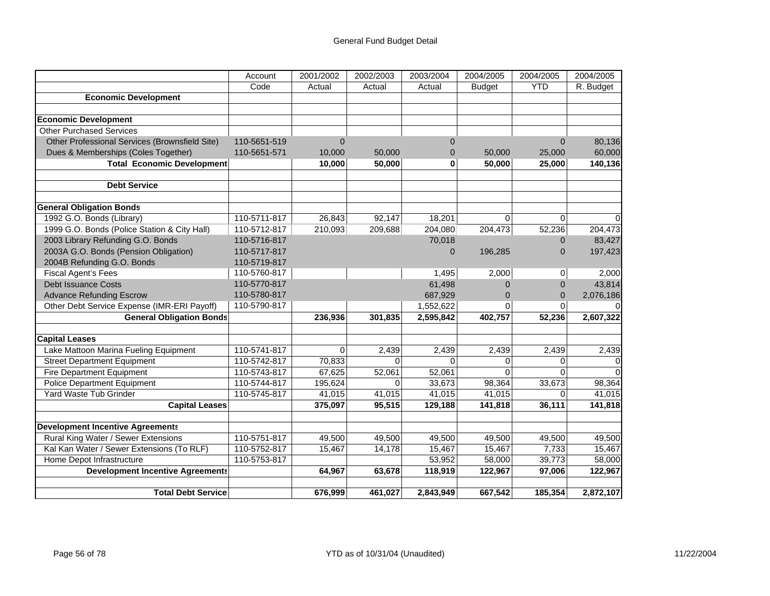|                                                | Account      | 2001/2002      | 2002/2003 | 2003/2004      | 2004/2005     | 2004/2005      | 2004/2005 |
|------------------------------------------------|--------------|----------------|-----------|----------------|---------------|----------------|-----------|
|                                                | Code         | Actual         | Actual    | Actual         | <b>Budget</b> | <b>YTD</b>     | R. Budget |
| <b>Economic Development</b>                    |              |                |           |                |               |                |           |
|                                                |              |                |           |                |               |                |           |
| <b>Economic Development</b>                    |              |                |           |                |               |                |           |
| <b>Other Purchased Services</b>                |              |                |           |                |               |                |           |
| Other Professional Services (Brownsfield Site) | 110-5651-519 | $\overline{0}$ |           | $\overline{0}$ |               | $\overline{0}$ | 80,136    |
| Dues & Memberships (Coles Together)            | 110-5651-571 | 10,000         | 50,000    | $\overline{0}$ | 50,000        | 25,000         | 60,000    |
| <b>Total Economic Development</b>              |              | 10,000         | 50,000    | 0              | 50,000        | 25,000         | 140,136   |
|                                                |              |                |           |                |               |                |           |
| <b>Debt Service</b>                            |              |                |           |                |               |                |           |
|                                                |              |                |           |                |               |                |           |
| <b>General Obligation Bonds</b>                |              |                |           |                |               |                |           |
| 1992 G.O. Bonds (Library)                      | 110-5711-817 | 26,843         | 92,147    | 18,201         | $\Omega$      | 0              |           |
| 1999 G.O. Bonds (Police Station & City Hall)   | 110-5712-817 | 210,093        | 209,688   | 204,080        | 204,473       | 52,236         | 204,473   |
| 2003 Library Refunding G.O. Bonds              | 110-5716-817 |                |           | 70,018         |               | $\overline{0}$ | 83,427    |
| 2003A G.O. Bonds (Pension Obligation)          | 110-5717-817 |                |           | $\Omega$       | 196,285       | $\overline{0}$ | 197,423   |
| 2004B Refunding G.O. Bonds                     | 110-5719-817 |                |           |                |               |                |           |
| Fiscal Agent's Fees                            | 110-5760-817 |                |           | 1,495          | 2,000         | 0              | 2.000     |
| <b>Debt Issuance Costs</b>                     | 110-5770-817 |                |           | 61,498         | 0             | 0              | 43,814    |
| <b>Advance Refunding Escrow</b>                | 110-5780-817 |                |           | 687,929        | 0             | 0              | 2,076,186 |
| Other Debt Service Expense (IMR-ERI Payoff)    | 110-5790-817 |                |           | 1,552,622      | $\Omega$      | $\Omega$       |           |
| <b>General Obligation Bonds</b>                |              | 236,936        | 301,835   | 2,595,842      | 402,757       | 52,236         | 2,607,322 |
|                                                |              |                |           |                |               |                |           |
| <b>Capital Leases</b>                          |              |                |           |                |               |                |           |
| Lake Mattoon Marina Fueling Equipment          | 110-5741-817 | 0              | 2,439     | 2,439          | 2,439         | 2,439          | 2,439     |
| <b>Street Department Equipment</b>             | 110-5742-817 | 70,833         | $\Omega$  | $\Omega$       | 0             | 0              |           |
| Fire Department Equipment                      | 110-5743-817 | 67,625         | 52,061    | 52,061         | $\Omega$      | $\Omega$       | $\Omega$  |
| <b>Police Department Equipment</b>             | 110-5744-817 | 195,624        | $\Omega$  | 33,673         | 98,364        | 33,673         | 98,364    |
| Yard Waste Tub Grinder                         | 110-5745-817 | 41,015         | 41,015    | 41,015         | 41,015        | 0              | 41,015    |
| <b>Capital Leases</b>                          |              | 375,097        | 95,515    | 129,188        | 141,818       | 36,111         | 141,818   |
|                                                |              |                |           |                |               |                |           |
| <b>Development Incentive Agreements</b>        |              |                |           |                |               |                |           |
| Rural King Water / Sewer Extensions            | 110-5751-817 | 49,500         | 49,500    | 49,500         | 49,500        | 49,500         | 49,500    |
| Kal Kan Water / Sewer Extensions (To RLF)      | 110-5752-817 | 15,467         | 14,178    | 15,467         | 15,467        | 7,733          | 15,467    |
| Home Depot Infrastructure                      | 110-5753-817 |                |           | 53,952         | 58,000        | 39,773         | 58,000    |
| <b>Development Incentive Agreements</b>        |              | 64,967         | 63,678    | 118,919        | 122,967       | 97,006         | 122,967   |
|                                                |              |                |           |                |               |                |           |
| <b>Total Debt Service</b>                      |              | 676,999        | 461,027   | 2,843,949      | 667,542       | 185,354        | 2,872,107 |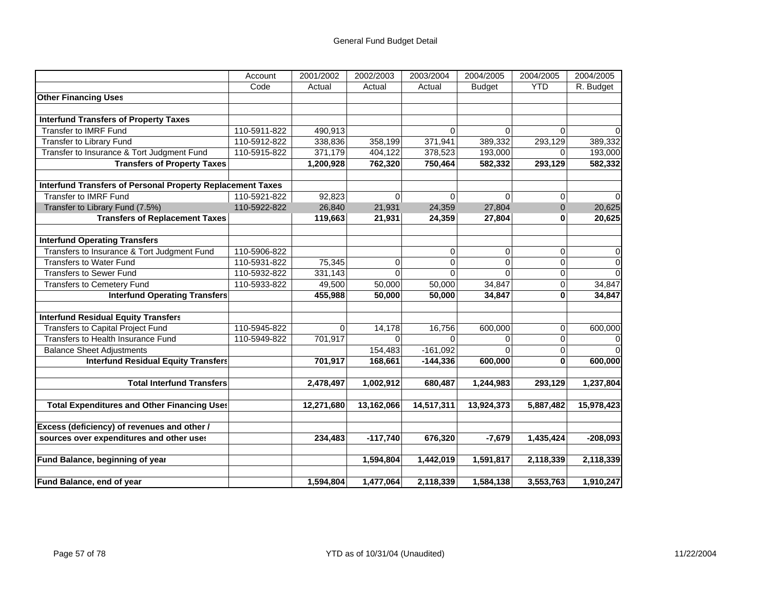|                                                                   | Account      | 2001/2002  | 2002/2003  | 2003/2004  | 2004/2005      | 2004/2005    | 2004/2005  |
|-------------------------------------------------------------------|--------------|------------|------------|------------|----------------|--------------|------------|
|                                                                   | Code         | Actual     | Actual     | Actual     | <b>Budget</b>  | <b>YTD</b>   | R. Budget  |
| <b>Other Financing Uses</b>                                       |              |            |            |            |                |              |            |
|                                                                   |              |            |            |            |                |              |            |
| <b>Interfund Transfers of Property Taxes</b>                      |              |            |            |            |                |              |            |
| <b>Transfer to IMRF Fund</b>                                      | 110-5911-822 | 490,913    |            | 0          | 0              | 0            | $\Omega$   |
| <b>Transfer to Library Fund</b>                                   | 110-5912-822 | 338,836    | 358,199    | 371,941    | 389,332        | 293,129      | 389,332    |
| Transfer to Insurance & Tort Judgment Fund                        | 110-5915-822 | 371,179    | 404,122    | 378,523    | 193,000        | $\Omega$     | 193,000    |
| <b>Transfers of Property Taxes</b>                                |              | 1,200,928  | 762,320    | 750,464    | 582,332        | 293,129      | 582,332    |
|                                                                   |              |            |            |            |                |              |            |
| <b>Interfund Transfers of Personal Property Replacement Taxes</b> |              |            |            |            |                |              |            |
| <b>Transfer to IMRF Fund</b>                                      | 110-5921-822 | 92,823     | $\Omega$   | $\Omega$   | $\Omega$       | 0            | $\Omega$   |
| Transfer to Library Fund (7.5%)                                   | 110-5922-822 | 26,840     | 21,931     | 24,359     | 27,804         | $\mathbf{0}$ | 20,625     |
| <b>Transfers of Replacement Taxes</b>                             |              | 119,663    | 21,931     | 24,359     | 27,804         | 0            | 20,625     |
|                                                                   |              |            |            |            |                |              |            |
| <b>Interfund Operating Transfers</b>                              |              |            |            |            |                |              |            |
| Transfers to Insurance & Tort Judgment Fund                       | 110-5906-822 |            |            | 0          | 0              | 0            | 0          |
| <b>Transfers to Water Fund</b>                                    | 110-5931-822 | 75,345     | 0          | 0          | $\overline{0}$ | 0            | 0          |
| <b>Transfers to Sewer Fund</b>                                    | 110-5932-822 | 331,143    | $\Omega$   | 0          | $\Omega$       | 0            | $\Omega$   |
| <b>Transfers to Cemetery Fund</b>                                 | 110-5933-822 | 49,500     | 50,000     | 50,000     | 34,847         | 0            | 34,847     |
| <b>Interfund Operating Transfers</b>                              |              | 455,988    | 50,000     | 50,000     | 34,847         | 0            | 34,847     |
|                                                                   |              |            |            |            |                |              |            |
| <b>Interfund Residual Equity Transfers</b>                        |              |            |            |            |                |              |            |
| <b>Transfers to Capital Project Fund</b>                          | 110-5945-822 | 0          | 14,178     | 16,756     | 600,000        | 0            | 600,000    |
| Transfers to Health Insurance Fund                                | 110-5949-822 | 701,917    | $\Omega$   | 0          | 0              | 0            |            |
| <b>Balance Sheet Adjustments</b>                                  |              |            | 154,483    | $-161,092$ | $\Omega$       | 0            |            |
| <b>Interfund Residual Equity Transfers</b>                        |              | 701,917    | 168,661    | $-144,336$ | 600,000        | 0            | 600,000    |
| <b>Total Interfund Transfers</b>                                  |              | 2,478,497  | 1,002,912  | 680,487    | 1,244,983      | 293,129      | 1,237,804  |
|                                                                   |              |            |            |            |                |              |            |
| <b>Total Expenditures and Other Financing Uses</b>                |              | 12,271,680 | 13,162,066 | 14,517,311 | 13,924,373     | 5,887,482    | 15,978,423 |
| Excess (deficiency) of revenues and other /                       |              |            |            |            |                |              |            |
| sources over expenditures and other uses                          |              | 234,483    | $-117,740$ | 676,320    | $-7,679$       | 1,435,424    | $-208,093$ |
|                                                                   |              |            |            |            |                |              |            |
| Fund Balance, beginning of year                                   |              |            | 1,594,804  | 1,442,019  | 1,591,817      | 2,118,339    | 2,118,339  |
| Fund Balance, end of year                                         |              | 1,594,804  | 1,477,064  | 2,118,339  | 1,584,138      | 3,553,763    | 1,910,247  |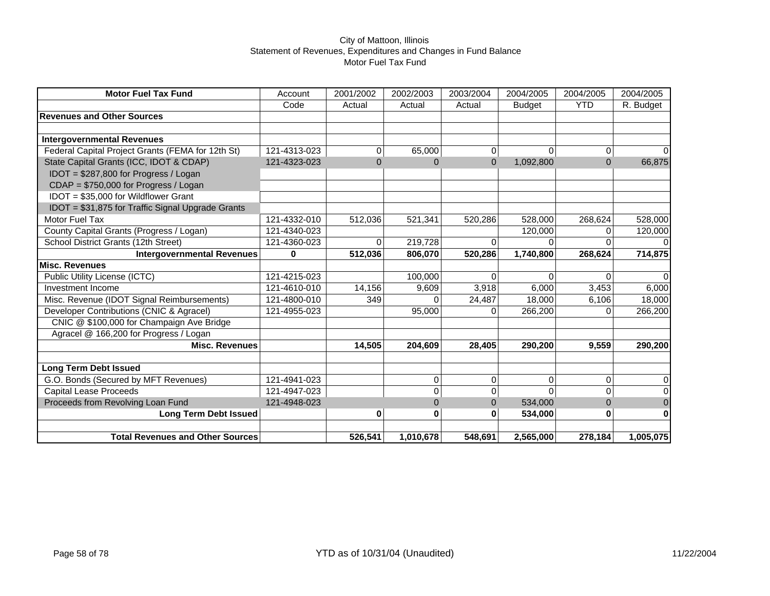| <b>Motor Fuel Tax Fund</b>                        | Account      | 2001/2002      | 2002/2003    | 2003/2004      | 2004/2005     | 2004/2005    | 2004/2005      |
|---------------------------------------------------|--------------|----------------|--------------|----------------|---------------|--------------|----------------|
|                                                   | Code         | Actual         | Actual       | Actual         | <b>Budget</b> | <b>YTD</b>   | R. Budget      |
| <b>Revenues and Other Sources</b>                 |              |                |              |                |               |              |                |
|                                                   |              |                |              |                |               |              |                |
| <b>Intergovernmental Revenues</b>                 |              |                |              |                |               |              |                |
| Federal Capital Project Grants (FEMA for 12th St) | 121-4313-023 | 0              | 65,000       | 0              | 0             | 0            | ΩI             |
| State Capital Grants (ICC, IDOT & CDAP)           | 121-4323-023 | $\overline{0}$ | $\mathbf{0}$ | $\overline{0}$ | 1,092,800     | $\mathbf{0}$ | 66,875         |
| IDOT = \$287,800 for Progress / Logan             |              |                |              |                |               |              |                |
| CDAP = \$750,000 for Progress / Logan             |              |                |              |                |               |              |                |
| IDOT = \$35,000 for Wildflower Grant              |              |                |              |                |               |              |                |
| IDOT = \$31,875 for Traffic Signal Upgrade Grants |              |                |              |                |               |              |                |
| <b>Motor Fuel Tax</b>                             | 121-4332-010 | 512,036        | 521,341      | 520,286        | 528,000       | 268,624      | 528,000        |
| County Capital Grants (Progress / Logan)          | 121-4340-023 |                |              |                | 120,000       | 0            | 120,000        |
| School District Grants (12th Street)              | 121-4360-023 | $\Omega$       | 219,728      | $\Omega$       | $\Omega$      | $\Omega$     | $\Omega$       |
| <b>Intergovernmental Revenues</b>                 | 0            | 512,036        | 806,070      | 520,286        | 1,740,800     | 268,624      | 714,875        |
| <b>Misc. Revenues</b>                             |              |                |              |                |               |              |                |
| <b>Public Utility License (ICTC)</b>              | 121-4215-023 |                | 100,000      | $\Omega$       | $\Omega$      | $\Omega$     | $\Omega$       |
| Investment Income                                 | 121-4610-010 | 14,156         | 9,609        | 3.918          | 6,000         | 3,453        | 6,000          |
| Misc. Revenue (IDOT Signal Reimbursements)        | 121-4800-010 | 349            |              | 24,487         | 18,000        | 6,106        | 18,000         |
| Developer Contributions (CNIC & Agracel)          | 121-4955-023 |                | 95,000       |                | 266,200       | 0            | 266,200        |
| CNIC @ \$100,000 for Champaign Ave Bridge         |              |                |              |                |               |              |                |
| Agracel @ 166,200 for Progress / Logan            |              |                |              |                |               |              |                |
| <b>Misc. Revenues</b>                             |              | 14,505         | 204,609      | 28,405         | 290,200       | 9,559        | 290,200        |
| <b>Long Term Debt Issued</b>                      |              |                |              |                |               |              |                |
| G.O. Bonds (Secured by MFT Revenues)              | 121-4941-023 |                | 0            | 0              | 0             | 0            | $\overline{0}$ |
| <b>Capital Lease Proceeds</b>                     | 121-4947-023 |                | 0            | $\Omega$       | $\Omega$      | $\mathbf 0$  | $\Omega$       |
| Proceeds from Revolving Loan Fund                 | 121-4948-023 |                | $\Omega$     | $\Omega$       | 534,000       | $\Omega$     | $\mathbf 0$    |
| <b>Long Term Debt Issued</b>                      |              | 0              | 0            | O              | 534,000       | 0            | 0              |
|                                                   |              |                |              |                |               |              |                |
| <b>Total Revenues and Other Sources</b>           |              | 526,541        | 1,010,678    | 548,691        | 2,565,000     | 278,184      | 1,005,075      |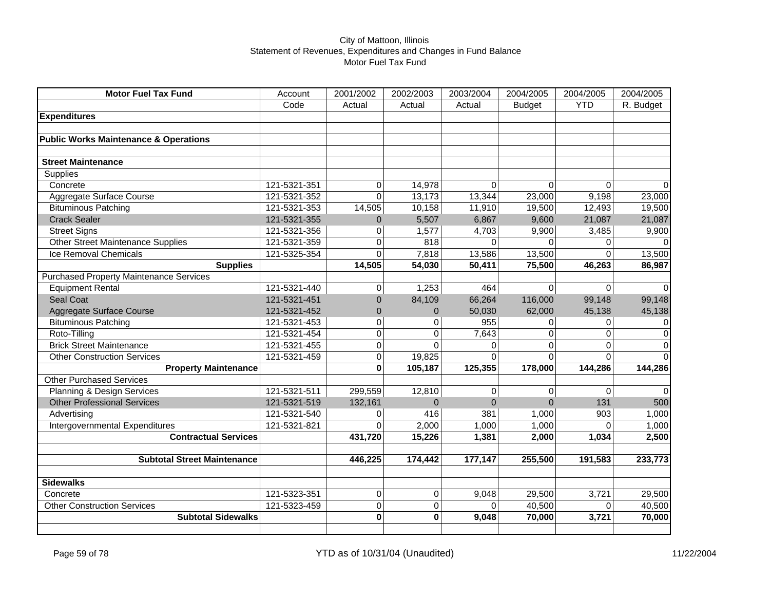| <b>Motor Fuel Tax Fund</b>                       | Account      | 2001/2002      | 2002/2003   | 2003/2004 | 2004/2005     | 2004/2005   | 2004/2005      |
|--------------------------------------------------|--------------|----------------|-------------|-----------|---------------|-------------|----------------|
|                                                  | Code         | Actual         | Actual      | Actual    | <b>Budget</b> | <b>YTD</b>  | R. Budget      |
| <b>Expenditures</b>                              |              |                |             |           |               |             |                |
|                                                  |              |                |             |           |               |             |                |
| <b>Public Works Maintenance &amp; Operations</b> |              |                |             |           |               |             |                |
|                                                  |              |                |             |           |               |             |                |
| <b>Street Maintenance</b>                        |              |                |             |           |               |             |                |
| Supplies                                         |              |                |             |           |               |             |                |
| Concrete                                         | 121-5321-351 | $\overline{0}$ | 14,978      | $\Omega$  | $\Omega$      | 0           | $\Omega$       |
| Aggregate Surface Course                         | 121-5321-352 | $\Omega$       | 13,173      | 13,344    | 23,000        | 9,198       | 23,000         |
| <b>Bituminous Patching</b>                       | 121-5321-353 | 14,505         | 10,158      | 11,910    | 19,500        | 12,493      | 19,500         |
| <b>Crack Sealer</b>                              | 121-5321-355 | $\mathbf 0$    | 5,507       | 6,867     | 9,600         | 21,087      | 21,087         |
| <b>Street Signs</b>                              | 121-5321-356 | $\overline{0}$ | 1,577       | 4,703     | 9,900         | 3,485       | 9,900          |
| <b>Other Street Maintenance Supplies</b>         | 121-5321-359 | $\Omega$       | 818         | $\Omega$  | $\Omega$      | 0           | $\Omega$       |
| Ice Removal Chemicals                            | 121-5325-354 | $\Omega$       | 7,818       | 13,586    | 13,500        | $\Omega$    | 13,500         |
| <b>Supplies</b>                                  |              | 14,505         | 54,030      | 50,411    | 75,500        | 46,263      | 86,987         |
| <b>Purchased Property Maintenance Services</b>   |              |                |             |           |               |             |                |
| <b>Equipment Rental</b>                          | 121-5321-440 | $\overline{0}$ | 1,253       | 464       | $\Omega$      | $\mathbf 0$ | $\Omega$       |
| <b>Seal Coat</b>                                 | 121-5321-451 | $\overline{0}$ | 84,109      | 66,264    | 116,000       | 99,148      | 99,148         |
| Aggregate Surface Course                         | 121-5321-452 | $\overline{0}$ | $\Omega$    | 50,030    | 62,000        | 45,138      | 45,138         |
| <b>Bituminous Patching</b>                       | 121-5321-453 | 0              | $\Omega$    | 955       | 0             | 0           | $\overline{0}$ |
| Roto-Tilling                                     | 121-5321-454 | $\pmb{0}$      | 0           | 7,643     | $\Omega$      | 0           | $\mathbf 0$    |
| <b>Brick Street Maintenance</b>                  | 121-5321-455 | $\mathbf 0$    | $\Omega$    | $\Omega$  | $\Omega$      | $\Omega$    | $\mathbf 0$    |
| <b>Other Construction Services</b>               | 121-5321-459 | $\overline{0}$ | 19,825      | $\Omega$  | $\Omega$      | $\Omega$    | $\Omega$       |
| <b>Property Maintenance</b>                      |              | $\bf{0}$       | 105,187     | 125,355   | 178,000       | 144,286     | 144,286        |
| <b>Other Purchased Services</b>                  |              |                |             |           |               |             |                |
| Planning & Design Services                       | 121-5321-511 | 299,559        | 12,810      | 0         | 0             | 0           | $\overline{0}$ |
| <b>Other Professional Services</b>               | 121-5321-519 | 132,161        | $\Omega$    | $\Omega$  | $\Omega$      | 131         | 500            |
| Advertising                                      | 121-5321-540 | 0              | 416         | 381       | 1,000         | 903         | 1,000          |
| Intergovernmental Expenditures                   | 121-5321-821 | $\Omega$       | 2,000       | 1,000     | 1,000         | $\Omega$    | 1,000          |
| <b>Contractual Services</b>                      |              | 431,720        | 15,226      | 1,381     | 2,000         | 1,034       | 2,500          |
|                                                  |              |                |             |           |               |             |                |
| <b>Subtotal Street Maintenance</b>               |              | 446,225        | 174,442     | 177,147   | 255,500       | 191,583     | 233,773        |
|                                                  |              |                |             |           |               |             |                |
| <b>Sidewalks</b>                                 |              |                |             |           |               |             |                |
| Concrete                                         | 121-5323-351 | $\overline{0}$ | $\Omega$    | 9,048     | 29,500        | 3,721       | 29,500         |
| <b>Other Construction Services</b>               | 121-5323-459 | $\overline{0}$ | 0           | $\Omega$  | 40,500        | 0           | 40,500         |
| <b>Subtotal Sidewalks</b>                        |              | $\mathbf 0$    | $\mathbf 0$ | 9,048     | 70,000        | 3,721       | 70,000         |
|                                                  |              |                |             |           |               |             |                |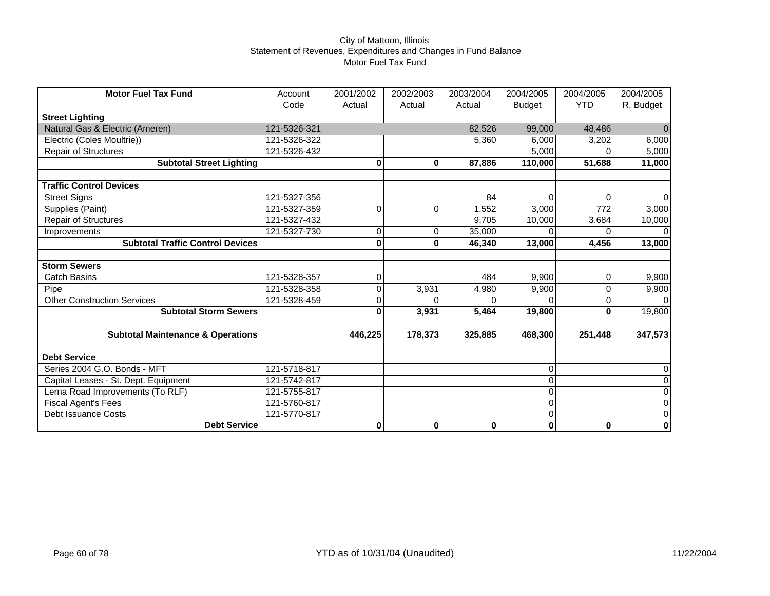| <b>Motor Fuel Tax Fund</b>                   | Account      | 2001/2002 | 2002/2003 | 2003/2004 | 2004/2005      | 2004/2005        | 2004/2005           |
|----------------------------------------------|--------------|-----------|-----------|-----------|----------------|------------------|---------------------|
|                                              | Code         | Actual    | Actual    | Actual    | <b>Budget</b>  | <b>YTD</b>       | R. Budget           |
| <b>Street Lighting</b>                       |              |           |           |           |                |                  |                     |
| Natural Gas & Electric (Ameren)              | 121-5326-321 |           |           | 82,526    | 99,000         | 48,486           | $\Omega$            |
| Electric (Coles Moultrie))                   | 121-5326-322 |           |           | 5,360     | 6,000          | 3,202            | 6,000               |
| <b>Repair of Structures</b>                  | 121-5326-432 |           |           |           | 5,000          | $\Omega$         | 5,000               |
| <b>Subtotal Street Lighting</b>              |              | $\bf{0}$  | 0         | 87,886    | 110,000        | 51,688           | 11,000              |
|                                              |              |           |           |           |                |                  |                     |
| <b>Traffic Control Devices</b>               |              |           |           |           |                |                  |                     |
| <b>Street Signs</b>                          | 121-5327-356 |           |           | 84        | $\overline{0}$ | $\Omega$         | $\Omega$            |
| Supplies (Paint)                             | 121-5327-359 | 0         | 0         | 1,552     | 3,000          | $\overline{772}$ | 3,000               |
| <b>Repair of Structures</b>                  | 121-5327-432 |           |           | 9,705     | 10,000         | 3,684            | 10,000              |
| Improvements                                 | 121-5327-730 | 0         | 0         | 35,000    |                |                  | $\Omega$            |
| <b>Subtotal Traffic Control Devices</b>      |              | $\bf{0}$  | 0         | 46,340    | 13,000         | 4,456            | 13,000              |
|                                              |              |           |           |           |                |                  |                     |
| <b>Storm Sewers</b>                          |              |           |           |           |                |                  |                     |
| <b>Catch Basins</b>                          | 121-5328-357 | 0         |           | 484       | 9,900          | 0                | 9,900               |
| Pipe                                         | 121-5328-358 | 0         | 3,931     | 4,980     | 9,900          | 0                | 9,900               |
| <b>Other Construction Services</b>           | 121-5328-459 | 0         | U         |           | $\Omega$       | 0                | $\Omega$            |
| <b>Subtotal Storm Sewers</b>                 |              | $\bf{0}$  | 3,931     | 5,464     | 19,800         | 0                | 19,800              |
|                                              |              |           |           |           |                |                  |                     |
| <b>Subtotal Maintenance &amp; Operations</b> |              | 446,225   | 178,373   | 325,885   | 468,300        | 251,448          | 347,573             |
|                                              |              |           |           |           |                |                  |                     |
| <b>Debt Service</b>                          |              |           |           |           |                |                  |                     |
| Series 2004 G.O. Bonds - MFT                 | 121-5718-817 |           |           |           | 0              |                  | $\overline{0}$      |
| Capital Leases - St. Dept. Equipment         | 121-5742-817 |           |           |           | 0              |                  | $\mathsf{O}\xspace$ |
| Lerna Road Improvements (To RLF)             | 121-5755-817 |           |           |           | 0              |                  | $\overline{0}$      |
| <b>Fiscal Agent's Fees</b>                   | 121-5760-817 |           |           |           | 0              |                  | $\mathsf{O}\xspace$ |
| <b>Debt Issuance Costs</b>                   | 121-5770-817 |           |           |           | 0              |                  | $\overline{0}$      |
| <b>Debt Service</b>                          |              | $\bf{0}$  | $\bf{0}$  | 0         | $\bf{0}$       | $\mathbf 0$      | $\bf{0}$            |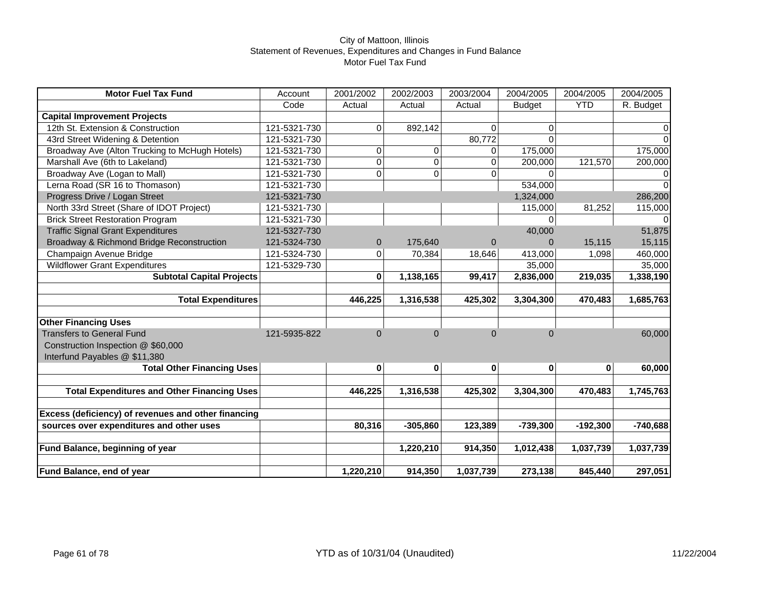| <b>Motor Fuel Tax Fund</b>                                         | Account      | 2001/2002    | 2002/2003  | 2003/2004      | 2004/2005     | 2004/2005  | 2004/2005      |
|--------------------------------------------------------------------|--------------|--------------|------------|----------------|---------------|------------|----------------|
|                                                                    | Code         | Actual       | Actual     | Actual         | <b>Budget</b> | <b>YTD</b> | R. Budget      |
| <b>Capital Improvement Projects</b>                                |              |              |            |                |               |            |                |
| 12th St. Extension & Construction                                  | 121-5321-730 | 0            | 892,142    | $\Omega$       | $\mathbf 0$   |            | $\overline{0}$ |
| 43rd Street Widening & Detention                                   | 121-5321-730 |              |            | 80,772         | $\Omega$      |            | $\Omega$       |
| Broadway Ave (Alton Trucking to McHugh Hotels)                     | 121-5321-730 | 0            | 0          | 0              | 175,000       |            | 175,000        |
| Marshall Ave (6th to Lakeland)                                     | 121-5321-730 | 0            | 0          | $\Omega$       | 200,000       | 121,570    | 200,000        |
| Broadway Ave (Logan to Mall)                                       | 121-5321-730 | 0            | $\Omega$   | $\Omega$       | $\Omega$      |            | $\overline{0}$ |
| Lerna Road (SR 16 to Thomason)                                     | 121-5321-730 |              |            |                | 534,000       |            | $\Omega$       |
| Progress Drive / Logan Street                                      | 121-5321-730 |              |            |                | 1,324,000     |            | 286,200        |
| North 33rd Street (Share of IDOT Project)                          | 121-5321-730 |              |            |                | 115,000       | 81,252     | 115,000        |
| <b>Brick Street Restoration Program</b>                            | 121-5321-730 |              |            |                | $\Omega$      |            | $\Omega$       |
| <b>Traffic Signal Grant Expenditures</b>                           | 121-5327-730 |              |            |                | 40,000        |            | 51,875         |
| Broadway & Richmond Bridge Reconstruction                          | 121-5324-730 | $\mathbf{0}$ | 175,640    | $\overline{0}$ | $\Omega$      | 15,115     | 15,115         |
| Champaign Avenue Bridge                                            | 121-5324-730 | 0            | 70,384     | 18,646         | 413,000       | 1,098      | 460,000        |
| <b>Wildflower Grant Expenditures</b>                               | 121-5329-730 |              |            |                | 35,000        |            | 35,000         |
| <b>Subtotal Capital Projects</b>                                   |              | 0            | 1,138,165  | 99,417         | 2,836,000     | 219,035    | 1,338,190      |
|                                                                    |              |              |            |                |               |            |                |
| <b>Total Expenditures</b>                                          |              | 446,225      | 1,316,538  | 425,302        | 3,304,300     | 470,483    | 1,685,763      |
|                                                                    |              |              |            |                |               |            |                |
| <b>Other Financing Uses</b>                                        |              |              | $\Omega$   | $\Omega$       | $\Omega$      |            |                |
| <b>Transfers to General Fund</b>                                   | 121-5935-822 | $\Omega$     |            |                |               |            | 60,000         |
| Construction Inspection @ \$60,000                                 |              |              |            |                |               |            |                |
| Interfund Payables @ \$11,380<br><b>Total Other Financing Uses</b> |              | 0            | 0          | 0              | 0             | 0          | 60,000         |
|                                                                    |              |              |            |                |               |            |                |
| <b>Total Expenditures and Other Financing Uses</b>                 |              | 446,225      | 1,316,538  | 425,302        | 3,304,300     | 470,483    | 1,745,763      |
|                                                                    |              |              |            |                |               |            |                |
| Excess (deficiency) of revenues and other financing                |              |              |            |                |               |            |                |
| sources over expenditures and other uses                           |              | 80,316       | $-305,860$ | 123,389        | $-739,300$    | $-192,300$ | $-740,688$     |
|                                                                    |              |              |            |                |               |            |                |
| Fund Balance, beginning of year                                    |              |              | 1,220,210  | 914,350        | 1,012,438     | 1,037,739  | 1,037,739      |
|                                                                    |              |              |            |                |               |            |                |
| <b>Fund Balance, end of year</b>                                   |              | 1,220,210    | 914,350    | 1,037,739      | 273,138       | 845,440    | 297,051        |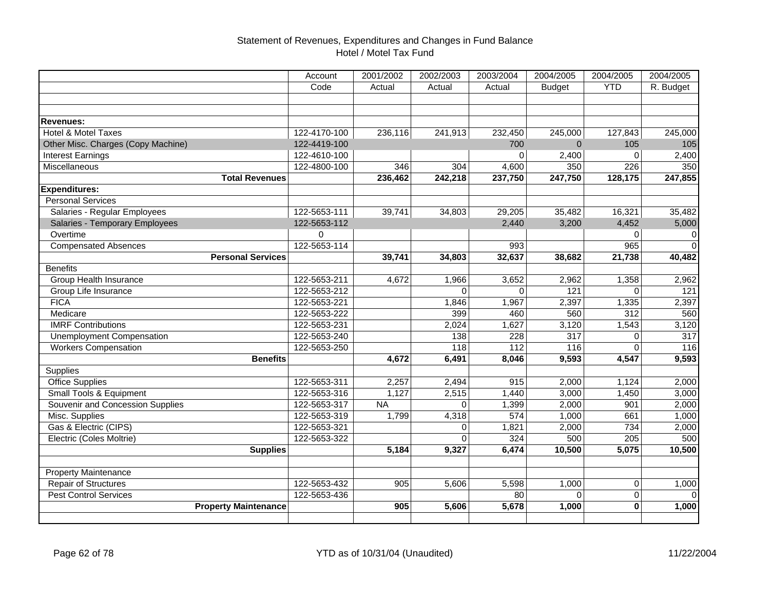# Statement of Revenues, Expenditures and Changes in Fund Balance Hotel / Motel Tax Fund

|                                    | Account      | 2001/2002 | 2002/2003      | 2003/2004 | 2004/2005     | 2004/2005      | 2004/2005 |
|------------------------------------|--------------|-----------|----------------|-----------|---------------|----------------|-----------|
|                                    | Code         | Actual    | Actual         | Actual    | <b>Budget</b> | <b>YTD</b>     | R. Budget |
|                                    |              |           |                |           |               |                |           |
|                                    |              |           |                |           |               |                |           |
| Revenues:                          |              |           |                |           |               |                |           |
| <b>Hotel &amp; Motel Taxes</b>     | 122-4170-100 | 236,116   | 241,913        | 232,450   | 245,000       | 127,843        | 245,000   |
| Other Misc. Charges (Copy Machine) | 122-4419-100 |           |                | 700       | $\Omega$      | 105            | 105       |
| <b>Interest Earnings</b>           | 122-4610-100 |           |                | $\Omega$  | 2,400         | $\Omega$       | 2,400     |
| Miscellaneous                      | 122-4800-100 | 346       | 304            | 4,600     | 350           | 226            | 350       |
| <b>Total Revenues</b>              |              | 236,462   | 242,218        | 237,750   | 247,750       | 128,175        | 247,855   |
| <b>Expenditures:</b>               |              |           |                |           |               |                |           |
| <b>Personal Services</b>           |              |           |                |           |               |                |           |
| Salaries - Regular Employees       | 122-5653-111 | 39,741    | 34,803         | 29,205    | 35,482        | 16,321         | 35,482    |
| Salaries - Temporary Employees     | 122-5653-112 |           |                | 2,440     | 3,200         | 4,452          | 5,000     |
| Overtime                           | 0            |           |                |           |               | $\Omega$       | 0         |
| <b>Compensated Absences</b>        | 122-5653-114 |           |                | 993       |               | 965            | $\Omega$  |
| <b>Personal Services</b>           |              | 39,741    | 34,803         | 32,637    | 38,682        | 21,738         | 40,482    |
| <b>Benefits</b>                    |              |           |                |           |               |                |           |
| Group Health Insurance             | 122-5653-211 | 4,672     | 1,966          | 3,652     | 2,962         | 1,358          | 2,962     |
| Group Life Insurance               | 122-5653-212 |           | $\Omega$       | $\Omega$  | 121           | $\Omega$       | 121       |
| <b>FICA</b>                        | 122-5653-221 |           | 1,846          | 1,967     | 2,397         | 1,335          | 2,397     |
| Medicare                           | 122-5653-222 |           | 399            | 460       | 560           | 312            | 560       |
| <b>IMRF Contributions</b>          | 122-5653-231 |           | 2,024          | 1,627     | 3,120         | 1,543          | 3,120     |
| <b>Unemployment Compensation</b>   | 122-5653-240 |           | 138            | 228       | 317           | 0              | 317       |
| <b>Workers Compensation</b>        | 122-5653-250 |           | 118            | 112       | 116           | $\Omega$       | 116       |
| <b>Benefits</b>                    |              | 4,672     | 6,491          | 8,046     | 9,593         | 4,547          | 9,593     |
| <b>Supplies</b>                    |              |           |                |           |               |                |           |
| <b>Office Supplies</b>             | 122-5653-311 | 2,257     | 2,494          | 915       | 2,000         | 1,124          | 2,000     |
| Small Tools & Equipment            | 122-5653-316 | 1,127     | 2,515          | 1,440     | 3,000         | 1,450          | 3,000     |
| Souvenir and Concession Supplies   | 122-5653-317 | <b>NA</b> | $\Omega$       | 1,399     | 2,000         | 901            | 2,000     |
| Misc. Supplies                     | 122-5653-319 | 1,799     | 4,318          | 574       | 1,000         | 661            | 1,000     |
| Gas & Electric (CIPS)              | 122-5653-321 |           | $\overline{0}$ | 1,821     | 2,000         | 734            | 2,000     |
| Electric (Coles Moltrie)           | 122-5653-322 |           | $\Omega$       | 324       | 500           | 205            | 500       |
| <b>Supplies</b>                    |              | 5,184     | 9,327          | 6,474     | 10,500        | 5,075          | 10,500    |
|                                    |              |           |                |           |               |                |           |
| Property Maintenance               |              |           |                |           |               |                |           |
| <b>Repair of Structures</b>        | 122-5653-432 | 905       | 5,606          | 5,598     | 1,000         | $\overline{0}$ | 1,000     |
| <b>Pest Control Services</b>       | 122-5653-436 |           |                | 80        | $\Omega$      | $\Omega$       | $\Omega$  |
| <b>Property Maintenance</b>        |              | 905       | 5,606          | 5,678     | 1,000         | $\bf{0}$       | 1,000     |
|                                    |              |           |                |           |               |                |           |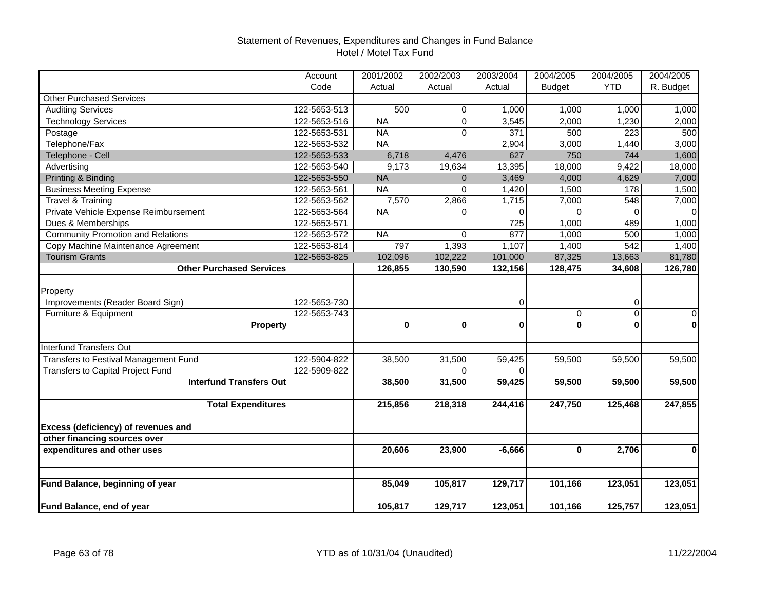# Statement of Revenues, Expenditures and Changes in Fund Balance Hotel / Motel Tax Fund

|                                          | Account      | 2001/2002 | 2002/2003               | 2003/2004   | 2004/2005     | 2004/2005  | 2004/2005      |
|------------------------------------------|--------------|-----------|-------------------------|-------------|---------------|------------|----------------|
|                                          | Code         | Actual    | Actual                  | Actual      | <b>Budget</b> | <b>YTD</b> | R. Budget      |
| <b>Other Purchased Services</b>          |              |           |                         |             |               |            |                |
| <b>Auditing Services</b>                 | 122-5653-513 | 500       | $\pmb{0}$               | 1,000       | 1,000         | 1,000      | 1,000          |
| <b>Technology Services</b>               | 122-5653-516 | <b>NA</b> | $\overline{\mathsf{o}}$ | 3,545       | 2,000         | 1,230      | 2,000          |
| Postage                                  | 122-5653-531 | <b>NA</b> | $\mathbf 0$             | 371         | 500           | 223        | 500            |
| Telephone/Fax                            | 122-5653-532 | <b>NA</b> |                         | 2,904       | 3,000         | 1,440      | 3,000          |
| Telephone - Cell                         | 122-5653-533 | 6,718     | 4,476                   | 627         | 750           | 744        | 1,600          |
| Advertising                              | 122-5653-540 | 9,173     | 19,634                  | 13,395      | 18,000        | 9,422      | 18,000         |
| Printing & Binding                       | 122-5653-550 | <b>NA</b> | $\mathbf 0$             | 3,469       | 4,000         | 4,629      | 7,000          |
| <b>Business Meeting Expense</b>          | 122-5653-561 | <b>NA</b> | 0                       | 1,420       | 1,500         | 178        | 1,500          |
| Travel & Training                        | 122-5653-562 | 7,570     | 2,866                   | 1,715       | 7,000         | 548        | 7,000          |
| Private Vehicle Expense Reimbursement    | 122-5653-564 | <b>NA</b> | $\pmb{0}$               | $\Omega$    | 0             | $\Omega$   | $\Omega$       |
| Dues & Memberships                       | 122-5653-571 |           |                         | 725         | 1,000         | 489        | 1,000          |
| <b>Community Promotion and Relations</b> | 122-5653-572 | <b>NA</b> | $\Omega$                | 877         | 1,000         | 500        | 1,000          |
| Copy Machine Maintenance Agreement       | 122-5653-814 | 797       | 1,393                   | 1,107       | 1,400         | 542        | 1,400          |
| <b>Tourism Grants</b>                    | 122-5653-825 | 102,096   | 102,222                 | 101,000     | 87,325        | 13,663     | 81,780         |
| <b>Other Purchased Services</b>          |              | 126,855   | 130,590                 | 132,156     | 128,475       | 34,608     | 126,780        |
|                                          |              |           |                         |             |               |            |                |
| Property                                 |              |           |                         |             |               |            |                |
| Improvements (Reader Board Sign)         | 122-5653-730 |           |                         | $\mathbf 0$ |               | 0          |                |
| Furniture & Equipment                    | 122-5653-743 |           |                         |             | 0             | 0          | $\overline{0}$ |
| Property                                 |              | 0         | $\bf{0}$                | $\bf{0}$    | $\mathbf{0}$  | 0          | $\mathbf 0$    |
|                                          |              |           |                         |             |               |            |                |
| <b>Interfund Transfers Out</b>           |              |           |                         |             |               |            |                |
| Transfers to Festival Management Fund    | 122-5904-822 | 38,500    | 31,500                  | 59,425      | 59,500        | 59,500     | 59,500         |
| Transfers to Capital Project Fund        | 122-5909-822 |           | $\Omega$                | $\Omega$    |               |            |                |
| <b>Interfund Transfers Out</b>           |              | 38,500    | 31,500                  | 59,425      | 59,500        | 59,500     | 59,500         |
|                                          |              |           |                         |             |               |            |                |
| <b>Total Expenditures</b>                |              | 215,856   | 218,318                 | 244,416     | 247,750       | 125,468    | 247,855        |
|                                          |              |           |                         |             |               |            |                |
| Excess (deficiency) of revenues and      |              |           |                         |             |               |            |                |
| other financing sources over             |              |           |                         |             |               |            |                |
| expenditures and other uses              |              | 20,606    | 23,900                  | $-6,666$    | 0             | 2,706      | $\mathbf{0}$   |
|                                          |              |           |                         |             |               |            |                |
|                                          |              |           |                         |             |               |            |                |
| Fund Balance, beginning of year          |              | 85,049    | 105,817                 | 129,717     | 101,166       | 123,051    | 123,051        |
|                                          |              |           |                         |             |               |            |                |
| Fund Balance, end of year                |              | 105,817   | 129,717                 | 123,051     | 101,166       | 125,757    | 123,051        |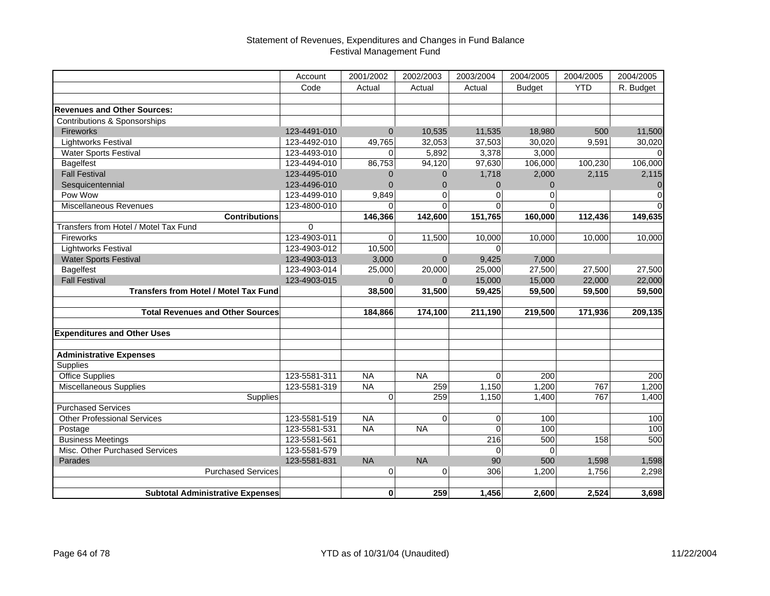|                                              | Account      | 2001/2002      | 2002/2003      | 2003/2004    | 2004/2005     | 2004/2005  | 2004/2005   |
|----------------------------------------------|--------------|----------------|----------------|--------------|---------------|------------|-------------|
|                                              | Code         | Actual         | Actual         | Actual       | <b>Budget</b> | <b>YTD</b> | R. Budget   |
|                                              |              |                |                |              |               |            |             |
| <b>Revenues and Other Sources:</b>           |              |                |                |              |               |            |             |
| Contributions & Sponsorships                 |              |                |                |              |               |            |             |
| <b>Fireworks</b>                             | 123-4491-010 | $\mathbf 0$    | 10,535         | 11,535       | 18,980        | 500        | 11,500      |
| <b>Lightworks Festival</b>                   | 123-4492-010 | 49,765         | 32,053         | 37,503       | 30,020        | 9,591      | 30,020      |
| <b>Water Sports Festival</b>                 | 123-4493-010 | 0              | 5,892          | 3,378        | 3,000         |            |             |
| <b>Bagelfest</b>                             | 123-4494-010 | 86,753         | 94,120         | 97,630       | 106,000       | 100,230    | 106,000     |
| <b>Fall Festival</b>                         | 123-4495-010 | 0              | $\mathbf{0}$   | 1,718        | 2,000         | 2,115      | 2,115       |
| Sesquicentennial                             | 123-4496-010 | $\Omega$       | $\mathbf{0}$   | $\mathbf 0$  | $\Omega$      |            | $\Omega$    |
| Pow Wow                                      | 123-4499-010 | 9,849          | $\overline{0}$ | $\mathbf{0}$ | 0             |            | $\mathbf 0$ |
| Miscellaneous Revenues                       | 123-4800-010 | $\Omega$       | $\Omega$       | $\Omega$     | $\Omega$      |            | $\Omega$    |
| <b>Contributions</b>                         |              | 146,366        | 142,600        | 151,765      | 160,000       | 112,436    | 149,635     |
| Transfers from Hotel / Motel Tax Fund        | $\Omega$     |                |                |              |               |            |             |
| Fireworks                                    | 123-4903-011 | $\mathbf 0$    | 11,500         | 10,000       | 10,000        | 10,000     | 10,000      |
| <b>Lightworks Festival</b>                   | 123-4903-012 | 10,500         |                | $\Omega$     |               |            |             |
| <b>Water Sports Festival</b>                 | 123-4903-013 | 3,000          | $\Omega$       | 9,425        | 7,000         |            |             |
| <b>Bagelfest</b>                             | 123-4903-014 | 25,000         | 20,000         | 25,000       | 27,500        | 27,500     | 27,500      |
| <b>Fall Festival</b>                         | 123-4903-015 | $\Omega$       | $\Omega$       | 15,000       | 15,000        | 22,000     | 22,000      |
| <b>Transfers from Hotel / Motel Tax Fund</b> |              | 38,500         | 31,500         | 59,425       | 59,500        | 59,500     | 59,500      |
|                                              |              |                |                |              |               |            |             |
| <b>Total Revenues and Other Sources</b>      |              | 184,866        | 174,100        | 211,190      | 219,500       | 171,936    | 209,135     |
| <b>Expenditures and Other Uses</b>           |              |                |                |              |               |            |             |
| <b>Administrative Expenses</b>               |              |                |                |              |               |            |             |
| <b>Supplies</b>                              |              |                |                |              |               |            |             |
| <b>Office Supplies</b>                       | 123-5581-311 | <b>NA</b>      | <b>NA</b>      | $\mathbf 0$  | 200           |            | 200         |
| Miscellaneous Supplies                       | 123-5581-319 | <b>NA</b>      | 259            | 1,150        | 1,200         | 767        | 1,200       |
| <b>Supplies</b>                              |              | $\Omega$       | 259            | 1,150        | 1,400         | 767        | 1,400       |
| <b>Purchased Services</b>                    |              |                |                |              |               |            |             |
| <b>Other Professional Services</b>           | 123-5581-519 | <b>NA</b>      | $\Omega$       | $\mathbf 0$  | 100           |            | 100         |
| Postage                                      | 123-5581-531 | <b>NA</b>      | <b>NA</b>      | $\mathbf{0}$ | 100           |            | 100         |
| <b>Business Meetings</b>                     | 123-5581-561 |                |                | 216          | 500           | 158        | 500         |
| Misc. Other Purchased Services               | 123-5581-579 |                |                | 0            | 0             |            |             |
| Parades                                      | 123-5581-831 | <b>NA</b>      | <b>NA</b>      | 90           | 500           | 1,598      | 1,598       |
| <b>Purchased Services</b>                    |              | $\overline{0}$ | $\mathbf 0$    | 306          | 1,200         | 1,756      | 2,298       |
|                                              |              |                |                |              |               |            |             |
| <b>Subtotal Administrative Expenses</b>      |              | $\bf{0}$       | 259            | 1,456        | 2,600         | 2,524      | 3,698       |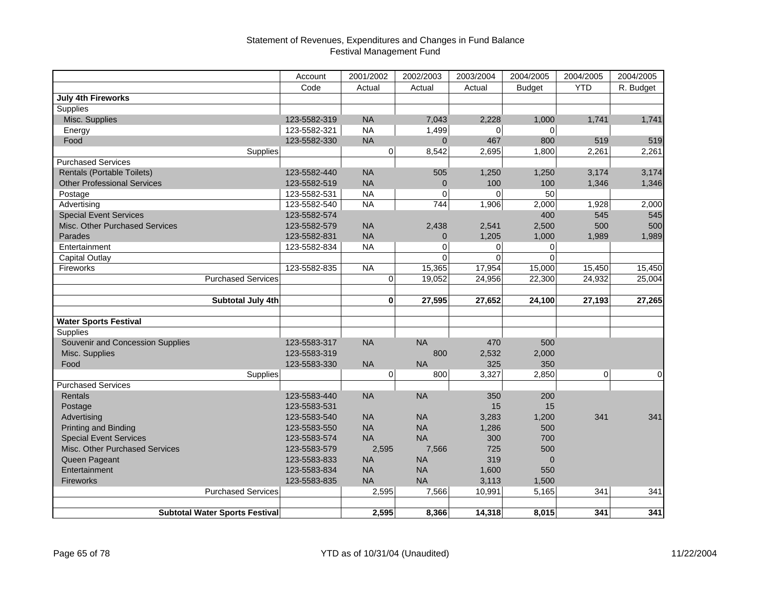|                                       | Account      | 2001/2002      | 2002/2003    | 2003/2004      | 2004/2005     | 2004/2005  | 2004/2005      |
|---------------------------------------|--------------|----------------|--------------|----------------|---------------|------------|----------------|
|                                       | Code         | Actual         | Actual       | Actual         | <b>Budget</b> | <b>YTD</b> | R. Budget      |
| <b>July 4th Fireworks</b>             |              |                |              |                |               |            |                |
| Supplies                              |              |                |              |                |               |            |                |
| Misc. Supplies                        | 123-5582-319 | <b>NA</b>      | 7.043        | 2,228          | 1.000         | 1,741      | 1,741          |
| Energy                                | 123-5582-321 | <b>NA</b>      | 1,499        | 0              | $\mathbf 0$   |            |                |
| Food                                  | 123-5582-330 | <b>NA</b>      | $\mathbf{0}$ | 467            | 800           | 519        | 519            |
| Supplies                              |              | $\overline{0}$ | 8,542        | 2,695          | 1,800         | 2,261      | 2,261          |
| <b>Purchased Services</b>             |              |                |              |                |               |            |                |
| <b>Rentals (Portable Toilets)</b>     | 123-5582-440 | <b>NA</b>      | 505          | 1,250          | 1,250         | 3,174      | 3,174          |
| <b>Other Professional Services</b>    | 123-5582-519 | <b>NA</b>      | $\mathbf{0}$ | 100            | 100           | 1,346      | 1,346          |
| Postage                               | 123-5582-531 | <b>NA</b>      | 0            | $\overline{0}$ | 50            |            |                |
| Advertising                           | 123-5582-540 | <b>NA</b>      | 744          | 1,906          | 2,000         | 1,928      | 2,000          |
| <b>Special Event Services</b>         | 123-5582-574 |                |              |                | 400           | 545        | 545            |
| Misc. Other Purchased Services        | 123-5582-579 | <b>NA</b>      | 2,438        | 2,541          | 2,500         | 500        | 500            |
| Parades                               | 123-5582-831 | <b>NA</b>      | 0            | 1,205          | 1,000         | 1,989      | 1,989          |
| Entertainment                         | 123-5582-834 | <b>NA</b>      | $\Omega$     | 0              | 0             |            |                |
| <b>Capital Outlay</b>                 |              |                | $\Omega$     | $\Omega$       | $\mathbf 0$   |            |                |
| Fireworks                             | 123-5582-835 | <b>NA</b>      | 15,365       | 17,954         | 15,000        | 15,450     | 15,450         |
| <b>Purchased Services</b>             |              | $\Omega$       | 19,052       | 24,956         | 22,300        | 24,932     | 25,004         |
|                                       |              |                |              |                |               |            |                |
| Subtotal July 4th                     |              | $\bf{0}$       | 27,595       | 27,652         | 24,100        | 27,193     | 27,265         |
| <b>Water Sports Festival</b>          |              |                |              |                |               |            |                |
| Supplies                              |              |                |              |                |               |            |                |
| Souvenir and Concession Supplies      | 123-5583-317 | <b>NA</b>      | <b>NA</b>    | 470            | 500           |            |                |
| Misc. Supplies                        | 123-5583-319 |                | 800          | 2,532          | 2,000         |            |                |
| Food                                  | 123-5583-330 | <b>NA</b>      | NA           | 325            | 350           |            |                |
| Supplies                              |              | $\overline{0}$ | 800          | 3,327          | 2,850         | 0          | $\overline{0}$ |
| <b>Purchased Services</b>             |              |                |              |                |               |            |                |
| Rentals                               | 123-5583-440 | <b>NA</b>      | <b>NA</b>    | 350            | 200           |            |                |
| Postage                               | 123-5583-531 |                |              | 15             | 15            |            |                |
| Advertising                           | 123-5583-540 | <b>NA</b>      | <b>NA</b>    | 3,283          | 1,200         | 341        | 341            |
| Printing and Binding                  | 123-5583-550 | <b>NA</b>      | <b>NA</b>    | 1,286          | 500           |            |                |
| <b>Special Event Services</b>         | 123-5583-574 | <b>NA</b>      | <b>NA</b>    | 300            | 700           |            |                |
| Misc. Other Purchased Services        | 123-5583-579 | 2,595          | 7,566        | 725            | 500           |            |                |
| Queen Pageant                         | 123-5583-833 | <b>NA</b>      | <b>NA</b>    | 319            | $\mathbf{0}$  |            |                |
| Entertainment                         | 123-5583-834 | <b>NA</b>      | <b>NA</b>    | 1,600          | 550           |            |                |
| <b>Fireworks</b>                      | 123-5583-835 | <b>NA</b>      | <b>NA</b>    | 3,113          | 1,500         |            |                |
| <b>Purchased Services</b>             |              | 2,595          | 7,566        | 10,991         | 5,165         | 341        | 341            |
|                                       |              |                |              |                |               |            |                |
| <b>Subtotal Water Sports Festival</b> |              | 2,595          | 8,366        | 14,318         | 8,015         | 341        | 341            |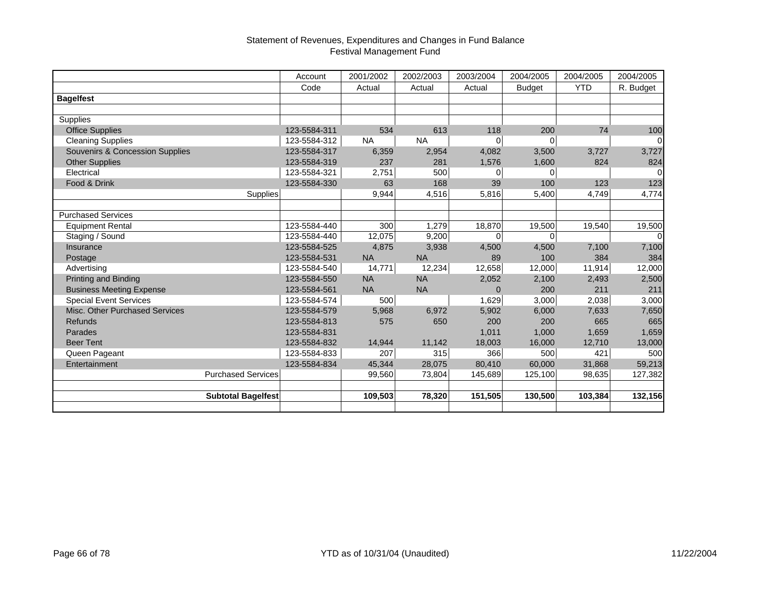|                                            | Account      | 2001/2002 | 2002/2003 | 2003/2004      | 2004/2005     | 2004/2005  | 2004/2005 |
|--------------------------------------------|--------------|-----------|-----------|----------------|---------------|------------|-----------|
|                                            | Code         | Actual    | Actual    | Actual         | <b>Budget</b> | <b>YTD</b> | R. Budget |
| <b>Bagelfest</b>                           |              |           |           |                |               |            |           |
|                                            |              |           |           |                |               |            |           |
| Supplies                                   |              |           |           |                |               |            |           |
| <b>Office Supplies</b>                     | 123-5584-311 | 534       | 613       | 118            | 200           | 74         | 100       |
| <b>Cleaning Supplies</b>                   | 123-5584-312 | <b>NA</b> | <b>NA</b> | $\overline{0}$ | $\mathbf 0$   |            | $\Omega$  |
| <b>Souvenirs &amp; Concession Supplies</b> | 123-5584-317 | 6,359     | 2,954     | 4,082          | 3,500         | 3,727      | 3,727     |
| <b>Other Supplies</b>                      | 123-5584-319 | 237       | 281       | 1,576          | 1,600         | 824        | 824       |
| Electrical                                 | 123-5584-321 | 2,751     | 500       | $\overline{0}$ | 0             |            | $\Omega$  |
| Food & Drink                               | 123-5584-330 | 63        | 168       | 39             | 100           | 123        | 123       |
| Supplies                                   |              | 9,944     | 4,516     | 5,816          | 5,400         | 4,749      | 4,774     |
|                                            |              |           |           |                |               |            |           |
| <b>Purchased Services</b>                  |              |           |           |                |               |            |           |
| <b>Equipment Rental</b>                    | 123-5584-440 | 300       | 1,279     | 18,870         | 19,500        | 19,540     | 19,500    |
| Staging / Sound                            | 123-5584-440 | 12,075    | 9,200     | $\overline{0}$ | 0             |            | $\Omega$  |
| Insurance                                  | 123-5584-525 | 4,875     | 3,938     | 4,500          | 4,500         | 7,100      | 7,100     |
| Postage                                    | 123-5584-531 | <b>NA</b> | <b>NA</b> | 89             | 100           | 384        | 384       |
| Advertising                                | 123-5584-540 | 14,771    | 12,234    | 12,658         | 12,000        | 11,914     | 12,000    |
| Printing and Binding                       | 123-5584-550 | <b>NA</b> | <b>NA</b> | 2,052          | 2,100         | 2,493      | 2,500     |
| <b>Business Meeting Expense</b>            | 123-5584-561 | <b>NA</b> | <b>NA</b> | $\mathbf 0$    | 200           | 211        | 211       |
| <b>Special Event Services</b>              | 123-5584-574 | 500       |           | 1,629          | 3,000         | 2,038      | 3,000     |
| Misc. Other Purchased Services             | 123-5584-579 | 5,968     | 6,972     | 5,902          | 6,000         | 7,633      | 7,650     |
| <b>Refunds</b>                             | 123-5584-813 | 575       | 650       | 200            | 200           | 665        | 665       |
| Parades                                    | 123-5584-831 |           |           | 1,011          | 1,000         | 1,659      | 1,659     |
| <b>Beer Tent</b>                           | 123-5584-832 | 14,944    | 11,142    | 18,003         | 16,000        | 12,710     | 13,000    |
| Queen Pageant                              | 123-5584-833 | 207       | 315       | 366            | 500           | 421        | 500       |
| Entertainment                              | 123-5584-834 | 45,344    | 28,075    | 80,410         | 60,000        | 31,868     | 59,213    |
| <b>Purchased Services</b>                  |              | 99,560    | 73,804    | 145,689        | 125,100       | 98,635     | 127,382   |
|                                            |              |           |           |                |               |            |           |
| Subtotal Bagelfest                         |              | 109,503   | 78,320    | 151,505        | 130,500       | 103,384    | 132,156   |
|                                            |              |           |           |                |               |            |           |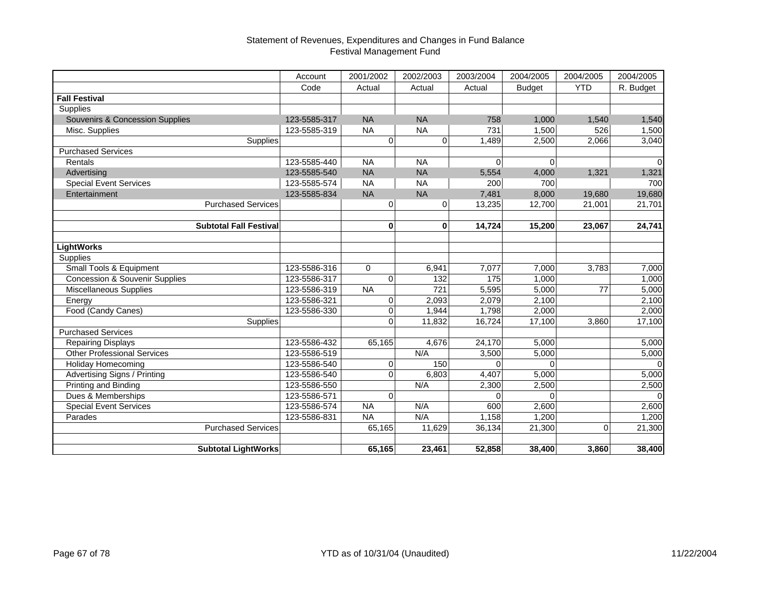|                                           | Account      | 2001/2002   | 2002/2003 | 2003/2004      | 2004/2005     | 2004/2005    | 2004/2005 |
|-------------------------------------------|--------------|-------------|-----------|----------------|---------------|--------------|-----------|
|                                           | Code         | Actual      | Actual    | Actual         | <b>Budget</b> | <b>YTD</b>   | R. Budget |
| <b>Fall Festival</b>                      |              |             |           |                |               |              |           |
| Supplies                                  |              |             |           |                |               |              |           |
| Souvenirs & Concession Supplies           | 123-5585-317 | <b>NA</b>   | <b>NA</b> | 758            | 1,000         | 1,540        | 1,540     |
| Misc. Supplies                            | 123-5585-319 | <b>NA</b>   | <b>NA</b> | 731            | 1,500         | 526          | 1,500     |
| Supplies                                  |              | $\Omega$    | $\Omega$  | 1,489          | 2,500         | 2,066        | 3,040     |
| <b>Purchased Services</b>                 |              |             |           |                |               |              |           |
| Rentals                                   | 123-5585-440 | <b>NA</b>   | <b>NA</b> | $\overline{0}$ | $\Omega$      |              |           |
| Advertising                               | 123-5585-540 | <b>NA</b>   | <b>NA</b> | 5,554          | 4,000         | 1,321        | 1,321     |
| <b>Special Event Services</b>             | 123-5585-574 | <b>NA</b>   | <b>NA</b> | 200            | 700           |              | 700       |
| Entertainment                             | 123-5585-834 | <b>NA</b>   | <b>NA</b> | 7,481          | 8,000         | 19,680       | 19,680    |
| <b>Purchased Services</b>                 |              | 0           | 0         | 13,235         | 12,700        | 21,001       | 21,701    |
|                                           |              |             |           |                |               |              |           |
| <b>Subtotal Fall Festival</b>             |              | $\bf{0}$    | $\bf{0}$  | 14,724         | 15,200        | 23,067       | 24,741    |
|                                           |              |             |           |                |               |              |           |
| <b>LightWorks</b>                         |              |             |           |                |               |              |           |
| Supplies                                  |              |             |           |                |               |              |           |
| Small Tools & Equipment                   | 123-5586-316 | $\Omega$    | 6,941     | 7,077          | 7,000         | 3,783        | 7,000     |
| <b>Concession &amp; Souvenir Supplies</b> | 123-5586-317 | $\Omega$    | 132       | 175            | 1.000         |              | 1,000     |
| Miscellaneous Supplies                    | 123-5586-319 | <b>NA</b>   | 721       | 5,595          | 5,000         | 77           | 5,000     |
| Energy                                    | 123-5586-321 | $\mathbf 0$ | 2,093     | 2,079          | 2,100         |              | 2,100     |
| Food (Candy Canes)                        | 123-5586-330 | $\mathbf 0$ | 1,944     | 1,798          | 2,000         |              | 2,000     |
| <b>Supplies</b>                           |              | $\Omega$    | 11,832    | 16,724         | 17,100        | 3,860        | 17,100    |
| <b>Purchased Services</b>                 |              |             |           |                |               |              |           |
| <b>Repairing Displays</b>                 | 123-5586-432 | 65,165      | 4,676     | 24,170         | 5,000         |              | 5,000     |
| <b>Other Professional Services</b>        | 123-5586-519 |             | N/A       | 3,500          | 5,000         |              | 5,000     |
| Holiday Homecoming                        | 123-5586-540 | $\mathbf 0$ | 150       | $\Omega$       |               |              |           |
| Advertising Signs / Printing              | 123-5586-540 | $\Omega$    | 6,803     | 4,407          | 5,000         |              | 5,000     |
| Printing and Binding                      | 123-5586-550 |             | N/A       | 2,300          | 2,500         |              | 2,500     |
| Dues & Memberships                        | 123-5586-571 | $\Omega$    |           | $\Omega$       | $\Omega$      |              |           |
| <b>Special Event Services</b>             | 123-5586-574 | <b>NA</b>   | N/A       | 600            | 2.600         |              | 2,600     |
| Parades                                   | 123-5586-831 | <b>NA</b>   | N/A       | 1.158          | 1.200         |              | 1,200     |
| <b>Purchased Services</b>                 |              | 65,165      | 11,629    | 36,134         | 21,300        | $\mathbf{0}$ | 21,300    |
|                                           |              |             |           |                |               |              |           |
| <b>Subtotal LightWorks</b>                |              | 65,165      | 23,461    | 52,858         | 38,400        | 3,860        | 38,400    |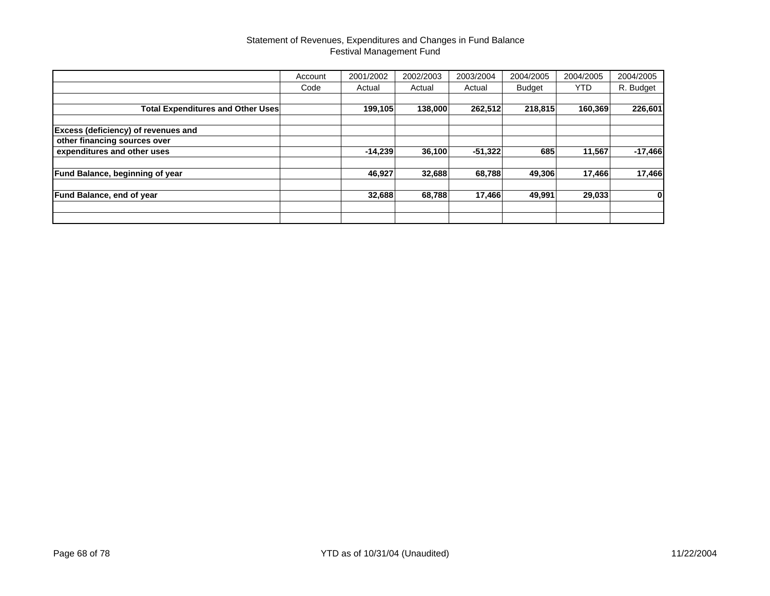|                                          | Account | 2001/2002 | 2002/2003 | 2003/2004 | 2004/2005     | 2004/2005 | 2004/2005 |
|------------------------------------------|---------|-----------|-----------|-----------|---------------|-----------|-----------|
|                                          | Code    | Actual    | Actual    | Actual    | <b>Budget</b> | YTD.      | R. Budget |
|                                          |         |           |           |           |               |           |           |
| <b>Total Expenditures and Other Uses</b> |         | 199,105   | 138,000   | 262,512   | 218,815       | 160,369   | 226,601   |
| Excess (deficiency) of revenues and      |         |           |           |           |               |           |           |
| other financing sources over             |         |           |           |           |               |           |           |
| expenditures and other uses              |         | $-14,239$ | 36,100    | $-51,322$ | 685           | 11,567    | $-17,466$ |
| Fund Balance, beginning of year          |         | 46,927    | 32,688    | 68,788    | 49,306        | 17,466    | 17,466    |
| <b>Fund Balance, end of year</b>         |         | 32,688    | 68,788    | 17,466    | 49,991        | 29,033    | 0         |
|                                          |         |           |           |           |               |           |           |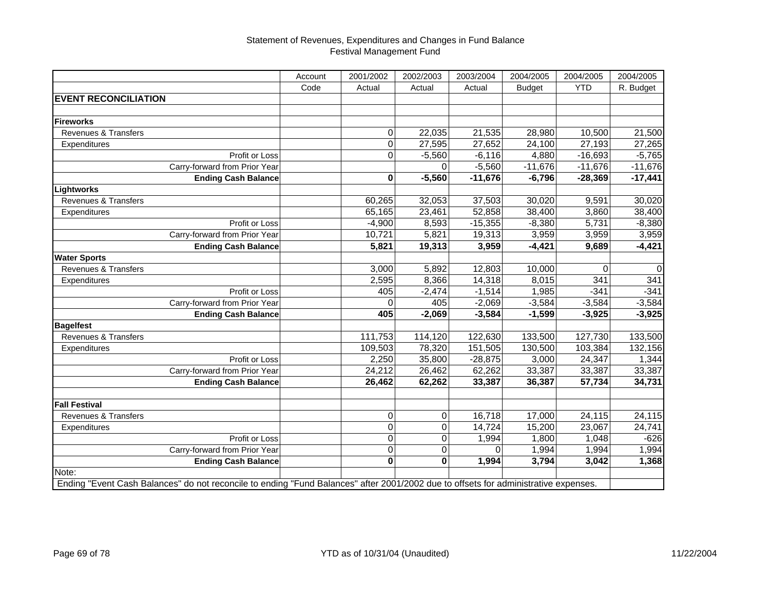|                                                                                                                                     | Account | 2001/2002    | 2002/2003      | 2003/2004 | 2004/2005     | 2004/2005  | 2004/2005   |
|-------------------------------------------------------------------------------------------------------------------------------------|---------|--------------|----------------|-----------|---------------|------------|-------------|
|                                                                                                                                     | Code    | Actual       | Actual         | Actual    | <b>Budget</b> | <b>YTD</b> | R. Budget   |
| <b>EVENT RECONCILIATION</b>                                                                                                         |         |              |                |           |               |            |             |
|                                                                                                                                     |         |              |                |           |               |            |             |
| <b>Fireworks</b>                                                                                                                    |         |              |                |           |               |            |             |
| Revenues & Transfers                                                                                                                |         | $\mathbf 0$  | 22,035         | 21,535    | 28,980        | 10,500     | 21,500      |
| Expenditures                                                                                                                        |         | $\mathbf 0$  | 27,595         | 27,652    | 24,100        | 27,193     | 27,265      |
| Profit or Loss                                                                                                                      |         | $\Omega$     | $-5,560$       | $-6,116$  | 4,880         | $-16,693$  | $-5,765$    |
| Carry-forward from Prior Year                                                                                                       |         |              |                | $-5,560$  | $-11,676$     | $-11,676$  | $-11,676$   |
| <b>Ending Cash Balance</b>                                                                                                          |         | 0            | $-5,560$       | $-11,676$ | $-6,796$      | $-28,369$  | $-17,441$   |
| Lightworks                                                                                                                          |         |              |                |           |               |            |             |
| Revenues & Transfers                                                                                                                |         | 60,265       | 32,053         | 37,503    | 30,020        | 9,591      | 30,020      |
| Expenditures                                                                                                                        |         | 65,165       | 23,461         | 52,858    | 38,400        | 3,860      | 38,400      |
| Profit or Loss                                                                                                                      |         | $-4,900$     | 8,593          | $-15,355$ | $-8,380$      | 5,731      | $-8,380$    |
| Carry-forward from Prior Year                                                                                                       |         | 10,721       | 5,821          | 19,313    | 3,959         | 3,959      | 3,959       |
| <b>Ending Cash Balance</b>                                                                                                          |         | 5,821        | 19,313         | 3,959     | $-4,421$      | 9,689      | $-4,421$    |
| <b>Water Sports</b>                                                                                                                 |         |              |                |           |               |            |             |
| Revenues & Transfers                                                                                                                |         | 3,000        | 5,892          | 12,803    | 10,000        | $\Omega$   | $\mathbf 0$ |
| Expenditures                                                                                                                        |         | 2,595        | 8,366          | 14,318    | 8,015         | 341        | 341         |
| Profit or Loss                                                                                                                      |         | 405          | $-2,474$       | $-1,514$  | 1,985         | $-341$     | $-341$      |
| Carry-forward from Prior Year                                                                                                       |         | $\Omega$     | 405            | $-2,069$  | $-3,584$      | $-3,584$   | $-3,584$    |
| <b>Ending Cash Balance</b>                                                                                                          |         | 405          | $-2,069$       | $-3,584$  | $-1,599$      | $-3,925$   | $-3,925$    |
| <b>Bagelfest</b>                                                                                                                    |         |              |                |           |               |            |             |
| Revenues & Transfers                                                                                                                |         | 111,753      | 114,120        | 122,630   | 133,500       | 127,730    | 133,500     |
| Expenditures                                                                                                                        |         | 109,503      | 78,320         | 151,505   | 130,500       | 103,384    | 132,156     |
| Profit or Loss                                                                                                                      |         | 2,250        | 35,800         | $-28,875$ | 3,000         | 24,347     | 1,344       |
| Carry-forward from Prior Year                                                                                                       |         | 24,212       | 26,462         | 62,262    | 33,387        | 33,387     | 33,387      |
| <b>Ending Cash Balance</b>                                                                                                          |         | 26,462       | 62,262         | 33,387    | 36,387        | 57,734     | 34,731      |
|                                                                                                                                     |         |              |                |           |               |            |             |
| <b>Fall Festival</b>                                                                                                                |         |              |                |           |               |            |             |
| Revenues & Transfers                                                                                                                |         | $\mathbf 0$  | 0              | 16,718    | 17,000        | 24,115     | 24,115      |
| Expenditures                                                                                                                        |         | $\mathbf 0$  | $\overline{O}$ | 14,724    | 15,200        | 23,067     | 24,741      |
| Profit or Loss                                                                                                                      |         | $\mathbf 0$  | $\pmb{0}$      | 1,994     | 1,800         | 1,048      | $-626$      |
| Carry-forward from Prior Year                                                                                                       |         | $\mathbf 0$  | $\overline{O}$ | $\Omega$  | 1,994         | 1,994      | 1,994       |
| <b>Ending Cash Balance</b>                                                                                                          |         | $\mathbf{0}$ | $\mathbf{0}$   | 1,994     | 3,794         | 3,042      | 1,368       |
| Note:                                                                                                                               |         |              |                |           |               |            |             |
| Ending "Event Cash Balances" do not reconcile to ending "Fund Balances" after 2001/2002 due to offsets for administrative expenses. |         |              |                |           |               |            |             |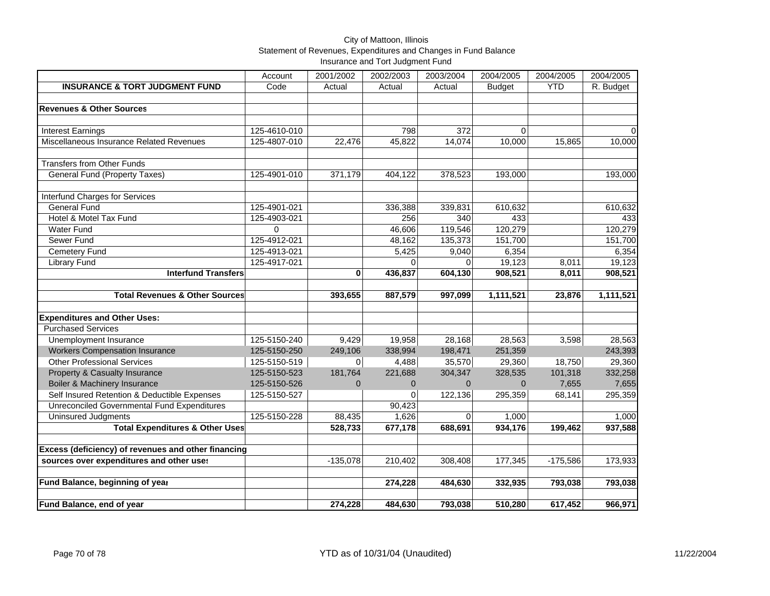### City of Mattoon, Illinois Statement of Revenues, Expenditures and Changes in Fund Balance Insurance and Tort Judgment Fund

|                                                     | Account      | 2001/2002  | 2002/2003      | 2003/2004 | 2004/2005     | 2004/2005  | 2004/2005 |
|-----------------------------------------------------|--------------|------------|----------------|-----------|---------------|------------|-----------|
| <b>INSURANCE &amp; TORT JUDGMENT FUND</b>           | Code         | Actual     | Actual         | Actual    | <b>Budget</b> | <b>YTD</b> | R. Budget |
|                                                     |              |            |                |           |               |            |           |
| <b>Revenues &amp; Other Sources</b>                 |              |            |                |           |               |            |           |
|                                                     |              |            |                |           |               |            |           |
| <b>Interest Earnings</b>                            | 125-4610-010 |            | 798            | 372       | 0             |            | $\Omega$  |
| Miscellaneous Insurance Related Revenues            | 125-4807-010 | 22,476     | 45,822         | 14,074    | 10,000        | 15,865     | 10,000    |
|                                                     |              |            |                |           |               |            |           |
| <b>Transfers from Other Funds</b>                   |              |            |                |           |               |            |           |
| <b>General Fund (Property Taxes)</b>                | 125-4901-010 | 371,179    | 404,122        | 378,523   | 193,000       |            | 193,000   |
| Interfund Charges for Services                      |              |            |                |           |               |            |           |
| <b>General Fund</b>                                 | 125-4901-021 |            | 336,388        | 339,831   | 610,632       |            | 610,632   |
| Hotel & Motel Tax Fund                              | 125-4903-021 |            | 256            | 340       | 433           |            | 433       |
| <b>Water Fund</b>                                   | $\Omega$     |            | 46,606         | 119,546   | 120,279       |            | 120,279   |
| Sewer Fund                                          | 125-4912-021 |            | 48,162         | 135,373   | 151,700       |            | 151,700   |
| Cemetery Fund                                       | 125-4913-021 |            | 5,425          | 9,040     | 6,354         |            | 6,354     |
| <b>Library Fund</b>                                 | 125-4917-021 |            | $\Omega$       | $\Omega$  | 19,123        | 8,011      | 19,123    |
| <b>Interfund Transfers</b>                          |              | 0          | 436,837        | 604,130   | 908,521       | 8,011      | 908,521   |
|                                                     |              |            |                |           |               |            |           |
| <b>Total Revenues &amp; Other Sources</b>           |              | 393,655    | 887,579        | 997,099   | 1,111,521     | 23,876     | 1,111,521 |
| <b>Expenditures and Other Uses:</b>                 |              |            |                |           |               |            |           |
| <b>Purchased Services</b>                           |              |            |                |           |               |            |           |
| Unemployment Insurance                              | 125-5150-240 | 9,429      | 19,958         | 28,168    | 28,563        | 3,598      | 28,563    |
| <b>Workers Compensation Insurance</b>               | 125-5150-250 | 249,106    | 338,994        | 198,471   | 251,359       |            | 243,393   |
| <b>Other Professional Services</b>                  | 125-5150-519 | 0          | 4,488          | 35,570    | 29,360        | 18,750     | 29,360    |
| Property & Casualty Insurance                       | 125-5150-523 | 181,764    | 221,688        | 304,347   | 328,535       | 101,318    | 332,258   |
| Boiler & Machinery Insurance                        | 125-5150-526 | $\Omega$   | $\overline{0}$ | $\Omega$  | $\Omega$      | 7,655      | 7,655     |
| Self Insured Retention & Deductible Expenses        | 125-5150-527 |            | $\mathbf 0$    | 122,136   | 295,359       | 68,141     | 295,359   |
| Unreconciled Governmental Fund Expenditures         |              |            | 90,423         |           |               |            |           |
| <b>Uninsured Judgments</b>                          | 125-5150-228 | 88,435     | 1,626          | $\Omega$  | 1,000         |            | 1,000     |
| <b>Total Expenditures &amp; Other Uses</b>          |              | 528,733    | 677,178        | 688,691   | 934,176       | 199,462    | 937,588   |
| Excess (deficiency) of revenues and other financing |              |            |                |           |               |            |           |
| sources over expenditures and other uses            |              | $-135,078$ | 210,402        | 308,408   | 177,345       | $-175,586$ | 173,933   |
|                                                     |              |            |                |           |               |            |           |
| Fund Balance, beginning of year                     |              |            | 274,228        | 484,630   | 332,935       | 793,038    | 793,038   |
|                                                     |              |            |                |           |               |            |           |
| Fund Balance, end of year                           |              | 274,228    | 484,630        | 793,038   | 510,280       | 617,452    | 966,971   |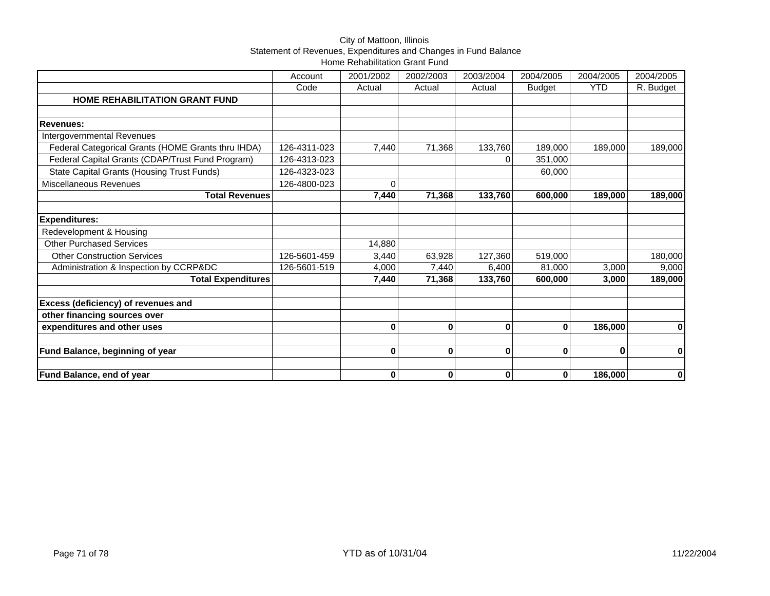## City of Mattoon, Illinois Statement of Revenues, Expenditures and Changes in Fund Balance Home Rehabilitation Grant Fund

|                                                             | Account      | 2001/2002    | 2002/2003 | 2003/2004   | 2004/2005     | 2004/2005  | 2004/2005 |
|-------------------------------------------------------------|--------------|--------------|-----------|-------------|---------------|------------|-----------|
|                                                             | Code         | Actual       | Actual    | Actual      | <b>Budget</b> | <b>YTD</b> | R. Budget |
| <b>HOME REHABILITATION GRANT FUND</b>                       |              |              |           |             |               |            |           |
|                                                             |              |              |           |             |               |            |           |
| <b>Revenues:</b>                                            |              |              |           |             |               |            |           |
| Intergovernmental Revenues                                  |              |              |           |             |               |            |           |
| Federal Categorical Grants (HOME Grants thru IHDA)          | 126-4311-023 | 7,440        | 71,368    | 133,760     | 189,000       | 189,000    | 189,000   |
| Federal Capital Grants (CDAP/Trust Fund Program)            | 126-4313-023 |              |           | 0           | 351,000       |            |           |
| <b>State Capital Grants (Housing Trust Funds)</b>           | 126-4323-023 |              |           |             | 60,000        |            |           |
| Miscellaneous Revenues                                      | 126-4800-023 | $\Omega$     |           |             |               |            |           |
| <b>Total Revenues</b>                                       |              | 7,440        | 71,368    | 133,760     | 600,000       | 189,000    | 189,000   |
|                                                             |              |              |           |             |               |            |           |
| <b>Expenditures:</b>                                        |              |              |           |             |               |            |           |
| Redevelopment & Housing                                     |              |              |           |             |               |            |           |
| <b>Other Purchased Services</b>                             |              | 14,880       |           |             |               |            |           |
| <b>Other Construction Services</b>                          | 126-5601-459 | 3,440        | 63,928    | 127,360     | 519,000       |            | 180,000   |
| Administration & Inspection by CCRP&DC                      | 126-5601-519 | 4,000        | 7,440     | 6,400       | 81,000        | 3,000      | 9,000     |
| <b>Total Expenditures</b>                                   |              | 7,440        | 71,368    | 133,760     | 600.000       | 3,000      | 189,000   |
|                                                             |              |              |           |             |               |            |           |
| Excess (deficiency) of revenues and                         |              |              |           |             |               |            |           |
| other financing sources over<br>expenditures and other uses |              | $\bf{0}$     | $\bf{0}$  | $\mathbf 0$ | $\mathbf 0$   | 186,000    |           |
|                                                             |              |              |           |             |               |            | 0         |
| Fund Balance, beginning of year                             |              | $\bf{0}$     | $\bf{0}$  | 0           | 0             | 0          | 0         |
|                                                             |              |              |           |             |               |            |           |
| <b>Fund Balance, end of year</b>                            |              | $\mathbf{0}$ | $\bf{0}$  | 0           | 0             | 186,000    | 0         |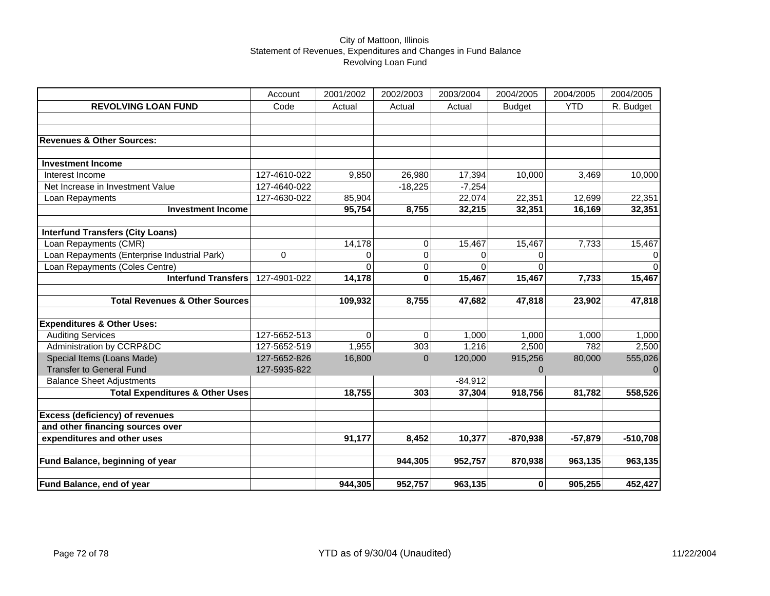|                                              | Account      | 2001/2002 | 2002/2003   | 2003/2004 | 2004/2005     | 2004/2005  | 2004/2005     |
|----------------------------------------------|--------------|-----------|-------------|-----------|---------------|------------|---------------|
| <b>REVOLVING LOAN FUND</b>                   | Code         | Actual    | Actual      | Actual    | <b>Budget</b> | <b>YTD</b> | R. Budget     |
|                                              |              |           |             |           |               |            |               |
|                                              |              |           |             |           |               |            |               |
| <b>Revenues &amp; Other Sources:</b>         |              |           |             |           |               |            |               |
|                                              |              |           |             |           |               |            |               |
| <b>Investment Income</b>                     |              |           |             |           |               |            |               |
| Interest Income                              | 127-4610-022 | 9,850     | 26,980      | 17,394    | 10,000        | 3,469      | 10,000        |
| Net Increase in Investment Value             | 127-4640-022 |           | $-18,225$   | $-7,254$  |               |            |               |
| Loan Repayments                              | 127-4630-022 | 85,904    |             | 22,074    | 22,351        | 12,699     | 22,351        |
| <b>Investment Income</b>                     |              | 95,754    | 8,755       | 32,215    | 32,351        | 16,169     | 32,351        |
|                                              |              |           |             |           |               |            |               |
| <b>Interfund Transfers (City Loans)</b>      |              |           |             |           |               |            |               |
| Loan Repayments (CMR)                        |              | 14,178    | $\mathbf 0$ | 15,467    | 15,467        | 7,733      | 15,467        |
| Loan Repayments (Enterprise Industrial Park) | 0            | $\Omega$  | 0           | 0         | 0             |            | 0<br>$\Omega$ |
| Loan Repayments (Coles Centre)               |              | $\Omega$  | 0           | $\Omega$  | $\Omega$      |            |               |
| <b>Interfund Transfers</b>                   | 127-4901-022 | 14,178    | 0           | 15,467    | 15,467        | 7,733      | 15,467        |
| <b>Total Revenues &amp; Other Sources</b>    |              | 109,932   | 8,755       | 47,682    | 47,818        | 23,902     | 47,818        |
|                                              |              |           |             |           |               |            |               |
| <b>Expenditures &amp; Other Uses:</b>        |              |           |             |           |               |            |               |
| <b>Auditing Services</b>                     | 127-5652-513 | $\Omega$  | $\mathbf 0$ | 1,000     | 1,000         | 1,000      | 1,000         |
| Administration by CCRP&DC                    | 127-5652-519 | 1,955     | 303         | 1,216     | 2,500         | 782        | 2,500         |
| Special Items (Loans Made)                   | 127-5652-826 | 16,800    | $\Omega$    | 120,000   | 915,256       | 80,000     | 555,026       |
| <b>Transfer to General Fund</b>              | 127-5935-822 |           |             |           | 0             |            | $\Omega$      |
| <b>Balance Sheet Adjustments</b>             |              |           |             | $-84,912$ |               |            |               |
| <b>Total Expenditures &amp; Other Uses</b>   |              | 18,755    | 303         | 37,304    | 918,756       | 81,782     | 558,526       |
|                                              |              |           |             |           |               |            |               |
| <b>Excess (deficiency) of revenues</b>       |              |           |             |           |               |            |               |
| and other financing sources over             |              |           |             |           |               |            |               |
| expenditures and other uses                  |              | 91,177    | 8,452       | 10,377    | $-870,938$    | $-57,879$  | $-510,708$    |
| Fund Balance, beginning of year              |              |           | 944,305     | 952,757   | 870,938       | 963,135    | 963,135       |
|                                              |              |           |             |           |               |            |               |
| <b>Fund Balance, end of year</b>             |              | 944,305   | 952,757     | 963,135   | 0             | 905,255    | 452,427       |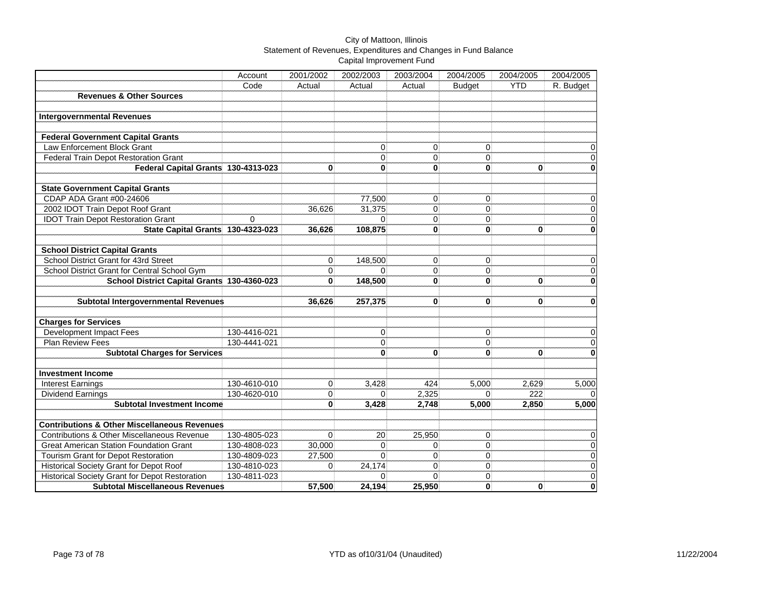|                                                         | Account      | 2001/2002      | 2002/2003      | 2003/2004      | 2004/2005      | 2004/2005    | 2004/2005                 |
|---------------------------------------------------------|--------------|----------------|----------------|----------------|----------------|--------------|---------------------------|
|                                                         | Code         | Actual         | Actual         | Actual         | <b>Budget</b>  | <b>YTD</b>   | R. Budget                 |
| <b>Revenues &amp; Other Sources</b>                     |              |                |                |                |                |              |                           |
|                                                         |              |                |                |                |                |              |                           |
| <b>Intergovernmental Revenues</b>                       |              |                |                |                |                |              |                           |
|                                                         |              |                |                |                |                |              |                           |
| <b>Federal Government Capital Grants</b>                |              |                |                |                |                |              |                           |
| Law Enforcement Block Grant                             |              |                | 0              | 0              | $\overline{0}$ |              | $\boldsymbol{0}$          |
| Federal Train Depot Restoration Grant                   |              |                | $\Omega$       | $\Omega$       | $\Omega$       |              | $\overline{0}$            |
| Federal Capital Grants 130-4313-023                     |              | $\bf{0}$       | 0              | 0              | $\bf{0}$       | $\mathbf{0}$ | $\mathbf 0$               |
|                                                         |              |                |                |                |                |              |                           |
| <b>State Government Capital Grants</b>                  |              |                |                |                |                |              |                           |
| CDAP ADA Grant #00-24606                                |              |                | 77,500         | $\mathbf{0}$   | 0              |              | $\overline{0}$            |
| 2002 IDOT Train Depot Roof Grant                        |              | 36,626         | 31,375         | $\Omega$       | $\overline{0}$ |              | $\overline{0}$            |
| <b>IDOT Train Depot Restoration Grant</b>               | $\Omega$     |                | $\Omega$       | $\Omega$       | 0              |              | $\overline{0}$            |
| State Capital Grants 130-4323-023                       |              | 36,626         | 108,875        | 0              | $\mathbf{0}$   | 0            | $\mathbf 0$               |
|                                                         |              |                |                |                |                |              |                           |
| <b>School District Capital Grants</b>                   |              |                |                |                |                |              |                           |
| School District Grant for 43rd Street                   |              | 0              | 148,500        | $\mathbf{0}$   | $\overline{0}$ |              | $\boldsymbol{0}$          |
| School District Grant for Central School Gym            |              | $\Omega$       | $\Omega$       | $\Omega$       | $\Omega$       |              | $\boldsymbol{0}$          |
| School District Capital Grants 130-4360-023             |              | O              | 148,500        | 0              | $\mathbf{0}$   | $\bf{0}$     | $\mathbf 0$               |
|                                                         |              |                |                |                |                |              |                           |
| <b>Subtotal Intergovernmental Revenues</b>              |              | 36,626         | 257,375        | $\mathbf{0}$   | $\bf{0}$       | $\bf{0}$     | $\mathbf 0$               |
|                                                         |              |                |                |                |                |              |                           |
| <b>Charges for Services</b>                             |              |                |                |                |                |              |                           |
| <b>Development Impact Fees</b>                          | 130-4416-021 |                | $\overline{0}$ |                | $\overline{0}$ |              | $\overline{0}$            |
| Plan Review Fees                                        | 130-4441-021 |                | $\mathbf{0}$   |                | $\overline{0}$ |              | $\overline{0}$            |
| <b>Subtotal Charges for Services</b>                    |              |                | $\mathbf{0}$   | $\bf{0}$       | $\mathbf{0}$   | $\bf{0}$     | $\mathbf 0$               |
|                                                         |              |                |                |                |                |              |                           |
| <b>Investment Income</b>                                |              |                |                |                |                |              |                           |
| <b>Interest Earnings</b>                                | 130-4610-010 | $\overline{0}$ | 3,428          | 424            | 5,000          | 2,629        | 5,000                     |
| <b>Dividend Earnings</b>                                | 130-4620-010 | $\Omega$       | 0              | 2,325          | $\Omega$       | 222          | $\Omega$                  |
| Subtotal Investment Income                              |              | 0              | 3,428          | 2,748          | 5,000          | 2,850        | 5,000                     |
|                                                         |              |                |                |                |                |              |                           |
| <b>Contributions &amp; Other Miscellaneous Revenues</b> |              |                |                |                |                |              |                           |
| Contributions & Other Miscellaneous Revenue             | 130-4805-023 | $\Omega$       | 20             | 25,950         | $\Omega$       |              | $\overline{0}$            |
| <b>Great American Station Foundation Grant</b>          | 130-4808-023 | 30,000         | $\mathbf{0}$   | $\Omega$       | $\Omega$       |              | $\overline{0}$            |
| <b>Tourism Grant for Depot Restoration</b>              | 130-4809-023 | 27,500         | $\Omega$       | $\Omega$       | $\overline{0}$ |              | $\overline{0}$            |
| <b>Historical Society Grant for Depot Roof</b>          | 130-4810-023 | $\Omega$       | 24,174         | $\overline{0}$ | $\overline{0}$ |              | $\overline{\mathfrak{o}}$ |
| <b>Historical Society Grant for Depot Restoration</b>   | 130-4811-023 |                | $\Omega$       | $\Omega$       | 0              |              | $\overline{0}$            |
| <b>Subtotal Miscellaneous Revenues</b>                  |              | 57,500         | 24,194         | 25,950         | $\bf{0}$       | $\bf{0}$     | $\dddot{\mathbf{0}}$      |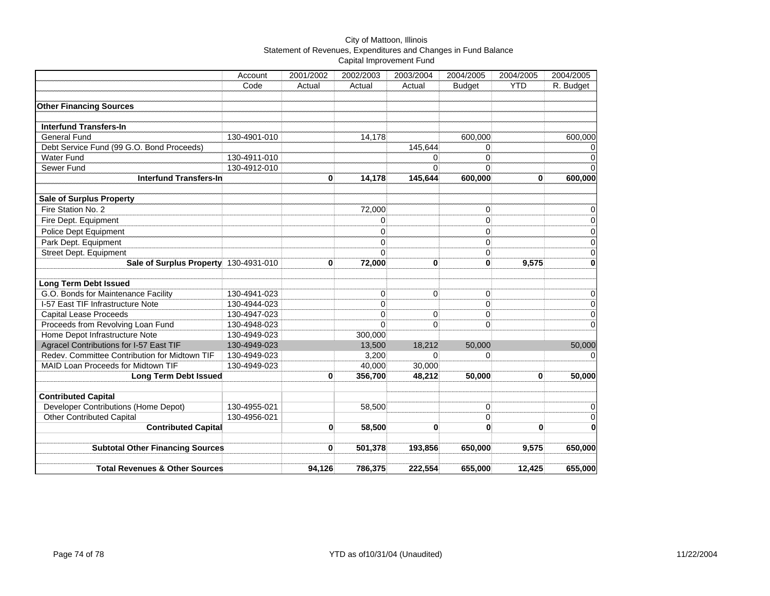|                                               | Account      | 2001/2002    | 2002/2003 | 2003/2004      | 2004/2005      | 2004/2005  | 2004/2005                 |
|-----------------------------------------------|--------------|--------------|-----------|----------------|----------------|------------|---------------------------|
|                                               | Code         | Actual       | Actual    | Actual         | <b>Budget</b>  | <b>YTD</b> | R. Budget                 |
|                                               |              |              |           |                |                |            |                           |
| <b>Other Financing Sources</b>                |              |              |           |                |                |            |                           |
|                                               |              |              |           |                |                |            |                           |
| <b>Interfund Transfers-In</b>                 |              |              |           |                |                |            |                           |
| General Fund                                  | 130-4901-010 |              | 14,178    |                | 600,000        |            | 600,000                   |
| Debt Service Fund (99 G.O. Bond Proceeds)     |              |              |           | 145,644        | $\Omega$       |            | $\pmb{0}$                 |
| <b>Water Fund</b>                             | 130-4911-010 |              |           | $\Omega$       | $\Omega$       |            | $\overline{0}$            |
| Sewer Fund                                    | 130-4912-010 |              |           | $\Omega$       | $\Omega$       |            | $\overline{0}$            |
| <b>Interfund Transfers-In</b>                 |              | 0            | 14,178    | 145,644        | 600,000        | 0          | 600,000                   |
| <b>Sale of Surplus Property</b>               |              |              |           |                |                |            |                           |
| Fire Station No. 2                            |              |              | 72,000    |                | 0              |            | $\pmb{0}$                 |
| Fire Dept. Equipment                          |              |              | 0         |                | 0              |            | $\overline{0}$            |
| Police Dept Equipment                         |              |              | $\Omega$  |                | $\Omega$       |            | $\pmb{0}$                 |
| Park Dept. Equipment                          |              |              | 0         |                | $\overline{0}$ |            | $\pmb{0}$                 |
| Street Dept. Equipment                        |              |              | $\Omega$  |                | 0              |            | $\overline{0}$            |
| Sale of Surplus Property 130-4931-010         |              | $\bf{0}$     | 72,000    | $\bf{0}$       | 0              | 9,575      | $\pmb{0}$                 |
|                                               |              |              |           |                |                |            |                           |
| <b>Long Term Debt Issued</b>                  |              |              |           |                |                |            |                           |
| G.O. Bonds for Maintenance Facility           | 130-4941-023 |              | 0         | $\vert$        | $\overline{0}$ |            | $\boldsymbol{0}$          |
| I-57 East TIF Infrastructure Note             | 130-4944-023 |              | 0         |                | $\overline{0}$ |            | $\overline{0}$            |
| <b>Capital Lease Proceeds</b>                 | 130-4947-023 |              | 0         | $\overline{0}$ | $\overline{0}$ |            | $\overline{0}$            |
| Proceeds from Revolving Loan Fund             | 130-4948-023 |              | $\Omega$  | $\Omega$       | $\Omega$       |            | $\mathbf 0$               |
| Home Depot Infrastructure Note                | 130-4949-023 |              | 300,000   |                |                |            |                           |
| Agracel Contributions for I-57 East TIF       | 130-4949-023 |              | 13,500    | 18,212         | 50,000         |            | 50,000                    |
| Redev. Committee Contribution for Midtown TIF | 130-4949-023 |              | 3,200     | $\Omega$       | $\Omega$       |            | $\mathbf 0$               |
| MAID Loan Proceeds for Midtown TIF            | 130-4949-023 |              | 40,000    | 30,000         |                |            |                           |
| <b>Long Term Debt Issued</b>                  |              | $\bf{0}$     | 356,700   | 48,212         | 50,000         | $\bf{0}$   | 50,000                    |
| <b>Contributed Capital</b>                    |              |              |           |                |                |            |                           |
| Developer Contributions (Home Depot)          | 130-4955-021 |              | 58,500    |                | $\overline{0}$ |            | $\mathbf 0$               |
| <b>Other Contributed Capital</b>              | 130-4956-021 |              |           |                | $\Omega$       |            | $\overline{\mathfrak{o}}$ |
| <b>Contributed Capital</b>                    |              | $\mathbf{0}$ | 58,500    | $\mathbf{0}$   | $\bf{0}$       | $\bf{0}$   | $\bf{0}$                  |
|                                               |              |              |           |                |                |            |                           |
| <b>Subtotal Other Financing Sources</b>       |              | 0            | 501,378   | 193,856        | 650,000        | 9,575      | 650,000                   |
|                                               |              |              |           |                |                |            |                           |
| <b>Total Revenues &amp; Other Sources</b>     |              | 94,126       | 786,375   | 222,554        | 655,000        | 12,425     | 655,000                   |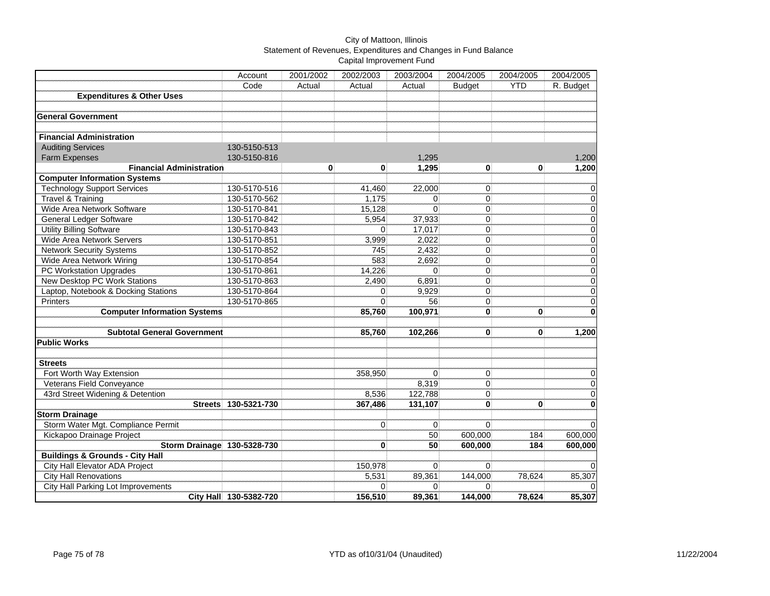|                                            | Account                | 2001/2002    | 2002/2003      | 2003/2004      | 2004/2005      | 2004/2005    | 2004/2005      |
|--------------------------------------------|------------------------|--------------|----------------|----------------|----------------|--------------|----------------|
|                                            | Code                   | Actual       | Actual         | Actual         | <b>Budget</b>  | <b>YTD</b>   | R. Budget      |
| <b>Expenditures &amp; Other Uses</b>       |                        |              |                |                |                |              |                |
|                                            |                        |              |                |                |                |              |                |
| <b>General Government</b>                  |                        |              |                |                |                |              |                |
|                                            |                        |              |                |                |                |              |                |
| <b>Financial Administration</b>            |                        |              |                |                |                |              |                |
| <b>Auditing Services</b>                   | 130-5150-513           |              |                |                |                |              |                |
| <b>Farm Expenses</b>                       | 130-5150-816           |              |                | 1,295          |                |              | 1,200          |
| <b>Financial Administration</b>            |                        | $\mathbf{0}$ | $\mathbf{0}$   | 1.295          | $\mathbf{0}$   | $\mathbf{0}$ | 1,200          |
| <b>Computer Information Systems</b>        |                        |              |                |                |                |              |                |
| <b>Technology Support Services</b>         | 130-5170-516           |              | 41,460         | 22,000         | $\overline{0}$ |              | $\overline{0}$ |
| <b>Travel &amp; Training</b>               | 130-5170-562           |              | 1,175          | 0              | $\Omega$       |              | $\mathbf 0$    |
| Wide Area Network Software                 | 130-5170-841           |              | 15,128         | $\Omega$       | $\overline{0}$ |              | $\overline{0}$ |
| <b>General Ledger Software</b>             | 130-5170-842           |              | 5,954          | 37,933         | $\mathbf 0$    |              | $\overline{0}$ |
| <b>Utility Billing Software</b>            | 130-5170-843           |              | $\Omega$       | 17,017         | $\mathbf 0$    |              | $\mathbf 0$    |
| Wide Area Network Servers                  | 130-5170-851           |              | 3,999          | 2.022          | $\mathbf 0$    |              | 0              |
| <b>Network Security Systems</b>            | 130-5170-852           |              | 745            | 2,432          | $\mathbf 0$    |              | $\overline{0}$ |
| Wide Area Network Wiring                   | 130-5170-854           |              | 583            | 2,692          | $\mathbf 0$    |              | $\overline{0}$ |
| <b>PC Workstation Upgrades</b>             | 130-5170-861           |              | 14,226         | $\Omega$       | $\mathbf 0$    |              | $\overline{0}$ |
| <b>New Desktop PC Work Stations</b>        | 130-5170-863           |              | 2,490          | 6,891          | $\mathbf 0$    |              | $\pmb{0}$      |
| Laptop, Notebook & Docking Stations        | 130-5170-864           |              | $\Omega$       | 9.929          | $\Omega$       |              | $\overline{0}$ |
| <b>Printers</b>                            | 130-5170-865           |              | $\mathbf{0}$   | 56             | $\mathbf 0$    |              | $\pmb{0}$      |
| <b>Computer Information Systems</b>        |                        |              | 85,760         | 100,971        | $\bf{0}$       | 0            | 0              |
|                                            |                        |              |                |                |                |              |                |
| <b>Subtotal General Government</b>         |                        |              | 85,760         | 102,266        | $\bf{0}$       | $\mathbf{0}$ | 1,200          |
| <b>Public Works</b>                        |                        |              |                |                |                |              |                |
|                                            |                        |              |                |                |                |              |                |
| <b>Streets</b>                             |                        |              |                |                |                |              |                |
| Fort Worth Way Extension                   |                        |              | 358,950        | $\Omega$       | $\overline{0}$ |              | $\mathbf 0$    |
| Veterans Field Conveyance                  |                        |              |                | 8,319          | $\overline{0}$ |              | $\overline{0}$ |
| 43rd Street Widening & Detention           |                        |              | 8,536          | 122,788        | $\overline{0}$ |              | $\pmb{0}$      |
| <b>Streets</b>                             | 130-5321-730           |              | 367,486        | 131,107        | $\mathbf{0}$   | $\bf{0}$     | 0              |
| <b>Storm Drainage</b>                      |                        |              |                |                |                |              |                |
| Storm Water Mgt. Compliance Permit         |                        |              | $\overline{0}$ | $\Omega$       | $\Omega$       |              | $\Omega$       |
| Kickapoo Drainage Project                  |                        |              |                | 50             | 600,000        | 184          | 600,000        |
| Storm Drainage 130-5328-730                |                        |              | 0              | 50             | 600,000        | 184          | 600,000        |
| <b>Buildings &amp; Grounds - City Hall</b> |                        |              |                |                |                |              |                |
| <b>City Hall Elevator ADA Project</b>      |                        |              | 150,978        | $\Omega$       | $\Omega$       |              | $\mathbf{0}$   |
| <b>City Hall Renovations</b>               |                        |              | 5,531          | 89,361         | 144,000        | 78,624       | 85,307         |
| <b>City Hall Parking Lot Improvements</b>  |                        |              | 0              | $\overline{0}$ | $\Omega$       |              | $\mathbf{0}$   |
|                                            | City Hall 130-5382-720 |              | 156,510        | 89,361         | 144,000        | 78,624       | 85,307         |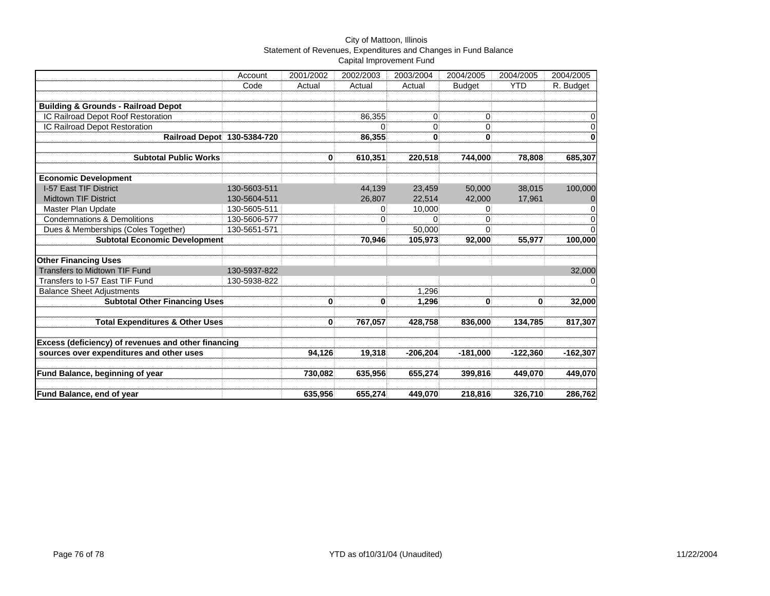|                                                     | Account      | 2001/2002 | 2002/2003 | 2003/2004  | 2004/2005     | 2004/2005  | 2004/2005        |
|-----------------------------------------------------|--------------|-----------|-----------|------------|---------------|------------|------------------|
|                                                     | Code         | Actual    | Actual    | Actual     | <b>Budget</b> | <b>YTD</b> | R. Budget        |
| <b>Building &amp; Grounds - Railroad Depot</b>      |              |           |           |            |               |            |                  |
| IC Railroad Depot Roof Restoration                  |              |           | 86,355    | $\Omega$   | $\Omega$      |            | 0                |
| IC Railroad Depot Restoration                       |              |           |           | 0          | $\Omega$      |            | 0                |
| Railroad Depot 130-5384-720                         |              |           | 86,355    | $\bf{0}$   | 0             |            | $\bf{0}$         |
| <b>Subtotal Public Works</b>                        |              | 0         | 610,351   | 220,518    | 744,000       | 78,808     | 685,307          |
| <b>Economic Development</b>                         |              |           |           |            |               |            |                  |
| I-57 East TIF District                              | 130-5603-511 |           | 44,139    | 23,459     | 50,000        | 38,015     | 100,000          |
| <b>Midtown TIF District</b>                         | 130-5604-511 |           | 26,807    | 22,514     | 42,000        | 17,961     | $\boldsymbol{0}$ |
| Master Plan Update                                  | 130-5605-511 |           | 0         | 10,000     | 0             |            | $\mathbf 0$      |
| <b>Condemnations &amp; Demolitions</b>              | 130-5606-577 |           | $\Omega$  | $\Omega$   | $\Omega$      |            | $\mathbf 0$      |
| Dues & Memberships (Coles Together)                 | 130-5651-571 |           |           | 50,000     | $\Omega$      |            | $\Omega$         |
| <b>Subtotal Economic Development</b>                |              |           | 70,946    | 105,973    | 92,000        | 55,977     | 100,000          |
| <b>Other Financing Uses</b>                         |              |           |           |            |               |            |                  |
| <b>Transfers to Midtown TIF Fund</b>                | 130-5937-822 |           |           |            |               |            | 32,000           |
| Transfers to I-57 East TIF Fund                     | 130-5938-822 |           |           |            |               |            | 0                |
| <b>Balance Sheet Adjustments</b>                    |              |           |           | 1,296      |               |            |                  |
| <b>Subtotal Other Financing Uses</b>                |              | 0         | 0         | 1,296      | 0             | 0          | 32,000           |
| <b>Total Expenditures &amp; Other Uses</b>          |              | 0         | 767,057   | 428,758    | 836,000       | 134,785    | 817,307          |
| Excess (deficiency) of revenues and other financing |              |           |           |            |               |            |                  |
| sources over expenditures and other uses            |              | 94,126    | 19,318    | $-206,204$ | $-181,000$    | $-122,360$ | $-162,307$       |
| Fund Balance, beginning of year                     |              | 730,082   | 635,956   | 655,274    | 399,816       | 449,070    | 449,070          |
| <b>Fund Balance, end of year</b>                    |              | 635,956   | 655,274   | 449,070    | 218,816       | 326,710    | 286,762          |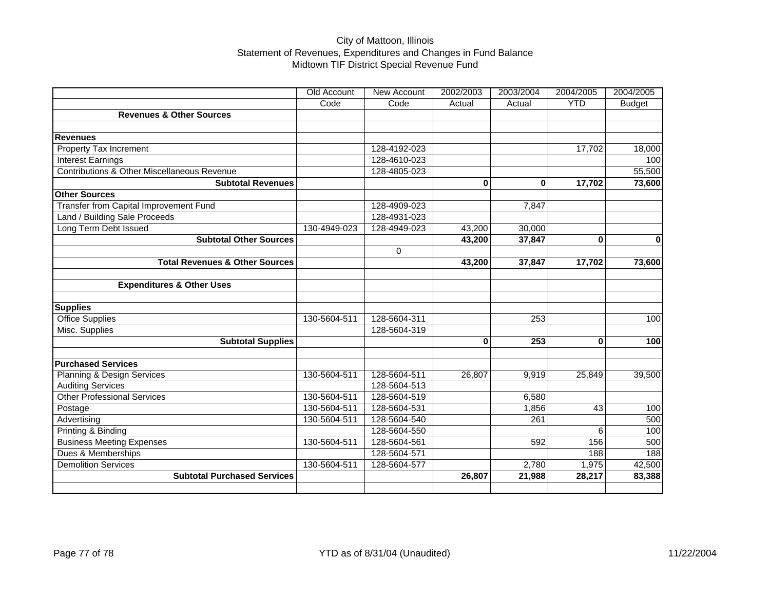# City of Mattoon, Illinois Statement of Revenues, Expenditures and Changes in Fund Balance Midtown TIF District Special Revenue Fund

|                                             | Old Account  | New Account  | 2002/2003 | 2003/2004 | 2004/2005  | 2004/2005     |
|---------------------------------------------|--------------|--------------|-----------|-----------|------------|---------------|
|                                             | Code         | Code         | Actual    | Actual    | <b>YTD</b> | <b>Budget</b> |
| <b>Revenues &amp; Other Sources</b>         |              |              |           |           |            |               |
|                                             |              |              |           |           |            |               |
| <b>Revenues</b>                             |              |              |           |           |            |               |
| Property Tax Increment                      |              | 128-4192-023 |           |           | 17,702     | 18,000        |
| Interest Earnings                           |              | 128-4610-023 |           |           |            | 100           |
| Contributions & Other Miscellaneous Revenue |              | 128-4805-023 |           |           |            | 55,500        |
| <b>Subtotal Revenues</b>                    |              |              | 0         | 0         | 17,702     | 73,600        |
| <b>Other Sources</b>                        |              |              |           |           |            |               |
| Transfer from Capital Improvement Fund      |              | 128-4909-023 |           | 7,847     |            |               |
| Land / Building Sale Proceeds               |              | 128-4931-023 |           |           |            |               |
| Long Term Debt Issued                       | 130-4949-023 | 128-4949-023 | 43,200    | 30,000    |            |               |
| <b>Subtotal Other Sources</b>               |              |              | 43,200    | 37,847    | $\bf{0}$   | $\mathbf 0$   |
|                                             |              | $\mathbf 0$  |           |           |            |               |
| <b>Total Revenues &amp; Other Sources</b>   |              |              | 43,200    | 37,847    | 17,702     | 73,600        |
|                                             |              |              |           |           |            |               |
| <b>Expenditures &amp; Other Uses</b>        |              |              |           |           |            |               |
|                                             |              |              |           |           |            |               |
| <b>Supplies</b>                             |              |              |           |           |            |               |
| <b>Office Supplies</b>                      | 130-5604-511 | 128-5604-311 |           | 253       |            | 100           |
| Misc. Supplies                              |              | 128-5604-319 |           |           |            |               |
| <b>Subtotal Supplies</b>                    |              |              | 0         | 253       | $\bf{0}$   | 100           |
|                                             |              |              |           |           |            |               |
| <b>Purchased Services</b>                   |              |              |           |           |            |               |
| <b>Planning &amp; Design Services</b>       | 130-5604-511 | 128-5604-511 | 26,807    | 9,919     | 25,849     | 39,500        |
| <b>Auditing Services</b>                    |              | 128-5604-513 |           |           |            |               |
| <b>Other Professional Services</b>          | 130-5604-511 | 128-5604-519 |           | 6,580     |            |               |
| Postage                                     | 130-5604-511 | 128-5604-531 |           | 1,856     | 43         | 100           |
| Advertising                                 | 130-5604-511 | 128-5604-540 |           | 261       |            | 500           |
| Printing & Binding                          |              | 128-5604-550 |           |           | 6          | 100           |
| <b>Business Meeting Expenses</b>            | 130-5604-511 | 128-5604-561 |           | 592       | 156        | 500           |
| Dues & Memberships                          |              | 128-5604-571 |           |           | 188        | 188           |
| <b>Demolition Services</b>                  | 130-5604-511 | 128-5604-577 |           | 2,780     | 1,975      | 42,500        |
| <b>Subtotal Purchased Services</b>          |              |              | 26,807    | 21,988    | 28,217     | 83,388        |
|                                             |              |              |           |           |            |               |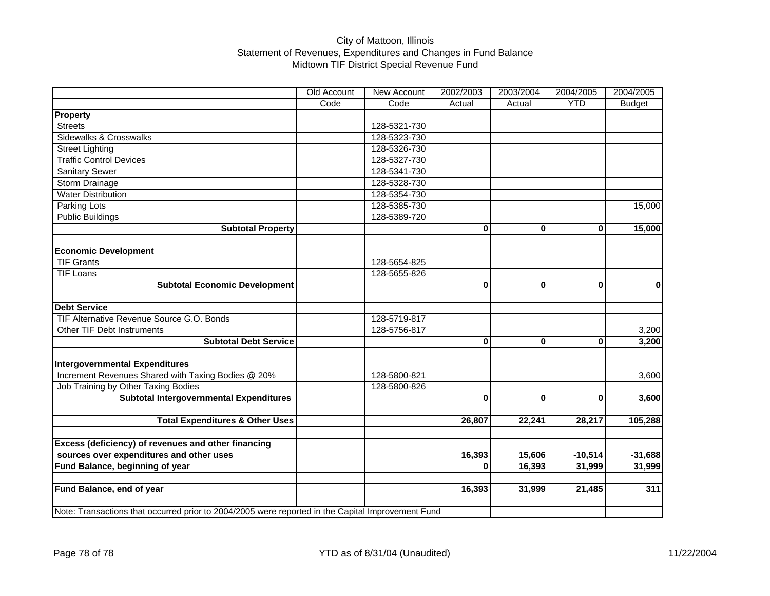# City of Mattoon, Illinois Statement of Revenues, Expenditures and Changes in Fund Balance Midtown TIF District Special Revenue Fund

|                                                                                                   | Old Account | New Account  | 2002/2003 | 2003/2004   | 2004/2005   | 2004/2005     |
|---------------------------------------------------------------------------------------------------|-------------|--------------|-----------|-------------|-------------|---------------|
|                                                                                                   | Code        | Code         | Actual    | Actual      | <b>YTD</b>  | <b>Budget</b> |
| <b>Property</b>                                                                                   |             |              |           |             |             |               |
| <b>Streets</b>                                                                                    |             | 128-5321-730 |           |             |             |               |
| Sidewalks & Crosswalks                                                                            |             | 128-5323-730 |           |             |             |               |
| <b>Street Lighting</b>                                                                            |             | 128-5326-730 |           |             |             |               |
| <b>Traffic Control Devices</b>                                                                    |             | 128-5327-730 |           |             |             |               |
| <b>Sanitary Sewer</b>                                                                             |             | 128-5341-730 |           |             |             |               |
| Storm Drainage                                                                                    |             | 128-5328-730 |           |             |             |               |
| <b>Water Distribution</b>                                                                         |             | 128-5354-730 |           |             |             |               |
| Parking Lots                                                                                      |             | 128-5385-730 |           |             |             | 15,000        |
| <b>Public Buildings</b>                                                                           |             | 128-5389-720 |           |             |             |               |
| <b>Subtotal Property</b>                                                                          |             |              | $\bf{0}$  | $\bf{0}$    | $\bf{0}$    | 15,000        |
|                                                                                                   |             |              |           |             |             |               |
| <b>Economic Development</b>                                                                       |             |              |           |             |             |               |
| <b>TIF Grants</b>                                                                                 |             | 128-5654-825 |           |             |             |               |
| <b>TIF Loans</b>                                                                                  |             | 128-5655-826 |           |             |             |               |
| <b>Subtotal Economic Development</b>                                                              |             |              | $\bf{0}$  | $\mathbf 0$ | $\mathbf 0$ | $\mathbf{0}$  |
|                                                                                                   |             |              |           |             |             |               |
| <b>Debt Service</b>                                                                               |             |              |           |             |             |               |
| TIF Alternative Revenue Source G.O. Bonds                                                         |             | 128-5719-817 |           |             |             |               |
| Other TIF Debt Instruments                                                                        |             | 128-5756-817 |           |             |             | 3,200         |
| <b>Subtotal Debt Service</b>                                                                      |             |              | $\bf{0}$  | $\bf{0}$    | $\bf{0}$    | 3,200         |
|                                                                                                   |             |              |           |             |             |               |
| <b>Intergovernmental Expenditures</b>                                                             |             |              |           |             |             |               |
| Increment Revenues Shared with Taxing Bodies @ 20%                                                |             | 128-5800-821 |           |             |             | 3,600         |
| Job Training by Other Taxing Bodies                                                               |             | 128-5800-826 |           |             |             |               |
| Subtotal Intergovernmental Expenditures                                                           |             |              | $\bf{0}$  | $\bf{0}$    | $\bf{0}$    | 3,600         |
|                                                                                                   |             |              |           |             |             |               |
| <b>Total Expenditures &amp; Other Uses</b>                                                        |             |              | 26,807    | 22,241      | 28,217      | 105,288       |
|                                                                                                   |             |              |           |             |             |               |
| Excess (deficiency) of revenues and other financing                                               |             |              |           |             |             |               |
| sources over expenditures and other uses                                                          |             |              | 16,393    | 15,606      | $-10,514$   | $-31,688$     |
| Fund Balance, beginning of year                                                                   |             |              | $\bf{0}$  | 16,393      | 31,999      | 31,999        |
|                                                                                                   |             |              |           |             |             |               |
| Fund Balance, end of year                                                                         |             |              | 16,393    | 31,999      | 21,485      | 311           |
|                                                                                                   |             |              |           |             |             |               |
| Note: Transactions that occurred prior to 2004/2005 were reported in the Capital Improvement Fund |             |              |           |             |             |               |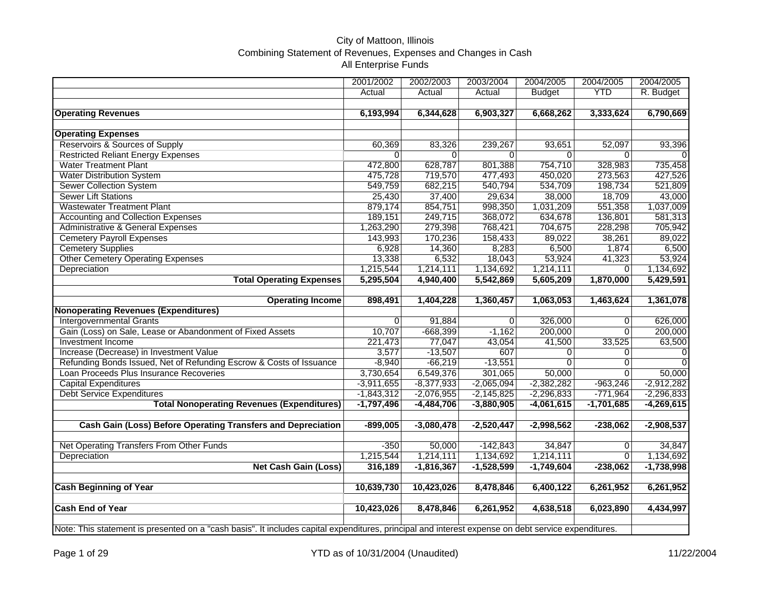## City of Mattoon, Illinois Combining Statement of Revenues, Expenses and Changes in Cash All Enterprise Funds

|                                                                                                                                                     | 2001/2002    | 2002/2003    | 2003/2004    | 2004/2005      | 2004/2005      | 2004/2005      |
|-----------------------------------------------------------------------------------------------------------------------------------------------------|--------------|--------------|--------------|----------------|----------------|----------------|
|                                                                                                                                                     | Actual       | Actual       | Actual       | <b>Budget</b>  | <b>YTD</b>     | R. Budget      |
|                                                                                                                                                     |              |              |              |                |                |                |
| <b>Operating Revenues</b>                                                                                                                           | 6,193,994    | 6,344,628    | 6,903,327    | 6,668,262      | 3,333,624      | 6,790,669      |
|                                                                                                                                                     |              |              |              |                |                |                |
| <b>Operating Expenses</b>                                                                                                                           |              |              |              |                |                |                |
| Reservoirs & Sources of Supply                                                                                                                      | 60,369       | 83,326       | 239,267      | 93,651         | 52,097         | 93,396         |
| <b>Restricted Reliant Energy Expenses</b>                                                                                                           | $\Omega$     | $\Omega$     | $\Omega$     | $\Omega$       | $\Omega$       | $\Omega$       |
| <b>Water Treatment Plant</b>                                                                                                                        | 472,800      | 628,787      | 801,388      | 754,710        | 328,983        | 735,458        |
| <b>Water Distribution System</b>                                                                                                                    | 475,728      | 719,570      | 477,493      | 450,020        | 273,563        | 427,526        |
| Sewer Collection System                                                                                                                             | 549,759      | 682,215      | 540,794      | 534,709        | 198,734        | 521,809        |
| <b>Sewer Lift Stations</b>                                                                                                                          | 25,430       | 37,400       | 29,634       | 38,000         | 18,709         | 43,000         |
| <b>Wastewater Treatment Plant</b>                                                                                                                   | 879,174      | 854,751      | 998,350      | 1,031,209      | 551,358        | 1,037,009      |
| <b>Accounting and Collection Expenses</b>                                                                                                           | 189,151      | 249,715      | 368,072      | 634,678        | 136,801        | 581,313        |
| <b>Administrative &amp; General Expenses</b>                                                                                                        | 1,263,290    | 279,398      | 768,421      | 704,675        | 228,298        | 705,942        |
| <b>Cemetery Payroll Expenses</b>                                                                                                                    | 143,993      | 170,236      | 158,433      | 89,022         | 38,261         | 89,022         |
| <b>Cemetery Supplies</b>                                                                                                                            | 6,928        | 14,360       | 8,283        | 6,500          | 1,874          | 6,500          |
| <b>Other Cemetery Operating Expenses</b>                                                                                                            | 13,338       | 6,532        | 18,043       | 53,924         | 41,323         | 53,924         |
| Depreciation                                                                                                                                        | 1,215,544    | 1,214,111    | 1,134,692    | 1,214,111      | $\Omega$       | 1,134,692      |
| <b>Total Operating Expenses</b>                                                                                                                     | 5,295,504    | 4,940,400    | 5,542,869    | 5,605,209      | 1,870,000      | 5,429,591      |
|                                                                                                                                                     |              |              |              |                |                |                |
| <b>Operating Income</b>                                                                                                                             | 898,491      | 1,404,228    | 1,360,457    | 1,063,053      | 1,463,624      | 1,361,078      |
| <b>Nonoperating Revenues (Expenditures)</b>                                                                                                         |              |              |              |                |                |                |
| <b>Intergovernmental Grants</b>                                                                                                                     | $\Omega$     | 91,884       | $\Omega$     | 326,000        | $\overline{0}$ | 626,000        |
| Gain (Loss) on Sale, Lease or Abandonment of Fixed Assets                                                                                           | 10,707       | $-668,399$   | $-1,162$     | 200,000        | $\overline{0}$ | 200,000        |
| <b>Investment Income</b>                                                                                                                            | 221,473      | 77,047       | 43,054       | 41,500         | 33,525         | 63,500         |
| Increase (Decrease) in Investment Value                                                                                                             | 3,577        | $-13,507$    | 607          | 0              | $\Omega$       | $\overline{0}$ |
| Refunding Bonds Issued, Net of Refunding Escrow & Costs of Issuance                                                                                 | $-8,940$     | $-66,219$    | $-13,551$    | $\overline{0}$ | $\overline{0}$ | $\overline{0}$ |
| Loan Proceeds Plus Insurance Recoveries                                                                                                             | 3,730,654    | 6,549,376    | 301,065      | 50,000         | $\overline{0}$ | 50,000         |
| <b>Capital Expenditures</b>                                                                                                                         | $-3,911,655$ | $-8,377,933$ | $-2,065,094$ | $-2,382,282$   | $-963,246$     | $-2,912,282$   |
| <b>Debt Service Expenditures</b>                                                                                                                    | $-1,843,312$ | $-2,076,955$ | $-2,145,825$ | $-2,296,833$   | $-771,964$     | $-2,296,833$   |
| <b>Total Nonoperating Revenues (Expenditures)</b>                                                                                                   | $-1,797,496$ | $-4,484,706$ | $-3,880,905$ | $-4,061,615$   | $-1,701,685$   | $-4,269,615$   |
|                                                                                                                                                     |              |              |              |                |                |                |
| Cash Gain (Loss) Before Operating Transfers and Depreciation                                                                                        | $-899,005$   | $-3,080,478$ | $-2,520,447$ | $-2,998,562$   | $-238,062$     | $-2,908,537$   |
|                                                                                                                                                     |              |              |              |                |                |                |
| Net Operating Transfers From Other Funds                                                                                                            | $-350$       | 50,000       | $-142,843$   | 34,847         | $\Omega$       | 34,847         |
| Depreciation                                                                                                                                        | 1,215,544    | 1,214,111    | 1,134,692    | 1,214,111      | $\Omega$       | 1,134,692      |
| <b>Net Cash Gain (Loss)</b>                                                                                                                         | 316,189      | $-1,816,367$ | $-1,528,599$ | $-1,749,604$   | $-238,062$     | $-1,738,998$   |
|                                                                                                                                                     |              |              |              |                |                |                |
| <b>Cash Beginning of Year</b>                                                                                                                       | 10,639,730   | 10,423,026   | 8,478,846    | 6,400,122      | 6,261,952      | 6,261,952      |
|                                                                                                                                                     |              |              |              |                |                |                |
| <b>Cash End of Year</b>                                                                                                                             | 10,423,026   | 8,478,846    | 6,261,952    | 4,638,518      | 6,023,890      | 4,434,997      |
|                                                                                                                                                     |              |              |              |                |                |                |
| Note: This statement is presented on a "cash basis". It includes capital expenditures, principal and interest expense on debt service expenditures. |              |              |              |                |                |                |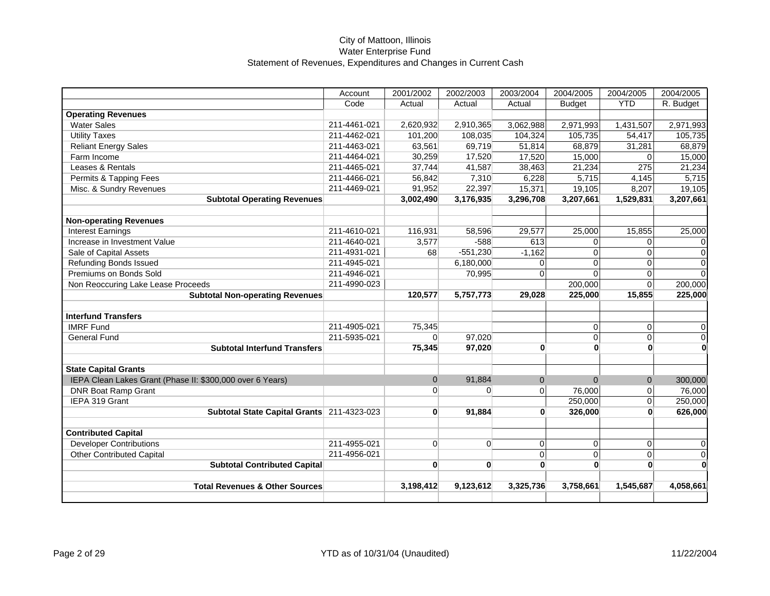|                                                           | Account      | 2001/2002      | 2002/2003      | 2003/2004    | 2004/2005     | 2004/2005      | 2004/2005               |
|-----------------------------------------------------------|--------------|----------------|----------------|--------------|---------------|----------------|-------------------------|
|                                                           | Code         | Actual         | Actual         | Actual       | <b>Budget</b> | <b>YTD</b>     | R. Budget               |
| <b>Operating Revenues</b>                                 |              |                |                |              |               |                |                         |
| <b>Water Sales</b>                                        | 211-4461-021 | 2,620,932      | 2,910,365      | 3,062,988    | 2,971,993     | 1,431,507      | 2,971,993               |
| <b>Utility Taxes</b>                                      | 211-4462-021 | 101,200        | 108,035        | 104,324      | 105,735       | 54,417         | 105,735                 |
| <b>Reliant Energy Sales</b>                               | 211-4463-021 | 63,561         | 69,719         | 51,814       | 68,879        | 31,281         | 68,879                  |
| Farm Income                                               | 211-4464-021 | 30,259         | 17,520         | 17,520       | 15,000        | $\Omega$       | 15,000                  |
| Leases & Rentals                                          | 211-4465-021 | 37,744         | 41,587         | 38,463       | 21,234        | 275            | 21,234                  |
| Permits & Tapping Fees                                    | 211-4466-021 | 56,842         | 7,310          | 6,228        | 5,715         | 4,145          | 5,715                   |
| Misc. & Sundry Revenues                                   | 211-4469-021 | 91,952         | 22,397         | 15,371       | 19,105        | 8,207          | 19,105                  |
| <b>Subtotal Operating Revenues</b>                        |              | 3,002,490      | 3,176,935      | 3,296,708    | 3,207,661     | 1,529,831      | 3,207,661               |
|                                                           |              |                |                |              |               |                |                         |
| <b>Non-operating Revenues</b>                             |              |                |                |              |               |                |                         |
| <b>Interest Earnings</b>                                  | 211-4610-021 | 116,931        | 58,596         | 29,577       | 25,000        | 15,855         | 25,000                  |
| Increase in Investment Value                              | 211-4640-021 | 3,577          | $-588$         | 613          | 0             | $\overline{0}$ | 0                       |
| Sale of Capital Assets                                    | 211-4931-021 | 68             | $-551,230$     | $-1,162$     | $\Omega$      | $\Omega$       | 0                       |
| <b>Refunding Bonds Issued</b>                             | 211-4945-021 |                | 6,180,000      | $\Omega$     | $\Omega$      | $\Omega$       | 0                       |
| Premiums on Bonds Sold                                    | 211-4946-021 |                | 70,995         | $\Omega$     | $\Omega$      | $\Omega$       | $\Omega$                |
| Non Reoccuring Lake Lease Proceeds                        | 211-4990-023 |                |                |              | 200,000       | $\Omega$       | 200,000                 |
| <b>Subtotal Non-operating Revenues</b>                    |              | 120,577        | 5,757,773      | 29,028       | 225,000       | 15,855         | 225,000                 |
|                                                           |              |                |                |              |               |                |                         |
| <b>Interfund Transfers</b>                                |              |                |                |              |               |                |                         |
| <b>IMRF Fund</b>                                          | 211-4905-021 | 75,345         |                |              | $\mathbf 0$   | $\overline{0}$ | 0                       |
| <b>General Fund</b>                                       | 211-5935-021 | $\Omega$       | 97,020         |              | $\mathbf 0$   | $\overline{0}$ | $\mathsf 0$             |
| <b>Subtotal Interfund Transfers</b>                       |              | 75,345         | 97,020         | $\mathbf{0}$ | $\mathbf{0}$  | $\mathbf{0}$   | $\overline{\mathbf{0}}$ |
|                                                           |              |                |                |              |               |                |                         |
| <b>State Capital Grants</b>                               |              |                |                |              |               |                |                         |
| IEPA Clean Lakes Grant (Phase II: \$300,000 over 6 Years) |              | $\Omega$       | 91,884         | $\mathbf{0}$ | $\Omega$      | $\overline{0}$ | 300,000                 |
| <b>DNR Boat Ramp Grant</b>                                |              | $\Omega$       | $\Omega$       | $\Omega$     | 76,000        | $\overline{0}$ | 76,000                  |
| IEPA 319 Grant                                            |              |                |                |              | 250,000       | 0              | 250,000                 |
| Subtotal State Capital Grants 211-4323-023                |              | $\mathbf{0}$   | 91,884         | $\bf{0}$     | 326,000       | $\mathbf{0}$   | 626,000                 |
|                                                           |              |                |                |              |               |                |                         |
| <b>Contributed Capital</b>                                |              |                |                |              |               |                |                         |
| <b>Developer Contributions</b>                            | 211-4955-021 | $\overline{0}$ | $\overline{0}$ | 0            | 0             | $\overline{0}$ | 0                       |
| <b>Other Contributed Capital</b>                          | 211-4956-021 |                |                | $\pmb{0}$    | 0             | $\overline{0}$ | $\overline{0}$          |
| <b>Subtotal Contributed Capital</b>                       |              | $\mathbf{0}$   | $\mathbf{0}$   | $\bf{0}$     | $\mathbf{0}$  | $\mathbf{0}$   | $\overline{\mathbf{0}}$ |
|                                                           |              |                |                |              |               |                |                         |
| <b>Total Revenues &amp; Other Sources</b>                 |              | 3,198,412      | 9,123,612      | 3,325,736    | 3,758,661     | 1,545,687      | 4,058,661               |
|                                                           |              |                |                |              |               |                |                         |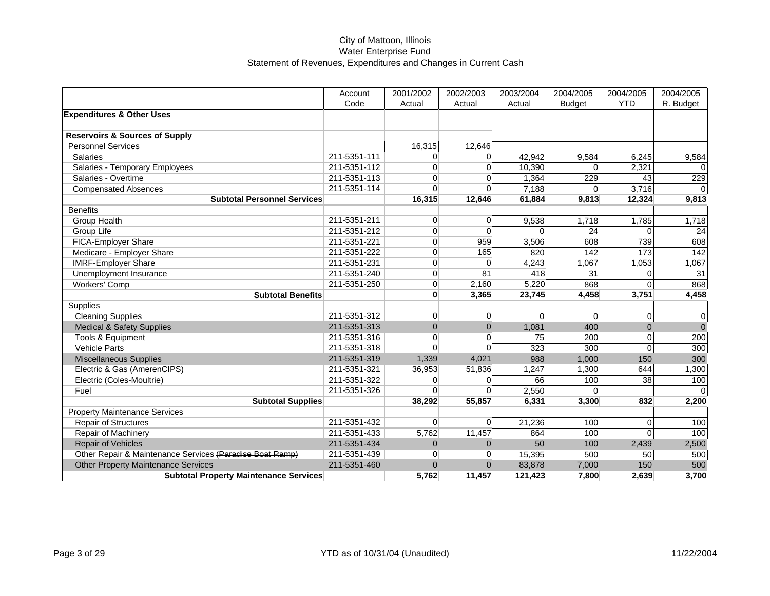|                                                          | Account      | 2001/2002      | 2002/2003      | 2003/2004 | 2004/2005     | 2004/2005  | 2004/2005       |
|----------------------------------------------------------|--------------|----------------|----------------|-----------|---------------|------------|-----------------|
|                                                          | Code         | Actual         | Actual         | Actual    | <b>Budget</b> | <b>YTD</b> | R. Budget       |
| <b>Expenditures &amp; Other Uses</b>                     |              |                |                |           |               |            |                 |
|                                                          |              |                |                |           |               |            |                 |
| <b>Reservoirs &amp; Sources of Supply</b>                |              |                |                |           |               |            |                 |
| <b>Personnel Services</b>                                |              | 16,315         | 12,646         |           |               |            |                 |
| <b>Salaries</b>                                          | 211-5351-111 | $\Omega$       | $\Omega$       | 42,942    | 9,584         | 6,245      | 9,584           |
| Salaries - Temporary Employees                           | 211-5351-112 | $\Omega$       | $\Omega$       | 10,390    | $\Omega$      | 2,321      |                 |
| Salaries - Overtime                                      | 211-5351-113 | $\Omega$       | $\Omega$       | 1,364     | 229           | 43         | 229             |
| <b>Compensated Absences</b>                              | 211-5351-114 | $\Omega$       | $\Omega$       | 7,188     | $\Omega$      | 3,716      |                 |
| <b>Subtotal Personnel Services</b>                       |              | 16,315         | 12,646         | 61,884    | 9,813         | 12,324     | 9,813           |
| <b>Benefits</b>                                          |              |                |                |           |               |            |                 |
| Group Health                                             | 211-5351-211 | $\Omega$       | $\Omega$       | 9,538     | 1,718         | 1,785      | 1,718           |
| Group Life                                               | 211-5351-212 | $\Omega$       | $\Omega$       | $\Omega$  | 24            | $\Omega$   | 24              |
| FICA-Employer Share                                      | 211-5351-221 | $\Omega$       | 959            | 3,506     | 608           | 739        | 608             |
| Medicare - Employer Share                                | 211-5351-222 | $\overline{0}$ | 165            | 820       | 142           | 173        | $\frac{1}{142}$ |
| <b>IMRF-Employer Share</b>                               | 211-5351-231 | $\Omega$       | $\Omega$       | 4,243     | 1,067         | 1,053      | 1,067           |
| Unemployment Insurance                                   | 211-5351-240 | $\overline{0}$ | 81             | 418       | 31            | $\Omega$   | 31              |
| Workers' Comp                                            | 211-5351-250 | $\Omega$       | 2,160          | 5,220     | 868           | $\Omega$   | 868             |
| <b>Subtotal Benefits</b>                                 |              | $\mathbf{0}$   | 3,365          | 23,745    | 4,458         | 3,751      | 4,458           |
| <b>Supplies</b>                                          |              |                |                |           |               |            |                 |
| <b>Cleaning Supplies</b>                                 | 211-5351-312 | $\Omega$       | $\Omega$       | $\Omega$  | 0             | $\Omega$   | 0               |
| <b>Medical &amp; Safety Supplies</b>                     | 211-5351-313 | $\Omega$       | $\Omega$       | 1.081     | 400           | $\Omega$   | $\mathbf 0$     |
| Tools & Equipment                                        | 211-5351-316 | $\Omega$       | $\Omega$       | 75        | 200           | $\Omega$   | 200             |
| <b>Vehicle Parts</b>                                     | 211-5351-318 | $\Omega$       | $\Omega$       | 323       | 300           | $\Omega$   | 300             |
| <b>Miscellaneous Supplies</b>                            | 211-5351-319 | 1,339          | 4,021          | 988       | 1,000         | 150        | 300             |
| Electric & Gas (AmerenCIPS)                              | 211-5351-321 | 36,953         | 51,836         | 1,247     | 1,300         | 644        | 1,300           |
| Electric (Coles-Moultrie)                                | 211-5351-322 | $\overline{0}$ | $\Omega$       | 66        | 100           | 38         | 100             |
| Fuel                                                     | 211-5351-326 | $\Omega$       | $\Omega$       | 2,550     | $\Omega$      |            |                 |
| Subtotal Supplies                                        |              | 38,292         | 55,857         | 6,331     | 3,300         | 832        | 2,200           |
| <b>Property Maintenance Services</b>                     |              |                |                |           |               |            |                 |
| <b>Repair of Structures</b>                              | 211-5351-432 | $\overline{0}$ | $\Omega$       | 21,236    | 100           | $\Omega$   | 100             |
| Repair of Machinery                                      | 211-5351-433 | 5,762          | 11,457         | 864       | 100           | $\Omega$   | 100             |
| <b>Repair of Vehicles</b>                                | 211-5351-434 | $\mathbf{0}$   | $\overline{0}$ | 50        | 100           | 2,439      | 2,500           |
| Other Repair & Maintenance Services (Paradise Boat Ramp) | 211-5351-439 | $\overline{0}$ | $\Omega$       | 15,395    | 500           | 50         | 500             |
| <b>Other Property Maintenance Services</b>               | 211-5351-460 | $\mathbf{0}$   | $\Omega$       | 83,878    | 7,000         | 150        | 500             |
| <b>Subtotal Property Maintenance Services</b>            |              | 5,762          | 11,457         | 121,423   | 7,800         | 2,639      | 3,700           |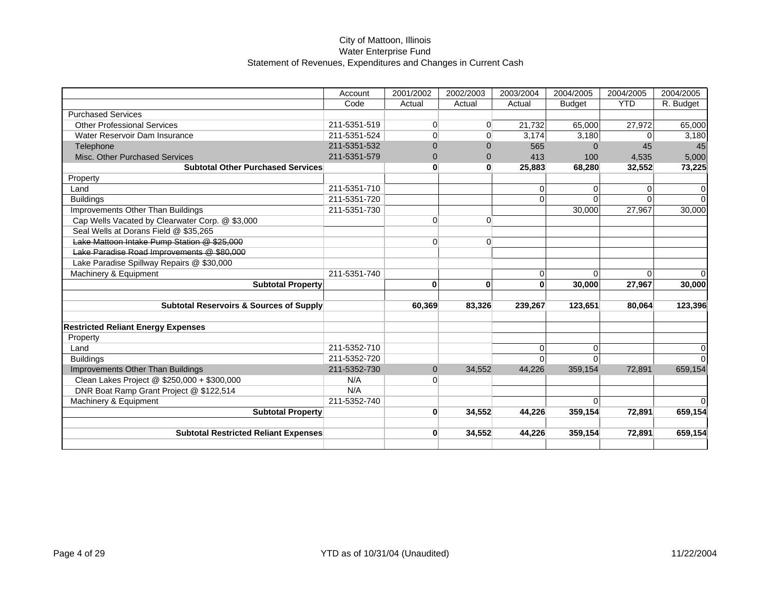|                                                 | Account      | 2001/2002      | 2002/2003      | 2003/2004   | 2004/2005     | 2004/2005  | 2004/2005 |
|-------------------------------------------------|--------------|----------------|----------------|-------------|---------------|------------|-----------|
|                                                 | Code         | Actual         | Actual         | Actual      | <b>Budget</b> | <b>YTD</b> | R. Budget |
| <b>Purchased Services</b>                       |              |                |                |             |               |            |           |
| <b>Other Professional Services</b>              | 211-5351-519 | $\overline{0}$ | $\overline{0}$ | 21,732      | 65,000        | 27,972     | 65,000    |
| Water Reservoir Dam Insurance                   | 211-5351-524 | $\overline{0}$ | $\Omega$       | 3,174       | 3,180         | 0          | 3,180     |
| Telephone                                       | 211-5351-532 | $\Omega$       | $\Omega$       | 565         | $\Omega$      | 45         | 45        |
| Misc. Other Purchased Services                  | 211-5351-579 | $\Omega$       | $\Omega$       | 413         | 100           | 4,535      | 5,000     |
| <b>Subtotal Other Purchased Services</b>        |              | $\mathbf{0}$   | $\bf{0}$       | 25,883      | 68,280        | 32,552     | 73,225    |
| Property                                        |              |                |                |             |               |            |           |
| Land                                            | 211-5351-710 |                |                | $\Omega$    | $\Omega$      | 0          | 0         |
| <b>Buildings</b>                                | 211-5351-720 |                |                | $\Omega$    | ∩             |            | $\Omega$  |
| Improvements Other Than Buildings               | 211-5351-730 |                |                |             | 30,000        | 27,967     | 30,000    |
| Cap Wells Vacated by Clearwater Corp. @ \$3,000 |              | $\overline{0}$ | $\overline{0}$ |             |               |            |           |
| Seal Wells at Dorans Field @ \$35,265           |              |                |                |             |               |            |           |
| Lake Mattoon Intake Pump Station @ \$25,000     |              | $\overline{0}$ | $\Omega$       |             |               |            |           |
| Lake Paradise Road Improvements @ \$80,000      |              |                |                |             |               |            |           |
| Lake Paradise Spillway Repairs @ \$30,000       |              |                |                |             |               |            |           |
| Machinery & Equipment                           | 211-5351-740 |                |                | $\mathbf 0$ | $\Omega$      | $\Omega$   | $\Omega$  |
| <b>Subtotal Property</b>                        |              | $\bf{0}$       | $\bf{0}$       | $\bf{0}$    | 30,000        | 27,967     | 30,000    |
|                                                 |              |                |                |             |               |            |           |
| Subtotal Reservoirs & Sources of Supply         |              | 60,369         | 83,326         | 239,267     | 123,651       | 80,064     | 123,396   |
| <b>Restricted Reliant Energy Expenses</b>       |              |                |                |             |               |            |           |
| Property                                        |              |                |                |             |               |            |           |
| Land                                            | 211-5352-710 |                |                | $\Omega$    | $\Omega$      |            | 0         |
| <b>Buildings</b>                                | 211-5352-720 |                |                | $\Omega$    | $\Omega$      |            | $\Omega$  |
| Improvements Other Than Buildings               | 211-5352-730 | $\mathbf{0}$   | 34,552         | 44,226      | 359,154       | 72,891     | 659,154   |
| Clean Lakes Project @ \$250,000 + \$300,000     | N/A          | $\Omega$       |                |             |               |            |           |
| DNR Boat Ramp Grant Project @ \$122,514         | N/A          |                |                |             |               |            |           |
| Machinery & Equipment                           | 211-5352-740 |                |                |             | $\Omega$      |            | $\Omega$  |
| <b>Subtotal Property</b>                        |              | $\mathbf{0}$   | 34,552         | 44,226      | 359,154       | 72,891     | 659,154   |
|                                                 |              |                |                |             |               |            |           |
| <b>Subtotal Restricted Reliant Expenses</b>     |              | $\mathbf{0}$   | 34,552         | 44,226      | 359,154       | 72,891     | 659,154   |
|                                                 |              |                |                |             |               |            |           |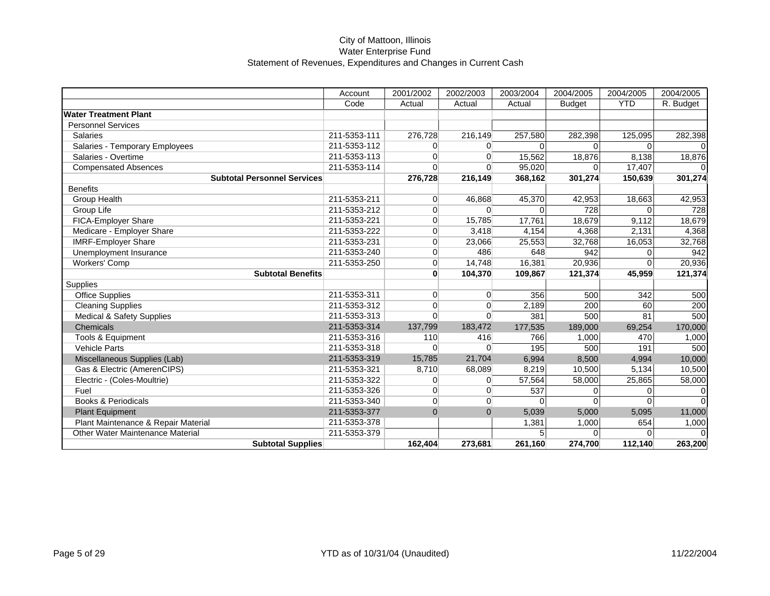|                                      | Account      | 2001/2002      | 2002/2003      | 2003/2004 | 2004/2005     | 2004/2005  | 2004/2005 |
|--------------------------------------|--------------|----------------|----------------|-----------|---------------|------------|-----------|
|                                      | Code         | Actual         | Actual         | Actual    | <b>Budget</b> | <b>YTD</b> | R. Budget |
| <b>Water Treatment Plant</b>         |              |                |                |           |               |            |           |
| <b>Personnel Services</b>            |              |                |                |           |               |            |           |
| <b>Salaries</b>                      | 211-5353-111 | 276,728        | 216,149        | 257,580   | 282,398       | 125,095    | 282,398   |
| Salaries - Temporary Employees       | 211-5353-112 | $\Omega$       | $\Omega$       | $\Omega$  | $\Omega$      | $\Omega$   |           |
| Salaries - Overtime                  | 211-5353-113 | $\Omega$       | $\Omega$       | 15,562    | 18,876        | 8,138      | 18,876    |
| <b>Compensated Absences</b>          | 211-5353-114 | $\Omega$       | $\Omega$       | 95,020    | $\Omega$      | 17,407     |           |
| <b>Subtotal Personnel Services</b>   |              | 276,728        | 216,149        | 368,162   | 301,274       | 150,639    | 301,274   |
| <b>Benefits</b>                      |              |                |                |           |               |            |           |
| Group Health                         | 211-5353-211 | $\Omega$       | 46,868         | 45,370    | 42,953        | 18,663     | 42,953    |
| Group Life                           | 211-5353-212 | $\overline{0}$ | $\Omega$       | $\Omega$  | 728           | $\Omega$   | 728       |
| FICA-Employer Share                  | 211-5353-221 | $\Omega$       | 15,785         | 17,761    | 18,679        | 9,112      | 18,679    |
| Medicare - Employer Share            | 211-5353-222 | $\overline{0}$ | 3,418          | 4,154     | 4,368         | 2,131      | 4,368     |
| <b>IMRF-Employer Share</b>           | 211-5353-231 | $\overline{0}$ | 23,066         | 25,553    | 32,768        | 16,053     | 32,768    |
| Unemployment Insurance               | 211-5353-240 | $\overline{0}$ | 486            | 648       | 942           | $\Omega$   | 942       |
| <b>Workers' Comp</b>                 | 211-5353-250 | $\overline{0}$ | 14,748         | 16,381    | 20,936        | $\Omega$   | 20,936    |
| <b>Subtotal Benefits</b>             |              | $\mathbf{0}$   | 104,370        | 109,867   | 121,374       | 45,959     | 121,374   |
| Supplies                             |              |                |                |           |               |            |           |
| <b>Office Supplies</b>               | 211-5353-311 | $\overline{0}$ | $\overline{0}$ | 356       | 500           | 342        | 500       |
| <b>Cleaning Supplies</b>             | 211-5353-312 | $\overline{0}$ | $\Omega$       | 2,189     | 200           | 60         | 200       |
| <b>Medical &amp; Safety Supplies</b> | 211-5353-313 | $\Omega$       | $\Omega$       | 381       | 500           | 81         | 500       |
| Chemicals                            | 211-5353-314 | 137,799        | 183,472        | 177,535   | 189,000       | 69,254     | 170,000   |
| Tools & Equipment                    | 211-5353-316 | 110            | 416            | 766       | 1,000         | 470        | 1,000     |
| <b>Vehicle Parts</b>                 | 211-5353-318 | $\overline{0}$ | $\overline{0}$ | 195       | 500           | 191        | 500       |
| Miscellaneous Supplies (Lab)         | 211-5353-319 | 15,785         | 21,704         | 6,994     | 8,500         | 4,994      | 10,000    |
| Gas & Electric (AmerenCIPS)          | 211-5353-321 | 8,710          | 68,089         | 8,219     | 10,500        | 5,134      | 10,500    |
| Electric - (Coles-Moultrie)          | 211-5353-322 | $\Omega$       | $\Omega$       | 57,564    | 58,000        | 25,865     | 58,000    |
| Fuel                                 | 211-5353-326 | $\overline{0}$ | $\overline{0}$ | 537       | 0             | $\Omega$   |           |
| <b>Books &amp; Periodicals</b>       | 211-5353-340 | $\overline{0}$ | $\overline{0}$ | $\Omega$  | $\Omega$      | $\Omega$   |           |
| <b>Plant Equipment</b>               | 211-5353-377 | $\mathbf{0}$   | $\Omega$       | 5,039     | 5,000         | 5,095      | 11,000    |
| Plant Maintenance & Repair Material  | 211-5353-378 |                |                | 1,381     | 1,000         | 654        | 1,000     |
| Other Water Maintenance Material     | 211-5353-379 |                |                | 5         | $\Omega$      | $\Omega$   |           |
| <b>Subtotal Supplies</b>             |              | 162,404        | 273,681        | 261,160   | 274,700       | 112,140    | 263,200   |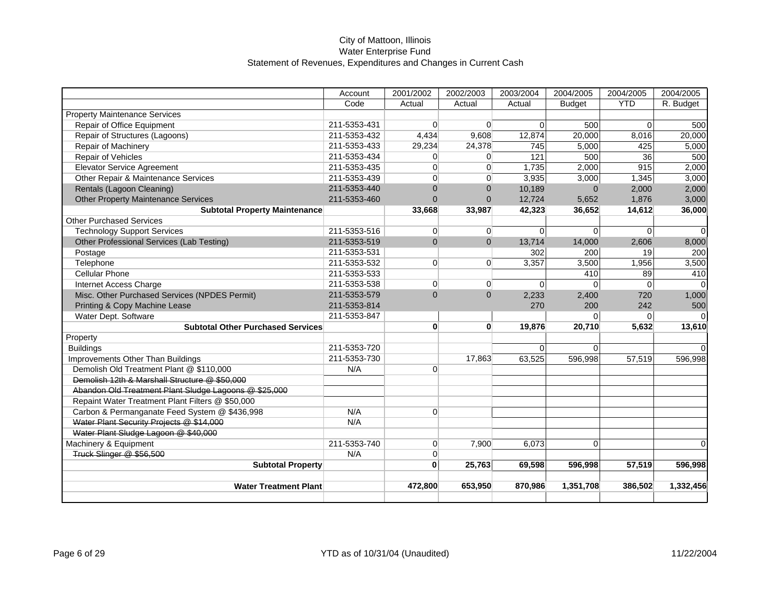|                                                       | Account      | 2001/2002      | 2002/2003      | 2003/2004   | 2004/2005     | 2004/2005      | 2004/2005 |
|-------------------------------------------------------|--------------|----------------|----------------|-------------|---------------|----------------|-----------|
|                                                       | Code         | Actual         | Actual         | Actual      | <b>Budget</b> | <b>YTD</b>     | R. Budget |
| <b>Property Maintenance Services</b>                  |              |                |                |             |               |                |           |
| Repair of Office Equipment                            | 211-5353-431 | $\overline{0}$ | $\overline{0}$ | $\mathbf 0$ | 500           | $\Omega$       | 500       |
| Repair of Structures (Lagoons)                        | 211-5353-432 | 4,434          | 9,608          | 12,874      | 20,000        | 8,016          | 20,000    |
| Repair of Machinery                                   | 211-5353-433 | 29,234         | 24,378         | 745         | 5,000         | 425            | 5,000     |
| Repair of Vehicles                                    | 211-5353-434 | $\Omega$       | $\overline{0}$ | 121         | 500           | 36             | 500       |
| <b>Elevator Service Agreement</b>                     | 211-5353-435 | $\overline{0}$ | $\overline{0}$ | 1,735       | 2,000         | 915            | 2,000     |
| Other Repair & Maintenance Services                   | 211-5353-439 | $\overline{0}$ | 0              | 3,935       | 3,000         | 1,345          | 3,000     |
| Rentals (Lagoon Cleaning)                             | 211-5353-440 | $\Omega$       | $\Omega$       | 10,189      | $\Omega$      | 2,000          | 2,000     |
| <b>Other Property Maintenance Services</b>            | 211-5353-460 | $\Omega$       | $\mathbf{0}$   | 12,724      | 5,652         | 1,876          | 3,000     |
| <b>Subtotal Property Maintenance</b>                  |              | 33,668         | 33,987         | 42,323      | 36,652        | 14,612         | 36,000    |
| <b>Other Purchased Services</b>                       |              |                |                |             |               |                |           |
| <b>Technology Support Services</b>                    | 211-5353-516 | $\overline{0}$ | $\overline{0}$ | $\mathbf 0$ | $\mathbf 0$   | $\overline{0}$ |           |
| Other Professional Services (Lab Testing)             | 211-5353-519 | $\overline{0}$ | $\mathbf{0}$   | 13,714      | 14,000        | 2,606          | 8,000     |
| Postage                                               | 211-5353-531 |                |                | 302         | 200           | 19             | 200       |
| Telephone                                             | 211-5353-532 | $\Omega$       | $\Omega$       | 3,357       | 3,500         | 1,956          | 3,500     |
| <b>Cellular Phone</b>                                 | 211-5353-533 |                |                |             | 410           | 89             | 410       |
| Internet Access Charge                                | 211-5353-538 | $\overline{0}$ | $\Omega$       | $\mathbf 0$ | $\Omega$      | $\Omega$       |           |
| Misc. Other Purchased Services (NPDES Permit)         | 211-5353-579 | $\Omega$       | $\Omega$       | 2,233       | 2,400         | 720            | 1,000     |
| Printing & Copy Machine Lease                         | 211-5353-814 |                |                | 270         | 200           | 242            | 500       |
| Water Dept. Software                                  | 211-5353-847 |                |                |             | $\Omega$      | $\Omega$       |           |
| <b>Subtotal Other Purchased Services</b>              |              | $\bf{0}$       | $\mathbf{0}$   | 19,876      | 20,710        | 5,632          | 13,610    |
| Property                                              |              |                |                |             |               |                |           |
| <b>Buildings</b>                                      | 211-5353-720 |                |                | $\Omega$    | $\Omega$      |                |           |
| Improvements Other Than Buildings                     | 211-5353-730 |                | 17,863         | 63,525      | 596,998       | 57,519         | 596,998   |
| Demolish Old Treatment Plant @ \$110,000              | N/A          | $\Omega$       |                |             |               |                |           |
| Demolish 12th & Marshall Structure @ \$50,000         |              |                |                |             |               |                |           |
| Abandon Old Treatment Plant Sludge Lagoons @ \$25,000 |              |                |                |             |               |                |           |
| Repaint Water Treatment Plant Filters @ \$50,000      |              |                |                |             |               |                |           |
| Carbon & Permanganate Feed System @ \$436,998         | N/A          | $\Omega$       |                |             |               |                |           |
| Water Plant Security Projects @ \$14,000              | N/A          |                |                |             |               |                |           |
| Water Plant Sludge Lagoon @ \$40,000                  |              |                |                |             |               |                |           |
| Machinery & Equipment                                 | 211-5353-740 | $\overline{0}$ | 7,900          | 6,073       | $\Omega$      |                | $\Omega$  |
| Truck Slinger @ \$56,500                              | N/A          | $\overline{0}$ |                |             |               |                |           |
| <b>Subtotal Property</b>                              |              | $\bf{0}$       | 25,763         | 69,598      | 596,998       | 57,519         | 596,998   |
|                                                       |              |                |                |             |               |                |           |
| <b>Water Treatment Plant</b>                          |              | 472,800        | 653,950        | 870,986     | 1,351,708     | 386,502        | 1,332,456 |
|                                                       |              |                |                |             |               |                |           |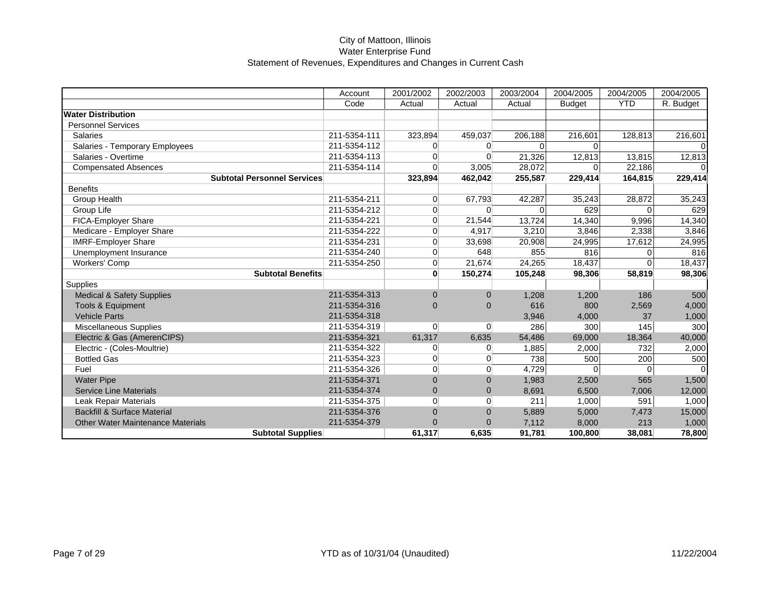|                                          | Account      | 2001/2002      | 2002/2003      | 2003/2004 | 2004/2005     | 2004/2005    | 2004/2005 |
|------------------------------------------|--------------|----------------|----------------|-----------|---------------|--------------|-----------|
|                                          | Code         | Actual         | Actual         | Actual    | <b>Budget</b> | <b>YTD</b>   | R. Budget |
| <b>Water Distribution</b>                |              |                |                |           |               |              |           |
| <b>Personnel Services</b>                |              |                |                |           |               |              |           |
| <b>Salaries</b>                          | 211-5354-111 | 323,894        | 459.037        | 206,188   | 216,601       | 128,813      | 216,601   |
| Salaries - Temporary Employees           | 211-5354-112 | $\Omega$       | $\Omega$       | $\Omega$  | $\Omega$      |              |           |
| Salaries - Overtime                      | 211-5354-113 | $\overline{0}$ | $\Omega$       | 21,326    | 12,813        | 13,815       | 12,813    |
| <b>Compensated Absences</b>              | 211-5354-114 | $\Omega$       | 3,005          | 28,072    |               | 22,186       |           |
| <b>Subtotal Personnel Services</b>       |              | 323,894        | 462,042        | 255,587   | 229,414       | 164,815      | 229,414   |
| <b>Benefits</b>                          |              |                |                |           |               |              |           |
| <b>Group Health</b>                      | 211-5354-211 | $\overline{0}$ | 67,793         | 42,287    | 35,243        | 28,872       | 35,243    |
| Group Life                               | 211-5354-212 | $\overline{0}$ | $\overline{0}$ | 0         | 629           | 0            | 629       |
| <b>FICA-Employer Share</b>               | 211-5354-221 | $\overline{0}$ | 21,544         | 13,724    | 14,340        | 9,996        | 14,340    |
| Medicare - Employer Share                | 211-5354-222 | $\Omega$       | 4,917          | 3,210     | 3,846         | 2,338        | 3,846     |
| <b>IMRF-Employer Share</b>               | 211-5354-231 | $\overline{0}$ | 33,698         | 20,908    | 24,995        | 17,612       | 24,995    |
| Unemployment Insurance                   | 211-5354-240 | $\Omega$       | 648            | 855       | 816           | $\Omega$     | 816       |
| Workers' Comp                            | 211-5354-250 | $\Omega$       | 21,674         | 24,265    | 18,437        | $\Omega$     | 18,437    |
| <b>Subtotal Benefits</b>                 |              | $\bf{0}$       | 150,274        | 105,248   | 98,306        | 58,819       | 98,306    |
| Supplies                                 |              |                |                |           |               |              |           |
| <b>Medical &amp; Safety Supplies</b>     | 211-5354-313 | $\Omega$       | $\Omega$       | 1,208     | 1,200         | 186          | 500       |
| Tools & Equipment                        | 211-5354-316 | $\Omega$       | $\Omega$       | 616       | 800           | 2,569        | 4,000     |
| <b>Vehicle Parts</b>                     | 211-5354-318 |                |                | 3,946     | 4,000         | 37           | 1,000     |
| Miscellaneous Supplies                   | 211-5354-319 | $\overline{0}$ | $\overline{0}$ | 286       | 300           | 145          | 300       |
| Electric & Gas (AmerenCIPS)              | 211-5354-321 | 61,317         | 6,635          | 54,486    | 69,000        | 18,364       | 40,000    |
| Electric - (Coles-Moultrie)              | 211-5354-322 | $\overline{0}$ | $\Omega$       | 1,885     | 2,000         | 732          | 2,000     |
| <b>Bottled Gas</b>                       | 211-5354-323 | $\overline{0}$ | 0              | 738       | 500           | 200          | 500       |
| Fuel                                     | 211-5354-326 | $\overline{0}$ | $\overline{0}$ | 4,729     | $\Omega$      | $\mathbf{0}$ |           |
| <b>Water Pipe</b>                        | 211-5354-371 | $\Omega$       | $\Omega$       | 1,983     | 2,500         | 565          | 1,500     |
| <b>Service Line Materials</b>            | 211-5354-374 | $\mathbf{0}$   | $\mathbf{0}$   | 8,691     | 6,500         | 7,006        | 12,000    |
| Leak Repair Materials                    | 211-5354-375 | $\overline{0}$ | 0              | 211       | 1,000         | 591          | 1,000     |
| <b>Backfill &amp; Surface Material</b>   | 211-5354-376 | $\Omega$       | $\Omega$       | 5,889     | 5,000         | 7,473        | 15,000    |
| <b>Other Water Maintenance Materials</b> | 211-5354-379 | $\Omega$       | 0              | 7,112     | 8,000         | 213          | 1,000     |
| <b>Subtotal Supplies</b>                 |              | 61,317         | 6,635          | 91,781    | 100,800       | 38,081       | 78,800    |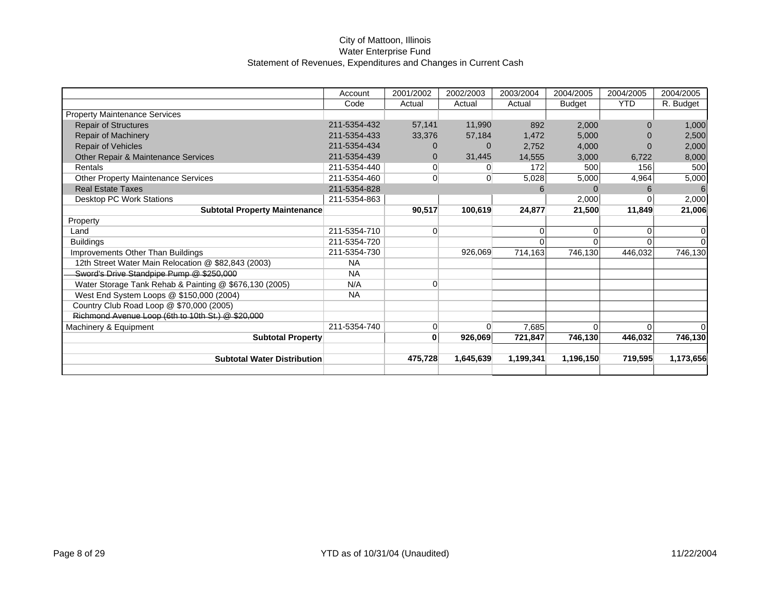|                                                        | Account      | 2001/2002      | 2002/2003      | 2003/2004 | 2004/2005     | 2004/2005  | 2004/2005 |
|--------------------------------------------------------|--------------|----------------|----------------|-----------|---------------|------------|-----------|
|                                                        | Code         | Actual         | Actual         | Actual    | <b>Budget</b> | <b>YTD</b> | R. Budget |
| <b>Property Maintenance Services</b>                   |              |                |                |           |               |            |           |
| <b>Repair of Structures</b>                            | 211-5354-432 | 57,141         | 11,990         | 892       | 2,000         |            | 1,000     |
| Repair of Machinery                                    | 211-5354-433 | 33,376         | 57,184         | 1,472     | 5,000         |            | 2,500     |
| Repair of Vehicles                                     | 211-5354-434 | 0              | $\Omega$       | 2,752     | 4,000         |            | 2,000     |
| Other Repair & Maintenance Services                    | 211-5354-439 | $\Omega$       | 31,445         | 14,555    | 3,000         | 6,722      | 8,000     |
| Rentals                                                | 211-5354-440 | $\Omega$       |                | 172       | 500           | 156        | 500       |
| <b>Other Property Maintenance Services</b>             | 211-5354-460 | $\overline{0}$ | $\overline{0}$ | 5,028     | 5,000         | 4,964      | 5,000     |
| <b>Real Estate Taxes</b>                               | 211-5354-828 |                |                | 6         | $\Omega$      | 6          | 6         |
| Desktop PC Work Stations                               | 211-5354-863 |                |                |           | 2,000         |            | 2,000     |
| <b>Subtotal Property Maintenance</b>                   |              | 90,517         | 100,619        | 24,877    | 21,500        | 11,849     | 21,006    |
| Property                                               |              |                |                |           |               |            |           |
| Land                                                   | 211-5354-710 | $\Omega$       |                | 0         | $\Omega$      | $\Omega$   |           |
| <b>Buildings</b>                                       | 211-5354-720 |                |                |           | $\Omega$      |            |           |
| Improvements Other Than Buildings                      | 211-5354-730 |                | 926,069        | 714,163   | 746,130       | 446,032    | 746,130   |
| 12th Street Water Main Relocation @ \$82,843 (2003)    | <b>NA</b>    |                |                |           |               |            |           |
| Sword's Drive Standpipe Pump @ \$250,000               | <b>NA</b>    |                |                |           |               |            |           |
| Water Storage Tank Rehab & Painting @ \$676,130 (2005) | N/A          | $\Omega$       |                |           |               |            |           |
| West End System Loops @ \$150,000 (2004)               | <b>NA</b>    |                |                |           |               |            |           |
| Country Club Road Loop @ \$70,000 (2005)               |              |                |                |           |               |            |           |
| Richmond Avenue Loop (6th to 10th St.) @ \$20,000      |              |                |                |           |               |            |           |
| Machinery & Equipment                                  | 211-5354-740 | $\Omega$       | $\Omega$       | 7,685     | $\Omega$      | 0          |           |
| <b>Subtotal Property</b>                               |              | 0              | 926,069        | 721,847   | 746,130       | 446,032    | 746,130   |
|                                                        |              |                |                |           |               |            |           |
| <b>Subtotal Water Distribution</b>                     |              | 475,728        | 1,645,639      | 1,199,341 | 1,196,150     | 719,595    | 1,173,656 |
|                                                        |              |                |                |           |               |            |           |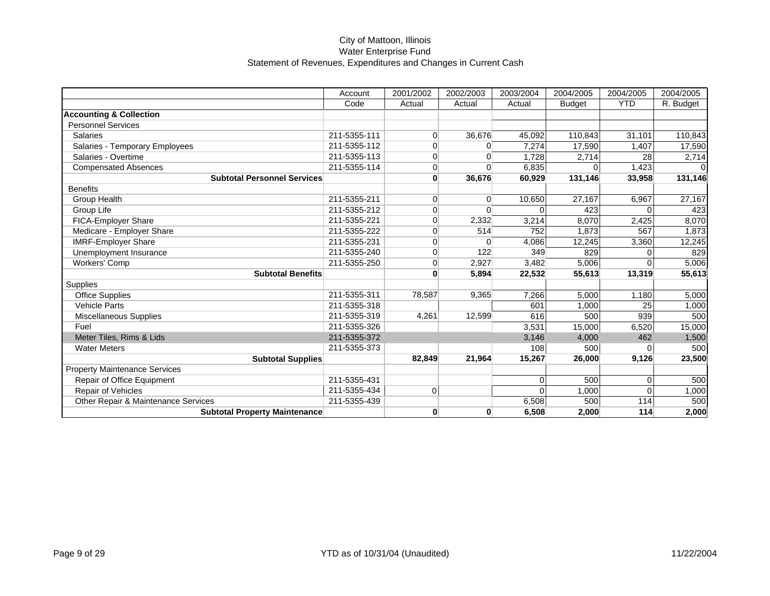|                                      | Account      | 2001/2002      | 2002/2003 | 2003/2004 | 2004/2005     | 2004/2005  | 2004/2005 |
|--------------------------------------|--------------|----------------|-----------|-----------|---------------|------------|-----------|
|                                      | Code         | Actual         | Actual    | Actual    | <b>Budget</b> | <b>YTD</b> | R. Budget |
| <b>Accounting &amp; Collection</b>   |              |                |           |           |               |            |           |
| <b>Personnel Services</b>            |              |                |           |           |               |            |           |
| Salaries                             | 211-5355-111 | $\Omega$       | 36,676    | 45,092    | 110,843       | 31,101     | 110,843   |
| Salaries - Temporary Employees       | 211-5355-112 | $\Omega$       | $\Omega$  | 7,274     | 17,590        | 1,407      | 17,590    |
| Salaries - Overtime                  | 211-5355-113 | $\overline{0}$ | $\Omega$  | 1,728     | 2,714         | 28         | 2,714     |
| <b>Compensated Absences</b>          | 211-5355-114 | $\overline{0}$ | $\Omega$  | 6,835     |               | 1,423      |           |
| <b>Subtotal Personnel Services</b>   |              | $\mathbf{0}$   | 36,676    | 60,929    | 131,146       | 33,958     | 131,146   |
| <b>Benefits</b>                      |              |                |           |           |               |            |           |
| Group Health                         | 211-5355-211 | $\overline{0}$ | $\Omega$  | 10,650    | 27,167        | 6,967      | 27,167    |
| Group Life                           | 211-5355-212 | $\overline{0}$ | $\Omega$  | $\Omega$  | 423           | $\Omega$   | 423       |
| FICA-Employer Share                  | 211-5355-221 | $\overline{0}$ | 2,332     | 3,214     | 8,070         | 2,425      | 8,070     |
| Medicare - Employer Share            | 211-5355-222 | $\Omega$       | 514       | 752       | 1,873         | 567        | 1,873     |
| <b>IMRF-Employer Share</b>           | 211-5355-231 | $\overline{0}$ | $\Omega$  | 4,086     | 12,245        | 3,360      | 12,245    |
| Unemployment Insurance               | 211-5355-240 | $\overline{0}$ | 122       | 349       | 829           | 0          | 829       |
| Workers' Comp                        | 211-5355-250 | $\overline{0}$ | 2,927     | 3,482     | 5,006         | $\Omega$   | 5,006     |
| <b>Subtotal Benefits</b>             |              | $\bf{0}$       | 5,894     | 22,532    | 55,613        | 13,319     | 55,613    |
| Supplies                             |              |                |           |           |               |            |           |
| <b>Office Supplies</b>               | 211-5355-311 | 78,587         | 9,365     | 7,266     | 5,000         | 1,180      | 5,000     |
| <b>Vehicle Parts</b>                 | 211-5355-318 |                |           | 601       | 1,000         | 25         | 1,000     |
| Miscellaneous Supplies               | 211-5355-319 | 4,261          | 12,599    | 616       | 500           | 939        | 500       |
| Fuel                                 | 211-5355-326 |                |           | 3,531     | 15,000        | 6,520      | 15,000    |
| Meter Tiles, Rims & Lids             | 211-5355-372 |                |           | 3,146     | 4,000         | 462        | 1,500     |
| <b>Water Meters</b>                  | 211-5355-373 |                |           | 108       | 500           | $\Omega$   | 500       |
| <b>Subtotal Supplies</b>             |              | 82,849         | 21,964    | 15,267    | 26,000        | 9,126      | 23,500    |
| <b>Property Maintenance Services</b> |              |                |           |           |               |            |           |
| Repair of Office Equipment           | 211-5355-431 |                |           | $\Omega$  | 500           | $\Omega$   | 500       |
| Repair of Vehicles                   | 211-5355-434 | 0              |           | $\Omega$  | 1,000         | $\Omega$   | 1,000     |
| Other Repair & Maintenance Services  | 211-5355-439 |                |           | 6,508     | 500           | 114        | 500       |
| <b>Subtotal Property Maintenance</b> |              | $\mathbf{0}$   | 0         | 6,508     | 2,000         | 114        | 2,000     |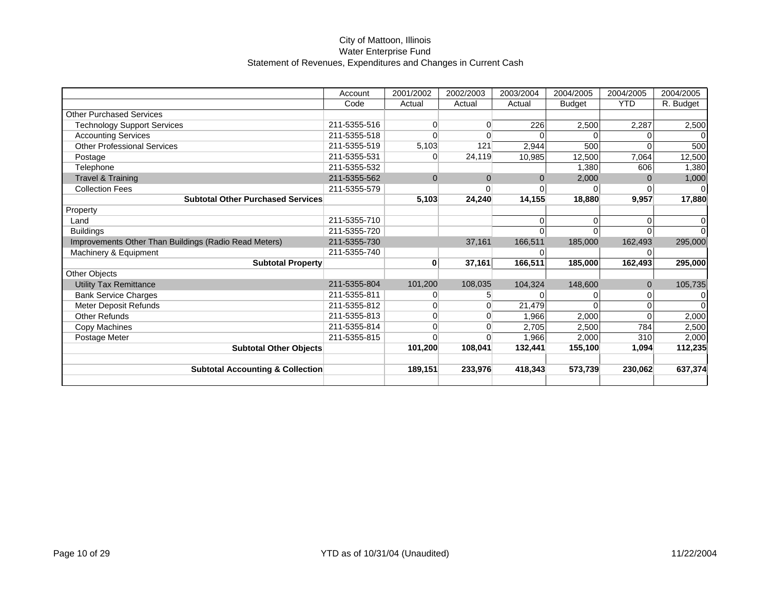|                                                       | Account      | 2001/2002      | 2002/2003 | 2003/2004 | 2004/2005     | 2004/2005  | 2004/2005 |
|-------------------------------------------------------|--------------|----------------|-----------|-----------|---------------|------------|-----------|
|                                                       | Code         | Actual         | Actual    | Actual    | <b>Budget</b> | <b>YTD</b> | R. Budget |
| <b>Other Purchased Services</b>                       |              |                |           |           |               |            |           |
| <b>Technology Support Services</b>                    | 211-5355-516 | $\Omega$       | $\Omega$  | 226       | 2,500         | 2,287      | 2,500     |
| <b>Accounting Services</b>                            | 211-5355-518 | $\Omega$       | $\Omega$  |           |               | $\Omega$   |           |
| <b>Other Professional Services</b>                    | 211-5355-519 | 5,103          | 121       | 2,944     | 500           |            | 500       |
| Postage                                               | 211-5355-531 | $\Omega$       | 24,119    | 10,985    | 12,500        | 7,064      | 12,500    |
| Telephone                                             | 211-5355-532 |                |           |           | 1,380         | 606        | 1,380     |
| <b>Travel &amp; Training</b>                          | 211-5355-562 | $\Omega$       | $\Omega$  | $\Omega$  | 2,000         | 0          | 1,000     |
| <b>Collection Fees</b>                                | 211-5355-579 |                | 0         |           | $\Omega$      | 0          |           |
| <b>Subtotal Other Purchased Services</b>              |              | 5,103          | 24,240    | 14,155    | 18,880        | 9,957      | 17,880    |
| Property                                              |              |                |           |           |               |            |           |
| Land                                                  | 211-5355-710 |                |           |           | $\Omega$      | 0          |           |
| <b>Buildings</b>                                      | 211-5355-720 |                |           |           | $\Omega$      | 0          |           |
| Improvements Other Than Buildings (Radio Read Meters) | 211-5355-730 |                | 37,161    | 166,511   | 185,000       | 162,493    | 295,000   |
| Machinery & Equipment                                 | 211-5355-740 |                |           |           |               |            |           |
| <b>Subtotal Property</b>                              |              | 0              | 37,161    | 166,511   | 185,000       | 162,493    | 295,000   |
| <b>Other Objects</b>                                  |              |                |           |           |               |            |           |
| <b>Utility Tax Remittance</b>                         | 211-5355-804 | 101,200        | 108,035   | 104,324   | 148,600       | $\Omega$   | 105,735   |
| <b>Bank Service Charges</b>                           | 211-5355-811 | $\overline{0}$ | 5         |           | 0             | 0          | 0         |
| Meter Deposit Refunds                                 | 211-5355-812 | $\overline{0}$ | 0         | 21,479    | $\Omega$      | $\Omega$   |           |
| <b>Other Refunds</b>                                  | 211-5355-813 | $\Omega$       | $\Omega$  | 1,966     | 2,000         | $\Omega$   | 2,000     |
| Copy Machines                                         | 211-5355-814 | $\Omega$       |           | 2,705     | 2,500         | 784        | 2,500     |
| Postage Meter                                         | 211-5355-815 | $\Omega$       |           | 1.966     | 2,000         | 310        | 2,000     |
| <b>Subtotal Other Objects</b>                         |              | 101,200        | 108,041   | 132,441   | 155,100       | 1,094      | 112,235   |
|                                                       |              |                |           |           |               |            |           |
| <b>Subtotal Accounting &amp; Collection</b>           |              | 189,151        | 233,976   | 418,343   | 573,739       | 230,062    | 637,374   |
|                                                       |              |                |           |           |               |            |           |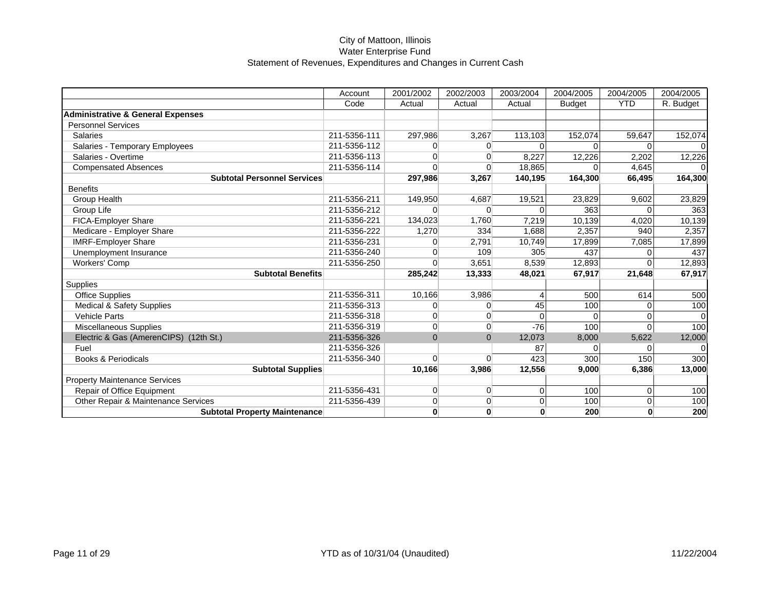|                                              | Account      | 2001/2002      | 2002/2003      | 2003/2004               | 2004/2005     | 2004/2005      | 2004/2005 |
|----------------------------------------------|--------------|----------------|----------------|-------------------------|---------------|----------------|-----------|
|                                              | Code         | Actual         | Actual         | Actual                  | <b>Budget</b> | <b>YTD</b>     | R. Budget |
| <b>Administrative &amp; General Expenses</b> |              |                |                |                         |               |                |           |
| <b>Personnel Services</b>                    |              |                |                |                         |               |                |           |
| <b>Salaries</b>                              | 211-5356-111 | 297,986        | 3,267          | 113,103                 | 152,074       | 59,647         | 152,074   |
| Salaries - Temporary Employees               | 211-5356-112 | $\Omega$       | ∩              | $\Omega$                |               | $\Omega$       |           |
| Salaries - Overtime                          | 211-5356-113 | $\overline{0}$ | $\Omega$       | 8,227                   | 12,226        | 2,202          | 12,226    |
| <b>Compensated Absences</b>                  | 211-5356-114 | $\Omega$       |                | 18,865                  | $\Omega$      | 4.645          |           |
| <b>Subtotal Personnel Services</b>           |              | 297,986        | 3,267          | 140,195                 | 164,300       | 66,495         | 164,300   |
| <b>Benefits</b>                              |              |                |                |                         |               |                |           |
| Group Health                                 | 211-5356-211 | 149,950        | 4,687          | 19,521                  | 23,829        | 9,602          | 23,829    |
| Group Life                                   | 211-5356-212 | $\Omega$       | $\Omega$       | $\Omega$                | 363           |                | 363       |
| FICA-Employer Share                          | 211-5356-221 | 134,023        | 1,760          | 7,219                   | 10,139        | 4,020          | 10,139    |
| Medicare - Employer Share                    | 211-5356-222 | 1,270          | 334            | 1,688                   | 2,357         | 940            | 2,357     |
| <b>IMRF-Employer Share</b>                   | 211-5356-231 | $\overline{0}$ | 2,791          | 10,749                  | 17,899        | 7,085          | 17,899    |
| Unemployment Insurance                       | 211-5356-240 | $\Omega$       | 109            | 305                     | 437           | 0              | 437       |
| <b>Workers' Comp</b>                         | 211-5356-250 | $\Omega$       | 3,651          | 8,539                   | 12.893        | $\Omega$       | 12,893    |
| <b>Subtotal Benefits</b>                     |              | 285,242        | 13,333         | 48,021                  | 67,917        | 21,648         | 67,917    |
| Supplies                                     |              |                |                |                         |               |                |           |
| <b>Office Supplies</b>                       | 211-5356-311 | 10,166         | 3,986          | $\overline{\mathbf{4}}$ | 500           | 614            | 500       |
| <b>Medical &amp; Safety Supplies</b>         | 211-5356-313 | $\Omega$       | 0              | 45                      | 100           | $\Omega$       | 100       |
| <b>Vehicle Parts</b>                         | 211-5356-318 | $\Omega$       | $\Omega$       | $\Omega$                | $\Omega$      | $\Omega$       |           |
| <b>Miscellaneous Supplies</b>                | 211-5356-319 | $\overline{0}$ | $\Omega$       | $-76$                   | 100           | $\Omega$       | 100       |
| Electric & Gas (AmerenCIPS) (12th St.)       | 211-5356-326 | $\Omega$       | $\Omega$       | 12,073                  | 8,000         | 5,622          | 12,000    |
| Fuel                                         | 211-5356-326 |                |                | 87                      | $\Omega$      | $\Omega$       |           |
| <b>Books &amp; Periodicals</b>               | 211-5356-340 | $\Omega$       | $\Omega$       | 423                     | 300           | 150            | 300       |
| <b>Subtotal Supplies</b>                     |              | 10,166         | 3,986          | 12,556                  | 9,000         | 6,386          | 13,000    |
| <b>Property Maintenance Services</b>         |              |                |                |                         |               |                |           |
| Repair of Office Equipment                   | 211-5356-431 | $\overline{0}$ | $\overline{0}$ | 0                       | 100           | $\Omega$       | 100       |
| Other Repair & Maintenance Services          | 211-5356-439 | $\Omega$       | $\Omega$       | 0                       | 100           | $\overline{0}$ | 100       |
| <b>Subtotal Property Maintenance</b>         |              | $\mathbf{0}$   | 0              | $\bf{0}$                | 200           | $\mathbf{0}$   | 200       |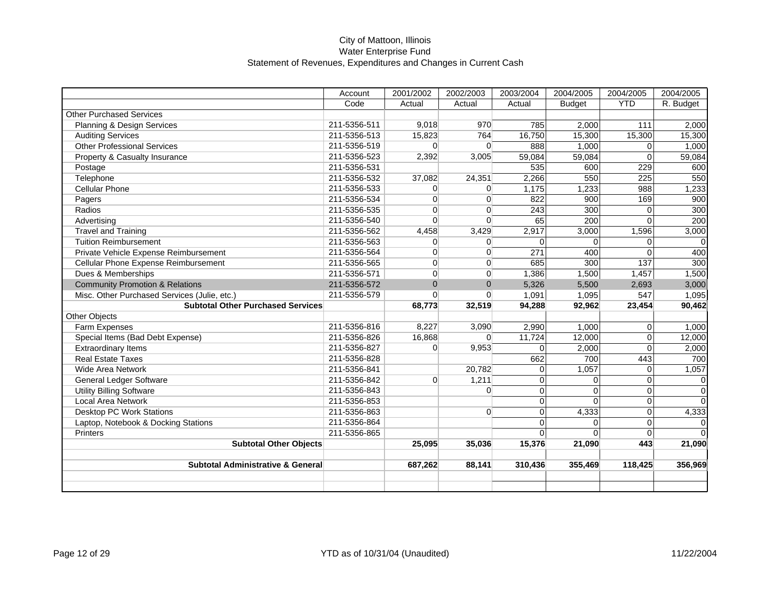|                                              | Account      | 2001/2002      | 2002/2003      | 2003/2004   | 2004/2005     | 2004/2005      | 2004/2005 |
|----------------------------------------------|--------------|----------------|----------------|-------------|---------------|----------------|-----------|
|                                              | Code         | Actual         | Actual         | Actual      | <b>Budget</b> | <b>YTD</b>     | R. Budget |
| <b>Other Purchased Services</b>              |              |                |                |             |               |                |           |
| Planning & Design Services                   | 211-5356-511 | 9,018          | 970            | 785         | 2,000         | 111            | 2,000     |
| <b>Auditing Services</b>                     | 211-5356-513 | 15,823         | 764            | 16,750      | 15,300        | 15,300         | 15,300    |
| <b>Other Professional Services</b>           | 211-5356-519 | $\Omega$       | $\Omega$       | 888         | 1,000         | $\Omega$       | 1,000     |
| Property & Casualty Insurance                | 211-5356-523 | 2,392          | 3,005          | 59,084      | 59,084        | $\Omega$       | 59,084    |
| Postage                                      | 211-5356-531 |                |                | 535         | 600           | 229            | 600       |
| Telephone                                    | 211-5356-532 | 37,082         | 24,351         | 2,266       | 550           | 225            | 550       |
| <b>Cellular Phone</b>                        | 211-5356-533 | $\Omega$       | $\overline{0}$ | 1,175       | 1,233         | 988            | 1,233     |
| Pagers                                       | 211-5356-534 | $\Omega$       | $\Omega$       | 822         | 900           | 169            | 900       |
| Radios                                       | 211-5356-535 | $\Omega$       | $\Omega$       | 243         | 300           | $\Omega$       | 300       |
| Advertising                                  | 211-5356-540 | $\Omega$       | $\Omega$       | 65          | 200           | $\Omega$       | 200       |
| <b>Travel and Training</b>                   | 211-5356-562 | 4,458          | 3,429          | 2,917       | 3,000         | 1,596          | 3,000     |
| <b>Tuition Reimbursement</b>                 | 211-5356-563 | $\Omega$       | $\Omega$       | $\Omega$    | $\Omega$      | $\Omega$       |           |
| Private Vehicle Expense Reimbursement        | 211-5356-564 | $\Omega$       | $\Omega$       | 271         | 400           | $\Omega$       | 400       |
| Cellular Phone Expense Reimbursement         | 211-5356-565 | $\overline{0}$ | $\overline{0}$ | 685         | 300           | 137            | 300       |
| Dues & Memberships                           | 211-5356-571 | $\overline{0}$ | $\overline{0}$ | 1,386       | 1,500         | 1,457          | 1,500     |
| <b>Community Promotion &amp; Relations</b>   | 211-5356-572 | $\Omega$       | $\mathbf{0}$   | 5,326       | 5,500         | 2,693          | 3,000     |
| Misc. Other Purchased Services (Julie, etc.) | 211-5356-579 | $\overline{0}$ | $\Omega$       | 1,091       | 1,095         | 547            | 1,095     |
| <b>Subtotal Other Purchased Services</b>     |              | 68,773         | 32,519         | 94,288      | 92,962        | 23,454         | 90,462    |
| Other Objects                                |              |                |                |             |               |                |           |
| Farm Expenses                                | 211-5356-816 | 8,227          | 3,090          | 2,990       | 1,000         | $\Omega$       | 1,000     |
| Special Items (Bad Debt Expense)             | 211-5356-826 | 16,868         | $\overline{0}$ | 11,724      | 12,000        | $\Omega$       | 12,000    |
| <b>Extraordinary Items</b>                   | 211-5356-827 | $\overline{0}$ | 9,953          | $\mathbf 0$ | 2,000         | $\Omega$       | 2,000     |
| <b>Real Estate Taxes</b>                     | 211-5356-828 |                |                | 662         | 700           | 443            | 700       |
| Wide Area Network                            | 211-5356-841 |                | 20,782         | $\mathbf 0$ | 1,057         | $\overline{0}$ | 1,057     |
| General Ledger Software                      | 211-5356-842 | $\overline{0}$ | 1,211          | $\mathbf 0$ | $\mathbf 0$   | $\overline{0}$ | $\Omega$  |
| <b>Utility Billing Software</b>              | 211-5356-843 |                | $\overline{0}$ | $\Omega$    | $\Omega$      | $\Omega$       | $\Omega$  |
| <b>Local Area Network</b>                    | 211-5356-853 |                |                | $\Omega$    | $\Omega$      | $\Omega$       | $\Omega$  |
| <b>Desktop PC Work Stations</b>              | 211-5356-863 |                | $\Omega$       | $\Omega$    | 4,333         | $\Omega$       | 4,333     |
| Laptop, Notebook & Docking Stations          | 211-5356-864 |                |                | $\Omega$    | $\Omega$      | $\Omega$       |           |
| Printers                                     | 211-5356-865 |                |                | $\Omega$    | $\Omega$      | $\Omega$       |           |
| <b>Subtotal Other Objects</b>                |              | 25,095         | 35,036         | 15,376      | 21,090        | 443            | 21,090    |
|                                              |              |                |                |             |               |                |           |
| <b>Subtotal Administrative &amp; General</b> |              | 687,262        | 88,141         | 310,436     | 355,469       | 118,425        | 356,969   |
|                                              |              |                |                |             |               |                |           |
|                                              |              |                |                |             |               |                |           |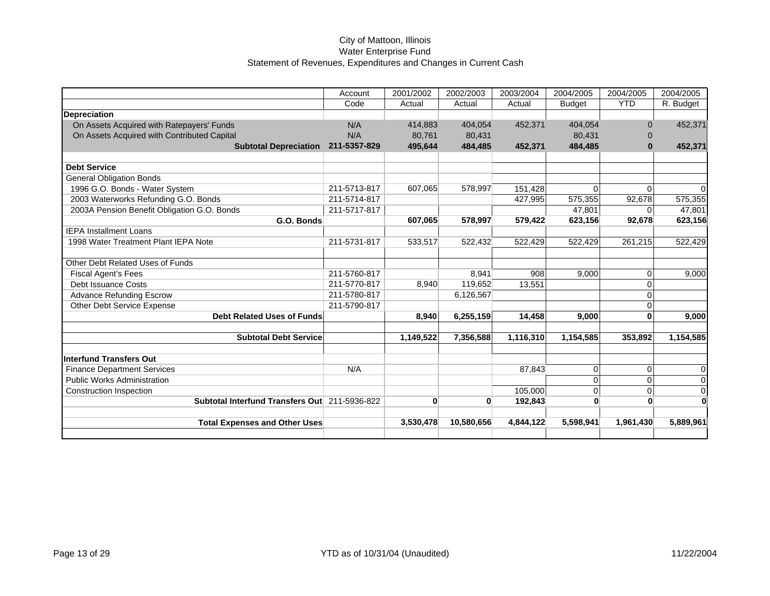|                                               | Account      | 2001/2002    | 2002/2003  | 2003/2004 | 2004/2005     | 2004/2005    | 2004/2005      |
|-----------------------------------------------|--------------|--------------|------------|-----------|---------------|--------------|----------------|
|                                               | Code         | Actual       | Actual     | Actual    | <b>Budget</b> | <b>YTD</b>   | R. Budget      |
| <b>Depreciation</b>                           |              |              |            |           |               |              |                |
| On Assets Acquired with Ratepayers' Funds     | N/A          | 414,883      | 404,054    | 452,371   | 404,054       | $\Omega$     | 452,371        |
| On Assets Acquired with Contributed Capital   | N/A          | 80,761       | 80,431     |           | 80,431        | $\Omega$     |                |
| <b>Subtotal Depreciation</b>                  | 211-5357-829 | 495,644      | 484,485    | 452,371   | 484,485       | $\bf{0}$     | 452,371        |
| <b>Debt Service</b>                           |              |              |            |           |               |              |                |
| <b>General Obligation Bonds</b>               |              |              |            |           |               |              |                |
| 1996 G.O. Bonds - Water System                | 211-5713-817 | 607,065      | 578,997    | 151,428   | $\Omega$      | $\Omega$     | $\Omega$       |
| 2003 Waterworks Refunding G.O. Bonds          | 211-5714-817 |              |            | 427,995   | 575,355       | 92,678       | 575,355        |
| 2003A Pension Benefit Obligation G.O. Bonds   | 211-5717-817 |              |            |           | 47,801        | $\Omega$     | 47,801         |
| G.O. Bonds                                    |              | 607,065      | 578,997    | 579,422   | 623,156       | 92,678       | 623,156        |
| <b>IEPA Installment Loans</b>                 |              |              |            |           |               |              |                |
| 1998 Water Treatment Plant IEPA Note          | 211-5731-817 | 533,517      | 522,432    | 522,429   | 522,429       | 261,215      | 522,429        |
| Other Debt Related Uses of Funds              |              |              |            |           |               |              |                |
| <b>Fiscal Agent's Fees</b>                    | 211-5760-817 |              | 8,941      | 908       | 9,000         | 0            | 9,000          |
| <b>Debt Issuance Costs</b>                    | 211-5770-817 | 8,940        | 119,652    | 13,551    |               | 0            |                |
| <b>Advance Refunding Escrow</b>               | 211-5780-817 |              | 6,126,567  |           |               | $\Omega$     |                |
| Other Debt Service Expense                    | 211-5790-817 |              |            |           |               | 0            |                |
| <b>Debt Related Uses of Funds</b>             |              | 8,940        | 6,255,159  | 14,458    | 9,000         | $\bf{0}$     | 9,000          |
|                                               |              |              |            |           |               |              |                |
| <b>Subtotal Debt Service</b>                  |              | 1,149,522    | 7,356,588  | 1,116,310 | 1,154,585     | 353,892      | 1,154,585      |
| <b>Interfund Transfers Out</b>                |              |              |            |           |               |              |                |
| <b>Finance Department Services</b>            | N/A          |              |            | 87,843    | $\Omega$      | $\Omega$     | $\overline{0}$ |
| <b>Public Works Administration</b>            |              |              |            |           | $\Omega$      | 0            | $\overline{0}$ |
| <b>Construction Inspection</b>                |              |              |            | 105,000   | $\Omega$      | $\Omega$     | 0              |
| Subtotal Interfund Transfers Out 211-5936-822 |              | $\mathbf{0}$ | $\bf{0}$   | 192,843   | $\bf{0}$      | $\mathbf{0}$ | $\overline{0}$ |
| <b>Total Expenses and Other Uses</b>          |              | 3,530,478    | 10,580,656 | 4.844.122 | 5,598,941     | 1,961,430    | 5,889,961      |
|                                               |              |              |            |           |               |              |                |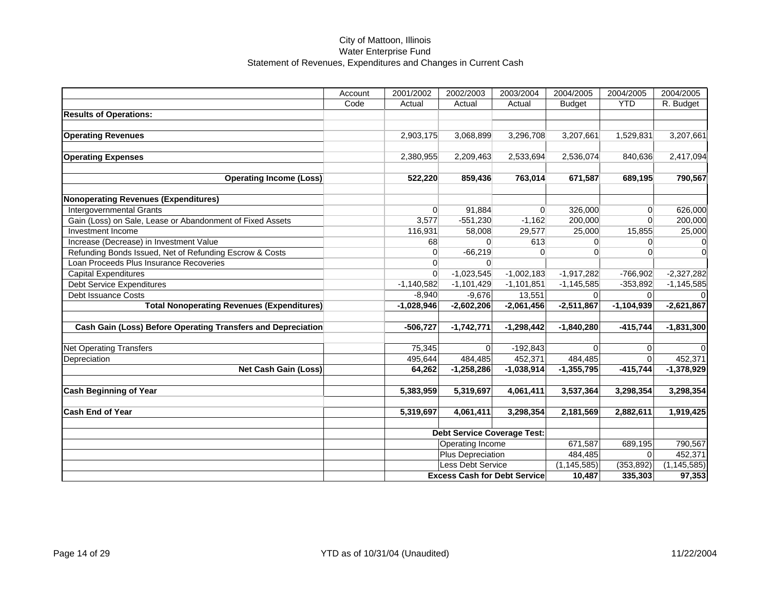|                                                              | Account | 2001/2002    | 2002/2003                           | 2003/2004    | 2004/2005     | 2004/2005    | 2004/2005     |
|--------------------------------------------------------------|---------|--------------|-------------------------------------|--------------|---------------|--------------|---------------|
|                                                              | Code    | Actual       | Actual                              | Actual       | <b>Budget</b> | <b>YTD</b>   | R. Budget     |
| <b>Results of Operations:</b>                                |         |              |                                     |              |               |              |               |
|                                                              |         |              |                                     |              |               |              |               |
| <b>Operating Revenues</b>                                    |         | 2,903,175    | 3,068,899                           | 3,296,708    | 3,207,661     | 1,529,831    | 3,207,661     |
|                                                              |         |              |                                     |              |               |              |               |
| <b>Operating Expenses</b>                                    |         | 2,380,955    | 2,209,463                           | 2,533,694    | 2,536,074     | 840,636      | 2,417,094     |
|                                                              |         |              |                                     |              |               |              |               |
| <b>Operating Income (Loss)</b>                               |         | 522,220      | 859,436                             | 763,014      | 671,587       | 689,195      | 790,567       |
| <b>Nonoperating Revenues (Expenditures)</b>                  |         |              |                                     |              |               |              |               |
| <b>Intergovernmental Grants</b>                              |         | $\Omega$     | 91,884                              | $\Omega$     | 326,000       | $\Omega$     | 626,000       |
| Gain (Loss) on Sale, Lease or Abandonment of Fixed Assets    |         | 3,577        | $-551,230$                          | $-1,162$     | 200,000       | $\Omega$     | 200,000       |
| Investment Income                                            |         | 116,931      | 58,008                              | 29,577       | 25,000        | 15,855       | 25,000        |
| Increase (Decrease) in Investment Value                      |         | 68           | $\Omega$                            | 613          | $\Omega$      | $\Omega$     |               |
| Refunding Bonds Issued, Net of Refunding Escrow & Costs      |         | $\Omega$     | $-66,219$                           | $\Omega$     | $\Omega$      | $\Omega$     | 0             |
| Loan Proceeds Plus Insurance Recoveries                      |         | $\Omega$     | $\Omega$                            |              |               |              |               |
| <b>Capital Expenditures</b>                                  |         | $\Omega$     | $-1,023,545$                        | $-1,002,183$ | $-1,917,282$  | $-766,902$   | $-2,327,282$  |
| <b>Debt Service Expenditures</b>                             |         | $-1,140,582$ | $-1,101,429$                        | $-1,101,851$ | $-1,145,585$  | $-353,892$   | $-1,145,585$  |
| Debt Issuance Costs                                          |         | $-8,940$     | $-9,676$                            | 13,551       | $\Omega$      | $\Omega$     |               |
| <b>Total Nonoperating Revenues (Expenditures)</b>            |         | $-1,028,946$ | $-2,602,206$                        | $-2,061,456$ | $-2,511,867$  | $-1,104,939$ | $-2,621,867$  |
| Cash Gain (Loss) Before Operating Transfers and Depreciation |         |              |                                     |              |               | $-415,744$   |               |
|                                                              |         | $-506,727$   | $-1,742,771$                        | $-1,298,442$ | $-1,840,280$  |              | $-1,831,300$  |
| <b>Net Operating Transfers</b>                               |         | 75,345       | $\Omega$                            | $-192,843$   | $\Omega$      | $\Omega$     |               |
| Depreciation                                                 |         | 495,644      | 484,485                             | 452,371      | 484,485       | $\Omega$     | 452,371       |
| <b>Net Cash Gain (Loss)</b>                                  |         | 64,262       | $-1,258,286$                        | $-1,038,914$ | $-1,355,795$  | $-415,744$   | $-1,378,929$  |
|                                                              |         |              |                                     |              |               |              |               |
| <b>Cash Beginning of Year</b>                                |         | 5,383,959    | 5,319,697                           | 4,061,411    | 3,537,364     | 3,298,354    | 3,298,354     |
| <b>Cash End of Year</b>                                      |         | 5,319,697    | 4,061,411                           | 3,298,354    | 2,181,569     | 2,882,611    | 1,919,425     |
|                                                              |         |              | <b>Debt Service Coverage Test:</b>  |              |               |              |               |
|                                                              |         |              | <b>Operating Income</b>             |              | 671,587       | 689,195      | 790,567       |
|                                                              |         |              | <b>Plus Depreciation</b>            |              | 484,485       | $\Omega$     | 452,371       |
|                                                              |         |              | <b>Less Debt Service</b>            |              | (1, 145, 585) | (353, 892)   | (1, 145, 585) |
|                                                              |         |              | <b>Excess Cash for Debt Service</b> |              | 10,487        | 335,303      | 97,353        |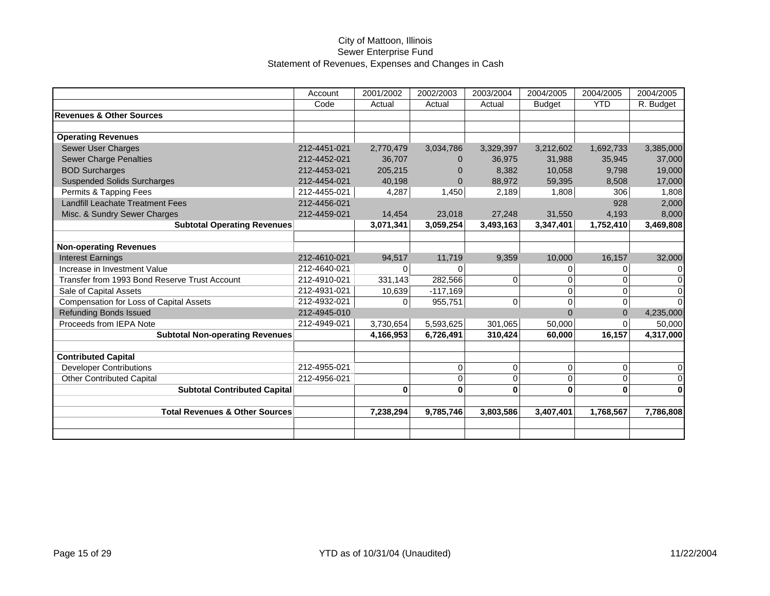|                                               | Account      | 2001/2002 | 2002/2003   | 2003/2004      | 2004/2005     | 2004/2005      | 2004/2005   |
|-----------------------------------------------|--------------|-----------|-------------|----------------|---------------|----------------|-------------|
|                                               | Code         | Actual    | Actual      | Actual         | <b>Budget</b> | <b>YTD</b>     | R. Budget   |
| <b>Revenues &amp; Other Sources</b>           |              |           |             |                |               |                |             |
|                                               |              |           |             |                |               |                |             |
| <b>Operating Revenues</b>                     |              |           |             |                |               |                |             |
| <b>Sewer User Charges</b>                     | 212-4451-021 | 2,770,479 | 3,034,786   | 3,329,397      | 3,212,602     | 1,692,733      | 3,385,000   |
| <b>Sewer Charge Penalties</b>                 | 212-4452-021 | 36,707    | $\Omega$    | 36,975         | 31,988        | 35,945         | 37,000      |
| <b>BOD Surcharges</b>                         | 212-4453-021 | 205,215   | $\Omega$    | 8,382          | 10,058        | 9,798          | 19,000      |
| <b>Suspended Solids Surcharges</b>            | 212-4454-021 | 40,198    | $\mathbf 0$ | 88,972         | 59,395        | 8,508          | 17,000      |
| Permits & Tapping Fees                        | 212-4455-021 | 4,287     | 1,450       | 2,189          | 1,808         | 306            | 1,808       |
| <b>Landfill Leachate Treatment Fees</b>       | 212-4456-021 |           |             |                |               | 928            | 2,000       |
| Misc. & Sundry Sewer Charges                  | 212-4459-021 | 14,454    | 23,018      | 27,248         | 31,550        | 4,193          | 8,000       |
| <b>Subtotal Operating Revenues</b>            |              | 3,071,341 | 3,059,254   | 3,493,163      | 3,347,401     | 1,752,410      | 3,469,808   |
|                                               |              |           |             |                |               |                |             |
| <b>Non-operating Revenues</b>                 |              |           |             |                |               |                |             |
| <b>Interest Earnings</b>                      | 212-4610-021 | 94,517    | 11,719      | 9,359          | 10,000        | 16,157         | 32,000      |
| Increase in Investment Value                  | 212-4640-021 | $\Omega$  | $\Omega$    |                | 0             | 0              | 0           |
| Transfer from 1993 Bond Reserve Trust Account | 212-4910-021 | 331,143   | 282,566     | $\Omega$       | 0             | $\Omega$       | 0           |
| Sale of Capital Assets                        | 212-4931-021 | 10,639    | $-117,169$  |                | $\Omega$      | $\Omega$       | $\Omega$    |
| Compensation for Loss of Capital Assets       | 212-4932-021 | 0         | 955,751     | $\overline{0}$ | 0             | $\mathbf 0$    | $\Omega$    |
| <b>Refunding Bonds Issued</b>                 | 212-4945-010 |           |             |                | $\Omega$      | $\overline{0}$ | 4,235,000   |
| Proceeds from IEPA Note                       | 212-4949-021 | 3,730,654 | 5,593,625   | 301,065        | 50,000        | $\Omega$       | 50,000      |
| <b>Subtotal Non-operating Revenues</b>        |              | 4,166,953 | 6,726,491   | 310,424        | 60.000        | 16,157         | 4,317,000   |
|                                               |              |           |             |                |               |                |             |
| <b>Contributed Capital</b>                    |              |           |             |                |               |                |             |
| <b>Developer Contributions</b>                | 212-4955-021 |           | 0           | $\mathbf 0$    | 0             | $\mathbf 0$    | 0           |
| <b>Other Contributed Capital</b>              | 212-4956-021 |           | 0           | $\Omega$       | 0             | $\Omega$       | $\mathbf 0$ |
| <b>Subtotal Contributed Capital</b>           |              | 0         | 0           | 0              | 0             | 0              | 0           |
|                                               |              |           |             |                |               |                |             |
| <b>Total Revenues &amp; Other Sources</b>     |              | 7,238,294 | 9,785,746   | 3,803,586      | 3,407,401     | 1,768,567      | 7,786,808   |
|                                               |              |           |             |                |               |                |             |
|                                               |              |           |             |                |               |                |             |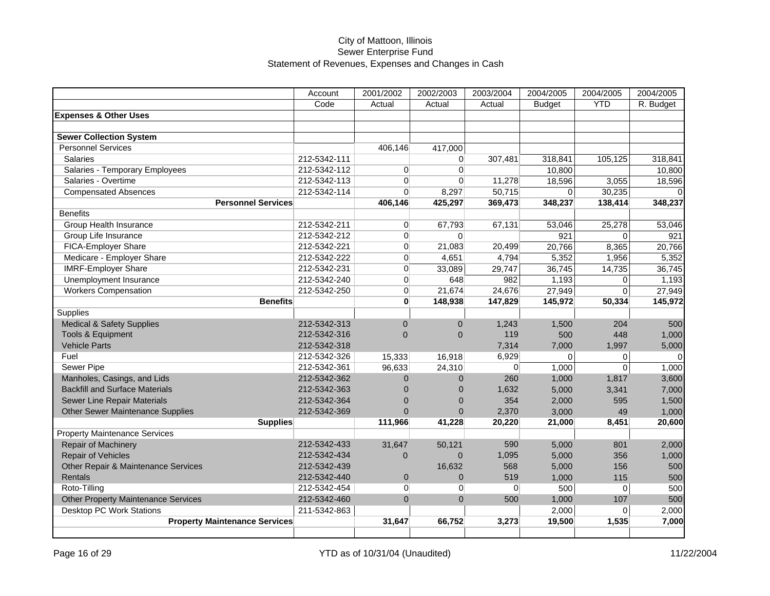|                                            | Account      | 2001/2002      | 2002/2003      | 2003/2004      | 2004/2005     | 2004/2005        | 2004/2005 |
|--------------------------------------------|--------------|----------------|----------------|----------------|---------------|------------------|-----------|
|                                            | Code         | Actual         | Actual         | Actual         | <b>Budget</b> | <b>YTD</b>       | R. Budget |
| <b>Expenses &amp; Other Uses</b>           |              |                |                |                |               |                  |           |
|                                            |              |                |                |                |               |                  |           |
| <b>Sewer Collection System</b>             |              |                |                |                |               |                  |           |
| <b>Personnel Services</b>                  |              | 406,146        | 417,000        |                |               |                  |           |
| <b>Salaries</b>                            | 212-5342-111 |                | $\overline{0}$ | 307,481        | 318,841       | 105,125          | 318,841   |
| Salaries - Temporary Employees             | 212-5342-112 | $\overline{0}$ | $\overline{0}$ |                | 10,800        |                  | 10,800    |
| Salaries - Overtime                        | 212-5342-113 | $\Omega$       | $\Omega$       | 11,278         | 18,596        | 3,055            | 18,596    |
| <b>Compensated Absences</b>                | 212-5342-114 | $\Omega$       | 8,297          | 50,715         | $\Omega$      | 30,235           |           |
| <b>Personnel Services</b>                  |              | 406,146        | 425,297        | 369,473        | 348,237       | 138,414          | 348,237   |
| <b>Benefits</b>                            |              |                |                |                |               |                  |           |
| <b>Group Health Insurance</b>              | 212-5342-211 | $\overline{0}$ | 67,793         | 67,131         | 53,046        | 25,278           | 53,046    |
| Group Life Insurance                       | 212-5342-212 | $\Omega$       | $\Omega$       |                | 921           | $\Omega$         | 921       |
| FICA-Employer Share                        | 212-5342-221 | $\Omega$       | 21,083         | 20,499         | 20,766        | 8,365            | 20,766    |
| Medicare - Employer Share                  | 212-5342-222 | $\Omega$       | 4,651          | 4,794          | 5,352         | 1,956            | 5,352     |
| <b>IMRF-Employer Share</b>                 | 212-5342-231 | $\Omega$       | 33,089         | 29,747         | 36,745        | 14,735           | 36,745    |
| Unemployment Insurance                     | 212-5342-240 | $\overline{0}$ | 648            | 982            | 1,193         | 0                | 1,193     |
| <b>Workers Compensation</b>                | 212-5342-250 | $\overline{0}$ | 21,674         | 24,676         | 27,949        | $\overline{0}$   | 27,949    |
| <b>Benefits</b>                            |              | $\mathbf{0}$   | 148,938        | 147,829        | 145,972       | 50,334           | 145,972   |
| Supplies                                   |              |                |                |                |               |                  |           |
| <b>Medical &amp; Safety Supplies</b>       | 212-5342-313 | $\mathbf{0}$   | $\overline{0}$ | 1,243          | 1,500         | 204              | 500       |
| Tools & Equipment                          | 212-5342-316 | $\overline{0}$ | $\Omega$       | 119            | 500           | 448              | 1,000     |
| <b>Vehicle Parts</b>                       | 212-5342-318 |                |                | 7,314          | 7,000         | 1,997            | 5,000     |
| Fuel                                       | 212-5342-326 | 15,333         | 16,918         | 6,929          | 0             | 0                | $\Omega$  |
| Sewer Pipe                                 | 212-5342-361 | 96,633         | 24,310         | $\Omega$       | 1,000         | $\overline{0}$   | 1,000     |
| Manholes, Casings, and Lids                | 212-5342-362 | $\Omega$       | $\mathbf{0}$   | 260            | 1,000         | 1,817            | 3,600     |
| <b>Backfill and Surface Materials</b>      | 212-5342-363 | $\Omega$       | $\overline{0}$ | 1,632          | 5,000         | 3,341            | 7,000     |
| Sewer Line Repair Materials                | 212-5342-364 | $\Omega$       | $\Omega$       | 354            | 2,000         | 595              | 1,500     |
| <b>Other Sewer Maintenance Supplies</b>    | 212-5342-369 | $\Omega$       | $\overline{0}$ | 2,370          | 3,000         | 49               | 1,000     |
| <b>Supplies</b>                            |              | 111,966        | 41,228         | 20,220         | 21,000        | 8,451            | 20,600    |
| <b>Property Maintenance Services</b>       |              |                |                |                |               |                  |           |
| Repair of Machinery                        | 212-5342-433 | 31,647         | 50,121         | 590            | 5,000         | 801              | 2,000     |
| <b>Repair of Vehicles</b>                  | 212-5342-434 | $\overline{0}$ | $\overline{0}$ | 1,095          | 5,000         | 356              | 1,000     |
| Other Repair & Maintenance Services        | 212-5342-439 |                | 16,632         | 568            | 5,000         | 156              | 500       |
| Rentals                                    | 212-5342-440 | $\mathbf{0}$   | $\mathbf 0$    | 519            | 1,000         | 115              | 500       |
| Roto-Tilling                               | 212-5342-454 | $\overline{0}$ | $\overline{0}$ | $\overline{0}$ | 500           | $\boldsymbol{0}$ | 500       |
| <b>Other Property Maintenance Services</b> | 212-5342-460 | $\Omega$       | $\Omega$       | 500            | 1,000         | 107              | 500       |
| <b>Desktop PC Work Stations</b>            | 211-5342-863 |                |                |                | 2,000         | $\Omega$         | 2,000     |
| <b>Property Maintenance Services</b>       |              | 31,647         | 66,752         | 3,273          | 19,500        | 1,535            | 7,000     |
|                                            |              |                |                |                |               |                  |           |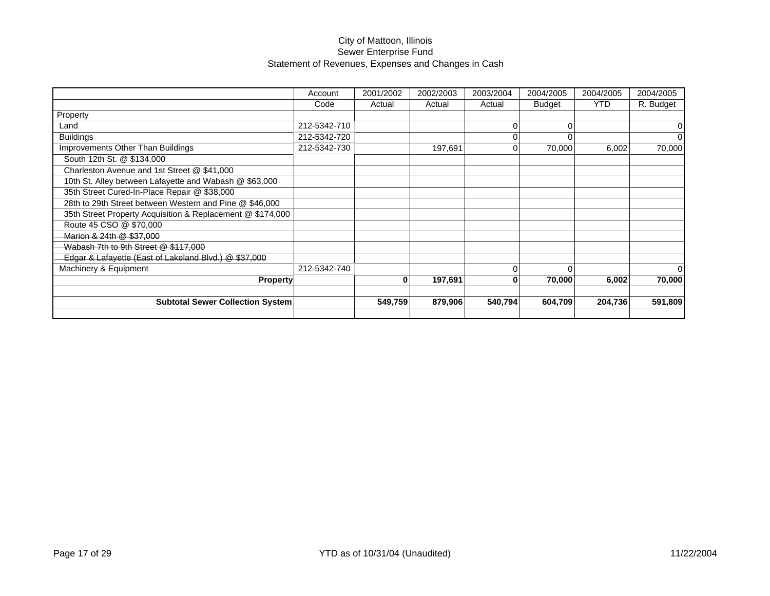|                                                            | Account      | 2001/2002 | 2002/2003 | 2003/2004 | 2004/2005     | 2004/2005  | 2004/2005 |
|------------------------------------------------------------|--------------|-----------|-----------|-----------|---------------|------------|-----------|
|                                                            | Code         | Actual    | Actual    | Actual    | <b>Budget</b> | <b>YTD</b> | R. Budget |
| Property                                                   |              |           |           |           |               |            |           |
| Land                                                       | 212-5342-710 |           |           | $\Omega$  | 0             |            | 0         |
| <b>Buildings</b>                                           | 212-5342-720 |           |           | $\Omega$  |               |            | $\Omega$  |
| Improvements Other Than Buildings                          | 212-5342-730 |           | 197,691   | $\Omega$  | 70,000        | 6,002      | 70,000    |
| South 12th St. @ \$134,000                                 |              |           |           |           |               |            |           |
| Charleston Avenue and 1st Street @ \$41,000                |              |           |           |           |               |            |           |
| 10th St. Alley between Lafayette and Wabash @ \$63,000     |              |           |           |           |               |            |           |
| 35th Street Cured-In-Place Repair @ \$38,000               |              |           |           |           |               |            |           |
| 28th to 29th Street between Western and Pine @ \$46,000    |              |           |           |           |               |            |           |
| 35th Street Property Acquisition & Replacement @ \$174,000 |              |           |           |           |               |            |           |
| Route 45 CSO @ \$70,000                                    |              |           |           |           |               |            |           |
| Marion & 24th @ \$37,000                                   |              |           |           |           |               |            |           |
| Wabash 7th to 9th Street @ \$117,000                       |              |           |           |           |               |            |           |
| Edgar & Lafayette (East of Lakeland Blvd.) @ \$37,000      |              |           |           |           |               |            |           |
| Machinery & Equipment                                      | 212-5342-740 |           |           | $\Omega$  | $\Omega$      |            | $\Omega$  |
| <b>Property</b>                                            |              | 0         | 197,691   | 0         | 70,000        | 6,002      | 70,000    |
|                                                            |              |           |           |           |               |            |           |
| <b>Subtotal Sewer Collection System</b>                    |              | 549,759   | 879,906   | 540,794   | 604,709       | 204,736    | 591,809   |
|                                                            |              |           |           |           |               |            |           |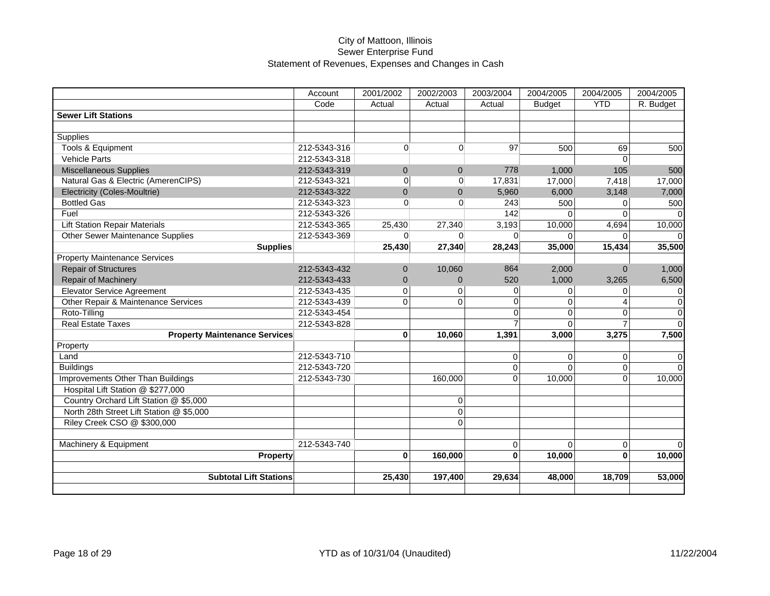|                                          | Account      | 2001/2002   | 2002/2003      | 2003/2004      | 2004/2005     | 2004/2005             | 2004/2005   |
|------------------------------------------|--------------|-------------|----------------|----------------|---------------|-----------------------|-------------|
|                                          | Code         | Actual      | Actual         | Actual         | <b>Budget</b> | <b>YTD</b>            | R. Budget   |
| <b>Sewer Lift Stations</b>               |              |             |                |                |               |                       |             |
|                                          |              |             |                |                |               |                       |             |
| <b>Supplies</b>                          |              |             |                |                |               |                       |             |
| Tools & Equipment                        | 212-5343-316 | $\Omega$    | $\overline{0}$ | 97             | 500           | 69                    | 500         |
| <b>Vehicle Parts</b>                     | 212-5343-318 |             |                |                |               | $\Omega$              |             |
| <b>Miscellaneous Supplies</b>            | 212-5343-319 | $\Omega$    | $\mathbf{0}$   | 778            | 1,000         | 105                   | 500         |
| Natural Gas & Electric (AmerenCIPS)      | 212-5343-321 | $\mathbf 0$ | $\overline{0}$ | 17,831         | 17,000        | 7,418                 | 17,000      |
| Electricity (Coles-Moultrie)             | 212-5343-322 | $\Omega$    | $\Omega$       | 5,960          | 6,000         | 3,148                 | 7,000       |
| <b>Bottled Gas</b>                       | 212-5343-323 | $\Omega$    | $\Omega$       | 243            | 500           | $\Omega$              | 500         |
| Fuel                                     | 212-5343-326 |             |                | 142            | $\Omega$      | $\Omega$              | $\Omega$    |
| <b>Lift Station Repair Materials</b>     | 212-5343-365 | 25,430      | 27,340         | 3,193          | 10,000        | 4,694                 | 10,000      |
| <b>Other Sewer Maintenance Supplies</b>  | 212-5343-369 | $\Omega$    | $\Omega$       | U              | $\Omega$      |                       |             |
| <b>Supplies</b>                          |              | 25,430      | 27,340         | 28,243         | 35,000        | 15,434                | 35,500      |
| <b>Property Maintenance Services</b>     |              |             |                |                |               |                       |             |
| <b>Repair of Structures</b>              | 212-5343-432 | $\Omega$    | 10,060         | 864            | 2,000         | $\Omega$              | 1,000       |
| Repair of Machinery                      | 212-5343-433 | $\Omega$    | $\Omega$       | 520            | 1,000         | 3.265                 | 6,500       |
| <b>Elevator Service Agreement</b>        | 212-5343-435 | $\Omega$    | $\Omega$       | $\Omega$       | $\Omega$      | $\Omega$              | $\mathbf 0$ |
| Other Repair & Maintenance Services      | 212-5343-439 | $\Omega$    | $\Omega$       | $\Omega$       | $\Omega$      | $\boldsymbol{\Delta}$ | $\pmb{0}$   |
| Roto-Tilling                             | 212-5343-454 |             |                | $\Omega$       | $\Omega$      | $\Omega$              | $\pmb{0}$   |
| <b>Real Estate Taxes</b>                 | 212-5343-828 |             |                |                | $\Omega$      |                       | $\Omega$    |
| <b>Property Maintenance Services</b>     |              | $\bf{0}$    | 10,060         | 1,391          | 3,000         | 3,275                 | 7,500       |
| Property                                 |              |             |                |                |               |                       |             |
| Land                                     | 212-5343-710 |             |                | 0              | 0             | $\Omega$              | 0           |
| <b>Buildings</b>                         | 212-5343-720 |             |                | $\Omega$       | $\Omega$      | $\Omega$              | $\Omega$    |
| Improvements Other Than Buildings        | 212-5343-730 |             | 160.000        | $\Omega$       | 10.000        | $\Omega$              | 10,000      |
| Hospital Lift Station @ \$277,000        |              |             |                |                |               |                       |             |
| Country Orchard Lift Station @ \$5,000   |              |             | $\mathbf 0$    |                |               |                       |             |
| North 28th Street Lift Station @ \$5,000 |              |             | $\overline{0}$ |                |               |                       |             |
| Riley Creek CSO @ \$300,000              |              |             | $\Omega$       |                |               |                       |             |
|                                          |              |             |                |                |               |                       |             |
| Machinery & Equipment                    | 212-5343-740 |             |                | $\overline{0}$ | $\Omega$      | $\mathbf 0$           | $\Omega$    |
| Property                                 |              | $\bf{0}$    | 160,000        | $\bf{0}$       | 10,000        | $\bf{0}$              | 10,000      |
|                                          |              |             |                |                |               |                       |             |
| <b>Subtotal Lift Stations</b>            |              | 25,430      | 197,400        | 29,634         | 48,000        | 18,709                | 53,000      |
|                                          |              |             |                |                |               |                       |             |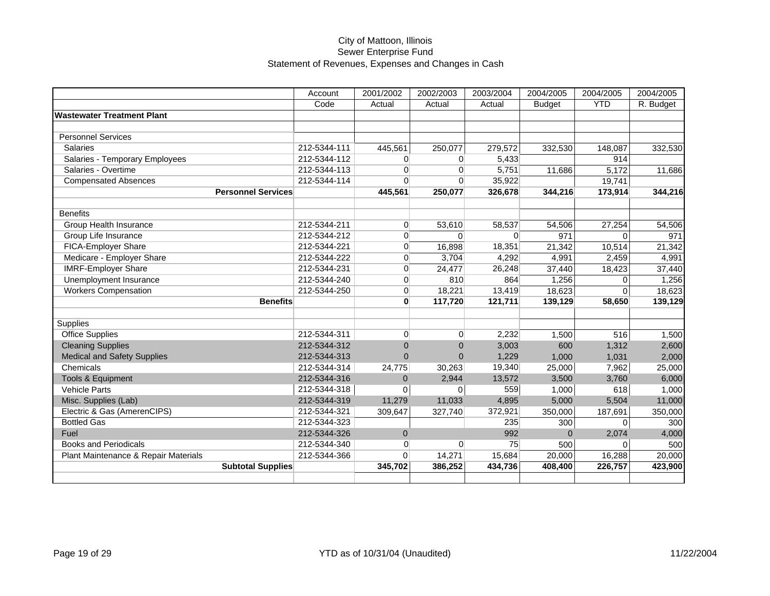|                                      | Account      | 2001/2002      | 2002/2003      | 2003/2004 | 2004/2005     | 2004/2005  | 2004/2005 |
|--------------------------------------|--------------|----------------|----------------|-----------|---------------|------------|-----------|
|                                      | Code         | Actual         | Actual         | Actual    | <b>Budget</b> | <b>YTD</b> | R. Budget |
| <b>Wastewater Treatment Plant</b>    |              |                |                |           |               |            |           |
|                                      |              |                |                |           |               |            |           |
| <b>Personnel Services</b>            |              |                |                |           |               |            |           |
| <b>Salaries</b>                      | 212-5344-111 | 445,561        | 250,077        | 279,572   | 332,530       | 148,087    | 332,530   |
| Salaries - Temporary Employees       | 212-5344-112 | $\Omega$       | $\overline{0}$ | 5,433     |               | 914        |           |
| Salaries - Overtime                  | 212-5344-113 | $\Omega$       | $\Omega$       | 5,751     | 11,686        | 5,172      | 11,686    |
| <b>Compensated Absences</b>          | 212-5344-114 | $\Omega$       | $\Omega$       | 35,922    |               | 19,741     |           |
| <b>Personnel Services</b>            |              | 445,561        | 250,077        | 326,678   | 344,216       | 173,914    | 344,216   |
|                                      |              |                |                |           |               |            |           |
| <b>Benefits</b>                      |              |                |                |           |               |            |           |
| <b>Group Health Insurance</b>        | 212-5344-211 | $\Omega$       | 53,610         | 58,537    | 54,506        | 27,254     | 54,506    |
| Group Life Insurance                 | 212-5344-212 | $\Omega$       | $\Omega$       | $\Omega$  | 971           | $\Omega$   | 971       |
| FICA-Employer Share                  | 212-5344-221 | $\Omega$       | 16,898         | 18,351    | 21,342        | 10,514     | 21,342    |
| Medicare - Employer Share            | 212-5344-222 | $\Omega$       | 3,704          | 4,292     | 4,991         | 2,459      | 4,991     |
| <b>IMRF-Employer Share</b>           | 212-5344-231 | $\Omega$       | 24,477         | 26,248    | 37,440        | 18,423     | 37,440    |
| Unemployment Insurance               | 212-5344-240 | $\Omega$       | 810            | 864       | 1,256         | $\Omega$   | 1,256     |
| <b>Workers Compensation</b>          | 212-5344-250 | $\Omega$       | 18,221         | 13,419    | 18,623        | $\Omega$   | 18,623    |
| <b>Benefits</b>                      |              | $\mathbf{0}$   | 117,720        | 121,711   | 139,129       | 58,650     | 139,129   |
|                                      |              |                |                |           |               |            |           |
| <b>Supplies</b>                      |              |                |                |           |               |            |           |
| <b>Office Supplies</b>               | 212-5344-311 | $\overline{0}$ | $\overline{0}$ | 2,232     | 1,500         | 516        | 1,500     |
| <b>Cleaning Supplies</b>             | 212-5344-312 | $\Omega$       | $\Omega$       | 3,003     | 600           | 1,312      | 2,600     |
| <b>Medical and Safety Supplies</b>   | 212-5344-313 | $\Omega$       | $\Omega$       | 1,229     | 1,000         | 1,031      | 2,000     |
| Chemicals                            | 212-5344-314 | 24,775         | 30,263         | 19,340    | 25,000        | 7,962      | 25,000    |
| <b>Tools &amp; Equipment</b>         | 212-5344-316 | $\Omega$       | 2,944          | 13,572    | 3,500         | 3,760      | 6,000     |
| <b>Vehicle Parts</b>                 | 212-5344-318 | 0              | $\overline{0}$ | 559       | 1,000         | 618        | 1,000     |
| Misc. Supplies (Lab)                 | 212-5344-319 | 11,279         | 11,033         | 4,895     | 5,000         | 5,504      | 11,000    |
| Electric & Gas (AmerenCIPS)          | 212-5344-321 | 309,647        | 327,740        | 372,921   | 350,000       | 187,691    | 350,000   |
| <b>Bottled Gas</b>                   | 212-5344-323 |                |                | 235       | 300           | $\Omega$   | 300       |
| Fuel                                 | 212-5344-326 | $\mathbf{0}$   |                | 992       | $\Omega$      | 2,074      | 4,000     |
| <b>Books and Periodicals</b>         | 212-5344-340 | $\Omega$       | $\overline{0}$ | 75        | 500           | $\Omega$   | 500       |
| Plant Maintenance & Repair Materials | 212-5344-366 | $\Omega$       | 14,271         | 15,684    | 20,000        | 16,288     | 20,000    |
| <b>Subtotal Supplies</b>             |              | 345,702        | 386,252        | 434,736   | 408,400       | 226,757    | 423,900   |
|                                      |              |                |                |           |               |            |           |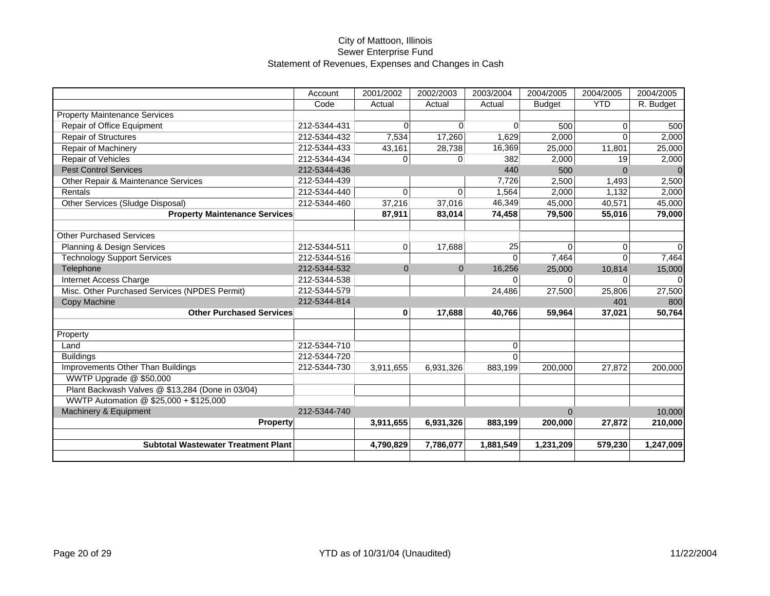|                                                  | Account      | 2001/2002 | 2002/2003      | 2003/2004 | 2004/2005     | 2004/2005  | 2004/2005 |
|--------------------------------------------------|--------------|-----------|----------------|-----------|---------------|------------|-----------|
|                                                  | Code         | Actual    | Actual         | Actual    | <b>Budget</b> | <b>YTD</b> | R. Budget |
| <b>Property Maintenance Services</b>             |              |           |                |           |               |            |           |
| Repair of Office Equipment                       | 212-5344-431 | $\Omega$  | $\Omega$       | $\Omega$  | 500           | $\Omega$   | 500       |
| <b>Repair of Structures</b>                      | 212-5344-432 | 7,534     | 17,260         | 1,629     | 2,000         | $\Omega$   | 2,000     |
| <b>Repair of Machinery</b>                       | 212-5344-433 | 43,161    | 28,738         | 16,369    | 25,000        | 11,801     | 25,000    |
| Repair of Vehicles                               | 212-5344-434 | $\Omega$  | $\overline{0}$ | 382       | 2,000         | 19         | 2,000     |
| <b>Pest Control Services</b>                     | 212-5344-436 |           |                | 440       | 500           | $\Omega$   | $\Omega$  |
| Other Repair & Maintenance Services              | 212-5344-439 |           |                | 7,726     | 2,500         | 1,493      | 2,500     |
| Rentals                                          | 212-5344-440 | $\Omega$  | 0              | 1,564     | 2,000         | 1,132      | 2,000     |
| Other Services (Sludge Disposal)                 | 212-5344-460 | 37,216    | 37,016         | 46,349    | 45,000        | 40,571     | 45,000    |
| <b>Property Maintenance Services</b>             |              | 87,911    | 83,014         | 74,458    | 79,500        | 55,016     | 79,000    |
|                                                  |              |           |                |           |               |            |           |
| <b>Other Purchased Services</b>                  |              |           |                |           |               |            |           |
| Planning & Design Services                       | 212-5344-511 | 0         | 17,688         | 25        | $\Omega$      | $\Omega$   | $\Omega$  |
| <b>Technology Support Services</b>               | 212-5344-516 |           |                | $\Omega$  | 7,464         | $\Omega$   | 7,464     |
| Telephone                                        | 212-5344-532 | $\Omega$  | $\mathbf{0}$   | 16,256    | 25,000        | 10,814     | 15,000    |
| Internet Access Charge                           | 212-5344-538 |           |                | $\Omega$  | $\Omega$      | $\Omega$   | $\Omega$  |
| Misc. Other Purchased Services (NPDES Permit)    | 212-5344-579 |           |                | 24,486    | 27,500        | 25,806     | 27,500    |
| Copy Machine                                     | 212-5344-814 |           |                |           |               | 401        | 800       |
| <b>Other Purchased Services</b>                  |              | 0         | 17,688         | 40,766    | 59.964        | 37,021     | 50,764    |
| Property                                         |              |           |                |           |               |            |           |
| Land                                             | 212-5344-710 |           |                | $\Omega$  |               |            |           |
| <b>Buildings</b>                                 | 212-5344-720 |           |                | $\Omega$  |               |            |           |
| Improvements Other Than Buildings                | 212-5344-730 | 3,911,655 | 6,931,326      | 883,199   | 200,000       | 27,872     | 200,000   |
| WWTP Upgrade @ \$50,000                          |              |           |                |           |               |            |           |
| Plant Backwash Valves @ \$13,284 (Done in 03/04) |              |           |                |           |               |            |           |
| WWTP Automation @ \$25,000 + \$125,000           |              |           |                |           |               |            |           |
| Machinery & Equipment                            | 212-5344-740 |           |                |           | $\Omega$      |            | 10,000    |
| <b>Property</b>                                  |              | 3,911,655 | 6,931,326      | 883,199   | 200,000       | 27,872     | 210,000   |
|                                                  |              |           |                |           |               |            |           |
| <b>Subtotal Wastewater Treatment Plant</b>       |              | 4,790,829 | 7,786,077      | 1,881,549 | 1,231,209     | 579,230    | 1,247,009 |
|                                                  |              |           |                |           |               |            |           |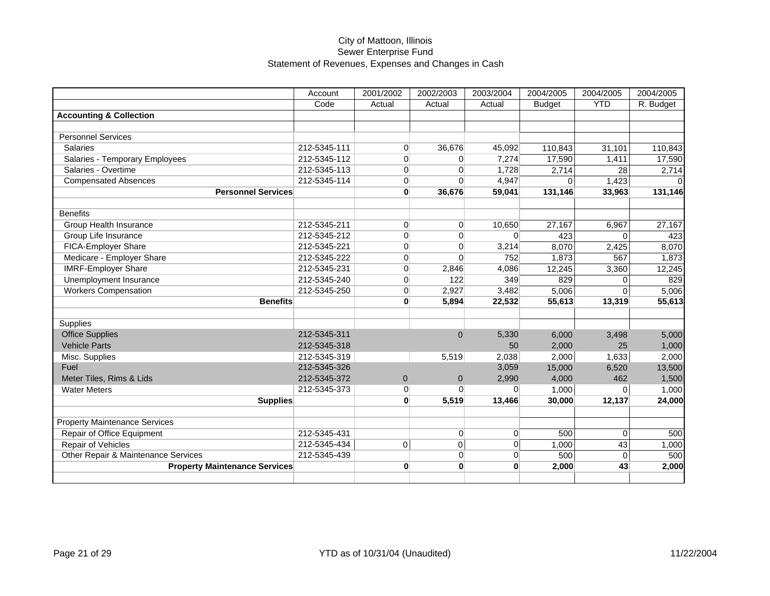|                                      | Account      | 2001/2002      | 2002/2003      | 2003/2004 | 2004/2005     | 2004/2005  | 2004/2005 |
|--------------------------------------|--------------|----------------|----------------|-----------|---------------|------------|-----------|
|                                      | Code         | Actual         | Actual         | Actual    | <b>Budget</b> | <b>YTD</b> | R. Budget |
| <b>Accounting &amp; Collection</b>   |              |                |                |           |               |            |           |
|                                      |              |                |                |           |               |            |           |
| <b>Personnel Services</b>            |              |                |                |           |               |            |           |
| <b>Salaries</b>                      | 212-5345-111 | $\Omega$       | 36,676         | 45,092    | 110,843       | 31,101     | 110,843   |
| Salaries - Temporary Employees       | 212-5345-112 | $\overline{0}$ | $\overline{0}$ | 7,274     | 17,590        | 1,411      | 17,590    |
| Salaries - Overtime                  | 212-5345-113 | $\overline{0}$ | $\Omega$       | 1,728     | 2,714         | 28         | 2,714     |
| <b>Compensated Absences</b>          | 212-5345-114 | $\overline{0}$ | $\Omega$       | 4,947     | $\Omega$      | 1,423      |           |
| <b>Personnel Services</b>            |              | $\mathbf{0}$   | 36,676         | 59,041    | 131,146       | 33,963     | 131,146   |
|                                      |              |                |                |           |               |            |           |
| <b>Benefits</b>                      |              |                |                |           |               |            |           |
| Group Health Insurance               | 212-5345-211 | $\overline{0}$ | $\overline{0}$ | 10,650    | 27,167        | 6,967      | 27,167    |
| Group Life Insurance                 | 212-5345-212 | $\overline{0}$ | $\overline{0}$ | $\Omega$  | 423           | $\Omega$   | 423       |
| <b>FICA-Employer Share</b>           | 212-5345-221 | $\overline{0}$ | $\overline{0}$ | 3,214     | 8,070         | 2,425      | 8,070     |
| Medicare - Employer Share            | 212-5345-222 | $\overline{0}$ | $\Omega$       | 752       | 1.873         | 567        | 1,873     |
| <b>IMRF-Employer Share</b>           | 212-5345-231 | $\Omega$       | 2,846          | 4,086     | 12,245        | 3,360      | 12,245    |
| Unemployment Insurance               | 212-5345-240 | $\overline{0}$ | 122            | 349       | 829           | $\Omega$   | 829       |
| <b>Workers Compensation</b>          | 212-5345-250 | $\Omega$       | 2,927          | 3,482     | 5,006         | $\Omega$   | 5,006     |
| <b>Benefits</b>                      |              | $\mathbf{0}$   | 5,894          | 22,532    | 55,613        | 13,319     | 55,613    |
|                                      |              |                |                |           |               |            |           |
| <b>Supplies</b>                      |              |                |                |           |               |            |           |
| <b>Office Supplies</b>               | 212-5345-311 |                | $\Omega$       | 5,330     | 6,000         | 3,498      | 5,000     |
| <b>Vehicle Parts</b>                 | 212-5345-318 |                |                | 50        | 2,000         | 25         | 1,000     |
| Misc. Supplies                       | 212-5345-319 |                | 5,519          | 2,038     | 2,000         | 1,633      | 2,000     |
| Fuel                                 | 212-5345-326 |                |                | 3,059     | 15,000        | 6,520      | 13,500    |
| Meter Tiles, Rims & Lids             | 212-5345-372 | $\overline{0}$ | $\mathbf{0}$   | 2,990     | 4,000         | 462        | 1,500     |
| <b>Water Meters</b>                  | 212-5345-373 | $\overline{0}$ | $\Omega$       | $\Omega$  | 1,000         | $\Omega$   | 1,000     |
| <b>Supplies</b>                      |              | $\mathbf{0}$   | 5,519          | 13,466    | 30,000        | 12,137     | 24,000    |
|                                      |              |                |                |           |               |            |           |
| <b>Property Maintenance Services</b> |              |                |                |           |               |            |           |
| Repair of Office Equipment           | 212-5345-431 |                | $\overline{0}$ | $\Omega$  | 500           | $\Omega$   | 500       |
| Repair of Vehicles                   | 212-5345-434 | $\Omega$       | $\mathbf 0$    | $\Omega$  | 1,000         | 43         | 1,000     |
| Other Repair & Maintenance Services  | 212-5345-439 |                | $\Omega$       | $\Omega$  | 500           | $\Omega$   | 500       |
| <b>Property Maintenance Services</b> |              | $\mathbf{0}$   | $\mathbf{0}$   | $\bf{0}$  | 2,000         | 43         | 2,000     |
|                                      |              |                |                |           |               |            |           |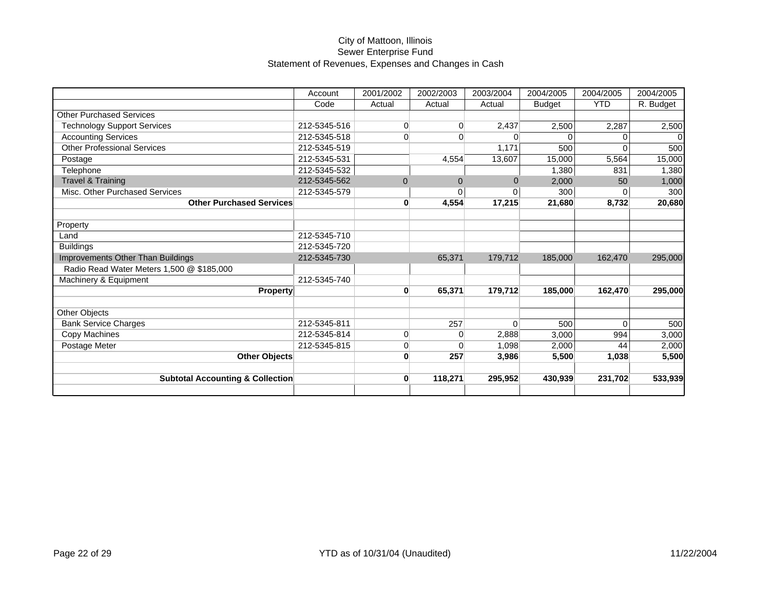|                                             | Account      | 2001/2002    | 2002/2003      | 2003/2004 | 2004/2005     | 2004/2005  | 2004/2005 |
|---------------------------------------------|--------------|--------------|----------------|-----------|---------------|------------|-----------|
|                                             | Code         | Actual       | Actual         | Actual    | <b>Budget</b> | <b>YTD</b> | R. Budget |
| <b>Other Purchased Services</b>             |              |              |                |           |               |            |           |
| <b>Technology Support Services</b>          | 212-5345-516 | $\Omega$     | $\overline{0}$ | 2,437     | 2,500         | 2,287      | 2,500     |
| <b>Accounting Services</b>                  | 212-5345-518 | $\Omega$     | $\overline{0}$ |           | $\Omega$      | $\Omega$   | $\Omega$  |
| <b>Other Professional Services</b>          | 212-5345-519 |              |                | 1,171     | 500           |            | 500       |
| Postage                                     | 212-5345-531 |              | 4,554          | 13,607    | 15,000        | 5,564      | 15,000    |
| Telephone                                   | 212-5345-532 |              |                |           | 1,380         | 831        | 1,380     |
| <b>Travel &amp; Training</b>                | 212-5345-562 | $\Omega$     | $\mathbf{0}$   | $\Omega$  | 2,000         | 50         | 1,000     |
| Misc. Other Purchased Services              | 212-5345-579 |              | $\mathbf 0$    | $\Omega$  | 300           | $\Omega$   | 300       |
| <b>Other Purchased Services</b>             |              | $\mathbf{0}$ | 4,554          | 17,215    | 21,680        | 8,732      | 20,680    |
|                                             |              |              |                |           |               |            |           |
| Property                                    |              |              |                |           |               |            |           |
| Land                                        | 212-5345-710 |              |                |           |               |            |           |
| <b>Buildings</b>                            | 212-5345-720 |              |                |           |               |            |           |
| Improvements Other Than Buildings           | 212-5345-730 |              | 65,371         | 179,712   | 185,000       | 162,470    | 295,000   |
| Radio Read Water Meters 1,500 @ \$185,000   |              |              |                |           |               |            |           |
| Machinery & Equipment                       | 212-5345-740 |              |                |           |               |            |           |
| <b>Property</b>                             |              | $\mathbf{0}$ | 65,371         | 179,712   | 185,000       | 162.470    | 295,000   |
|                                             |              |              |                |           |               |            |           |
| <b>Other Objects</b>                        |              |              |                |           |               |            |           |
| <b>Bank Service Charges</b>                 | 212-5345-811 |              | 257            | $\Omega$  | 500           | $\Omega$   | 500       |
| <b>Copy Machines</b>                        | 212-5345-814 | $\Omega$     | $\mathbf{0}$   | 2,888     | 3,000         | 994        | 3,000     |
| Postage Meter                               | 212-5345-815 | 0            | 0              | 1,098     | 2,000         | 44         | 2,000     |
| <b>Other Objects</b>                        |              | $\mathbf{0}$ | 257            | 3,986     | 5,500         | 1,038      | 5,500     |
|                                             |              |              |                |           |               |            |           |
| <b>Subtotal Accounting &amp; Collection</b> |              | $\mathbf{0}$ | 118,271        | 295,952   | 430,939       | 231,702    | 533,939   |
|                                             |              |              |                |           |               |            |           |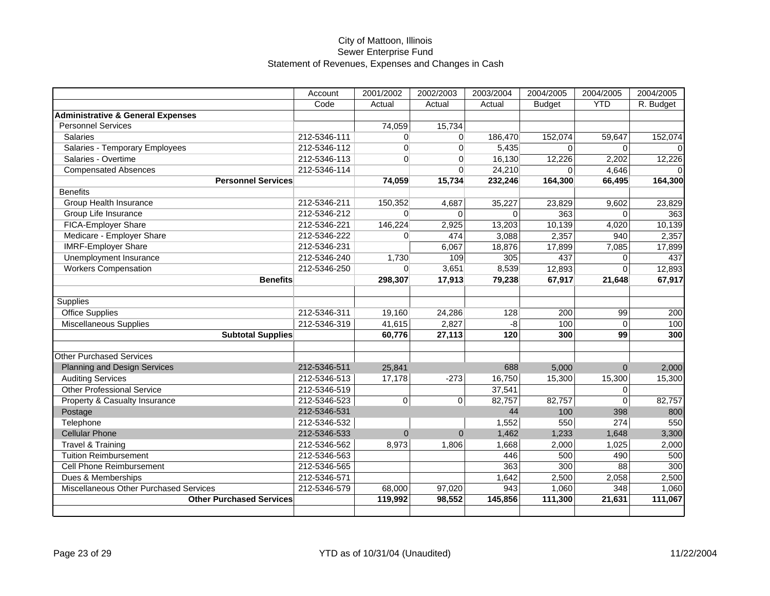|                                              | Account      | 2001/2002 | 2002/2003      | 2003/2004 | 2004/2005     | 2004/2005    | 2004/2005 |
|----------------------------------------------|--------------|-----------|----------------|-----------|---------------|--------------|-----------|
|                                              | Code         | Actual    | Actual         | Actual    | <b>Budget</b> | <b>YTD</b>   | R. Budget |
| <b>Administrative &amp; General Expenses</b> |              |           |                |           |               |              |           |
| <b>Personnel Services</b>                    |              | 74,059    | 15,734         |           |               |              |           |
| <b>Salaries</b>                              | 212-5346-111 | $\Omega$  | $\Omega$       | 186,470   | 152,074       | 59,647       | 152,074   |
| Salaries - Temporary Employees               | 212-5346-112 | $\Omega$  | $\Omega$       | 5,435     | $\Omega$      | $\Omega$     | $\Omega$  |
| Salaries - Overtime                          | 212-5346-113 | $\Omega$  | $\Omega$       | 16,130    | 12,226        | 2,202        | 12,226    |
| <b>Compensated Absences</b>                  | 212-5346-114 |           | $\Omega$       | 24,210    | $\Omega$      | 4,646        | $\Omega$  |
| <b>Personnel Services</b>                    |              | 74,059    | 15,734         | 232,246   | 164,300       | 66,495       | 164,300   |
| <b>Benefits</b>                              |              |           |                |           |               |              |           |
| <b>Group Health Insurance</b>                | 212-5346-211 | 150,352   | 4,687          | 35,227    | 23,829        | 9,602        | 23,829    |
| Group Life Insurance                         | 212-5346-212 | $\Omega$  | $\Omega$       | $\Omega$  | 363           | $\Omega$     | 363       |
| FICA-Employer Share                          | 212-5346-221 | 146,224   | 2,925          | 13,203    | 10,139        | 4,020        | 10,139    |
| Medicare - Employer Share                    | 212-5346-222 | $\Omega$  | 474            | 3,088     | 2,357         | 940          | 2,357     |
| <b>IMRF-Employer Share</b>                   | 212-5346-231 |           | 6,067          | 18,876    | 17,899        | 7,085        | 17,899    |
| Unemployment Insurance                       | 212-5346-240 | 1,730     | 109            | 305       | 437           | $\Omega$     | 437       |
| <b>Workers Compensation</b>                  | 212-5346-250 | $\Omega$  | 3,651          | 8,539     | 12,893        | $\Omega$     | 12,893    |
| <b>Benefits</b>                              |              | 298,307   | 17,913         | 79,238    | 67,917        | 21,648       | 67,917    |
|                                              |              |           |                |           |               |              |           |
| Supplies                                     |              |           |                |           |               |              |           |
| <b>Office Supplies</b>                       | 212-5346-311 | 19,160    | 24,286         | 128       | 200           | 99           | 200       |
| <b>Miscellaneous Supplies</b>                | 212-5346-319 | 41,615    | 2,827          | -8        | 100           | $\Omega$     | 100       |
| <b>Subtotal Supplies</b>                     |              | 60,776    | 27,113         | 120       | 300           | 99           | 300       |
|                                              |              |           |                |           |               |              |           |
| <b>Other Purchased Services</b>              |              |           |                |           |               |              |           |
| <b>Planning and Design Services</b>          | 212-5346-511 | 25,841    |                | 688       | 5,000         | $\mathbf{0}$ | 2,000     |
| <b>Auditing Services</b>                     | 212-5346-513 | 17,178    | $-273$         | 16,750    | 15,300        | 15,300       | 15,300    |
| <b>Other Professional Service</b>            | 212-5346-519 |           |                | 37,541    |               | $\Omega$     |           |
| Property & Casualty Insurance                | 212-5346-523 | $\Omega$  | $\overline{0}$ | 82,757    | 82,757        | $\mathbf 0$  | 82,757    |
| Postage                                      | 212-5346-531 |           |                | 44        | 100           | 398          | 800       |
| Telephone                                    | 212-5346-532 |           |                | 1,552     | 550           | 274          | 550       |
| <b>Cellular Phone</b>                        | 212-5346-533 | $\Omega$  | $\mathbf{0}$   | 1,462     | 1,233         | 1,648        | 3,300     |
| <b>Travel &amp; Training</b>                 | 212-5346-562 | 8,973     | 1,806          | 1,668     | 2,000         | 1,025        | 2,000     |
| <b>Tuition Reimbursement</b>                 | 212-5346-563 |           |                | 446       | 500           | 490          | 500       |
| <b>Cell Phone Reimbursement</b>              | 212-5346-565 |           |                | 363       | 300           | 88           | 300       |
| Dues & Memberships                           | 212-5346-571 |           |                | 1,642     | 2,500         | 2,058        | 2,500     |
| Miscellaneous Other Purchased Services       | 212-5346-579 | 68,000    | 97,020         | 943       | 1,060         | 348          | 1,060     |
| <b>Other Purchased Services</b>              |              | 119,992   | 98,552         | 145,856   | 111,300       | 21,631       | 111,067   |
|                                              |              |           |                |           |               |              |           |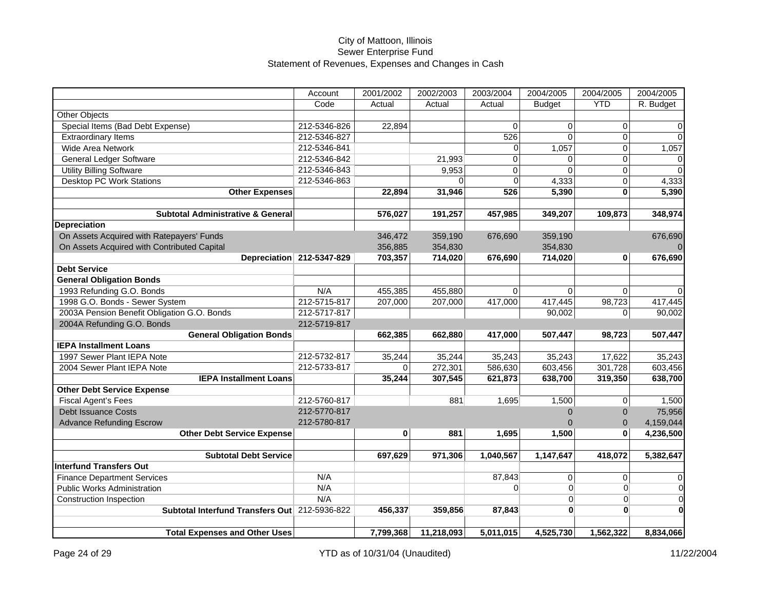|                                               | Account                   | 2001/2002 | 2002/2003  | 2003/2004      | 2004/2005     | 2004/2005    | 2004/2005      |
|-----------------------------------------------|---------------------------|-----------|------------|----------------|---------------|--------------|----------------|
|                                               | Code                      | Actual    | Actual     | Actual         | <b>Budget</b> | <b>YTD</b>   | R. Budget      |
| <b>Other Objects</b>                          |                           |           |            |                |               |              |                |
| Special Items (Bad Debt Expense)              | 212-5346-826              | 22,894    |            | $\Omega$       | 0             | $\Omega$     | 0              |
| <b>Extraordinary Items</b>                    | 212-5346-827              |           |            | 526            | $\Omega$      | $\Omega$     | $\mathbf 0$    |
| <b>Wide Area Network</b>                      | 212-5346-841              |           |            | 0              | 1,057         | 0            | 1,057          |
| <b>General Ledger Software</b>                | 212-5346-842              |           | 21,993     | $\overline{0}$ | 0             | $\mathbf 0$  | $\overline{0}$ |
| <b>Utility Billing Software</b>               | 212-5346-843              |           | 9,953      | $\mathbf 0$    | $\Omega$      | $\mathbf{0}$ | $\Omega$       |
| <b>Desktop PC Work Stations</b>               | 212-5346-863              |           | $\Omega$   | $\Omega$       | 4,333         | 0            | 4,333          |
| <b>Other Expenses</b>                         |                           | 22,894    | 31,946     | 526            | 5,390         | $\bf{0}$     | 5,390          |
|                                               |                           |           |            |                |               |              |                |
| <b>Subtotal Administrative &amp; General</b>  |                           | 576,027   | 191,257    | 457,985        | 349,207       | 109,873      | 348,974        |
| <b>Depreciation</b>                           |                           |           |            |                |               |              |                |
| On Assets Acquired with Ratepayers' Funds     |                           | 346,472   | 359,190    | 676,690        | 359,190       |              | 676,690        |
| On Assets Acquired with Contributed Capital   |                           | 356,885   | 354,830    |                | 354,830       |              |                |
|                                               | Depreciation 212-5347-829 | 703,357   | 714,020    | 676,690        | 714,020       | $\mathbf{0}$ | 676,690        |
| <b>Debt Service</b>                           |                           |           |            |                |               |              |                |
| <b>General Obligation Bonds</b>               |                           |           |            |                |               |              |                |
| 1993 Refunding G.O. Bonds                     | N/A                       | 455,385   | 455,880    | $\Omega$       | $\Omega$      | $\Omega$     | $\Omega$       |
| 1998 G.O. Bonds - Sewer System                | 212-5715-817              | 207,000   | 207,000    | 417,000        | 417,445       | 98,723       | 417,445        |
| 2003A Pension Benefit Obligation G.O. Bonds   | 212-5717-817              |           |            |                | 90,002        | $\Omega$     | 90,002         |
| 2004A Refunding G.O. Bonds                    | 212-5719-817              |           |            |                |               |              |                |
| <b>General Obligation Bonds</b>               |                           | 662,385   | 662,880    | 417,000        | 507,447       | 98,723       | 507,447        |
| <b>IEPA Installment Loans</b>                 |                           |           |            |                |               |              |                |
| 1997 Sewer Plant IEPA Note                    | 212-5732-817              | 35,244    | 35,244     | 35,243         | 35,243        | 17,622       | 35,243         |
| 2004 Sewer Plant IEPA Note                    | 212-5733-817              | $\Omega$  | 272,301    | 586,630        | 603,456       | 301,728      | 603,456        |
| <b>IEPA Installment Loans</b>                 |                           | 35,244    | 307,545    | 621,873        | 638,700       | 319,350      | 638,700        |
| <b>Other Debt Service Expense</b>             |                           |           |            |                |               |              |                |
| <b>Fiscal Agent's Fees</b>                    | 212-5760-817              |           | 881        | 1,695          | 1,500         | $\mathbf 0$  | 1,500          |
| <b>Debt Issuance Costs</b>                    | 212-5770-817              |           |            |                | $\Omega$      | $\mathbf{0}$ | 75,956         |
| <b>Advance Refunding Escrow</b>               | 212-5780-817              |           |            |                | $\Omega$      | $\mathbf{0}$ | 4,159,044      |
| <b>Other Debt Service Expense</b>             |                           | 0         | 881        | 1,695          | 1,500         | $\mathbf{0}$ | 4,236,500      |
|                                               |                           |           |            |                |               |              |                |
| <b>Subtotal Debt Service</b>                  |                           | 697,629   | 971,306    | 1,040,567      | 1,147,647     | 418,072      | 5,382,647      |
| <b>Interfund Transfers Out</b>                |                           |           |            |                |               |              |                |
| <b>Finance Department Services</b>            | N/A                       |           |            | 87,843         | $\Omega$      | $\Omega$     | $\mathsf 0$    |
| <b>Public Works Administration</b>            | N/A                       |           |            | $\Omega$       | $\Omega$      | $\Omega$     | $\overline{0}$ |
| <b>Construction Inspection</b>                | N/A                       |           |            |                | $\Omega$      | $\Omega$     | $\Omega$       |
| Subtotal Interfund Transfers Out 212-5936-822 |                           | 456,337   | 359,856    | 87,843         | $\mathbf{0}$  | $\mathbf{0}$ | $\bf{0}$       |
|                                               |                           |           |            |                |               |              |                |
| <b>Total Expenses and Other Uses</b>          |                           | 7,799,368 | 11,218,093 | 5,011,015      | 4,525,730     | 1,562,322    | 8,834,066      |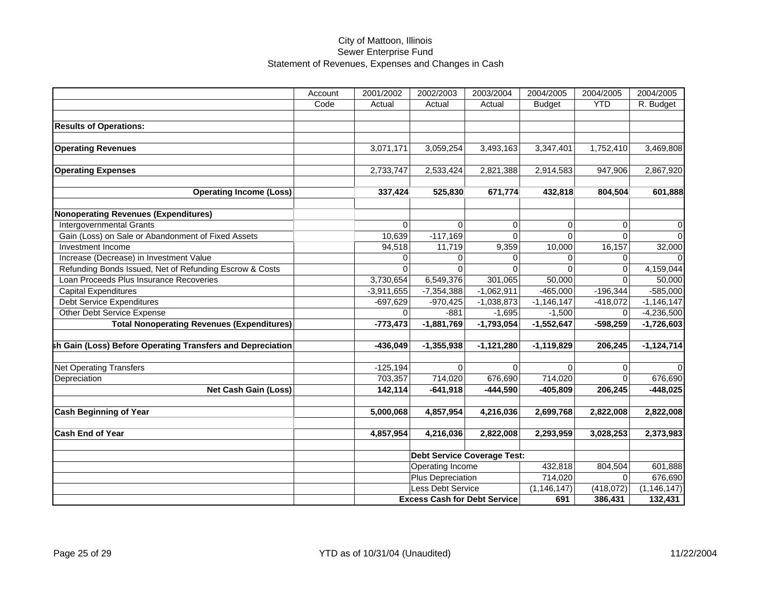| Account | 2001/2002    | 2002/2003                                                            | 2003/2004                                                                                                                    | 2004/2005                                                                                                                                                                                                 | 2004/2005                                                                                                                                                               | 2004/2005                                                                                                                                    |
|---------|--------------|----------------------------------------------------------------------|------------------------------------------------------------------------------------------------------------------------------|-----------------------------------------------------------------------------------------------------------------------------------------------------------------------------------------------------------|-------------------------------------------------------------------------------------------------------------------------------------------------------------------------|----------------------------------------------------------------------------------------------------------------------------------------------|
| Code    | Actual       | Actual                                                               | Actual                                                                                                                       | <b>Budget</b>                                                                                                                                                                                             | <b>YTD</b>                                                                                                                                                              | R. Budget                                                                                                                                    |
|         |              |                                                                      |                                                                                                                              |                                                                                                                                                                                                           |                                                                                                                                                                         |                                                                                                                                              |
|         |              |                                                                      |                                                                                                                              |                                                                                                                                                                                                           |                                                                                                                                                                         |                                                                                                                                              |
|         |              |                                                                      |                                                                                                                              |                                                                                                                                                                                                           |                                                                                                                                                                         |                                                                                                                                              |
|         | 3,071,171    | 3,059,254                                                            | 3,493,163                                                                                                                    | 3,347,401                                                                                                                                                                                                 | 1,752,410                                                                                                                                                               | 3,469,808                                                                                                                                    |
|         |              |                                                                      |                                                                                                                              |                                                                                                                                                                                                           |                                                                                                                                                                         |                                                                                                                                              |
|         | 2,733,747    | 2,533,424                                                            | 2,821,388                                                                                                                    | 2,914,583                                                                                                                                                                                                 | 947,906                                                                                                                                                                 | 2,867,920                                                                                                                                    |
|         |              |                                                                      |                                                                                                                              |                                                                                                                                                                                                           |                                                                                                                                                                         |                                                                                                                                              |
|         |              | 525,830                                                              | 671,774                                                                                                                      | 432,818                                                                                                                                                                                                   | 804,504                                                                                                                                                                 | 601,888                                                                                                                                      |
|         |              |                                                                      |                                                                                                                              |                                                                                                                                                                                                           |                                                                                                                                                                         |                                                                                                                                              |
|         |              |                                                                      |                                                                                                                              |                                                                                                                                                                                                           |                                                                                                                                                                         |                                                                                                                                              |
|         | $\Omega$     | $\Omega$                                                             | $\mathbf 0$                                                                                                                  | 0                                                                                                                                                                                                         | $\Omega$                                                                                                                                                                | 0                                                                                                                                            |
|         |              |                                                                      |                                                                                                                              |                                                                                                                                                                                                           |                                                                                                                                                                         | $\Omega$                                                                                                                                     |
|         | 94,518       |                                                                      |                                                                                                                              |                                                                                                                                                                                                           |                                                                                                                                                                         | 32,000                                                                                                                                       |
|         | $\Omega$     | $\Omega$                                                             | $\Omega$                                                                                                                     | $\Omega$                                                                                                                                                                                                  | $\Omega$                                                                                                                                                                | $\Omega$                                                                                                                                     |
|         | $\Omega$     | $\Omega$                                                             | $\Omega$                                                                                                                     | $\Omega$                                                                                                                                                                                                  | $\Omega$                                                                                                                                                                | 4,159,044                                                                                                                                    |
|         | 3,730,654    |                                                                      | 301,065                                                                                                                      | 50,000                                                                                                                                                                                                    | $\Omega$                                                                                                                                                                | 50,000                                                                                                                                       |
|         | $-3,911,655$ | $-7,354,388$                                                         |                                                                                                                              | $-465,000$                                                                                                                                                                                                |                                                                                                                                                                         | $-585,000$                                                                                                                                   |
|         | $-697,629$   | $-970,425$                                                           | $-1,038,873$                                                                                                                 | $-1,146,147$                                                                                                                                                                                              | $-418,072$                                                                                                                                                              | $-1,146,147$                                                                                                                                 |
|         | $\Omega$     | $-881$                                                               | $-1,695$                                                                                                                     | $-1,500$                                                                                                                                                                                                  | $\Omega$                                                                                                                                                                | $-4,236,500$                                                                                                                                 |
|         | $-773,473$   | $-1,881,769$                                                         | $-1,793,054$                                                                                                                 | $-1,552,647$                                                                                                                                                                                              | $-598,259$                                                                                                                                                              | $-1,726,603$                                                                                                                                 |
|         |              |                                                                      |                                                                                                                              |                                                                                                                                                                                                           |                                                                                                                                                                         |                                                                                                                                              |
|         |              |                                                                      |                                                                                                                              |                                                                                                                                                                                                           |                                                                                                                                                                         | $-1,124,714$                                                                                                                                 |
|         |              |                                                                      |                                                                                                                              |                                                                                                                                                                                                           |                                                                                                                                                                         |                                                                                                                                              |
|         |              | 0                                                                    | $\Omega$                                                                                                                     | 0                                                                                                                                                                                                         | 0                                                                                                                                                                       |                                                                                                                                              |
|         |              |                                                                      |                                                                                                                              |                                                                                                                                                                                                           |                                                                                                                                                                         | 676,690                                                                                                                                      |
|         |              |                                                                      |                                                                                                                              |                                                                                                                                                                                                           |                                                                                                                                                                         | $-448,025$                                                                                                                                   |
|         |              |                                                                      |                                                                                                                              |                                                                                                                                                                                                           |                                                                                                                                                                         |                                                                                                                                              |
|         |              |                                                                      |                                                                                                                              |                                                                                                                                                                                                           |                                                                                                                                                                         | 2,822,008                                                                                                                                    |
|         |              |                                                                      |                                                                                                                              |                                                                                                                                                                                                           |                                                                                                                                                                         | 2,373,983                                                                                                                                    |
|         |              |                                                                      |                                                                                                                              |                                                                                                                                                                                                           |                                                                                                                                                                         |                                                                                                                                              |
|         |              |                                                                      |                                                                                                                              |                                                                                                                                                                                                           |                                                                                                                                                                         |                                                                                                                                              |
|         |              |                                                                      |                                                                                                                              |                                                                                                                                                                                                           |                                                                                                                                                                         | 601,888                                                                                                                                      |
|         |              |                                                                      |                                                                                                                              |                                                                                                                                                                                                           |                                                                                                                                                                         | 676,690                                                                                                                                      |
|         |              |                                                                      |                                                                                                                              |                                                                                                                                                                                                           |                                                                                                                                                                         | (1, 146, 147)                                                                                                                                |
|         |              |                                                                      |                                                                                                                              |                                                                                                                                                                                                           |                                                                                                                                                                         | 132,431                                                                                                                                      |
|         |              | 10,639<br>-436,049<br>$-125, 194$<br>703,357<br>142,114<br>4,857,954 | 337,424<br>$-117,169$<br>11,719<br>6,549,376<br>$-1,355,938$<br>714,020<br>$-641,918$<br>5,000,068<br>4,857,954<br>4,216,036 | $\Omega$<br>9,359<br>$-1,062,911$<br>$-1,121,280$<br>676,690<br>$-444,590$<br>4,216,036<br>2,822,008<br>Operating Income<br>Plus Depreciation<br>Less Debt Service<br><b>Excess Cash for Debt Service</b> | $\Omega$<br>10,000<br>$-1,119,829$<br>714,020<br>-405,809<br>2,699,768<br>2,293,959<br><b>Debt Service Coverage Test:</b><br>432,818<br>714,020<br>(1, 146, 147)<br>691 | $\Omega$<br>16,157<br>$-196,344$<br>206,245<br>$\Omega$<br>206,245<br>2,822,008<br>3,028,253<br>804,504<br>$\Omega$<br>(418, 072)<br>386,431 |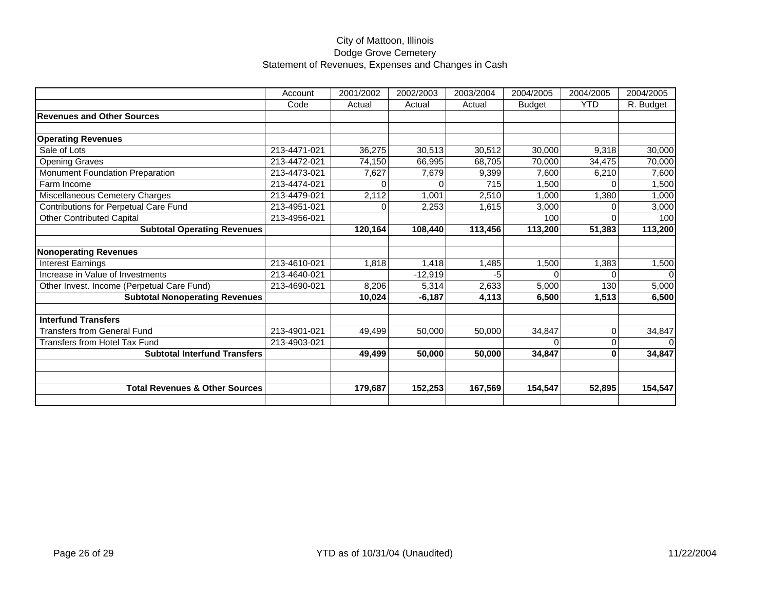|                                            | Account      | 2001/2002 | 2002/2003 | 2003/2004 | 2004/2005     | 2004/2005  | 2004/2005 |
|--------------------------------------------|--------------|-----------|-----------|-----------|---------------|------------|-----------|
|                                            | Code         | Actual    | Actual    | Actual    | <b>Budget</b> | <b>YTD</b> | R. Budget |
| <b>Revenues and Other Sources</b>          |              |           |           |           |               |            |           |
|                                            |              |           |           |           |               |            |           |
| <b>Operating Revenues</b>                  |              |           |           |           |               |            |           |
| Sale of Lots                               | 213-4471-021 | 36,275    | 30,513    | 30,512    | 30,000        | 9,318      | 30,000    |
| <b>Opening Graves</b>                      | 213-4472-021 | 74,150    | 66,995    | 68,705    | 70,000        | 34,475     | 70,000    |
| Monument Foundation Preparation            | 213-4473-021 | 7,627     | 7,679     | 9,399     | 7,600         | 6,210      | 7,600     |
| Farm Income                                | 213-4474-021 | $\Omega$  | 0         | 715       | 1.500         |            | 1,500     |
| Miscellaneous Cemetery Charges             | 213-4479-021 | 2,112     | 1,001     | 2,510     | 1,000         | 1,380      | 1,000     |
| Contributions for Perpetual Care Fund      | 213-4951-021 | 0         | 2,253     | 1,615     | 3,000         |            | 3,000     |
| <b>Other Contributed Capital</b>           | 213-4956-021 |           |           |           | 100           |            | 100       |
| <b>Subtotal Operating Revenues</b>         |              | 120,164   | 108,440   | 113,456   | 113,200       | 51,383     | 113,200   |
|                                            |              |           |           |           |               |            |           |
| <b>Nonoperating Revenues</b>               |              |           |           |           |               |            |           |
| <b>Interest Earnings</b>                   | 213-4610-021 | 1.818     | 1,418     | 1,485     | 1,500         | 1,383      | 1,500     |
| Increase in Value of Investments           | 213-4640-021 |           | $-12,919$ | -5        | $\Omega$      | 0          | $\Omega$  |
| Other Invest. Income (Perpetual Care Fund) | 213-4690-021 | 8,206     | 5,314     | 2,633     | 5,000         | 130        | 5,000     |
| <b>Subtotal Nonoperating Revenues</b>      |              | 10,024    | $-6,187$  | 4,113     | 6,500         | 1,513      | 6,500     |
|                                            |              |           |           |           |               |            |           |
| <b>Interfund Transfers</b>                 |              |           |           |           |               |            |           |
| <b>Transfers from General Fund</b>         | 213-4901-021 | 49,499    | 50,000    | 50,000    | 34,847        | 0          | 34,847    |
| Transfers from Hotel Tax Fund              | 213-4903-021 |           |           |           |               | 0          | 0         |
| <b>Subtotal Interfund Transfers</b>        |              | 49,499    | 50,000    | 50,000    | 34,847        | 0          | 34,847    |
|                                            |              |           |           |           |               |            |           |
|                                            |              |           |           |           |               |            |           |
| <b>Total Revenues &amp; Other Sources</b>  |              | 179,687   | 152,253   | 167,569   | 154,547       | 52,895     | 154,547   |
|                                            |              |           |           |           |               |            |           |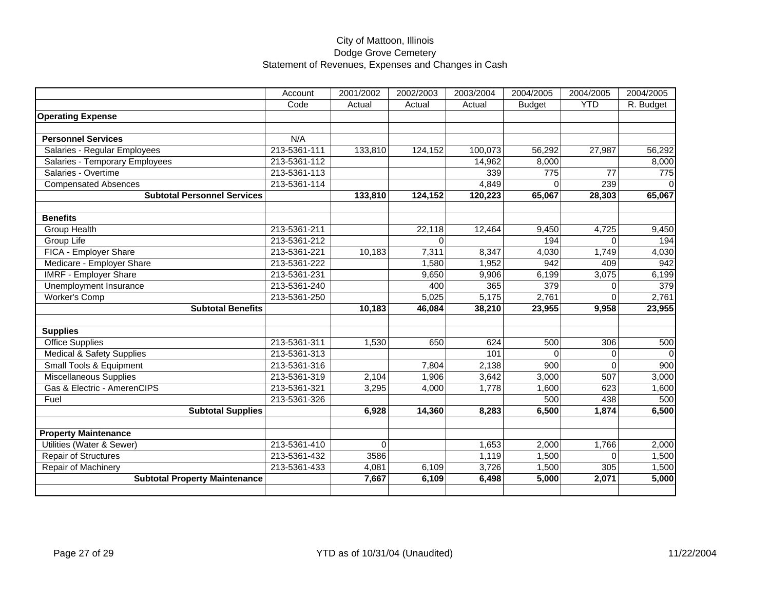|                                      | Account      | 2001/2002 | 2002/2003 | 2003/2004 | 2004/2005     | 2004/2005    | 2004/2005 |
|--------------------------------------|--------------|-----------|-----------|-----------|---------------|--------------|-----------|
|                                      | Code         | Actual    | Actual    | Actual    | <b>Budget</b> | <b>YTD</b>   | R. Budget |
| <b>Operating Expense</b>             |              |           |           |           |               |              |           |
|                                      |              |           |           |           |               |              |           |
| <b>Personnel Services</b>            | N/A          |           |           |           |               |              |           |
| Salaries - Regular Employees         | 213-5361-111 | 133,810   | 124,152   | 100,073   | 56,292        | 27,987       | 56,292    |
| Salaries - Temporary Employees       | 213-5361-112 |           |           | 14,962    | 8,000         |              | 8,000     |
| Salaries - Overtime                  | 213-5361-113 |           |           | 339       | 775           | 77           | 775       |
| <b>Compensated Absences</b>          | 213-5361-114 |           |           | 4,849     | $\Omega$      | 239          | $\Omega$  |
| <b>Subtotal Personnel Services</b>   |              | 133,810   | 124,152   | 120,223   | 65,067        | 28,303       | 65,067    |
|                                      |              |           |           |           |               |              |           |
| <b>Benefits</b>                      |              |           |           |           |               |              |           |
| Group Health                         | 213-5361-211 |           | 22,118    | 12,464    | 9,450         | 4,725        | 9,450     |
| Group Life                           | 213-5361-212 |           | 0         |           | 194           | $\Omega$     | 194       |
| FICA - Employer Share                | 213-5361-221 | 10,183    | 7,311     | 8,347     | 4,030         | 1,749        | 4,030     |
| Medicare - Employer Share            | 213-5361-222 |           | 1,580     | 1,952     | 942           | 409          | 942       |
| <b>IMRF - Employer Share</b>         | 213-5361-231 |           | 9,650     | 9,906     | 6,199         | 3,075        | 6,199     |
| Unemployment Insurance               | 213-5361-240 |           | 400       | 365       | 379           | <sup>0</sup> | 379       |
| Worker's Comp                        | 213-5361-250 |           | 5,025     | 5,175     | 2,761         | <sup>0</sup> | 2,761     |
| <b>Subtotal Benefits</b>             |              | 10.183    | 46,084    | 38,210    | 23,955        | 9,958        | 23,955    |
|                                      |              |           |           |           |               |              |           |
| <b>Supplies</b>                      |              |           |           |           |               |              |           |
| <b>Office Supplies</b>               | 213-5361-311 | 1,530     | 650       | 624       | 500           | 306          | 500       |
| <b>Medical &amp; Safety Supplies</b> | 213-5361-313 |           |           | 101       | $\Omega$      | $\Omega$     | $\Omega$  |
| Small Tools & Equipment              | 213-5361-316 |           | 7,804     | 2,138     | 900           | $\Omega$     | 900       |
| <b>Miscellaneous Supplies</b>        | 213-5361-319 | 2,104     | 1,906     | 3,642     | 3,000         | 507          | 3,000     |
| Gas & Electric - AmerenCIPS          | 213-5361-321 | 3,295     | 4,000     | 1,778     | 1,600         | 623          | 1,600     |
| Fuel                                 | 213-5361-326 |           |           |           | 500           | 438          | 500       |
| <b>Subtotal Supplies</b>             |              | 6,928     | 14,360    | 8,283     | 6,500         | 1,874        | 6,500     |
|                                      |              |           |           |           |               |              |           |
| <b>Property Maintenance</b>          |              |           |           |           |               |              |           |
| Utilities (Water & Sewer)            | 213-5361-410 | $\Omega$  |           | 1,653     | 2,000         | 1,766        | 2,000     |
| <b>Repair of Structures</b>          | 213-5361-432 | 3586      |           | 1,119     | 1,500         | $\Omega$     | 1,500     |
| Repair of Machinery                  | 213-5361-433 | 4,081     | 6,109     | 3,726     | 1,500         | 305          | 1,500     |
| <b>Subtotal Property Maintenance</b> |              | 7,667     | 6,109     | 6,498     | 5,000         | 2,071        | 5,000     |
|                                      |              |           |           |           |               |              |           |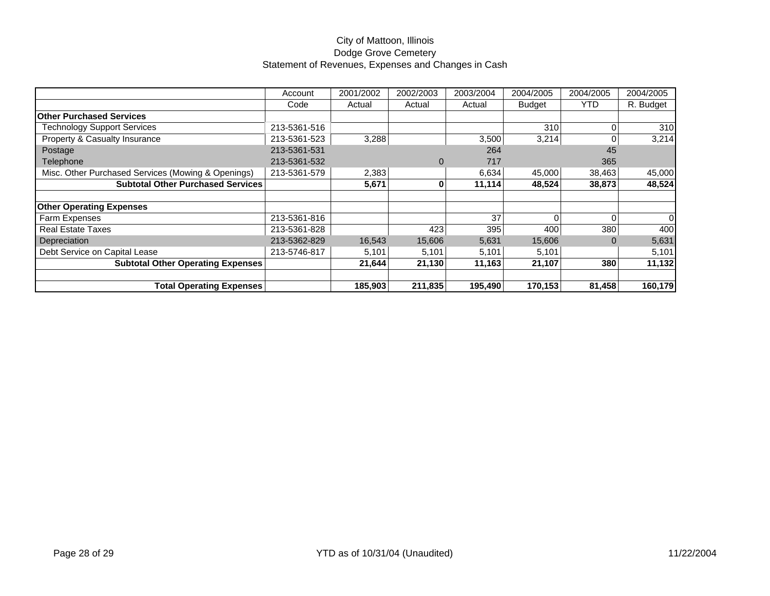|                                                    | Account      | 2001/2002 | 2002/2003 | 2003/2004 | 2004/2005     | 2004/2005  | 2004/2005 |
|----------------------------------------------------|--------------|-----------|-----------|-----------|---------------|------------|-----------|
|                                                    | Code         | Actual    | Actual    | Actual    | <b>Budget</b> | <b>YTD</b> | R. Budget |
| <b>Other Purchased Services</b>                    |              |           |           |           |               |            |           |
| Technology Support Services                        | 213-5361-516 |           |           |           | 310           |            | 310       |
| Property & Casualty Insurance                      | 213-5361-523 | 3,288     |           | 3,500     | 3,214         |            | 3,214     |
| Postage                                            | 213-5361-531 |           |           | 264       |               | 45         |           |
| Telephone                                          | 213-5361-532 |           | $\Omega$  | 717       |               | 365        |           |
| Misc. Other Purchased Services (Mowing & Openings) | 213-5361-579 | 2,383     |           | 6,634     | 45,000        | 38,463     | 45,000    |
| <b>Subtotal Other Purchased Services</b>           |              | 5,671     | 0         | 11,114    | 48,524        | 38,873     | 48,524    |
|                                                    |              |           |           |           |               |            |           |
| <b>Other Operating Expenses</b>                    |              |           |           |           |               |            |           |
| <b>Farm Expenses</b>                               | 213-5361-816 |           |           | 37        |               |            |           |
| Real Estate Taxes                                  | 213-5361-828 |           | 423       | 395       | 400           | 380        | 400       |
| Depreciation                                       | 213-5362-829 | 16,543    | 15,606    | 5,631     | 15,606        |            | 5,631     |
| Debt Service on Capital Lease                      | 213-5746-817 | 5,101     | 5,101     | 5,101     | 5,101         |            | 5,101     |
| <b>Subtotal Other Operating Expenses</b>           |              | 21,644    | 21,130    | 11,163    | 21,107        | 380        | 11,132    |
|                                                    |              |           |           |           |               |            |           |
| <b>Total Operating Expenses</b>                    |              | 185,903   | 211,835   | 195,490   | 170,153       | 81,458     | 160,179   |